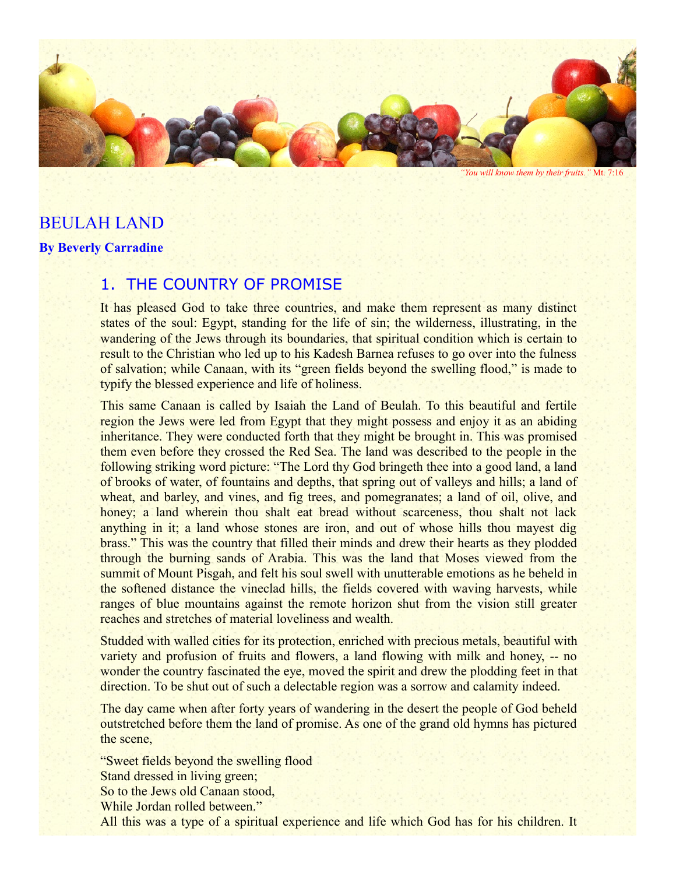

*"You will know them by their fruits."* Mt. 7:16

# BEULAH LAND **By Beverly Carradine**

# 1. THE COUNTRY OF PROMISE

It has pleased God to take three countries, and make them represent as many distinct states of the soul: Egypt, standing for the life of sin; the wilderness, illustrating, in the wandering of the Jews through its boundaries, that spiritual condition which is certain to result to the Christian who led up to his Kadesh Barnea refuses to go over into the fulness of salvation; while Canaan, with its "green fields beyond the swelling flood," is made to typify the blessed experience and life of holiness.

This same Canaan is called by Isaiah the Land of Beulah. To this beautiful and fertile region the Jews were led from Egypt that they might possess and enjoy it as an abiding inheritance. They were conducted forth that they might be brought in. This was promised them even before they crossed the Red Sea. The land was described to the people in the following striking word picture: "The Lord thy God bringeth thee into a good land, a land of brooks of water, of fountains and depths, that spring out of valleys and hills; a land of wheat, and barley, and vines, and fig trees, and pomegranates; a land of oil, olive, and honey; a land wherein thou shalt eat bread without scarceness, thou shalt not lack anything in it; a land whose stones are iron, and out of whose hills thou mayest dig brass." This was the country that filled their minds and drew their hearts as they plodded through the burning sands of Arabia. This was the land that Moses viewed from the summit of Mount Pisgah, and felt his soul swell with unutterable emotions as he beheld in the softened distance the vineclad hills, the fields covered with waving harvests, while ranges of blue mountains against the remote horizon shut from the vision still greater reaches and stretches of material loveliness and wealth.

Studded with walled cities for its protection, enriched with precious metals, beautiful with variety and profusion of fruits and flowers, a land flowing with milk and honey, -- no wonder the country fascinated the eye, moved the spirit and drew the plodding feet in that direction. To be shut out of such a delectable region was a sorrow and calamity indeed.

The day came when after forty years of wandering in the desert the people of God beheld outstretched before them the land of promise. As one of the grand old hymns has pictured the scene,

"Sweet fields beyond the swelling flood Stand dressed in living green; So to the Jews old Canaan stood, While Jordan rolled between." All this was a type of a spiritual experience and life which God has for his children. It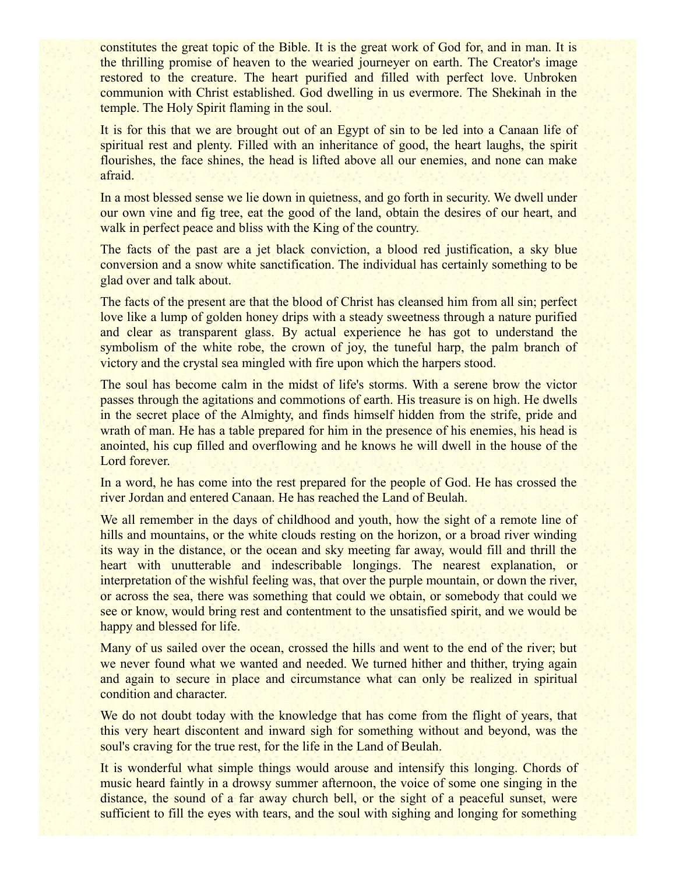constitutes the great topic of the Bible. It is the great work of God for, and in man. It is the thrilling promise of heaven to the wearied journeyer on earth. The Creator's image restored to the creature. The heart purified and filled with perfect love. Unbroken communion with Christ established. God dwelling in us evermore. The Shekinah in the temple. The Holy Spirit flaming in the soul.

It is for this that we are brought out of an Egypt of sin to be led into a Canaan life of spiritual rest and plenty. Filled with an inheritance of good, the heart laughs, the spirit flourishes, the face shines, the head is lifted above all our enemies, and none can make afraid.

In a most blessed sense we lie down in quietness, and go forth in security. We dwell under our own vine and fig tree, eat the good of the land, obtain the desires of our heart, and walk in perfect peace and bliss with the King of the country.

The facts of the past are a jet black conviction, a blood red justification, a sky blue conversion and a snow white sanctification. The individual has certainly something to be glad over and talk about.

The facts of the present are that the blood of Christ has cleansed him from all sin; perfect love like a lump of golden honey drips with a steady sweetness through a nature purified and clear as transparent glass. By actual experience he has got to understand the symbolism of the white robe, the crown of joy, the tuneful harp, the palm branch of victory and the crystal sea mingled with fire upon which the harpers stood.

The soul has become calm in the midst of life's storms. With a serene brow the victor passes through the agitations and commotions of earth. His treasure is on high. He dwells in the secret place of the Almighty, and finds himself hidden from the strife, pride and wrath of man. He has a table prepared for him in the presence of his enemies, his head is anointed, his cup filled and overflowing and he knows he will dwell in the house of the Lord forever.

In a word, he has come into the rest prepared for the people of God. He has crossed the river Jordan and entered Canaan. He has reached the Land of Beulah.

We all remember in the days of childhood and youth, how the sight of a remote line of hills and mountains, or the white clouds resting on the horizon, or a broad river winding its way in the distance, or the ocean and sky meeting far away, would fill and thrill the heart with unutterable and indescribable longings. The nearest explanation, or interpretation of the wishful feeling was, that over the purple mountain, or down the river, or across the sea, there was something that could we obtain, or somebody that could we see or know, would bring rest and contentment to the unsatisfied spirit, and we would be happy and blessed for life.

Many of us sailed over the ocean, crossed the hills and went to the end of the river; but we never found what we wanted and needed. We turned hither and thither, trying again and again to secure in place and circumstance what can only be realized in spiritual condition and character.

We do not doubt today with the knowledge that has come from the flight of years, that this very heart discontent and inward sigh for something without and beyond, was the soul's craving for the true rest, for the life in the Land of Beulah.

It is wonderful what simple things would arouse and intensify this longing. Chords of music heard faintly in a drowsy summer afternoon, the voice of some one singing in the distance, the sound of a far away church bell, or the sight of a peaceful sunset, were sufficient to fill the eyes with tears, and the soul with sighing and longing for something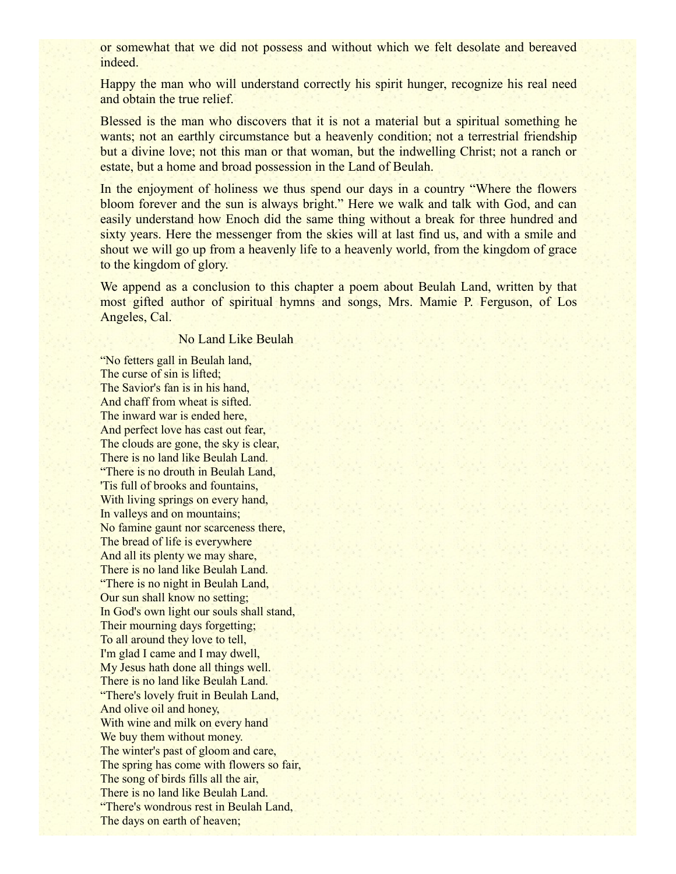or somewhat that we did not possess and without which we felt desolate and bereaved indeed.

Happy the man who will understand correctly his spirit hunger, recognize his real need and obtain the true relief.

Blessed is the man who discovers that it is not a material but a spiritual something he wants; not an earthly circumstance but a heavenly condition; not a terrestrial friendship but a divine love; not this man or that woman, but the indwelling Christ; not a ranch or estate, but a home and broad possession in the Land of Beulah.

In the enjoyment of holiness we thus spend our days in a country "Where the flowers" bloom forever and the sun is always bright." Here we walk and talk with God, and can easily understand how Enoch did the same thing without a break for three hundred and sixty years. Here the messenger from the skies will at last find us, and with a smile and shout we will go up from a heavenly life to a heavenly world, from the kingdom of grace to the kingdom of glory.

We append as a conclusion to this chapter a poem about Beulah Land, written by that most gifted author of spiritual hymns and songs, Mrs. Mamie P. Ferguson, of Los Angeles, Cal.

#### No Land Like Beulah

"No fetters gall in Beulah land, The curse of sin is lifted; The Savior's fan is in his hand, And chaff from wheat is sifted. The inward war is ended here, And perfect love has cast out fear, The clouds are gone, the sky is clear, There is no land like Beulah Land. "There is no drouth in Beulah Land, 'Tis full of brooks and fountains, With living springs on every hand, In valleys and on mountains; No famine gaunt nor scarceness there, The bread of life is everywhere And all its plenty we may share, There is no land like Beulah Land. "There is no night in Beulah Land, Our sun shall know no setting; In God's own light our souls shall stand, Their mourning days forgetting; To all around they love to tell, I'm glad I came and I may dwell, My Jesus hath done all things well. There is no land like Beulah Land. "There's lovely fruit in Beulah Land, And olive oil and honey, With wine and milk on every hand We buy them without money. The winter's past of gloom and care, The spring has come with flowers so fair, The song of birds fills all the air, There is no land like Beulah Land. "There's wondrous rest in Beulah Land, The days on earth of heaven;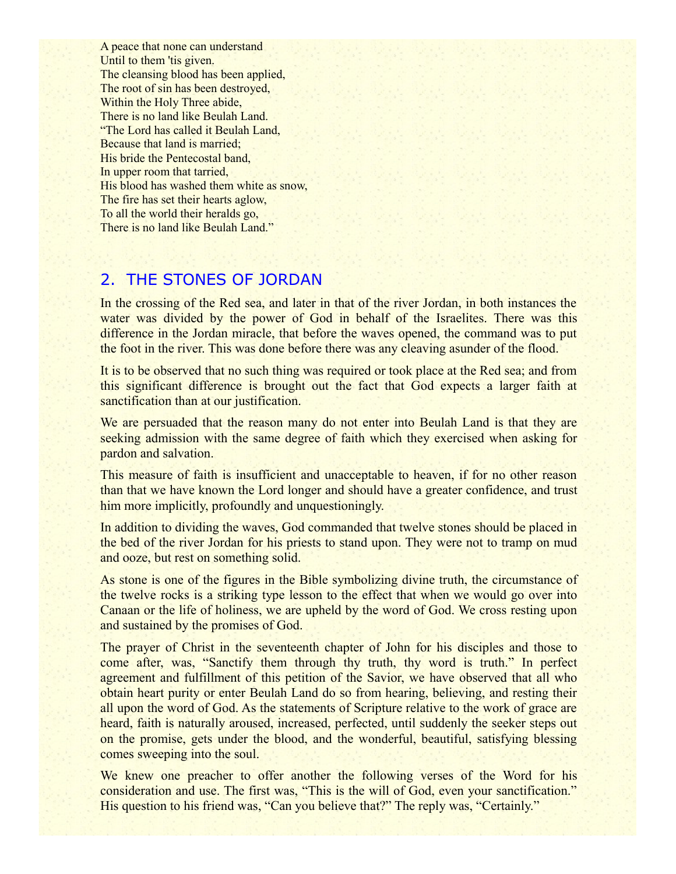A peace that none can understand Until to them 'tis given. The cleansing blood has been applied, The root of sin has been destroyed, Within the Holy Three abide, There is no land like Beulah Land. "The Lord has called it Beulah Land, Because that land is married; His bride the Pentecostal band, In upper room that tarried, His blood has washed them white as snow, The fire has set their hearts aglow, To all the world their heralds go, There is no land like Beulah Land."

#### 2. THE STONES OF JORDAN

In the crossing of the Red sea, and later in that of the river Jordan, in both instances the water was divided by the power of God in behalf of the Israelites. There was this difference in the Jordan miracle, that before the waves opened, the command was to put the foot in the river. This was done before there was any cleaving asunder of the flood.

It is to be observed that no such thing was required or took place at the Red sea; and from this significant difference is brought out the fact that God expects a larger faith at sanctification than at our justification.

We are persuaded that the reason many do not enter into Beulah Land is that they are seeking admission with the same degree of faith which they exercised when asking for pardon and salvation.

This measure of faith is insufficient and unacceptable to heaven, if for no other reason than that we have known the Lord longer and should have a greater confidence, and trust him more implicitly, profoundly and unquestioningly.

In addition to dividing the waves, God commanded that twelve stones should be placed in the bed of the river Jordan for his priests to stand upon. They were not to tramp on mud and ooze, but rest on something solid.

As stone is one of the figures in the Bible symbolizing divine truth, the circumstance of the twelve rocks is a striking type lesson to the effect that when we would go over into Canaan or the life of holiness, we are upheld by the word of God. We cross resting upon and sustained by the promises of God.

The prayer of Christ in the seventeenth chapter of John for his disciples and those to come after, was, "Sanctify them through thy truth, thy word is truth." In perfect agreement and fulfillment of this petition of the Savior, we have observed that all who obtain heart purity or enter Beulah Land do so from hearing, believing, and resting their all upon the word of God. As the statements of Scripture relative to the work of grace are heard, faith is naturally aroused, increased, perfected, until suddenly the seeker steps out on the promise, gets under the blood, and the wonderful, beautiful, satisfying blessing comes sweeping into the soul.

We knew one preacher to offer another the following verses of the Word for his consideration and use. The first was, "This is the will of God, even your sanctification." His question to his friend was, "Can you believe that?" The reply was, "Certainly."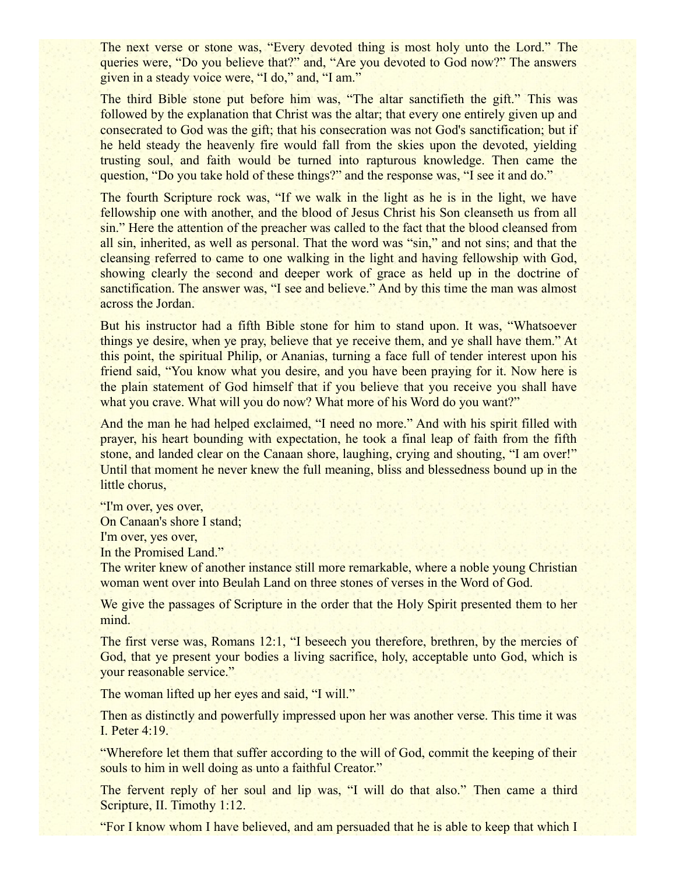The next verse or stone was, "Every devoted thing is most holy unto the Lord." The queries were, "Do you believe that?" and, "Are you devoted to God now?" The answers given in a steady voice were, "I do," and, "I am."

The third Bible stone put before him was, "The altar sanctifieth the gift." This was followed by the explanation that Christ was the altar; that every one entirely given up and consecrated to God was the gift; that his consecration was not God's sanctification; but if he held steady the heavenly fire would fall from the skies upon the devoted, yielding trusting soul, and faith would be turned into rapturous knowledge. Then came the question, "Do you take hold of these things?" and the response was, "I see it and do."

The fourth Scripture rock was, "If we walk in the light as he is in the light, we have fellowship one with another, and the blood of Jesus Christ his Son cleanseth us from all sin." Here the attention of the preacher was called to the fact that the blood cleansed from all sin, inherited, as well as personal. That the word was "sin," and not sins; and that the cleansing referred to came to one walking in the light and having fellowship with God, showing clearly the second and deeper work of grace as held up in the doctrine of sanctification. The answer was, "I see and believe." And by this time the man was almost across the Jordan.

But his instructor had a fifth Bible stone for him to stand upon. It was, "Whatsoever things ye desire, when ye pray, believe that ye receive them, and ye shall have them." At this point, the spiritual Philip, or Ananias, turning a face full of tender interest upon his friend said, "You know what you desire, and you have been praying for it. Now here is the plain statement of God himself that if you believe that you receive you shall have what you crave. What will you do now? What more of his Word do you want?"

And the man he had helped exclaimed, "I need no more." And with his spirit filled with prayer, his heart bounding with expectation, he took a final leap of faith from the fifth stone, and landed clear on the Canaan shore, laughing, crying and shouting, "I am over!" Until that moment he never knew the full meaning, bliss and blessedness bound up in the little chorus,

"I'm over, yes over, On Canaan's shore I stand; I'm over, yes over, In the Promised Land."

The writer knew of another instance still more remarkable, where a noble young Christian woman went over into Beulah Land on three stones of verses in the Word of God.

We give the passages of Scripture in the order that the Holy Spirit presented them to her mind.

The first verse was, Romans 12:1, "I beseech you therefore, brethren, by the mercies of God, that ye present your bodies a living sacrifice, holy, acceptable unto God, which is your reasonable service."

The woman lifted up her eyes and said, "I will."

Then as distinctly and powerfully impressed upon her was another verse. This time it was I. Peter 4:19.

"Wherefore let them that suffer according to the will of God, commit the keeping of their souls to him in well doing as unto a faithful Creator."

The fervent reply of her soul and lip was, "I will do that also." Then came a third Scripture, II. Timothy 1:12.

"For I know whom I have believed, and am persuaded that he is able to keep that which I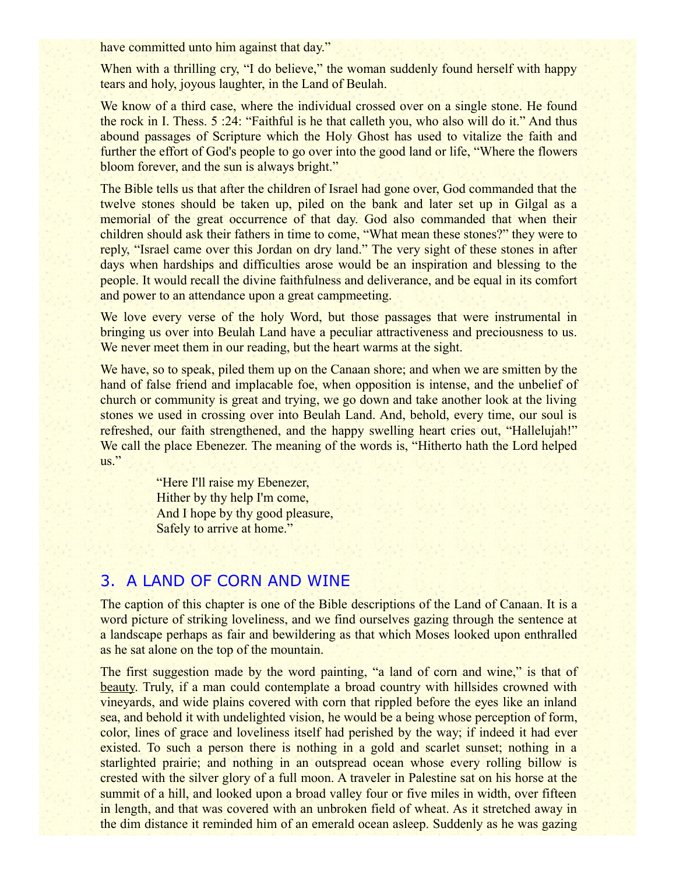have committed unto him against that day."

When with a thrilling cry, "I do believe," the woman suddenly found herself with happy tears and holy, joyous laughter, in the Land of Beulah.

We know of a third case, where the individual crossed over on a single stone. He found the rock in I. Thess. 5 :24: "Faithful is he that calleth you, who also will do it." And thus abound passages of Scripture which the Holy Ghost has used to vitalize the faith and further the effort of God's people to go over into the good land or life, "Where the flowers bloom forever, and the sun is always bright."

The Bible tells us that after the children of Israel had gone over, God commanded that the twelve stones should be taken up, piled on the bank and later set up in Gilgal as a memorial of the great occurrence of that day. God also commanded that when their children should ask their fathers in time to come, "What mean these stones?" they were to reply, "Israel came over this Jordan on dry land." The very sight of these stones in after days when hardships and difficulties arose would be an inspiration and blessing to the people. It would recall the divine faithfulness and deliverance, and be equal in its comfort and power to an attendance upon a great campmeeting.

We love every verse of the holy Word, but those passages that were instrumental in bringing us over into Beulah Land have a peculiar attractiveness and preciousness to us. We never meet them in our reading, but the heart warms at the sight.

We have, so to speak, piled them up on the Canaan shore; and when we are smitten by the hand of false friend and implacable foe, when opposition is intense, and the unbelief of church or community is great and trying, we go down and take another look at the living stones we used in crossing over into Beulah Land. And, behold, every time, our soul is refreshed, our faith strengthened, and the happy swelling heart cries out, "Hallelujah!" We call the place Ebenezer. The meaning of the words is, "Hitherto hath the Lord helped us."

> "Here I'll raise my Ebenezer, Hither by thy help I'm come, And I hope by thy good pleasure, Safely to arrive at home."

#### 3. A LAND OF CORN AND WINE

The caption of this chapter is one of the Bible descriptions of the Land of Canaan. It is a word picture of striking loveliness, and we find ourselves gazing through the sentence at a landscape perhaps as fair and bewildering as that which Moses looked upon enthralled as he sat alone on the top of the mountain.

The first suggestion made by the word painting, "a land of corn and wine," is that of beauty. Truly, if a man could contemplate a broad country with hillsides crowned with vineyards, and wide plains covered with corn that rippled before the eyes like an inland sea, and behold it with undelighted vision, he would be a being whose perception of form, color, lines of grace and loveliness itself had perished by the way; if indeed it had ever existed. To such a person there is nothing in a gold and scarlet sunset; nothing in a starlighted prairie; and nothing in an outspread ocean whose every rolling billow is crested with the silver glory of a full moon. A traveler in Palestine sat on his horse at the summit of a hill, and looked upon a broad valley four or five miles in width, over fifteen in length, and that was covered with an unbroken field of wheat. As it stretched away in the dim distance it reminded him of an emerald ocean asleep. Suddenly as he was gazing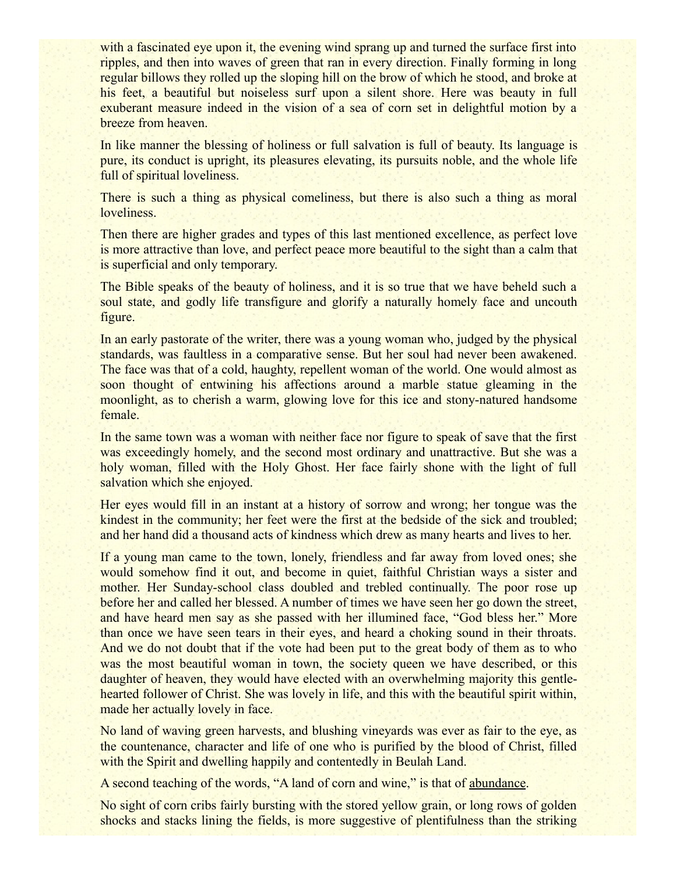with a fascinated eye upon it, the evening wind sprang up and turned the surface first into ripples, and then into waves of green that ran in every direction. Finally forming in long regular billows they rolled up the sloping hill on the brow of which he stood, and broke at his feet, a beautiful but noiseless surf upon a silent shore. Here was beauty in full exuberant measure indeed in the vision of a sea of corn set in delightful motion by a breeze from heaven.

In like manner the blessing of holiness or full salvation is full of beauty. Its language is pure, its conduct is upright, its pleasures elevating, its pursuits noble, and the whole life full of spiritual loveliness.

There is such a thing as physical comeliness, but there is also such a thing as moral loveliness.

Then there are higher grades and types of this last mentioned excellence, as perfect love is more attractive than love, and perfect peace more beautiful to the sight than a calm that is superficial and only temporary.

The Bible speaks of the beauty of holiness, and it is so true that we have beheld such a soul state, and godly life transfigure and glorify a naturally homely face and uncouth figure.

In an early pastorate of the writer, there was a young woman who, judged by the physical standards, was faultless in a comparative sense. But her soul had never been awakened. The face was that of a cold, haughty, repellent woman of the world. One would almost as soon thought of entwining his affections around a marble statue gleaming in the moonlight, as to cherish a warm, glowing love for this ice and stony-natured handsome female.

In the same town was a woman with neither face nor figure to speak of save that the first was exceedingly homely, and the second most ordinary and unattractive. But she was a holy woman, filled with the Holy Ghost. Her face fairly shone with the light of full salvation which she enjoyed.

Her eyes would fill in an instant at a history of sorrow and wrong; her tongue was the kindest in the community; her feet were the first at the bedside of the sick and troubled; and her hand did a thousand acts of kindness which drew as many hearts and lives to her.

If a young man came to the town, lonely, friendless and far away from loved ones; she would somehow find it out, and become in quiet, faithful Christian ways a sister and mother. Her Sunday-school class doubled and trebled continually. The poor rose up before her and called her blessed. A number of times we have seen her go down the street, and have heard men say as she passed with her illumined face, "God bless her." More than once we have seen tears in their eyes, and heard a choking sound in their throats. And we do not doubt that if the vote had been put to the great body of them as to who was the most beautiful woman in town, the society queen we have described, or this daughter of heaven, they would have elected with an overwhelming majority this gentlehearted follower of Christ. She was lovely in life, and this with the beautiful spirit within, made her actually lovely in face.

No land of waving green harvests, and blushing vineyards was ever as fair to the eye, as the countenance, character and life of one who is purified by the blood of Christ, filled with the Spirit and dwelling happily and contentedly in Beulah Land.

A second teaching of the words, "A land of corn and wine," is that of abundance.

No sight of corn cribs fairly bursting with the stored yellow grain, or long rows of golden shocks and stacks lining the fields, is more suggestive of plentifulness than the striking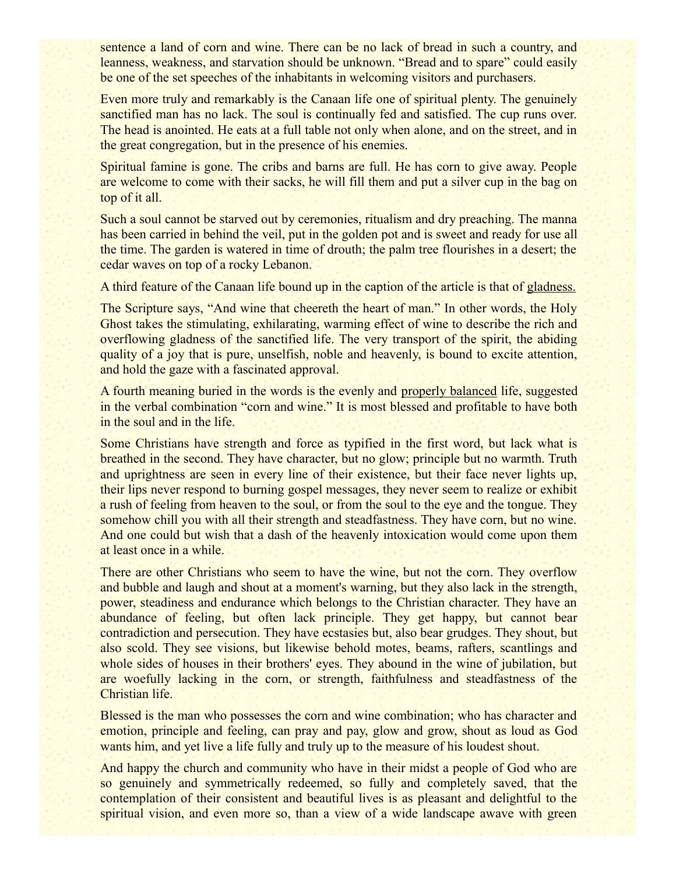sentence a land of corn and wine. There can be no lack of bread in such a country, and leanness, weakness, and starvation should be unknown. "Bread and to spare" could easily be one of the set speeches of the inhabitants in welcoming visitors and purchasers.

Even more truly and remarkably is the Canaan life one of spiritual plenty. The genuinely sanctified man has no lack. The soul is continually fed and satisfied. The cup runs over. The head is anointed. He eats at a full table not only when alone, and on the street, and in the great congregation, but in the presence of his enemies.

Spiritual famine is gone. The cribs and barns are full. He has corn to give away. People are welcome to come with their sacks, he will fill them and put a silver cup in the bag on top of it all.

Such a soul cannot be starved out by ceremonies, ritualism and dry preaching. The manna has been carried in behind the veil, put in the golden pot and is sweet and ready for use all the time. The garden is watered in time of drouth; the palm tree flourishes in a desert; the cedar waves on top of a rocky Lebanon.

A third feature of the Canaan life bound up in the caption of the article is that of gladness.

The Scripture says, "And wine that cheereth the heart of man." In other words, the Holy Ghost takes the stimulating, exhilarating, warming effect of wine to describe the rich and overflowing gladness of the sanctified life. The very transport of the spirit, the abiding quality of a joy that is pure, unselfish, noble and heavenly, is bound to excite attention, and hold the gaze with a fascinated approval.

A fourth meaning buried in the words is the evenly and properly balanced life, suggested in the verbal combination "corn and wine." It is most blessed and profitable to have both in the soul and in the life.

Some Christians have strength and force as typified in the first word, but lack what is breathed in the second. They have character, but no glow; principle but no warmth. Truth and uprightness are seen in every line of their existence, but their face never lights up, their lips never respond to burning gospel messages, they never seem to realize or exhibit a rush of feeling from heaven to the soul, or from the soul to the eye and the tongue. They somehow chill you with all their strength and steadfastness. They have corn, but no wine. And one could but wish that a dash of the heavenly intoxication would come upon them at least once in a while.

There are other Christians who seem to have the wine, but not the corn. They overflow and bubble and laugh and shout at a moment's warning, but they also lack in the strength, power, steadiness and endurance which belongs to the Christian character. They have an abundance of feeling, but often lack principle. They get happy, but cannot bear contradiction and persecution. They have ecstasies but, also bear grudges. They shout, but also scold. They see visions, but likewise behold motes, beams, rafters, scantlings and whole sides of houses in their brothers' eyes. They abound in the wine of jubilation, but are woefully lacking in the corn, or strength, faithfulness and steadfastness of the Christian life.

Blessed is the man who possesses the corn and wine combination; who has character and emotion, principle and feeling, can pray and pay, glow and grow, shout as loud as God wants him, and yet live a life fully and truly up to the measure of his loudest shout.

And happy the church and community who have in their midst a people of God who are so genuinely and symmetrically redeemed, so fully and completely saved, that the contemplation of their consistent and beautiful lives is as pleasant and delightful to the spiritual vision, and even more so, than a view of a wide landscape awave with green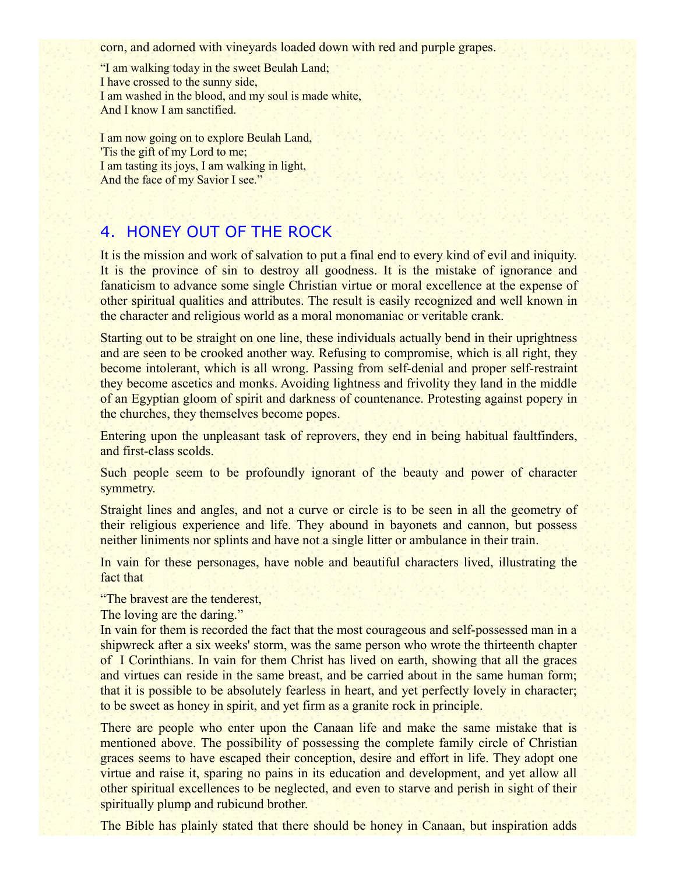corn, and adorned with vineyards loaded down with red and purple grapes.

"I am walking today in the sweet Beulah Land; I have crossed to the sunny side, I am washed in the blood, and my soul is made white, And I know I am sanctified.

I am now going on to explore Beulah Land, 'Tis the gift of my Lord to me; I am tasting its joys, I am walking in light, And the face of my Savior I see."

### 4. HONEY OUT OF THE ROCK

It is the mission and work of salvation to put a final end to every kind of evil and iniquity. It is the province of sin to destroy all goodness. It is the mistake of ignorance and fanaticism to advance some single Christian virtue or moral excellence at the expense of other spiritual qualities and attributes. The result is easily recognized and well known in the character and religious world as a moral monomaniac or veritable crank.

Starting out to be straight on one line, these individuals actually bend in their uprightness and are seen to be crooked another way. Refusing to compromise, which is all right, they become intolerant, which is all wrong. Passing from self-denial and proper self-restraint they become ascetics and monks. Avoiding lightness and frivolity they land in the middle of an Egyptian gloom of spirit and darkness of countenance. Protesting against popery in the churches, they themselves become popes.

Entering upon the unpleasant task of reprovers, they end in being habitual faultfinders, and first-class scolds.

Such people seem to be profoundly ignorant of the beauty and power of character symmetry.

Straight lines and angles, and not a curve or circle is to be seen in all the geometry of their religious experience and life. They abound in bayonets and cannon, but possess neither liniments nor splints and have not a single litter or ambulance in their train.

In vain for these personages, have noble and beautiful characters lived, illustrating the fact that

"The bravest are the tenderest,

The loving are the daring."

In vain for them is recorded the fact that the most courageous and self-possessed man in a shipwreck after a six weeks' storm, was the same person who wrote the thirteenth chapter of I Corinthians. In vain for them Christ has lived on earth, showing that all the graces and virtues can reside in the same breast, and be carried about in the same human form; that it is possible to be absolutely fearless in heart, and yet perfectly lovely in character; to be sweet as honey in spirit, and yet firm as a granite rock in principle.

There are people who enter upon the Canaan life and make the same mistake that is mentioned above. The possibility of possessing the complete family circle of Christian graces seems to have escaped their conception, desire and effort in life. They adopt one virtue and raise it, sparing no pains in its education and development, and yet allow all other spiritual excellences to be neglected, and even to starve and perish in sight of their spiritually plump and rubicund brother.

The Bible has plainly stated that there should be honey in Canaan, but inspiration adds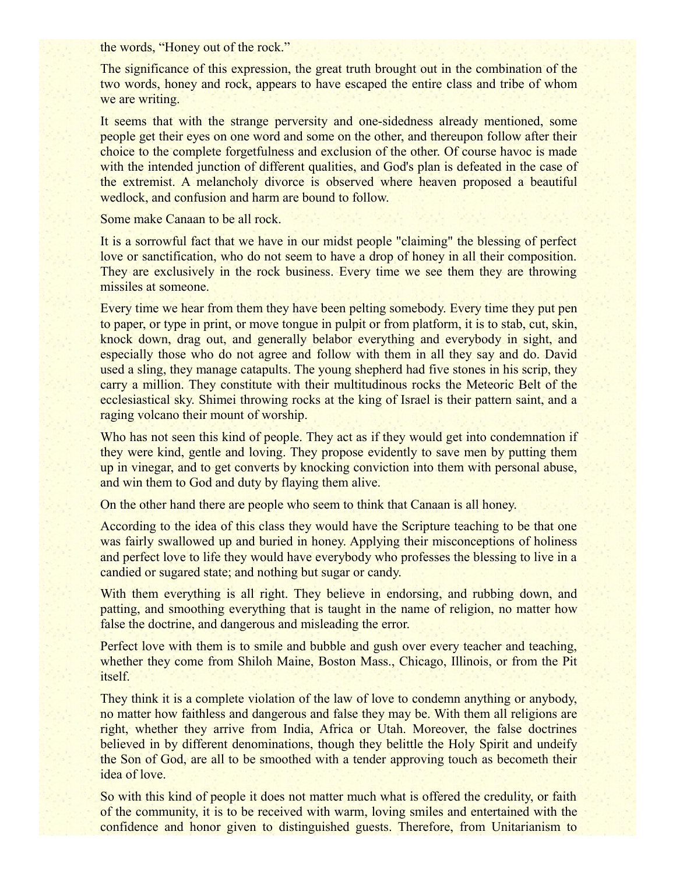the words, "Honey out of the rock."

The significance of this expression, the great truth brought out in the combination of the two words, honey and rock, appears to have escaped the entire class and tribe of whom we are writing.

It seems that with the strange perversity and one-sidedness already mentioned, some people get their eyes on one word and some on the other, and thereupon follow after their choice to the complete forgetfulness and exclusion of the other. Of course havoc is made with the intended junction of different qualities, and God's plan is defeated in the case of the extremist. A melancholy divorce is observed where heaven proposed a beautiful wedlock, and confusion and harm are bound to follow.

Some make Canaan to be all rock.

It is a sorrowful fact that we have in our midst people "claiming" the blessing of perfect love or sanctification, who do not seem to have a drop of honey in all their composition. They are exclusively in the rock business. Every time we see them they are throwing missiles at someone.

Every time we hear from them they have been pelting somebody. Every time they put pen to paper, or type in print, or move tongue in pulpit or from platform, it is to stab, cut, skin, knock down, drag out, and generally belabor everything and everybody in sight, and especially those who do not agree and follow with them in all they say and do. David used a sling, they manage catapults. The young shepherd had five stones in his scrip, they carry a million. They constitute with their multitudinous rocks the Meteoric Belt of the ecclesiastical sky. Shimei throwing rocks at the king of Israel is their pattern saint, and a raging volcano their mount of worship.

Who has not seen this kind of people. They act as if they would get into condemnation if they were kind, gentle and loving. They propose evidently to save men by putting them up in vinegar, and to get converts by knocking conviction into them with personal abuse, and win them to God and duty by flaying them alive.

On the other hand there are people who seem to think that Canaan is all honey.

According to the idea of this class they would have the Scripture teaching to be that one was fairly swallowed up and buried in honey. Applying their misconceptions of holiness and perfect love to life they would have everybody who professes the blessing to live in a candied or sugared state; and nothing but sugar or candy.

With them everything is all right. They believe in endorsing, and rubbing down, and patting, and smoothing everything that is taught in the name of religion, no matter how false the doctrine, and dangerous and misleading the error.

Perfect love with them is to smile and bubble and gush over every teacher and teaching, whether they come from Shiloh Maine, Boston Mass., Chicago, Illinois, or from the Pit itself.

They think it is a complete violation of the law of love to condemn anything or anybody, no matter how faithless and dangerous and false they may be. With them all religions are right, whether they arrive from India, Africa or Utah. Moreover, the false doctrines believed in by different denominations, though they belittle the Holy Spirit and undeify the Son of God, are all to be smoothed with a tender approving touch as becometh their idea of love.

So with this kind of people it does not matter much what is offered the credulity, or faith of the community, it is to be received with warm, loving smiles and entertained with the confidence and honor given to distinguished guests. Therefore, from Unitarianism to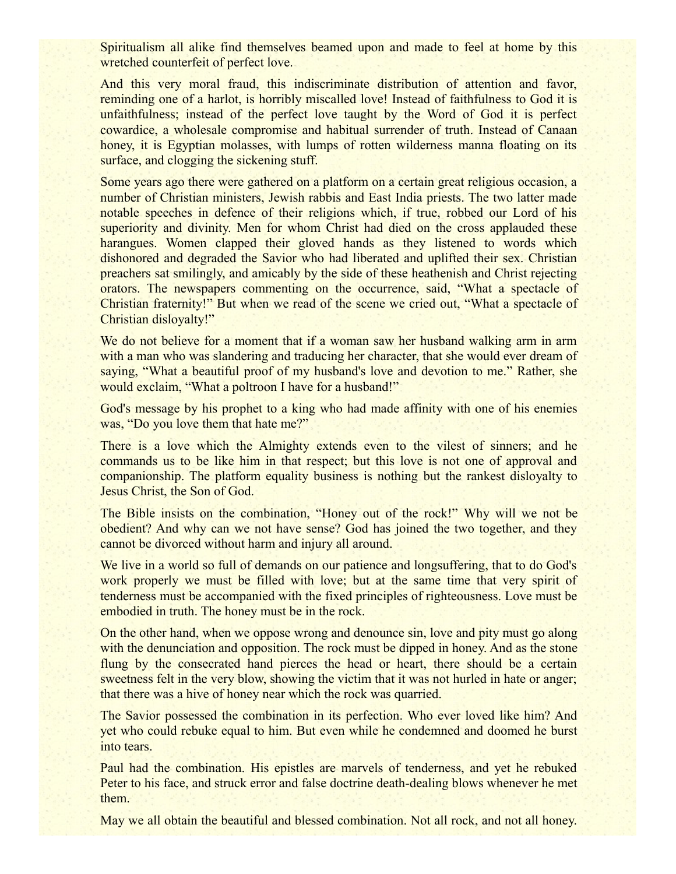Spiritualism all alike find themselves beamed upon and made to feel at home by this wretched counterfeit of perfect love.

And this very moral fraud, this indiscriminate distribution of attention and favor, reminding one of a harlot, is horribly miscalled love! Instead of faithfulness to God it is unfaithfulness; instead of the perfect love taught by the Word of God it is perfect cowardice, a wholesale compromise and habitual surrender of truth. Instead of Canaan honey, it is Egyptian molasses, with lumps of rotten wilderness manna floating on its surface, and clogging the sickening stuff.

Some years ago there were gathered on a platform on a certain great religious occasion, a number of Christian ministers, Jewish rabbis and East India priests. The two latter made notable speeches in defence of their religions which, if true, robbed our Lord of his superiority and divinity. Men for whom Christ had died on the cross applauded these harangues. Women clapped their gloved hands as they listened to words which dishonored and degraded the Savior who had liberated and uplifted their sex. Christian preachers sat smilingly, and amicably by the side of these heathenish and Christ rejecting orators. The newspapers commenting on the occurrence, said, "What a spectacle of Christian fraternity!" But when we read of the scene we cried out, "What a spectacle of Christian disloyalty!"

We do not believe for a moment that if a woman saw her husband walking arm in arm with a man who was slandering and traducing her character, that she would ever dream of saying, "What a beautiful proof of my husband's love and devotion to me." Rather, she would exclaim, "What a poltroon I have for a husband!"

God's message by his prophet to a king who had made affinity with one of his enemies was, "Do you love them that hate me?"

There is a love which the Almighty extends even to the vilest of sinners; and he commands us to be like him in that respect; but this love is not one of approval and companionship. The platform equality business is nothing but the rankest disloyalty to Jesus Christ, the Son of God.

The Bible insists on the combination, "Honey out of the rock!" Why will we not be obedient? And why can we not have sense? God has joined the two together, and they cannot be divorced without harm and injury all around.

We live in a world so full of demands on our patience and longsuffering, that to do God's work properly we must be filled with love; but at the same time that very spirit of tenderness must be accompanied with the fixed principles of righteousness. Love must be embodied in truth. The honey must be in the rock.

On the other hand, when we oppose wrong and denounce sin, love and pity must go along with the denunciation and opposition. The rock must be dipped in honey. And as the stone flung by the consecrated hand pierces the head or heart, there should be a certain sweetness felt in the very blow, showing the victim that it was not hurled in hate or anger; that there was a hive of honey near which the rock was quarried.

The Savior possessed the combination in its perfection. Who ever loved like him? And yet who could rebuke equal to him. But even while he condemned and doomed he burst into tears.

Paul had the combination. His epistles are marvels of tenderness, and yet he rebuked Peter to his face, and struck error and false doctrine death-dealing blows whenever he met them.

May we all obtain the beautiful and blessed combination. Not all rock, and not all honey.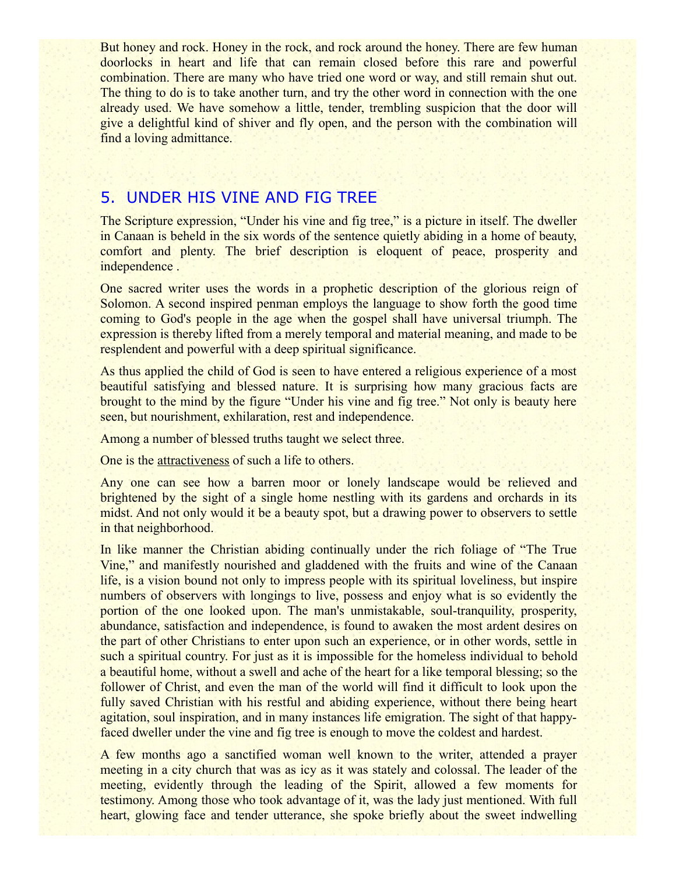But honey and rock. Honey in the rock, and rock around the honey. There are few human doorlocks in heart and life that can remain closed before this rare and powerful combination. There are many who have tried one word or way, and still remain shut out. The thing to do is to take another turn, and try the other word in connection with the one already used. We have somehow a little, tender, trembling suspicion that the door will give a delightful kind of shiver and fly open, and the person with the combination will find a loving admittance.

#### 5. UNDER HIS VINE AND FIG TREE

The Scripture expression, "Under his vine and fig tree," is a picture in itself. The dweller in Canaan is beheld in the six words of the sentence quietly abiding in a home of beauty, comfort and plenty. The brief description is eloquent of peace, prosperity and independence .

One sacred writer uses the words in a prophetic description of the glorious reign of Solomon. A second inspired penman employs the language to show forth the good time coming to God's people in the age when the gospel shall have universal triumph. The expression is thereby lifted from a merely temporal and material meaning, and made to be resplendent and powerful with a deep spiritual significance.

As thus applied the child of God is seen to have entered a religious experience of a most beautiful satisfying and blessed nature. It is surprising how many gracious facts are brought to the mind by the figure "Under his vine and fig tree." Not only is beauty here seen, but nourishment, exhilaration, rest and independence.

Among a number of blessed truths taught we select three.

One is the attractiveness of such a life to others.

Any one can see how a barren moor or lonely landscape would be relieved and brightened by the sight of a single home nestling with its gardens and orchards in its midst. And not only would it be a beauty spot, but a drawing power to observers to settle in that neighborhood.

In like manner the Christian abiding continually under the rich foliage of "The True Vine," and manifestly nourished and gladdened with the fruits and wine of the Canaan life, is a vision bound not only to impress people with its spiritual loveliness, but inspire numbers of observers with longings to live, possess and enjoy what is so evidently the portion of the one looked upon. The man's unmistakable, soul-tranquility, prosperity, abundance, satisfaction and independence, is found to awaken the most ardent desires on the part of other Christians to enter upon such an experience, or in other words, settle in such a spiritual country. For just as it is impossible for the homeless individual to behold a beautiful home, without a swell and ache of the heart for a like temporal blessing; so the follower of Christ, and even the man of the world will find it difficult to look upon the fully saved Christian with his restful and abiding experience, without there being heart agitation, soul inspiration, and in many instances life emigration. The sight of that happyfaced dweller under the vine and fig tree is enough to move the coldest and hardest.

A few months ago a sanctified woman well known to the writer, attended a prayer meeting in a city church that was as icy as it was stately and colossal. The leader of the meeting, evidently through the leading of the Spirit, allowed a few moments for testimony. Among those who took advantage of it, was the lady just mentioned. With full heart, glowing face and tender utterance, she spoke briefly about the sweet indwelling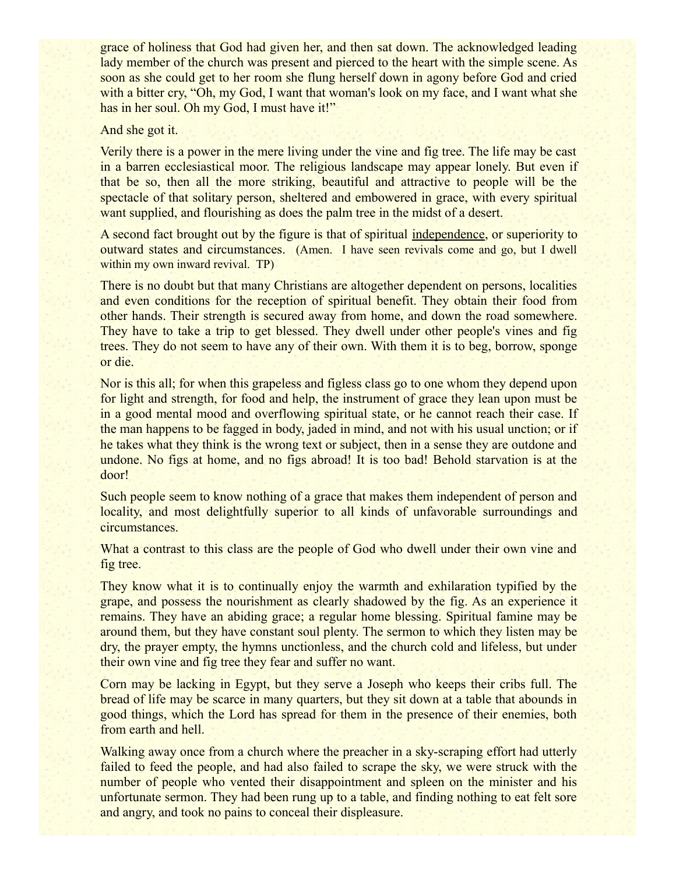grace of holiness that God had given her, and then sat down. The acknowledged leading lady member of the church was present and pierced to the heart with the simple scene. As soon as she could get to her room she flung herself down in agony before God and cried with a bitter cry, "Oh, my God, I want that woman's look on my face, and I want what she has in her soul. Oh my God, I must have it!"

#### And she got it.

Verily there is a power in the mere living under the vine and fig tree. The life may be cast in a barren ecclesiastical moor. The religious landscape may appear lonely. But even if that be so, then all the more striking, beautiful and attractive to people will be the spectacle of that solitary person, sheltered and embowered in grace, with every spiritual want supplied, and flourishing as does the palm tree in the midst of a desert.

A second fact brought out by the figure is that of spiritual independence, or superiority to outward states and circumstances. (Amen. I have seen revivals come and go, but I dwell within my own inward revival. TP)

There is no doubt but that many Christians are altogether dependent on persons, localities and even conditions for the reception of spiritual benefit. They obtain their food from other hands. Their strength is secured away from home, and down the road somewhere. They have to take a trip to get blessed. They dwell under other people's vines and fig trees. They do not seem to have any of their own. With them it is to beg, borrow, sponge or die.

Nor is this all; for when this grapeless and figless class go to one whom they depend upon for light and strength, for food and help, the instrument of grace they lean upon must be in a good mental mood and overflowing spiritual state, or he cannot reach their case. If the man happens to be fagged in body, jaded in mind, and not with his usual unction; or if he takes what they think is the wrong text or subject, then in a sense they are outdone and undone. No figs at home, and no figs abroad! It is too bad! Behold starvation is at the door!

Such people seem to know nothing of a grace that makes them independent of person and locality, and most delightfully superior to all kinds of unfavorable surroundings and circumstances.

What a contrast to this class are the people of God who dwell under their own vine and fig tree.

They know what it is to continually enjoy the warmth and exhilaration typified by the grape, and possess the nourishment as clearly shadowed by the fig. As an experience it remains. They have an abiding grace; a regular home blessing. Spiritual famine may be around them, but they have constant soul plenty. The sermon to which they listen may be dry, the prayer empty, the hymns unctionless, and the church cold and lifeless, but under their own vine and fig tree they fear and suffer no want.

Corn may be lacking in Egypt, but they serve a Joseph who keeps their cribs full. The bread of life may be scarce in many quarters, but they sit down at a table that abounds in good things, which the Lord has spread for them in the presence of their enemies, both from earth and hell.

Walking away once from a church where the preacher in a sky-scraping effort had utterly failed to feed the people, and had also failed to scrape the sky, we were struck with the number of people who vented their disappointment and spleen on the minister and his unfortunate sermon. They had been rung up to a table, and finding nothing to eat felt sore and angry, and took no pains to conceal their displeasure.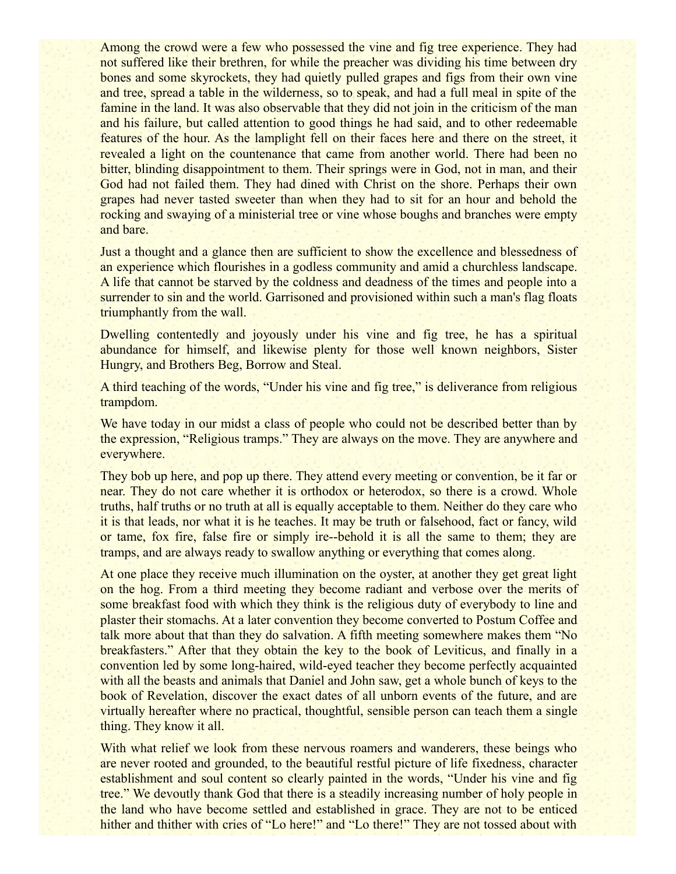Among the crowd were a few who possessed the vine and fig tree experience. They had not suffered like their brethren, for while the preacher was dividing his time between dry bones and some skyrockets, they had quietly pulled grapes and figs from their own vine and tree, spread a table in the wilderness, so to speak, and had a full meal in spite of the famine in the land. It was also observable that they did not join in the criticism of the man and his failure, but called attention to good things he had said, and to other redeemable features of the hour. As the lamplight fell on their faces here and there on the street, it revealed a light on the countenance that came from another world. There had been no bitter, blinding disappointment to them. Their springs were in God, not in man, and their God had not failed them. They had dined with Christ on the shore. Perhaps their own grapes had never tasted sweeter than when they had to sit for an hour and behold the rocking and swaying of a ministerial tree or vine whose boughs and branches were empty and bare.

Just a thought and a glance then are sufficient to show the excellence and blessedness of an experience which flourishes in a godless community and amid a churchless landscape. A life that cannot be starved by the coldness and deadness of the times and people into a surrender to sin and the world. Garrisoned and provisioned within such a man's flag floats triumphantly from the wall.

Dwelling contentedly and joyously under his vine and fig tree, he has a spiritual abundance for himself, and likewise plenty for those well known neighbors, Sister Hungry, and Brothers Beg, Borrow and Steal.

A third teaching of the words, "Under his vine and fig tree," is deliverance from religious trampdom.

We have today in our midst a class of people who could not be described better than by the expression, "Religious tramps." They are always on the move. They are anywhere and everywhere.

They bob up here, and pop up there. They attend every meeting or convention, be it far or near. They do not care whether it is orthodox or heterodox, so there is a crowd. Whole truths, half truths or no truth at all is equally acceptable to them. Neither do they care who it is that leads, nor what it is he teaches. It may be truth or falsehood, fact or fancy, wild or tame, fox fire, false fire or simply ire--behold it is all the same to them; they are tramps, and are always ready to swallow anything or everything that comes along.

At one place they receive much illumination on the oyster, at another they get great light on the hog. From a third meeting they become radiant and verbose over the merits of some breakfast food with which they think is the religious duty of everybody to line and plaster their stomachs. At a later convention they become converted to Postum Coffee and talk more about that than they do salvation. A fifth meeting somewhere makes them "No breakfasters." After that they obtain the key to the book of Leviticus, and finally in a convention led by some long-haired, wild-eyed teacher they become perfectly acquainted with all the beasts and animals that Daniel and John saw, get a whole bunch of keys to the book of Revelation, discover the exact dates of all unborn events of the future, and are virtually hereafter where no practical, thoughtful, sensible person can teach them a single thing. They know it all.

With what relief we look from these nervous roamers and wanderers, these beings who are never rooted and grounded, to the beautiful restful picture of life fixedness, character establishment and soul content so clearly painted in the words, "Under his vine and fig tree." We devoutly thank God that there is a steadily increasing number of holy people in the land who have become settled and established in grace. They are not to be enticed hither and thither with cries of "Lo here!" and "Lo there!" They are not tossed about with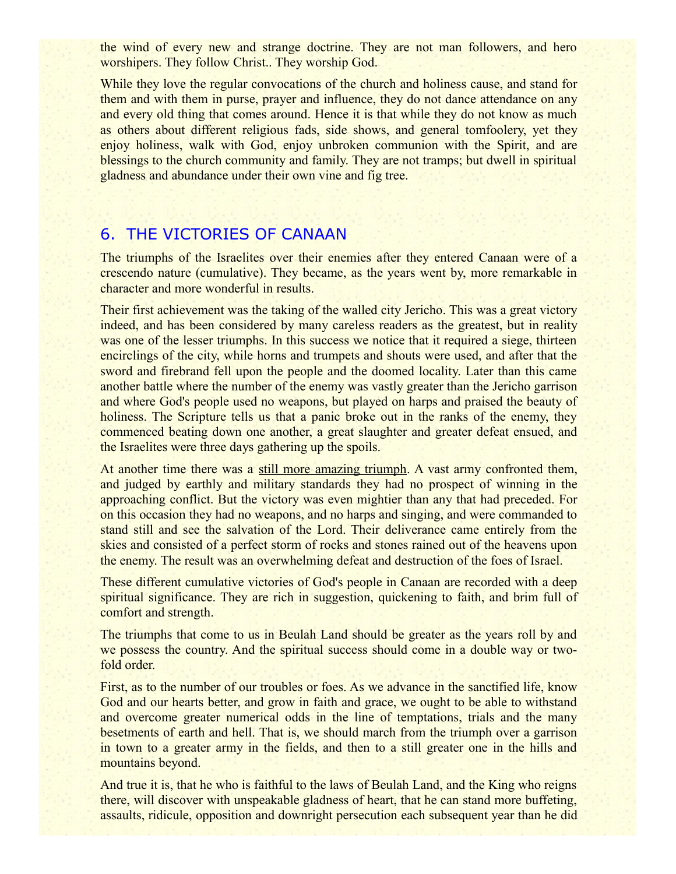the wind of every new and strange doctrine. They are not man followers, and hero worshipers. They follow Christ.. They worship God.

While they love the regular convocations of the church and holiness cause, and stand for them and with them in purse, prayer and influence, they do not dance attendance on any and every old thing that comes around. Hence it is that while they do not know as much as others about different religious fads, side shows, and general tomfoolery, yet they enjoy holiness, walk with God, enjoy unbroken communion with the Spirit, and are blessings to the church community and family. They are not tramps; but dwell in spiritual gladness and abundance under their own vine and fig tree.

## 6. THE VICTORIES OF CANAAN

The triumphs of the Israelites over their enemies after they entered Canaan were of a crescendo nature (cumulative). They became, as the years went by, more remarkable in character and more wonderful in results.

Their first achievement was the taking of the walled city Jericho. This was a great victory indeed, and has been considered by many careless readers as the greatest, but in reality was one of the lesser triumphs. In this success we notice that it required a siege, thirteen encirclings of the city, while horns and trumpets and shouts were used, and after that the sword and firebrand fell upon the people and the doomed locality. Later than this came another battle where the number of the enemy was vastly greater than the Jericho garrison and where God's people used no weapons, but played on harps and praised the beauty of holiness. The Scripture tells us that a panic broke out in the ranks of the enemy, they commenced beating down one another, a great slaughter and greater defeat ensued, and the Israelites were three days gathering up the spoils.

At another time there was a still more amazing triumph. A vast army confronted them, and judged by earthly and military standards they had no prospect of winning in the approaching conflict. But the victory was even mightier than any that had preceded. For on this occasion they had no weapons, and no harps and singing, and were commanded to stand still and see the salvation of the Lord. Their deliverance came entirely from the skies and consisted of a perfect storm of rocks and stones rained out of the heavens upon the enemy. The result was an overwhelming defeat and destruction of the foes of Israel.

These different cumulative victories of God's people in Canaan are recorded with a deep spiritual significance. They are rich in suggestion, quickening to faith, and brim full of comfort and strength.

The triumphs that come to us in Beulah Land should be greater as the years roll by and we possess the country. And the spiritual success should come in a double way or twofold order.

First, as to the number of our troubles or foes. As we advance in the sanctified life, know God and our hearts better, and grow in faith and grace, we ought to be able to withstand and overcome greater numerical odds in the line of temptations, trials and the many besetments of earth and hell. That is, we should march from the triumph over a garrison in town to a greater army in the fields, and then to a still greater one in the hills and mountains beyond.

And true it is, that he who is faithful to the laws of Beulah Land, and the King who reigns there, will discover with unspeakable gladness of heart, that he can stand more buffeting, assaults, ridicule, opposition and downright persecution each subsequent year than he did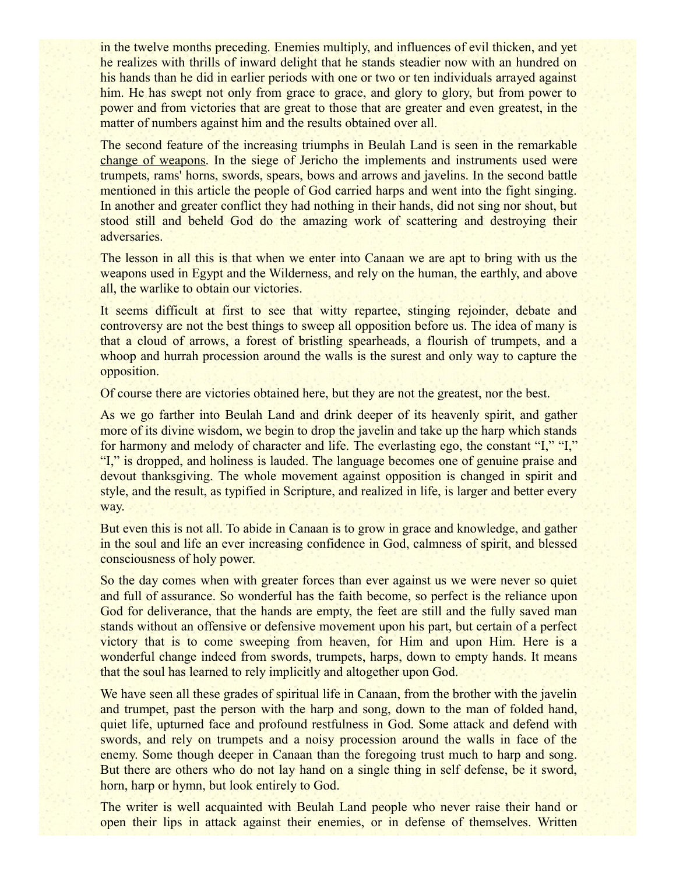in the twelve months preceding. Enemies multiply, and influences of evil thicken, and yet he realizes with thrills of inward delight that he stands steadier now with an hundred on his hands than he did in earlier periods with one or two or ten individuals arrayed against him. He has swept not only from grace to grace, and glory to glory, but from power to power and from victories that are great to those that are greater and even greatest, in the matter of numbers against him and the results obtained over all.

The second feature of the increasing triumphs in Beulah Land is seen in the remarkable change of weapons. In the siege of Jericho the implements and instruments used were trumpets, rams' horns, swords, spears, bows and arrows and javelins. In the second battle mentioned in this article the people of God carried harps and went into the fight singing. In another and greater conflict they had nothing in their hands, did not sing nor shout, but stood still and beheld God do the amazing work of scattering and destroying their adversaries.

The lesson in all this is that when we enter into Canaan we are apt to bring with us the weapons used in Egypt and the Wilderness, and rely on the human, the earthly, and above all, the warlike to obtain our victories.

It seems difficult at first to see that witty repartee, stinging rejoinder, debate and controversy are not the best things to sweep all opposition before us. The idea of many is that a cloud of arrows, a forest of bristling spearheads, a flourish of trumpets, and a whoop and hurrah procession around the walls is the surest and only way to capture the opposition.

Of course there are victories obtained here, but they are not the greatest, nor the best.

As we go farther into Beulah Land and drink deeper of its heavenly spirit, and gather more of its divine wisdom, we begin to drop the javelin and take up the harp which stands for harmony and melody of character and life. The everlasting ego, the constant "I," "I," "I," is dropped, and holiness is lauded. The language becomes one of genuine praise and devout thanksgiving. The whole movement against opposition is changed in spirit and style, and the result, as typified in Scripture, and realized in life, is larger and better every way.

But even this is not all. To abide in Canaan is to grow in grace and knowledge, and gather in the soul and life an ever increasing confidence in God, calmness of spirit, and blessed consciousness of holy power.

So the day comes when with greater forces than ever against us we were never so quiet and full of assurance. So wonderful has the faith become, so perfect is the reliance upon God for deliverance, that the hands are empty, the feet are still and the fully saved man stands without an offensive or defensive movement upon his part, but certain of a perfect victory that is to come sweeping from heaven, for Him and upon Him. Here is a wonderful change indeed from swords, trumpets, harps, down to empty hands. It means that the soul has learned to rely implicitly and altogether upon God.

We have seen all these grades of spiritual life in Canaan, from the brother with the javelin and trumpet, past the person with the harp and song, down to the man of folded hand, quiet life, upturned face and profound restfulness in God. Some attack and defend with swords, and rely on trumpets and a noisy procession around the walls in face of the enemy. Some though deeper in Canaan than the foregoing trust much to harp and song. But there are others who do not lay hand on a single thing in self defense, be it sword, horn, harp or hymn, but look entirely to God.

The writer is well acquainted with Beulah Land people who never raise their hand or open their lips in attack against their enemies, or in defense of themselves. Written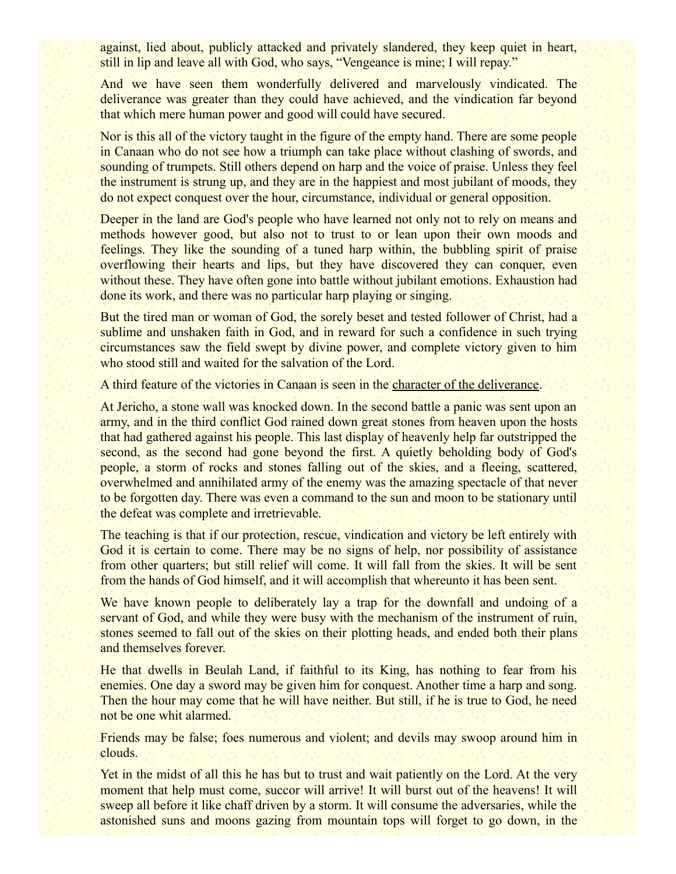against, lied about, publicly attacked and privately slandered, they keep quiet in heart, still in lip and leave all with God, who says, "Vengeance is mine; I will repay."

And we have seen them wonderfully delivered and marvelously vindicated. The deliverance was greater than they could have achieved, and the vindication far beyond that which mere human power and good will could have secured.

Nor is this all of the victory taught in the figure of the empty hand. There are some people in Canaan who do not see how a triumph can take place without clashing of swords, and sounding of trumpets. Still others depend on harp and the voice of praise. Unless they feel the instrument is strung up, and they are in the happiest and most jubilant of moods, they do not expect conquest over the hour, circumstance, individual or general opposition.

Deeper in the land are God's people who have learned not only not to rely on means and methods however good, but also not to trust to or lean upon their own moods and feelings. They like the sounding of a tuned harp within, the bubbling spirit of praise overflowing their hearts and lips, but they have discovered they can conquer, even without these. They have often gone into battle without jubilant emotions. Exhaustion had done its work, and there was no particular harp playing or singing.

But the tired man or woman of God, the sorely beset and tested follower of Christ, had a sublime and unshaken faith in God, and in reward for such a confidence in such trying circumstances saw the field swept by divine power, and complete victory given to him who stood still and waited for the salvation of the Lord.

A third feature of the victories in Canaan is seen in the character of the deliverance.

At Jericho, a stone wall was knocked down. In the second battle a panic was sent upon an army, and in the third conflict God rained down great stones from heaven upon the hosts that had gathered against his people. This last display of heavenly help far outstripped the second, as the second had gone beyond the first. A quietly beholding body of God's people, a storm of rocks and stones falling out of the skies, and a fleeing, scattered, overwhelmed and annihilated army of the enemy was the amazing spectacle of that never to be forgotten day. There was even a command to the sun and moon to be stationary until the defeat was complete and irretrievable.

The teaching is that if our protection, rescue, vindication and victory be left entirely with God it is certain to come. There may be no signs of help, nor possibility of assistance from other quarters; but still relief will come. It will fall from the skies. It will be sent from the hands of God himself, and it will accomplish that whereunto it has been sent.

We have known people to deliberately lay a trap for the downfall and undoing of a servant of God, and while they were busy with the mechanism of the instrument of ruin, stones seemed to fall out of the skies on their plotting heads, and ended both their plans and themselves forever.

He that dwells in Beulah Land, if faithful to its King, has nothing to fear from his enemies. One day a sword may be given him for conquest. Another time a harp and song. Then the hour may come that he will have neither. But still, if he is true to God, he need not be one whit alarmed.

Friends may be false; foes numerous and violent; and devils may swoop around him in clouds.

Yet in the midst of all this he has but to trust and wait patiently on the Lord. At the very moment that help must come, succor will arrive! It will burst out of the heavens! It will sweep all before it like chaff driven by a storm. It will consume the adversaries, while the astonished suns and moons gazing from mountain tops will forget to go down, in the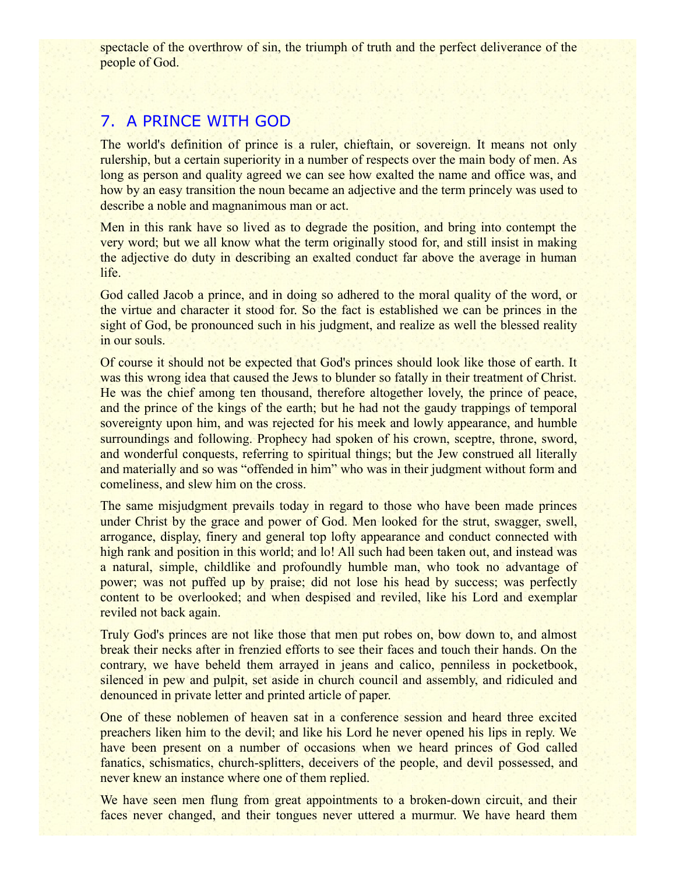spectacle of the overthrow of sin, the triumph of truth and the perfect deliverance of the people of God.

### 7. A PRINCE WITH GOD

The world's definition of prince is a ruler, chieftain, or sovereign. It means not only rulership, but a certain superiority in a number of respects over the main body of men. As long as person and quality agreed we can see how exalted the name and office was, and how by an easy transition the noun became an adjective and the term princely was used to describe a noble and magnanimous man or act.

Men in this rank have so lived as to degrade the position, and bring into contempt the very word; but we all know what the term originally stood for, and still insist in making the adjective do duty in describing an exalted conduct far above the average in human life.

God called Jacob a prince, and in doing so adhered to the moral quality of the word, or the virtue and character it stood for. So the fact is established we can be princes in the sight of God, be pronounced such in his judgment, and realize as well the blessed reality in our souls.

Of course it should not be expected that God's princes should look like those of earth. It was this wrong idea that caused the Jews to blunder so fatally in their treatment of Christ. He was the chief among ten thousand, therefore altogether lovely, the prince of peace, and the prince of the kings of the earth; but he had not the gaudy trappings of temporal sovereignty upon him, and was rejected for his meek and lowly appearance, and humble surroundings and following. Prophecy had spoken of his crown, sceptre, throne, sword, and wonderful conquests, referring to spiritual things; but the Jew construed all literally and materially and so was "offended in him" who was in their judgment without form and comeliness, and slew him on the cross.

The same misjudgment prevails today in regard to those who have been made princes under Christ by the grace and power of God. Men looked for the strut, swagger, swell, arrogance, display, finery and general top lofty appearance and conduct connected with high rank and position in this world; and lo! All such had been taken out, and instead was a natural, simple, childlike and profoundly humble man, who took no advantage of power; was not puffed up by praise; did not lose his head by success; was perfectly content to be overlooked; and when despised and reviled, like his Lord and exemplar reviled not back again.

Truly God's princes are not like those that men put robes on, bow down to, and almost break their necks after in frenzied efforts to see their faces and touch their hands. On the contrary, we have beheld them arrayed in jeans and calico, penniless in pocketbook, silenced in pew and pulpit, set aside in church council and assembly, and ridiculed and denounced in private letter and printed article of paper.

One of these noblemen of heaven sat in a conference session and heard three excited preachers liken him to the devil; and like his Lord he never opened his lips in reply. We have been present on a number of occasions when we heard princes of God called fanatics, schismatics, church-splitters, deceivers of the people, and devil possessed, and never knew an instance where one of them replied.

We have seen men flung from great appointments to a broken-down circuit, and their faces never changed, and their tongues never uttered a murmur. We have heard them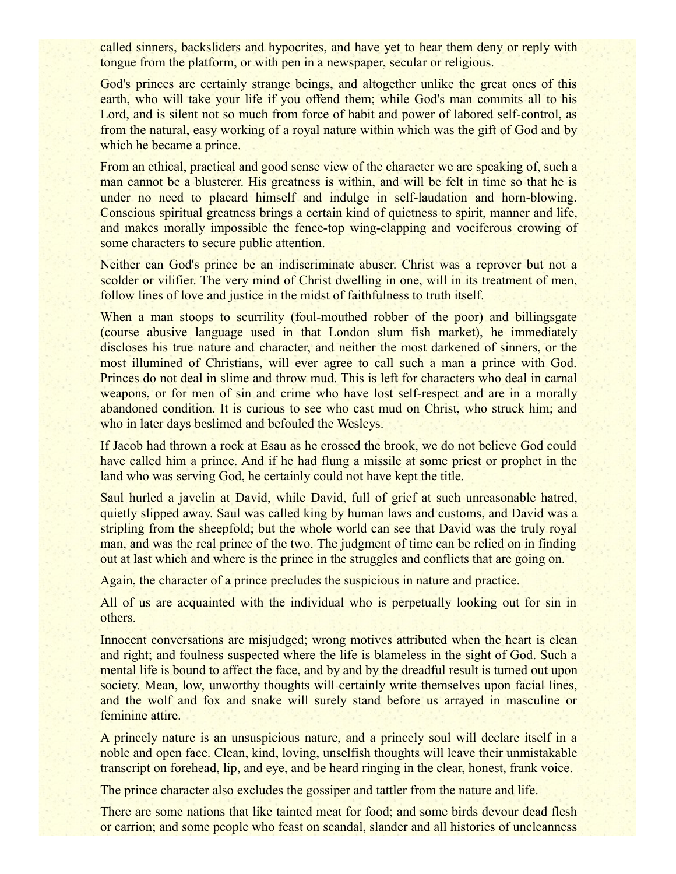called sinners, backsliders and hypocrites, and have yet to hear them deny or reply with tongue from the platform, or with pen in a newspaper, secular or religious.

God's princes are certainly strange beings, and altogether unlike the great ones of this earth, who will take your life if you offend them; while God's man commits all to his Lord, and is silent not so much from force of habit and power of labored self-control, as from the natural, easy working of a royal nature within which was the gift of God and by which he became a prince.

From an ethical, practical and good sense view of the character we are speaking of, such a man cannot be a blusterer. His greatness is within, and will be felt in time so that he is under no need to placard himself and indulge in self-laudation and horn-blowing. Conscious spiritual greatness brings a certain kind of quietness to spirit, manner and life, and makes morally impossible the fence-top wing-clapping and vociferous crowing of some characters to secure public attention.

Neither can God's prince be an indiscriminate abuser. Christ was a reprover but not a scolder or vilifier. The very mind of Christ dwelling in one, will in its treatment of men, follow lines of love and justice in the midst of faithfulness to truth itself.

When a man stoops to scurrility (foul-mouthed robber of the poor) and billingsgate (course abusive language used in that London slum fish market), he immediately discloses his true nature and character, and neither the most darkened of sinners, or the most illumined of Christians, will ever agree to call such a man a prince with God. Princes do not deal in slime and throw mud. This is left for characters who deal in carnal weapons, or for men of sin and crime who have lost self-respect and are in a morally abandoned condition. It is curious to see who cast mud on Christ, who struck him; and who in later days beslimed and befouled the Wesleys.

If Jacob had thrown a rock at Esau as he crossed the brook, we do not believe God could have called him a prince. And if he had flung a missile at some priest or prophet in the land who was serving God, he certainly could not have kept the title.

Saul hurled a javelin at David, while David, full of grief at such unreasonable hatred, quietly slipped away. Saul was called king by human laws and customs, and David was a stripling from the sheepfold; but the whole world can see that David was the truly royal man, and was the real prince of the two. The judgment of time can be relied on in finding out at last which and where is the prince in the struggles and conflicts that are going on.

Again, the character of a prince precludes the suspicious in nature and practice.

All of us are acquainted with the individual who is perpetually looking out for sin in others.

Innocent conversations are misjudged; wrong motives attributed when the heart is clean and right; and foulness suspected where the life is blameless in the sight of God. Such a mental life is bound to affect the face, and by and by the dreadful result is turned out upon society. Mean, low, unworthy thoughts will certainly write themselves upon facial lines, and the wolf and fox and snake will surely stand before us arrayed in masculine or feminine attire.

A princely nature is an unsuspicious nature, and a princely soul will declare itself in a noble and open face. Clean, kind, loving, unselfish thoughts will leave their unmistakable transcript on forehead, lip, and eye, and be heard ringing in the clear, honest, frank voice.

The prince character also excludes the gossiper and tattler from the nature and life.

There are some nations that like tainted meat for food; and some birds devour dead flesh or carrion; and some people who feast on scandal, slander and all histories of uncleanness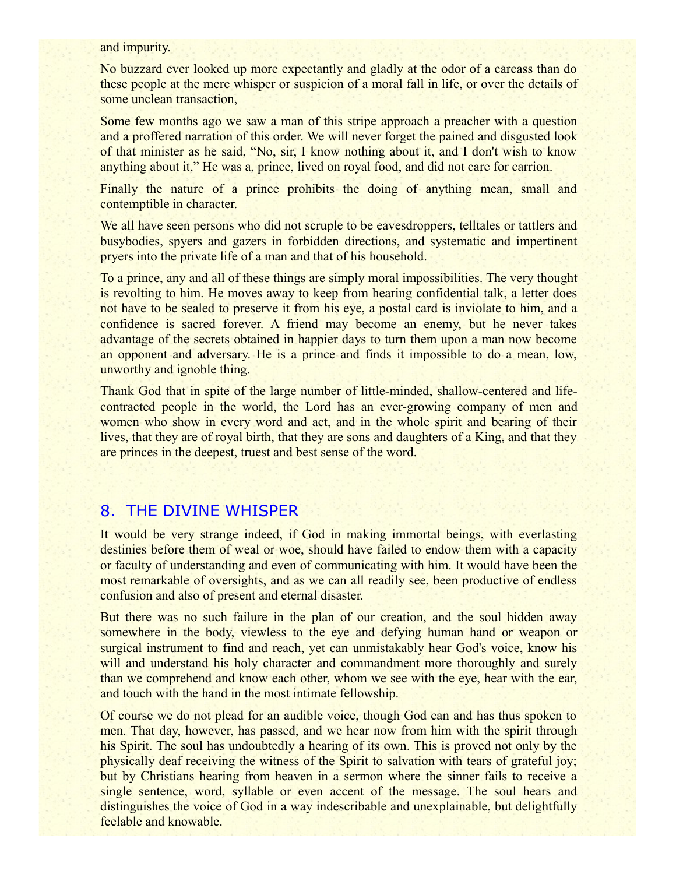and impurity.

No buzzard ever looked up more expectantly and gladly at the odor of a carcass than do these people at the mere whisper or suspicion of a moral fall in life, or over the details of some unclean transaction,

Some few months ago we saw a man of this stripe approach a preacher with a question and a proffered narration of this order. We will never forget the pained and disgusted look of that minister as he said, "No, sir, I know nothing about it, and I don't wish to know anything about it," He was a, prince, lived on royal food, and did not care for carrion.

Finally the nature of a prince prohibits the doing of anything mean, small and contemptible in character.

We all have seen persons who did not scruple to be eavesdroppers, telltales or tattlers and busybodies, spyers and gazers in forbidden directions, and systematic and impertinent pryers into the private life of a man and that of his household.

To a prince, any and all of these things are simply moral impossibilities. The very thought is revolting to him. He moves away to keep from hearing confidential talk, a letter does not have to be sealed to preserve it from his eye, a postal card is inviolate to him, and a confidence is sacred forever. A friend may become an enemy, but he never takes advantage of the secrets obtained in happier days to turn them upon a man now become an opponent and adversary. He is a prince and finds it impossible to do a mean, low, unworthy and ignoble thing.

Thank God that in spite of the large number of little-minded, shallow-centered and lifecontracted people in the world, the Lord has an ever-growing company of men and women who show in every word and act, and in the whole spirit and bearing of their lives, that they are of royal birth, that they are sons and daughters of a King, and that they are princes in the deepest, truest and best sense of the word.

### 8. THE DIVINE WHISPER

It would be very strange indeed, if God in making immortal beings, with everlasting destinies before them of weal or woe, should have failed to endow them with a capacity or faculty of understanding and even of communicating with him. It would have been the most remarkable of oversights, and as we can all readily see, been productive of endless confusion and also of present and eternal disaster.

But there was no such failure in the plan of our creation, and the soul hidden away somewhere in the body, viewless to the eye and defying human hand or weapon or surgical instrument to find and reach, yet can unmistakably hear God's voice, know his will and understand his holy character and commandment more thoroughly and surely than we comprehend and know each other, whom we see with the eye, hear with the ear, and touch with the hand in the most intimate fellowship.

Of course we do not plead for an audible voice, though God can and has thus spoken to men. That day, however, has passed, and we hear now from him with the spirit through his Spirit. The soul has undoubtedly a hearing of its own. This is proved not only by the physically deaf receiving the witness of the Spirit to salvation with tears of grateful joy; but by Christians hearing from heaven in a sermon where the sinner fails to receive a single sentence, word, syllable or even accent of the message. The soul hears and distinguishes the voice of God in a way indescribable and unexplainable, but delightfully feelable and knowable.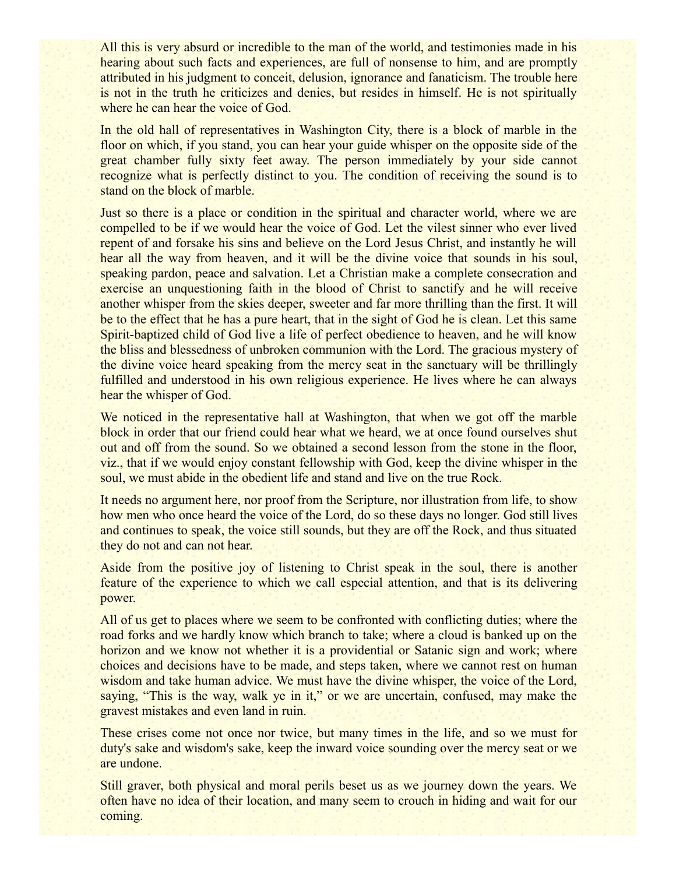All this is very absurd or incredible to the man of the world, and testimonies made in his hearing about such facts and experiences, are full of nonsense to him, and are promptly attributed in his judgment to conceit, delusion, ignorance and fanaticism. The trouble here is not in the truth he criticizes and denies, but resides in himself. He is not spiritually where he can hear the voice of God.

In the old hall of representatives in Washington City, there is a block of marble in the floor on which, if you stand, you can hear your guide whisper on the opposite side of the great chamber fully sixty feet away. The person immediately by your side cannot recognize what is perfectly distinct to you. The condition of receiving the sound is to stand on the block of marble.

Just so there is a place or condition in the spiritual and character world, where we are compelled to be if we would hear the voice of God. Let the vilest sinner who ever lived repent of and forsake his sins and believe on the Lord Jesus Christ, and instantly he will hear all the way from heaven, and it will be the divine voice that sounds in his soul, speaking pardon, peace and salvation. Let a Christian make a complete consecration and exercise an unquestioning faith in the blood of Christ to sanctify and he will receive another whisper from the skies deeper, sweeter and far more thrilling than the first. It will be to the effect that he has a pure heart, that in the sight of God he is clean. Let this same Spirit-baptized child of God live a life of perfect obedience to heaven, and he will know the bliss and blessedness of unbroken communion with the Lord. The gracious mystery of the divine voice heard speaking from the mercy seat in the sanctuary will be thrillingly fulfilled and understood in his own religious experience. He lives where he can always hear the whisper of God.

We noticed in the representative hall at Washington, that when we got off the marble block in order that our friend could hear what we heard, we at once found ourselves shut out and off from the sound. So we obtained a second lesson from the stone in the floor, viz., that if we would enjoy constant fellowship with God, keep the divine whisper in the soul, we must abide in the obedient life and stand and live on the true Rock.

It needs no argument here, nor proof from the Scripture, nor illustration from life, to show how men who once heard the voice of the Lord, do so these days no longer. God still lives and continues to speak, the voice still sounds, but they are off the Rock, and thus situated they do not and can not hear.

Aside from the positive joy of listening to Christ speak in the soul, there is another feature of the experience to which we call especial attention, and that is its delivering power.

All of us get to places where we seem to be confronted with conflicting duties; where the road forks and we hardly know which branch to take; where a cloud is banked up on the horizon and we know not whether it is a providential or Satanic sign and work; where choices and decisions have to be made, and steps taken, where we cannot rest on human wisdom and take human advice. We must have the divine whisper, the voice of the Lord, saying, "This is the way, walk ye in it," or we are uncertain, confused, may make the gravest mistakes and even land in ruin.

These crises come not once nor twice, but many times in the life, and so we must for duty's sake and wisdom's sake, keep the inward voice sounding over the mercy seat or we are undone.

Still graver, both physical and moral perils beset us as we journey down the years. We often have no idea of their location, and many seem to crouch in hiding and wait for our coming.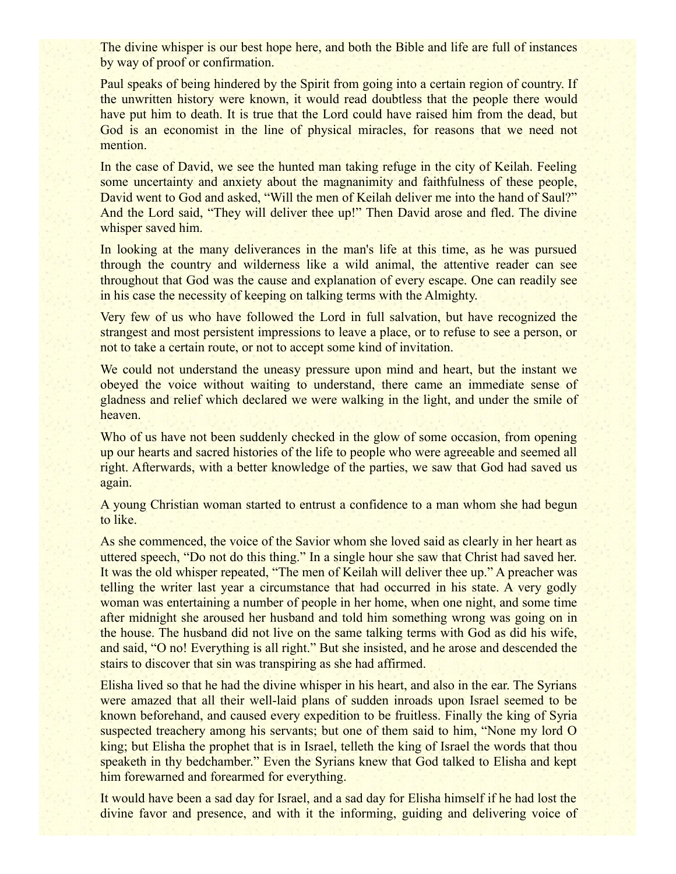The divine whisper is our best hope here, and both the Bible and life are full of instances by way of proof or confirmation.

Paul speaks of being hindered by the Spirit from going into a certain region of country. If the unwritten history were known, it would read doubtless that the people there would have put him to death. It is true that the Lord could have raised him from the dead, but God is an economist in the line of physical miracles, for reasons that we need not mention.

In the case of David, we see the hunted man taking refuge in the city of Keilah. Feeling some uncertainty and anxiety about the magnanimity and faithfulness of these people, David went to God and asked, "Will the men of Keilah deliver me into the hand of Saul?" And the Lord said, "They will deliver thee up!" Then David arose and fled. The divine whisper saved him.

In looking at the many deliverances in the man's life at this time, as he was pursued through the country and wilderness like a wild animal, the attentive reader can see throughout that God was the cause and explanation of every escape. One can readily see in his case the necessity of keeping on talking terms with the Almighty.

Very few of us who have followed the Lord in full salvation, but have recognized the strangest and most persistent impressions to leave a place, or to refuse to see a person, or not to take a certain route, or not to accept some kind of invitation.

We could not understand the uneasy pressure upon mind and heart, but the instant we obeyed the voice without waiting to understand, there came an immediate sense of gladness and relief which declared we were walking in the light, and under the smile of heaven.

Who of us have not been suddenly checked in the glow of some occasion, from opening up our hearts and sacred histories of the life to people who were agreeable and seemed all right. Afterwards, with a better knowledge of the parties, we saw that God had saved us again.

A young Christian woman started to entrust a confidence to a man whom she had begun to like.

As she commenced, the voice of the Savior whom she loved said as clearly in her heart as uttered speech, "Do not do this thing." In a single hour she saw that Christ had saved her. It was the old whisper repeated, "The men of Keilah will deliver thee up." A preacher was telling the writer last year a circumstance that had occurred in his state. A very godly woman was entertaining a number of people in her home, when one night, and some time after midnight she aroused her husband and told him something wrong was going on in the house. The husband did not live on the same talking terms with God as did his wife, and said, "O no! Everything is all right." But she insisted, and he arose and descended the stairs to discover that sin was transpiring as she had affirmed.

Elisha lived so that he had the divine whisper in his heart, and also in the ear. The Syrians were amazed that all their well-laid plans of sudden inroads upon Israel seemed to be known beforehand, and caused every expedition to be fruitless. Finally the king of Syria suspected treachery among his servants; but one of them said to him, "None my lord O king; but Elisha the prophet that is in Israel, telleth the king of Israel the words that thou speaketh in thy bedchamber." Even the Syrians knew that God talked to Elisha and kept him forewarned and forearmed for everything.

It would have been a sad day for Israel, and a sad day for Elisha himself if he had lost the divine favor and presence, and with it the informing, guiding and delivering voice of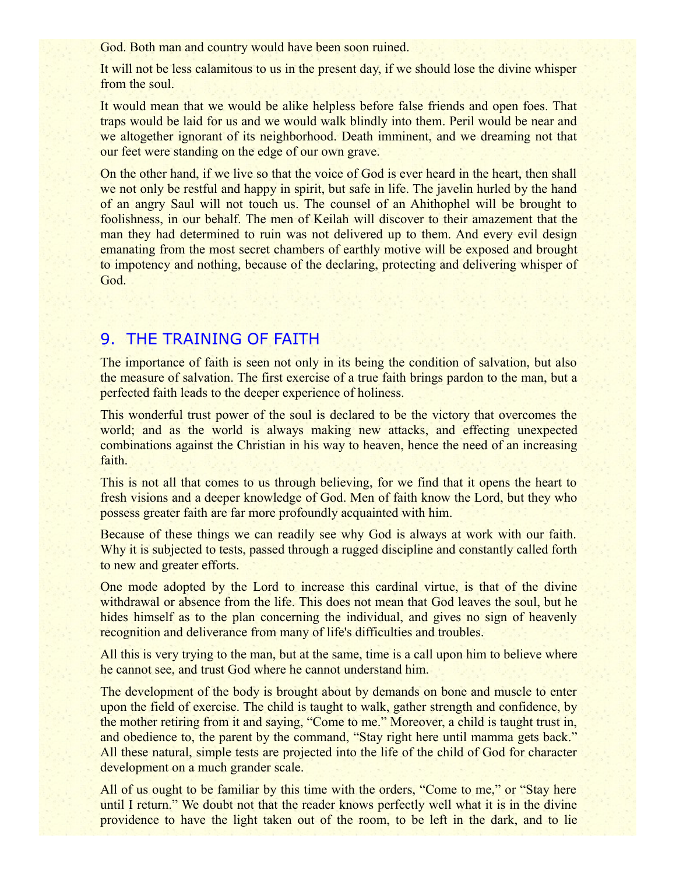God. Both man and country would have been soon ruined.

It will not be less calamitous to us in the present day, if we should lose the divine whisper from the soul.

It would mean that we would be alike helpless before false friends and open foes. That traps would be laid for us and we would walk blindly into them. Peril would be near and we altogether ignorant of its neighborhood. Death imminent, and we dreaming not that our feet were standing on the edge of our own grave.

On the other hand, if we live so that the voice of God is ever heard in the heart, then shall we not only be restful and happy in spirit, but safe in life. The javelin hurled by the hand of an angry Saul will not touch us. The counsel of an Ahithophel will be brought to foolishness, in our behalf. The men of Keilah will discover to their amazement that the man they had determined to ruin was not delivered up to them. And every evil design emanating from the most secret chambers of earthly motive will be exposed and brought to impotency and nothing, because of the declaring, protecting and delivering whisper of God.

#### 9. THE TRAINING OF FAITH

The importance of faith is seen not only in its being the condition of salvation, but also the measure of salvation. The first exercise of a true faith brings pardon to the man, but a perfected faith leads to the deeper experience of holiness.

This wonderful trust power of the soul is declared to be the victory that overcomes the world; and as the world is always making new attacks, and effecting unexpected combinations against the Christian in his way to heaven, hence the need of an increasing faith.

This is not all that comes to us through believing, for we find that it opens the heart to fresh visions and a deeper knowledge of God. Men of faith know the Lord, but they who possess greater faith are far more profoundly acquainted with him.

Because of these things we can readily see why God is always at work with our faith. Why it is subjected to tests, passed through a rugged discipline and constantly called forth to new and greater efforts.

One mode adopted by the Lord to increase this cardinal virtue, is that of the divine withdrawal or absence from the life. This does not mean that God leaves the soul, but he hides himself as to the plan concerning the individual, and gives no sign of heavenly recognition and deliverance from many of life's difficulties and troubles.

All this is very trying to the man, but at the same, time is a call upon him to believe where he cannot see, and trust God where he cannot understand him.

The development of the body is brought about by demands on bone and muscle to enter upon the field of exercise. The child is taught to walk, gather strength and confidence, by the mother retiring from it and saying, "Come to me." Moreover, a child is taught trust in, and obedience to, the parent by the command, "Stay right here until mamma gets back." All these natural, simple tests are projected into the life of the child of God for character development on a much grander scale.

All of us ought to be familiar by this time with the orders, "Come to me," or "Stay here until I return." We doubt not that the reader knows perfectly well what it is in the divine providence to have the light taken out of the room, to be left in the dark, and to lie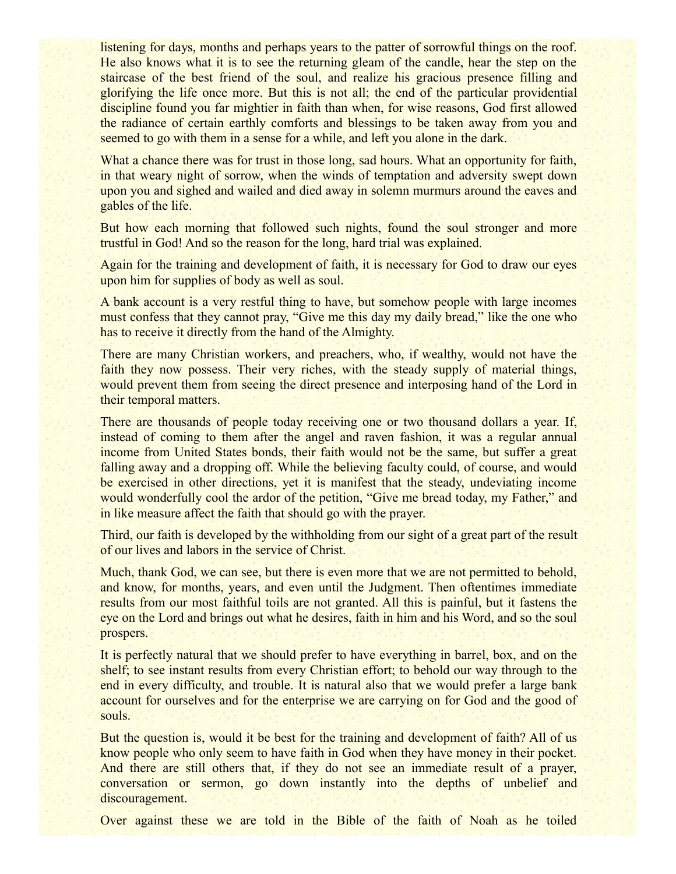listening for days, months and perhaps years to the patter of sorrowful things on the roof. He also knows what it is to see the returning gleam of the candle, hear the step on the staircase of the best friend of the soul, and realize his gracious presence filling and glorifying the life once more. But this is not all; the end of the particular providential discipline found you far mightier in faith than when, for wise reasons, God first allowed the radiance of certain earthly comforts and blessings to be taken away from you and seemed to go with them in a sense for a while, and left you alone in the dark.

What a chance there was for trust in those long, sad hours. What an opportunity for faith, in that weary night of sorrow, when the winds of temptation and adversity swept down upon you and sighed and wailed and died away in solemn murmurs around the eaves and gables of the life.

But how each morning that followed such nights, found the soul stronger and more trustful in God! And so the reason for the long, hard trial was explained.

Again for the training and development of faith, it is necessary for God to draw our eyes upon him for supplies of body as well as soul.

A bank account is a very restful thing to have, but somehow people with large incomes must confess that they cannot pray, "Give me this day my daily bread," like the one who has to receive it directly from the hand of the Almighty.

There are many Christian workers, and preachers, who, if wealthy, would not have the faith they now possess. Their very riches, with the steady supply of material things, would prevent them from seeing the direct presence and interposing hand of the Lord in their temporal matters.

There are thousands of people today receiving one or two thousand dollars a year. If, instead of coming to them after the angel and raven fashion, it was a regular annual income from United States bonds, their faith would not be the same, but suffer a great falling away and a dropping off. While the believing faculty could, of course, and would be exercised in other directions, yet it is manifest that the steady, undeviating income would wonderfully cool the ardor of the petition, "Give me bread today, my Father," and in like measure affect the faith that should go with the prayer.

Third, our faith is developed by the withholding from our sight of a great part of the result of our lives and labors in the service of Christ.

Much, thank God, we can see, but there is even more that we are not permitted to behold, and know, for months, years, and even until the Judgment. Then oftentimes immediate results from our most faithful toils are not granted. All this is painful, but it fastens the eye on the Lord and brings out what he desires, faith in him and his Word, and so the soul prospers.

It is perfectly natural that we should prefer to have everything in barrel, box, and on the shelf; to see instant results from every Christian effort; to behold our way through to the end in every difficulty, and trouble. It is natural also that we would prefer a large bank account for ourselves and for the enterprise we are carrying on for God and the good of souls.

But the question is, would it be best for the training and development of faith? All of us know people who only seem to have faith in God when they have money in their pocket. And there are still others that, if they do not see an immediate result of a prayer, conversation or sermon, go down instantly into the depths of unbelief and discouragement.

Over against these we are told in the Bible of the faith of Noah as he toiled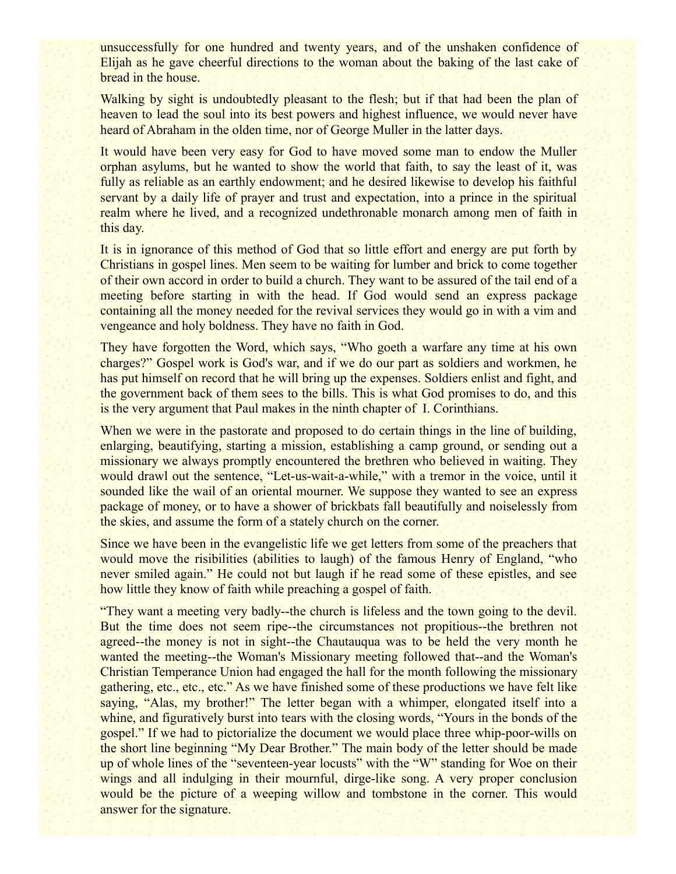unsuccessfully for one hundred and twenty years, and of the unshaken confidence of Elijah as he gave cheerful directions to the woman about the baking of the last cake of bread in the house.

Walking by sight is undoubtedly pleasant to the flesh; but if that had been the plan of heaven to lead the soul into its best powers and highest influence, we would never have heard of Abraham in the olden time, nor of George Muller in the latter days.

It would have been very easy for God to have moved some man to endow the Muller orphan asylums, but he wanted to show the world that faith, to say the least of it, was fully as reliable as an earthly endowment; and he desired likewise to develop his faithful servant by a daily life of prayer and trust and expectation, into a prince in the spiritual realm where he lived, and a recognized undethronable monarch among men of faith in this day.

It is in ignorance of this method of God that so little effort and energy are put forth by Christians in gospel lines. Men seem to be waiting for lumber and brick to come together of their own accord in order to build a church. They want to be assured of the tail end of a meeting before starting in with the head. If God would send an express package containing all the money needed for the revival services they would go in with a vim and vengeance and holy boldness. They have no faith in God.

They have forgotten the Word, which says, "Who goeth a warfare any time at his own charges?" Gospel work is God's war, and if we do our part as soldiers and workmen, he has put himself on record that he will bring up the expenses. Soldiers enlist and fight, and the government back of them sees to the bills. This is what God promises to do, and this is the very argument that Paul makes in the ninth chapter of I. Corinthians.

When we were in the pastorate and proposed to do certain things in the line of building, enlarging, beautifying, starting a mission, establishing a camp ground, or sending out a missionary we always promptly encountered the brethren who believed in waiting. They would drawl out the sentence, "Let-us-wait-a-while," with a tremor in the voice, until it sounded like the wail of an oriental mourner. We suppose they wanted to see an express package of money, or to have a shower of brickbats fall beautifully and noiselessly from the skies, and assume the form of a stately church on the corner.

Since we have been in the evangelistic life we get letters from some of the preachers that would move the risibilities (abilities to laugh) of the famous Henry of England, "who never smiled again." He could not but laugh if he read some of these epistles, and see how little they know of faith while preaching a gospel of faith.

"They want a meeting very badly--the church is lifeless and the town going to the devil. But the time does not seem ripe--the circumstances not propitious--the brethren not agreed--the money is not in sight--the Chautauqua was to be held the very month he wanted the meeting--the Woman's Missionary meeting followed that--and the Woman's Christian Temperance Union had engaged the hall for the month following the missionary gathering, etc., etc., etc." As we have finished some of these productions we have felt like saying, "Alas, my brother!" The letter began with a whimper, elongated itself into a whine, and figuratively burst into tears with the closing words, "Yours in the bonds of the gospel." If we had to pictorialize the document we would place three whip-poor-wills on the short line beginning "My Dear Brother." The main body of the letter should be made up of whole lines of the "seventeen-year locusts" with the "W" standing for Woe on their wings and all indulging in their mournful, dirge-like song. A very proper conclusion would be the picture of a weeping willow and tombstone in the corner. This would answer for the signature.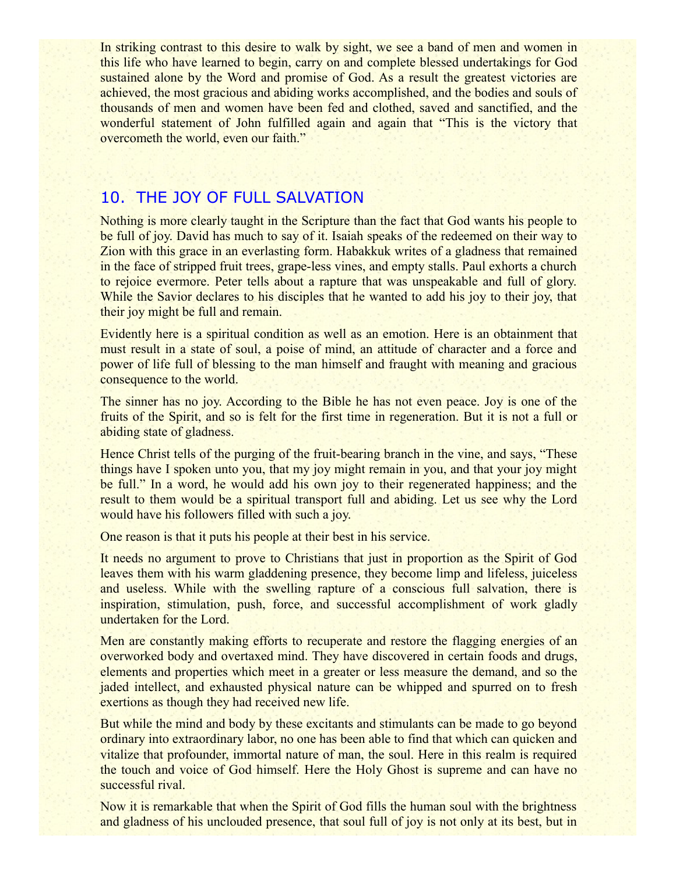In striking contrast to this desire to walk by sight, we see a band of men and women in this life who have learned to begin, carry on and complete blessed undertakings for God sustained alone by the Word and promise of God. As a result the greatest victories are achieved, the most gracious and abiding works accomplished, and the bodies and souls of thousands of men and women have been fed and clothed, saved and sanctified, and the wonderful statement of John fulfilled again and again that "This is the victory that overcometh the world, even our faith."

## 10. THE JOY OF FULL SALVATION

Nothing is more clearly taught in the Scripture than the fact that God wants his people to be full of joy. David has much to say of it. Isaiah speaks of the redeemed on their way to Zion with this grace in an everlasting form. Habakkuk writes of a gladness that remained in the face of stripped fruit trees, grape-less vines, and empty stalls. Paul exhorts a church to rejoice evermore. Peter tells about a rapture that was unspeakable and full of glory. While the Savior declares to his disciples that he wanted to add his joy to their joy, that their joy might be full and remain.

Evidently here is a spiritual condition as well as an emotion. Here is an obtainment that must result in a state of soul, a poise of mind, an attitude of character and a force and power of life full of blessing to the man himself and fraught with meaning and gracious consequence to the world.

The sinner has no joy. According to the Bible he has not even peace. Joy is one of the fruits of the Spirit, and so is felt for the first time in regeneration. But it is not a full or abiding state of gladness.

Hence Christ tells of the purging of the fruit-bearing branch in the vine, and says, "These things have I spoken unto you, that my joy might remain in you, and that your joy might be full." In a word, he would add his own joy to their regenerated happiness; and the result to them would be a spiritual transport full and abiding. Let us see why the Lord would have his followers filled with such a joy.

One reason is that it puts his people at their best in his service.

It needs no argument to prove to Christians that just in proportion as the Spirit of God leaves them with his warm gladdening presence, they become limp and lifeless, juiceless and useless. While with the swelling rapture of a conscious full salvation, there is inspiration, stimulation, push, force, and successful accomplishment of work gladly undertaken for the Lord.

Men are constantly making efforts to recuperate and restore the flagging energies of an overworked body and overtaxed mind. They have discovered in certain foods and drugs, elements and properties which meet in a greater or less measure the demand, and so the jaded intellect, and exhausted physical nature can be whipped and spurred on to fresh exertions as though they had received new life.

But while the mind and body by these excitants and stimulants can be made to go beyond ordinary into extraordinary labor, no one has been able to find that which can quicken and vitalize that profounder, immortal nature of man, the soul. Here in this realm is required the touch and voice of God himself. Here the Holy Ghost is supreme and can have no successful rival.

Now it is remarkable that when the Spirit of God fills the human soul with the brightness and gladness of his unclouded presence, that soul full of joy is not only at its best, but in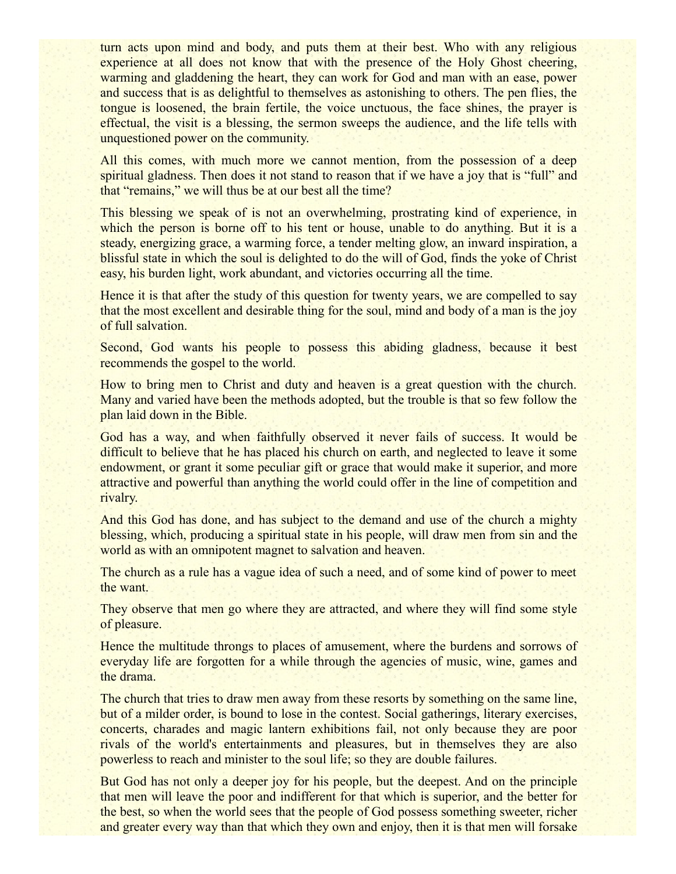turn acts upon mind and body, and puts them at their best. Who with any religious experience at all does not know that with the presence of the Holy Ghost cheering, warming and gladdening the heart, they can work for God and man with an ease, power and success that is as delightful to themselves as astonishing to others. The pen flies, the tongue is loosened, the brain fertile, the voice unctuous, the face shines, the prayer is effectual, the visit is a blessing, the sermon sweeps the audience, and the life tells with unquestioned power on the community.

All this comes, with much more we cannot mention, from the possession of a deep spiritual gladness. Then does it not stand to reason that if we have a joy that is "full" and that "remains," we will thus be at our best all the time?

This blessing we speak of is not an overwhelming, prostrating kind of experience, in which the person is borne off to his tent or house, unable to do anything. But it is a steady, energizing grace, a warming force, a tender melting glow, an inward inspiration, a blissful state in which the soul is delighted to do the will of God, finds the yoke of Christ easy, his burden light, work abundant, and victories occurring all the time.

Hence it is that after the study of this question for twenty years, we are compelled to say that the most excellent and desirable thing for the soul, mind and body of a man is the joy of full salvation.

Second, God wants his people to possess this abiding gladness, because it best recommends the gospel to the world.

How to bring men to Christ and duty and heaven is a great question with the church. Many and varied have been the methods adopted, but the trouble is that so few follow the plan laid down in the Bible.

God has a way, and when faithfully observed it never fails of success. It would be difficult to believe that he has placed his church on earth, and neglected to leave it some endowment, or grant it some peculiar gift or grace that would make it superior, and more attractive and powerful than anything the world could offer in the line of competition and rivalry.

And this God has done, and has subject to the demand and use of the church a mighty blessing, which, producing a spiritual state in his people, will draw men from sin and the world as with an omnipotent magnet to salvation and heaven.

The church as a rule has a vague idea of such a need, and of some kind of power to meet the want.

They observe that men go where they are attracted, and where they will find some style of pleasure.

Hence the multitude throngs to places of amusement, where the burdens and sorrows of everyday life are forgotten for a while through the agencies of music, wine, games and the drama.

The church that tries to draw men away from these resorts by something on the same line, but of a milder order, is bound to lose in the contest. Social gatherings, literary exercises, concerts, charades and magic lantern exhibitions fail, not only because they are poor rivals of the world's entertainments and pleasures, but in themselves they are also powerless to reach and minister to the soul life; so they are double failures.

But God has not only a deeper joy for his people, but the deepest. And on the principle that men will leave the poor and indifferent for that which is superior, and the better for the best, so when the world sees that the people of God possess something sweeter, richer and greater every way than that which they own and enjoy, then it is that men will forsake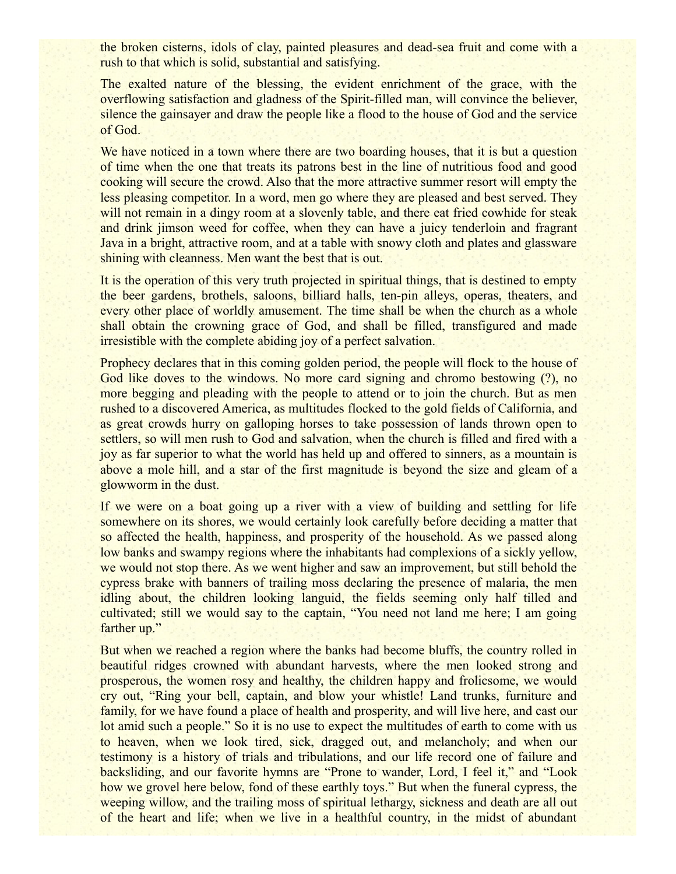the broken cisterns, idols of clay, painted pleasures and dead-sea fruit and come with a rush to that which is solid, substantial and satisfying.

The exalted nature of the blessing, the evident enrichment of the grace, with the overflowing satisfaction and gladness of the Spirit-filled man, will convince the believer, silence the gainsayer and draw the people like a flood to the house of God and the service of God.

We have noticed in a town where there are two boarding houses, that it is but a question of time when the one that treats its patrons best in the line of nutritious food and good cooking will secure the crowd. Also that the more attractive summer resort will empty the less pleasing competitor. In a word, men go where they are pleased and best served. They will not remain in a dingy room at a slovenly table, and there eat fried cowhide for steak and drink jimson weed for coffee, when they can have a juicy tenderloin and fragrant Java in a bright, attractive room, and at a table with snowy cloth and plates and glassware shining with cleanness. Men want the best that is out.

It is the operation of this very truth projected in spiritual things, that is destined to empty the beer gardens, brothels, saloons, billiard halls, ten-pin alleys, operas, theaters, and every other place of worldly amusement. The time shall be when the church as a whole shall obtain the crowning grace of God, and shall be filled, transfigured and made irresistible with the complete abiding joy of a perfect salvation.

Prophecy declares that in this coming golden period, the people will flock to the house of God like doves to the windows. No more card signing and chromo bestowing (?), no more begging and pleading with the people to attend or to join the church. But as men rushed to a discovered America, as multitudes flocked to the gold fields of California, and as great crowds hurry on galloping horses to take possession of lands thrown open to settlers, so will men rush to God and salvation, when the church is filled and fired with a joy as far superior to what the world has held up and offered to sinners, as a mountain is above a mole hill, and a star of the first magnitude is beyond the size and gleam of a glowworm in the dust.

If we were on a boat going up a river with a view of building and settling for life somewhere on its shores, we would certainly look carefully before deciding a matter that so affected the health, happiness, and prosperity of the household. As we passed along low banks and swampy regions where the inhabitants had complexions of a sickly yellow, we would not stop there. As we went higher and saw an improvement, but still behold the cypress brake with banners of trailing moss declaring the presence of malaria, the men idling about, the children looking languid, the fields seeming only half tilled and cultivated; still we would say to the captain, "You need not land me here; I am going farther up."

But when we reached a region where the banks had become bluffs, the country rolled in beautiful ridges crowned with abundant harvests, where the men looked strong and prosperous, the women rosy and healthy, the children happy and frolicsome, we would cry out, "Ring your bell, captain, and blow your whistle! Land trunks, furniture and family, for we have found a place of health and prosperity, and will live here, and cast our lot amid such a people." So it is no use to expect the multitudes of earth to come with us to heaven, when we look tired, sick, dragged out, and melancholy; and when our testimony is a history of trials and tribulations, and our life record one of failure and backsliding, and our favorite hymns are "Prone to wander, Lord, I feel it," and "Look how we grovel here below, fond of these earthly toys." But when the funeral cypress, the weeping willow, and the trailing moss of spiritual lethargy, sickness and death are all out of the heart and life; when we live in a healthful country, in the midst of abundant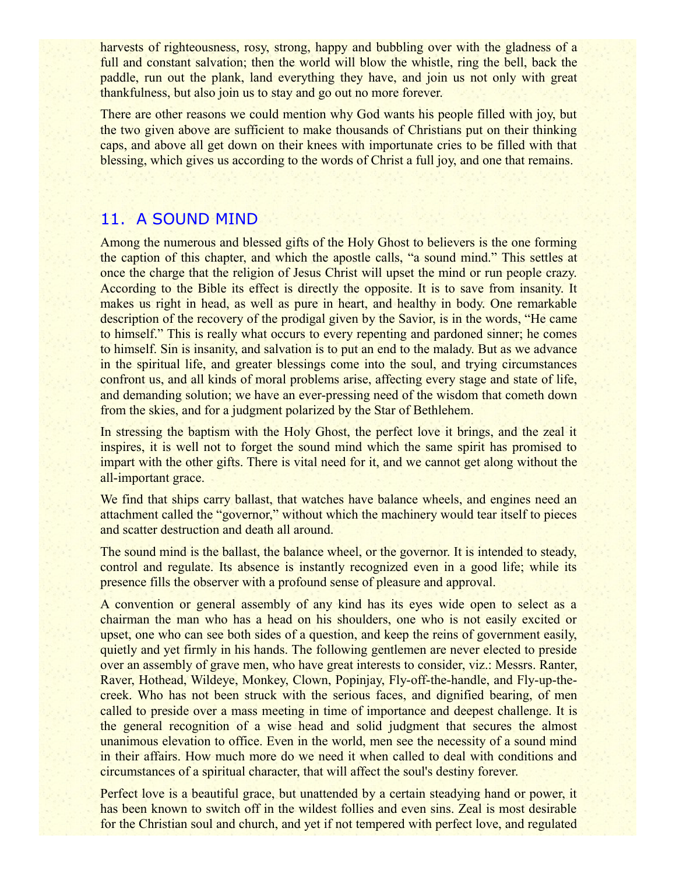harvests of righteousness, rosy, strong, happy and bubbling over with the gladness of a full and constant salvation; then the world will blow the whistle, ring the bell, back the paddle, run out the plank, land everything they have, and join us not only with great thankfulness, but also join us to stay and go out no more forever.

There are other reasons we could mention why God wants his people filled with joy, but the two given above are sufficient to make thousands of Christians put on their thinking caps, and above all get down on their knees with importunate cries to be filled with that blessing, which gives us according to the words of Christ a full joy, and one that remains.

#### 11. A SOUND MIND

Among the numerous and blessed gifts of the Holy Ghost to believers is the one forming the caption of this chapter, and which the apostle calls, "a sound mind." This settles at once the charge that the religion of Jesus Christ will upset the mind or run people crazy. According to the Bible its effect is directly the opposite. It is to save from insanity. It makes us right in head, as well as pure in heart, and healthy in body. One remarkable description of the recovery of the prodigal given by the Savior, is in the words, "He came to himself." This is really what occurs to every repenting and pardoned sinner; he comes to himself. Sin is insanity, and salvation is to put an end to the malady. But as we advance in the spiritual life, and greater blessings come into the soul, and trying circumstances confront us, and all kinds of moral problems arise, affecting every stage and state of life, and demanding solution; we have an ever-pressing need of the wisdom that cometh down from the skies, and for a judgment polarized by the Star of Bethlehem.

In stressing the baptism with the Holy Ghost, the perfect love it brings, and the zeal it inspires, it is well not to forget the sound mind which the same spirit has promised to impart with the other gifts. There is vital need for it, and we cannot get along without the all-important grace.

We find that ships carry ballast, that watches have balance wheels, and engines need an attachment called the "governor," without which the machinery would tear itself to pieces and scatter destruction and death all around.

The sound mind is the ballast, the balance wheel, or the governor. It is intended to steady, control and regulate. Its absence is instantly recognized even in a good life; while its presence fills the observer with a profound sense of pleasure and approval.

A convention or general assembly of any kind has its eyes wide open to select as a chairman the man who has a head on his shoulders, one who is not easily excited or upset, one who can see both sides of a question, and keep the reins of government easily, quietly and yet firmly in his hands. The following gentlemen are never elected to preside over an assembly of grave men, who have great interests to consider, viz.: Messrs. Ranter, Raver, Hothead, Wildeye, Monkey, Clown, Popinjay, Fly-off-the-handle, and Fly-up-thecreek. Who has not been struck with the serious faces, and dignified bearing, of men called to preside over a mass meeting in time of importance and deepest challenge. It is the general recognition of a wise head and solid judgment that secures the almost unanimous elevation to office. Even in the world, men see the necessity of a sound mind in their affairs. How much more do we need it when called to deal with conditions and circumstances of a spiritual character, that will affect the soul's destiny forever.

Perfect love is a beautiful grace, but unattended by a certain steadying hand or power, it has been known to switch off in the wildest follies and even sins. Zeal is most desirable for the Christian soul and church, and yet if not tempered with perfect love, and regulated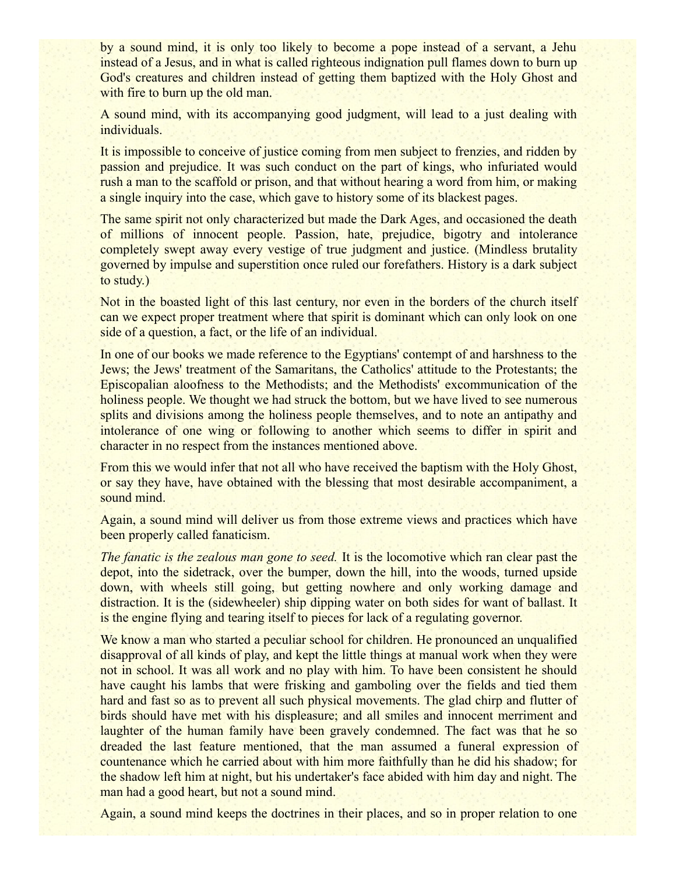by a sound mind, it is only too likely to become a pope instead of a servant, a Jehu instead of a Jesus, and in what is called righteous indignation pull flames down to burn up God's creatures and children instead of getting them baptized with the Holy Ghost and with fire to burn up the old man.

A sound mind, with its accompanying good judgment, will lead to a just dealing with individuals.

It is impossible to conceive of justice coming from men subject to frenzies, and ridden by passion and prejudice. It was such conduct on the part of kings, who infuriated would rush a man to the scaffold or prison, and that without hearing a word from him, or making a single inquiry into the case, which gave to history some of its blackest pages.

The same spirit not only characterized but made the Dark Ages, and occasioned the death of millions of innocent people. Passion, hate, prejudice, bigotry and intolerance completely swept away every vestige of true judgment and justice. (Mindless brutality governed by impulse and superstition once ruled our forefathers. History is a dark subject to study.)

Not in the boasted light of this last century, nor even in the borders of the church itself can we expect proper treatment where that spirit is dominant which can only look on one side of a question, a fact, or the life of an individual.

In one of our books we made reference to the Egyptians' contempt of and harshness to the Jews; the Jews' treatment of the Samaritans, the Catholics' attitude to the Protestants; the Episcopalian aloofness to the Methodists; and the Methodists' excommunication of the holiness people. We thought we had struck the bottom, but we have lived to see numerous splits and divisions among the holiness people themselves, and to note an antipathy and intolerance of one wing or following to another which seems to differ in spirit and character in no respect from the instances mentioned above.

From this we would infer that not all who have received the baptism with the Holy Ghost, or say they have, have obtained with the blessing that most desirable accompaniment, a sound mind.

Again, a sound mind will deliver us from those extreme views and practices which have been properly called fanaticism.

*The fanatic is the zealous man gone to seed.* It is the locomotive which ran clear past the depot, into the sidetrack, over the bumper, down the hill, into the woods, turned upside down, with wheels still going, but getting nowhere and only working damage and distraction. It is the (sidewheeler) ship dipping water on both sides for want of ballast. It is the engine flying and tearing itself to pieces for lack of a regulating governor.

We know a man who started a peculiar school for children. He pronounced an unqualified disapproval of all kinds of play, and kept the little things at manual work when they were not in school. It was all work and no play with him. To have been consistent he should have caught his lambs that were frisking and gamboling over the fields and tied them hard and fast so as to prevent all such physical movements. The glad chirp and flutter of birds should have met with his displeasure; and all smiles and innocent merriment and laughter of the human family have been gravely condemned. The fact was that he so dreaded the last feature mentioned, that the man assumed a funeral expression of countenance which he carried about with him more faithfully than he did his shadow; for the shadow left him at night, but his undertaker's face abided with him day and night. The man had a good heart, but not a sound mind.

Again, a sound mind keeps the doctrines in their places, and so in proper relation to one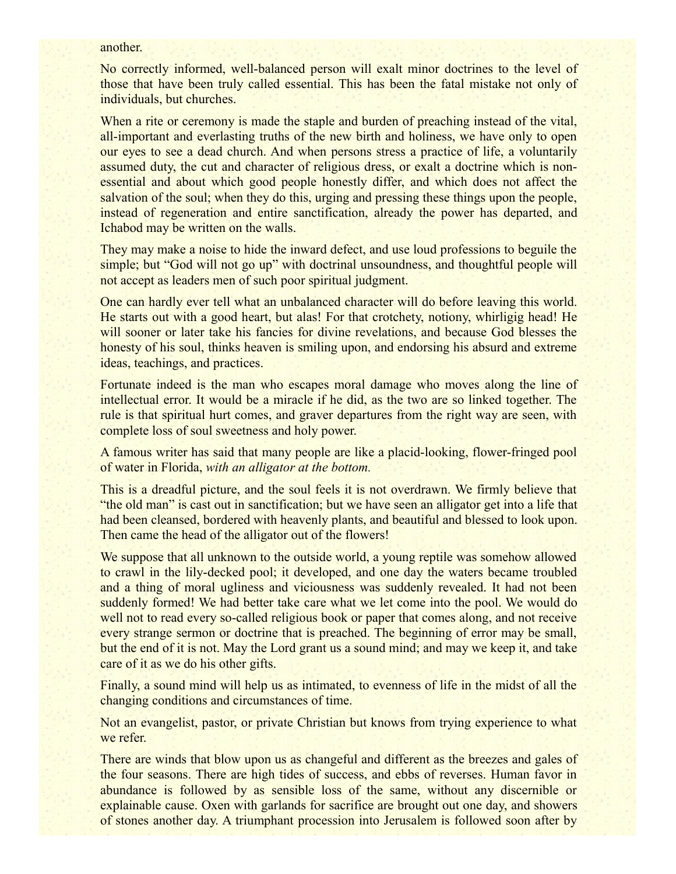#### another.

No correctly informed, well-balanced person will exalt minor doctrines to the level of those that have been truly called essential. This has been the fatal mistake not only of individuals, but churches.

When a rite or ceremony is made the staple and burden of preaching instead of the vital, all-important and everlasting truths of the new birth and holiness, we have only to open our eyes to see a dead church. And when persons stress a practice of life, a voluntarily assumed duty, the cut and character of religious dress, or exalt a doctrine which is nonessential and about which good people honestly differ, and which does not affect the salvation of the soul; when they do this, urging and pressing these things upon the people, instead of regeneration and entire sanctification, already the power has departed, and Ichabod may be written on the walls.

They may make a noise to hide the inward defect, and use loud professions to beguile the simple; but "God will not go up" with doctrinal unsoundness, and thoughtful people will not accept as leaders men of such poor spiritual judgment.

One can hardly ever tell what an unbalanced character will do before leaving this world. He starts out with a good heart, but alas! For that crotchety, notiony, whirligig head! He will sooner or later take his fancies for divine revelations, and because God blesses the honesty of his soul, thinks heaven is smiling upon, and endorsing his absurd and extreme ideas, teachings, and practices.

Fortunate indeed is the man who escapes moral damage who moves along the line of intellectual error. It would be a miracle if he did, as the two are so linked together. The rule is that spiritual hurt comes, and graver departures from the right way are seen, with complete loss of soul sweetness and holy power.

A famous writer has said that many people are like a placid-looking, flower-fringed pool of water in Florida, *with an alligator at the bottom.*

This is a dreadful picture, and the soul feels it is not overdrawn. We firmly believe that "the old man" is cast out in sanctification; but we have seen an alligator get into a life that had been cleansed, bordered with heavenly plants, and beautiful and blessed to look upon. Then came the head of the alligator out of the flowers!

We suppose that all unknown to the outside world, a young reptile was somehow allowed to crawl in the lily-decked pool; it developed, and one day the waters became troubled and a thing of moral ugliness and viciousness was suddenly revealed. It had not been suddenly formed! We had better take care what we let come into the pool. We would do well not to read every so-called religious book or paper that comes along, and not receive every strange sermon or doctrine that is preached. The beginning of error may be small, but the end of it is not. May the Lord grant us a sound mind; and may we keep it, and take care of it as we do his other gifts.

Finally, a sound mind will help us as intimated, to evenness of life in the midst of all the changing conditions and circumstances of time.

Not an evangelist, pastor, or private Christian but knows from trying experience to what we refer.

There are winds that blow upon us as changeful and different as the breezes and gales of the four seasons. There are high tides of success, and ebbs of reverses. Human favor in abundance is followed by as sensible loss of the same, without any discernible or explainable cause. Oxen with garlands for sacrifice are brought out one day, and showers of stones another day. A triumphant procession into Jerusalem is followed soon after by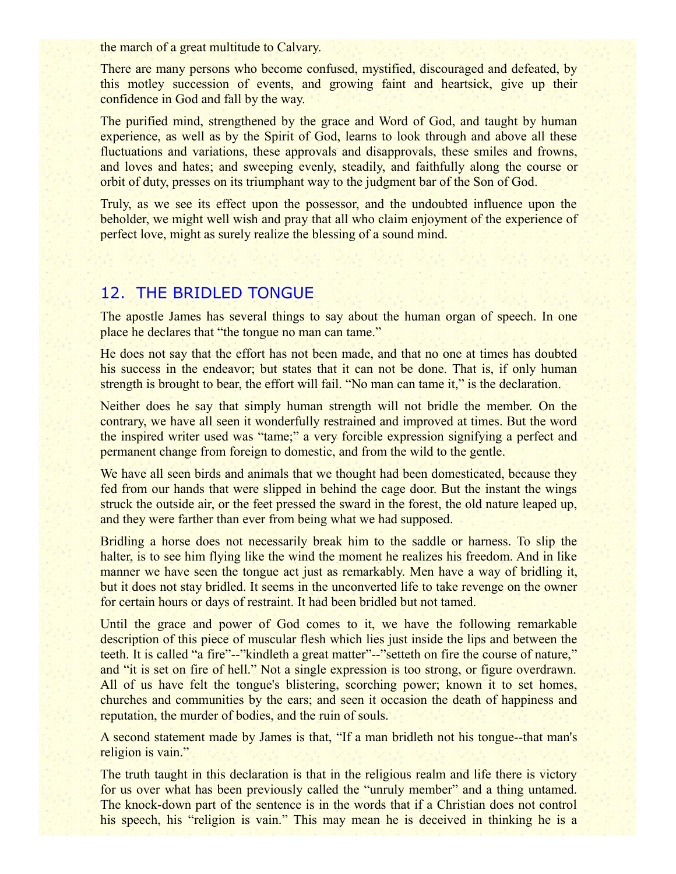the march of a great multitude to Calvary.

There are many persons who become confused, mystified, discouraged and defeated, by this motley succession of events, and growing faint and heartsick, give up their confidence in God and fall by the way.

The purified mind, strengthened by the grace and Word of God, and taught by human experience, as well as by the Spirit of God, learns to look through and above all these fluctuations and variations, these approvals and disapprovals, these smiles and frowns, and loves and hates; and sweeping evenly, steadily, and faithfully along the course or orbit of duty, presses on its triumphant way to the judgment bar of the Son of God.

Truly, as we see its effect upon the possessor, and the undoubted influence upon the beholder, we might well wish and pray that all who claim enjoyment of the experience of perfect love, might as surely realize the blessing of a sound mind.

#### 12. THE BRIDLED TONGUE

The apostle James has several things to say about the human organ of speech. In one place he declares that "the tongue no man can tame."

He does not say that the effort has not been made, and that no one at times has doubted his success in the endeavor; but states that it can not be done. That is, if only human strength is brought to bear, the effort will fail. "No man can tame it," is the declaration.

Neither does he say that simply human strength will not bridle the member. On the contrary, we have all seen it wonderfully restrained and improved at times. But the word the inspired writer used was "tame;" a very forcible expression signifying a perfect and permanent change from foreign to domestic, and from the wild to the gentle.

We have all seen birds and animals that we thought had been domesticated, because they fed from our hands that were slipped in behind the cage door. But the instant the wings struck the outside air, or the feet pressed the sward in the forest, the old nature leaped up, and they were farther than ever from being what we had supposed.

Bridling a horse does not necessarily break him to the saddle or harness. To slip the halter, is to see him flying like the wind the moment he realizes his freedom. And in like manner we have seen the tongue act just as remarkably. Men have a way of bridling it, but it does not stay bridled. It seems in the unconverted life to take revenge on the owner for certain hours or days of restraint. It had been bridled but not tamed.

Until the grace and power of God comes to it, we have the following remarkable description of this piece of muscular flesh which lies just inside the lips and between the teeth. It is called "a fire"--"kindleth a great matter"--"setteth on fire the course of nature," and "it is set on fire of hell." Not a single expression is too strong, or figure overdrawn. All of us have felt the tongue's blistering, scorching power; known it to set homes, churches and communities by the ears; and seen it occasion the death of happiness and reputation, the murder of bodies, and the ruin of souls.

A second statement made by James is that, "If a man bridleth not his tongue--that man's religion is vain."

The truth taught in this declaration is that in the religious realm and life there is victory for us over what has been previously called the "unruly member" and a thing untamed. The knock-down part of the sentence is in the words that if a Christian does not control his speech, his "religion is vain." This may mean he is deceived in thinking he is a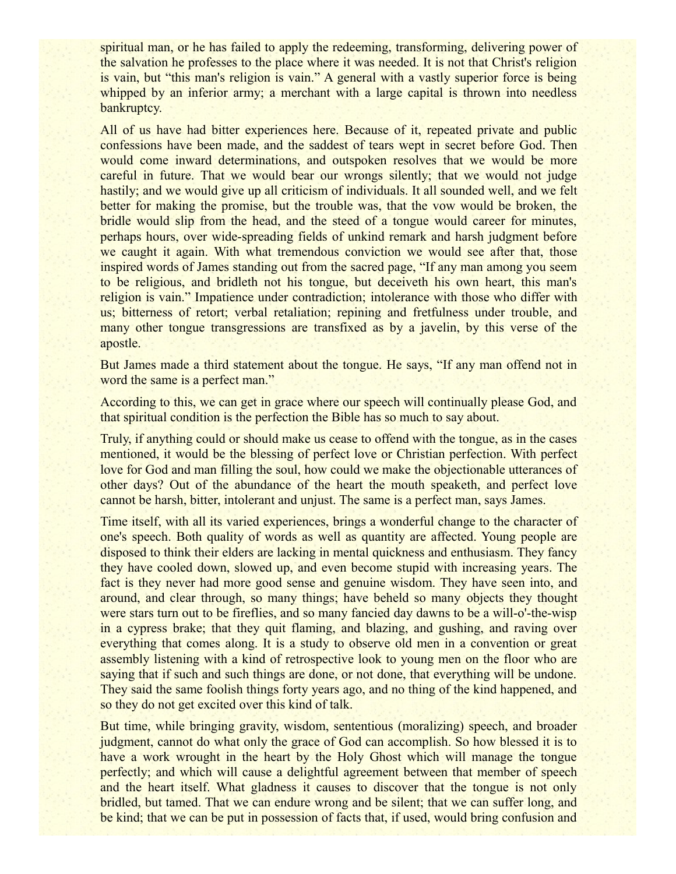spiritual man, or he has failed to apply the redeeming, transforming, delivering power of the salvation he professes to the place where it was needed. It is not that Christ's religion is vain, but "this man's religion is vain." A general with a vastly superior force is being whipped by an inferior army; a merchant with a large capital is thrown into needless bankruptcy.

All of us have had bitter experiences here. Because of it, repeated private and public confessions have been made, and the saddest of tears wept in secret before God. Then would come inward determinations, and outspoken resolves that we would be more careful in future. That we would bear our wrongs silently; that we would not judge hastily; and we would give up all criticism of individuals. It all sounded well, and we felt better for making the promise, but the trouble was, that the vow would be broken, the bridle would slip from the head, and the steed of a tongue would career for minutes, perhaps hours, over wide-spreading fields of unkind remark and harsh judgment before we caught it again. With what tremendous conviction we would see after that, those inspired words of James standing out from the sacred page, "If any man among you seem to be religious, and bridleth not his tongue, but deceiveth his own heart, this man's religion is vain." Impatience under contradiction; intolerance with those who differ with us; bitterness of retort; verbal retaliation; repining and fretfulness under trouble, and many other tongue transgressions are transfixed as by a javelin, by this verse of the apostle.

But James made a third statement about the tongue. He says, "If any man offend not in word the same is a perfect man."

According to this, we can get in grace where our speech will continually please God, and that spiritual condition is the perfection the Bible has so much to say about.

Truly, if anything could or should make us cease to offend with the tongue, as in the cases mentioned, it would be the blessing of perfect love or Christian perfection. With perfect love for God and man filling the soul, how could we make the objectionable utterances of other days? Out of the abundance of the heart the mouth speaketh, and perfect love cannot be harsh, bitter, intolerant and unjust. The same is a perfect man, says James.

Time itself, with all its varied experiences, brings a wonderful change to the character of one's speech. Both quality of words as well as quantity are affected. Young people are disposed to think their elders are lacking in mental quickness and enthusiasm. They fancy they have cooled down, slowed up, and even become stupid with increasing years. The fact is they never had more good sense and genuine wisdom. They have seen into, and around, and clear through, so many things; have beheld so many objects they thought were stars turn out to be fireflies, and so many fancied day dawns to be a will-o'-the-wisp in a cypress brake; that they quit flaming, and blazing, and gushing, and raving over everything that comes along. It is a study to observe old men in a convention or great assembly listening with a kind of retrospective look to young men on the floor who are saying that if such and such things are done, or not done, that everything will be undone. They said the same foolish things forty years ago, and no thing of the kind happened, and so they do not get excited over this kind of talk.

But time, while bringing gravity, wisdom, sententious (moralizing) speech, and broader judgment, cannot do what only the grace of God can accomplish. So how blessed it is to have a work wrought in the heart by the Holy Ghost which will manage the tongue perfectly; and which will cause a delightful agreement between that member of speech and the heart itself. What gladness it causes to discover that the tongue is not only bridled, but tamed. That we can endure wrong and be silent; that we can suffer long, and be kind; that we can be put in possession of facts that, if used, would bring confusion and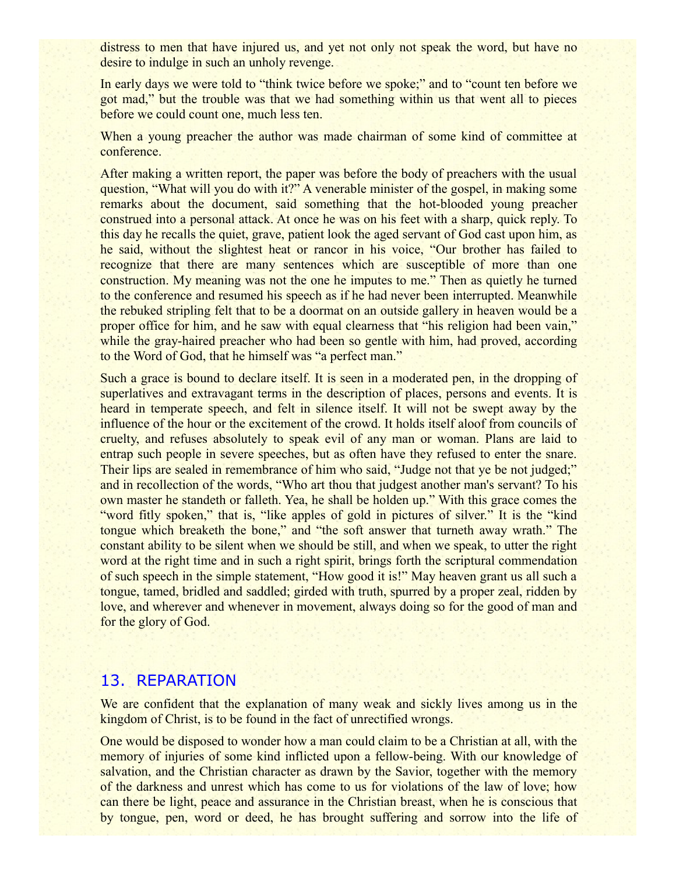distress to men that have injured us, and yet not only not speak the word, but have no desire to indulge in such an unholy revenge.

In early days we were told to "think twice before we spoke;" and to "count ten before we got mad," but the trouble was that we had something within us that went all to pieces before we could count one, much less ten.

When a young preacher the author was made chairman of some kind of committee at conference.

After making a written report, the paper was before the body of preachers with the usual question, "What will you do with it?" A venerable minister of the gospel, in making some remarks about the document, said something that the hot-blooded young preacher construed into a personal attack. At once he was on his feet with a sharp, quick reply. To this day he recalls the quiet, grave, patient look the aged servant of God cast upon him, as he said, without the slightest heat or rancor in his voice, "Our brother has failed to recognize that there are many sentences which are susceptible of more than one construction. My meaning was not the one he imputes to me." Then as quietly he turned to the conference and resumed his speech as if he had never been interrupted. Meanwhile the rebuked stripling felt that to be a doormat on an outside gallery in heaven would be a proper office for him, and he saw with equal clearness that "his religion had been vain," while the gray-haired preacher who had been so gentle with him, had proved, according to the Word of God, that he himself was "a perfect man."

Such a grace is bound to declare itself. It is seen in a moderated pen, in the dropping of superlatives and extravagant terms in the description of places, persons and events. It is heard in temperate speech, and felt in silence itself. It will not be swept away by the influence of the hour or the excitement of the crowd. It holds itself aloof from councils of cruelty, and refuses absolutely to speak evil of any man or woman. Plans are laid to entrap such people in severe speeches, but as often have they refused to enter the snare. Their lips are sealed in remembrance of him who said, "Judge not that ye be not judged;" and in recollection of the words, "Who art thou that judgest another man's servant? To his own master he standeth or falleth. Yea, he shall be holden up." With this grace comes the "word fitly spoken," that is, "like apples of gold in pictures of silver." It is the "kind" tongue which breaketh the bone," and "the soft answer that turneth away wrath." The constant ability to be silent when we should be still, and when we speak, to utter the right word at the right time and in such a right spirit, brings forth the scriptural commendation of such speech in the simple statement, "How good it is!" May heaven grant us all such a tongue, tamed, bridled and saddled; girded with truth, spurred by a proper zeal, ridden by love, and wherever and whenever in movement, always doing so for the good of man and for the glory of God.

#### 13. REPARATION

We are confident that the explanation of many weak and sickly lives among us in the kingdom of Christ, is to be found in the fact of unrectified wrongs.

One would be disposed to wonder how a man could claim to be a Christian at all, with the memory of injuries of some kind inflicted upon a fellow-being. With our knowledge of salvation, and the Christian character as drawn by the Savior, together with the memory of the darkness and unrest which has come to us for violations of the law of love; how can there be light, peace and assurance in the Christian breast, when he is conscious that by tongue, pen, word or deed, he has brought suffering and sorrow into the life of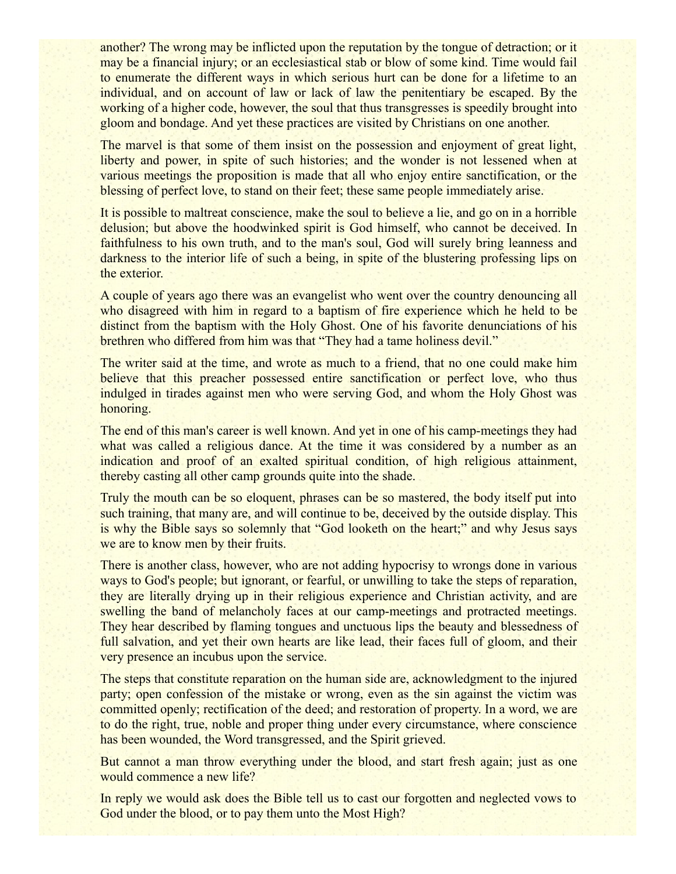another? The wrong may be inflicted upon the reputation by the tongue of detraction; or it may be a financial injury; or an ecclesiastical stab or blow of some kind. Time would fail to enumerate the different ways in which serious hurt can be done for a lifetime to an individual, and on account of law or lack of law the penitentiary be escaped. By the working of a higher code, however, the soul that thus transgresses is speedily brought into gloom and bondage. And yet these practices are visited by Christians on one another.

The marvel is that some of them insist on the possession and enjoyment of great light, liberty and power, in spite of such histories; and the wonder is not lessened when at various meetings the proposition is made that all who enjoy entire sanctification, or the blessing of perfect love, to stand on their feet; these same people immediately arise.

It is possible to maltreat conscience, make the soul to believe a lie, and go on in a horrible delusion; but above the hoodwinked spirit is God himself, who cannot be deceived. In faithfulness to his own truth, and to the man's soul, God will surely bring leanness and darkness to the interior life of such a being, in spite of the blustering professing lips on the exterior.

A couple of years ago there was an evangelist who went over the country denouncing all who disagreed with him in regard to a baptism of fire experience which he held to be distinct from the baptism with the Holy Ghost. One of his favorite denunciations of his brethren who differed from him was that "They had a tame holiness devil."

The writer said at the time, and wrote as much to a friend, that no one could make him believe that this preacher possessed entire sanctification or perfect love, who thus indulged in tirades against men who were serving God, and whom the Holy Ghost was honoring.

The end of this man's career is well known. And yet in one of his camp-meetings they had what was called a religious dance. At the time it was considered by a number as an indication and proof of an exalted spiritual condition, of high religious attainment, thereby casting all other camp grounds quite into the shade.

Truly the mouth can be so eloquent, phrases can be so mastered, the body itself put into such training, that many are, and will continue to be, deceived by the outside display. This is why the Bible says so solemnly that "God looketh on the heart;" and why Jesus says we are to know men by their fruits.

There is another class, however, who are not adding hypocrisy to wrongs done in various ways to God's people; but ignorant, or fearful, or unwilling to take the steps of reparation, they are literally drying up in their religious experience and Christian activity, and are swelling the band of melancholy faces at our camp-meetings and protracted meetings. They hear described by flaming tongues and unctuous lips the beauty and blessedness of full salvation, and yet their own hearts are like lead, their faces full of gloom, and their very presence an incubus upon the service.

The steps that constitute reparation on the human side are, acknowledgment to the injured party; open confession of the mistake or wrong, even as the sin against the victim was committed openly; rectification of the deed; and restoration of property. In a word, we are to do the right, true, noble and proper thing under every circumstance, where conscience has been wounded, the Word transgressed, and the Spirit grieved.

But cannot a man throw everything under the blood, and start fresh again; just as one would commence a new life?

In reply we would ask does the Bible tell us to cast our forgotten and neglected vows to God under the blood, or to pay them unto the Most High?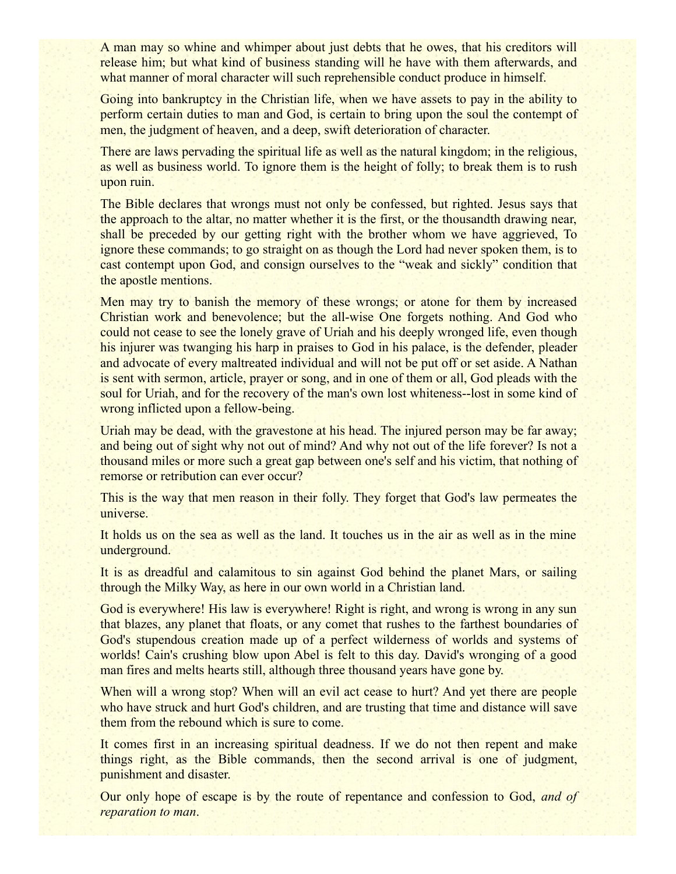A man may so whine and whimper about just debts that he owes, that his creditors will release him; but what kind of business standing will he have with them afterwards, and what manner of moral character will such reprehensible conduct produce in himself.

Going into bankruptcy in the Christian life, when we have assets to pay in the ability to perform certain duties to man and God, is certain to bring upon the soul the contempt of men, the judgment of heaven, and a deep, swift deterioration of character.

There are laws pervading the spiritual life as well as the natural kingdom; in the religious, as well as business world. To ignore them is the height of folly; to break them is to rush upon ruin.

The Bible declares that wrongs must not only be confessed, but righted. Jesus says that the approach to the altar, no matter whether it is the first, or the thousandth drawing near, shall be preceded by our getting right with the brother whom we have aggrieved, To ignore these commands; to go straight on as though the Lord had never spoken them, is to cast contempt upon God, and consign ourselves to the "weak and sickly" condition that the apostle mentions.

Men may try to banish the memory of these wrongs; or atone for them by increased Christian work and benevolence; but the all-wise One forgets nothing. And God who could not cease to see the lonely grave of Uriah and his deeply wronged life, even though his injurer was twanging his harp in praises to God in his palace, is the defender, pleader and advocate of every maltreated individual and will not be put off or set aside. A Nathan is sent with sermon, article, prayer or song, and in one of them or all, God pleads with the soul for Uriah, and for the recovery of the man's own lost whiteness--lost in some kind of wrong inflicted upon a fellow-being.

Uriah may be dead, with the gravestone at his head. The injured person may be far away; and being out of sight why not out of mind? And why not out of the life forever? Is not a thousand miles or more such a great gap between one's self and his victim, that nothing of remorse or retribution can ever occur?

This is the way that men reason in their folly. They forget that God's law permeates the universe.

It holds us on the sea as well as the land. It touches us in the air as well as in the mine underground.

It is as dreadful and calamitous to sin against God behind the planet Mars, or sailing through the Milky Way, as here in our own world in a Christian land.

God is everywhere! His law is everywhere! Right is right, and wrong is wrong in any sun that blazes, any planet that floats, or any comet that rushes to the farthest boundaries of God's stupendous creation made up of a perfect wilderness of worlds and systems of worlds! Cain's crushing blow upon Abel is felt to this day. David's wronging of a good man fires and melts hearts still, although three thousand years have gone by.

When will a wrong stop? When will an evil act cease to hurt? And yet there are people who have struck and hurt God's children, and are trusting that time and distance will save them from the rebound which is sure to come.

It comes first in an increasing spiritual deadness. If we do not then repent and make things right, as the Bible commands, then the second arrival is one of judgment, punishment and disaster.

Our only hope of escape is by the route of repentance and confession to God, *and of reparation to man*.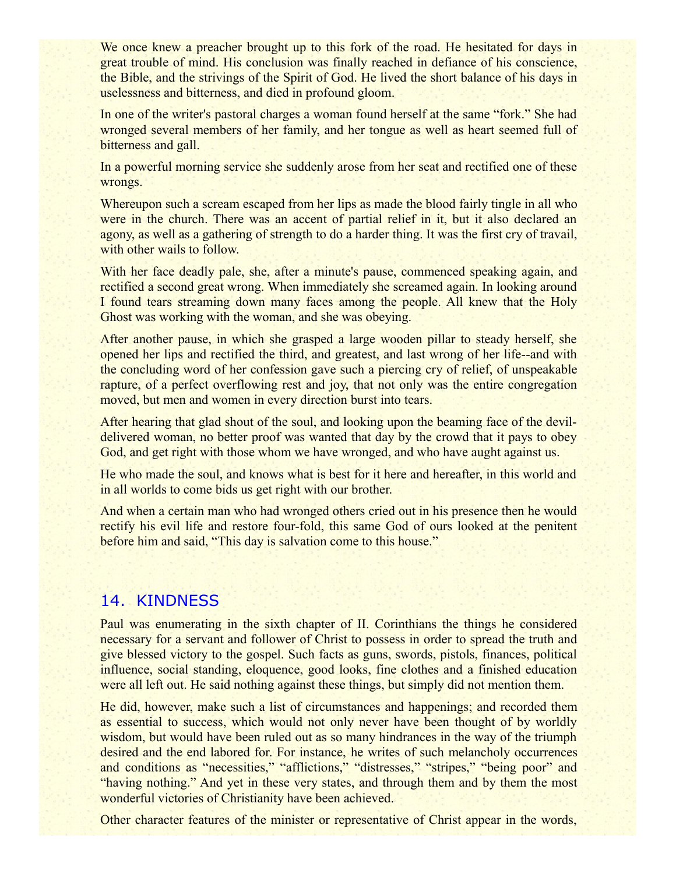We once knew a preacher brought up to this fork of the road. He hesitated for days in great trouble of mind. His conclusion was finally reached in defiance of his conscience, the Bible, and the strivings of the Spirit of God. He lived the short balance of his days in uselessness and bitterness, and died in profound gloom.

In one of the writer's pastoral charges a woman found herself at the same "fork." She had wronged several members of her family, and her tongue as well as heart seemed full of bitterness and gall.

In a powerful morning service she suddenly arose from her seat and rectified one of these wrongs.

Whereupon such a scream escaped from her lips as made the blood fairly tingle in all who were in the church. There was an accent of partial relief in it, but it also declared an agony, as well as a gathering of strength to do a harder thing. It was the first cry of travail, with other wails to follow.

With her face deadly pale, she, after a minute's pause, commenced speaking again, and rectified a second great wrong. When immediately she screamed again. In looking around I found tears streaming down many faces among the people. All knew that the Holy Ghost was working with the woman, and she was obeying.

After another pause, in which she grasped a large wooden pillar to steady herself, she opened her lips and rectified the third, and greatest, and last wrong of her life--and with the concluding word of her confession gave such a piercing cry of relief, of unspeakable rapture, of a perfect overflowing rest and joy, that not only was the entire congregation moved, but men and women in every direction burst into tears.

After hearing that glad shout of the soul, and looking upon the beaming face of the devildelivered woman, no better proof was wanted that day by the crowd that it pays to obey God, and get right with those whom we have wronged, and who have aught against us.

He who made the soul, and knows what is best for it here and hereafter, in this world and in all worlds to come bids us get right with our brother.

And when a certain man who had wronged others cried out in his presence then he would rectify his evil life and restore four-fold, this same God of ours looked at the penitent before him and said, "This day is salvation come to this house."

# 14. KINDNESS

Paul was enumerating in the sixth chapter of II. Corinthians the things he considered necessary for a servant and follower of Christ to possess in order to spread the truth and give blessed victory to the gospel. Such facts as guns, swords, pistols, finances, political influence, social standing, eloquence, good looks, fine clothes and a finished education were all left out. He said nothing against these things, but simply did not mention them.

He did, however, make such a list of circumstances and happenings; and recorded them as essential to success, which would not only never have been thought of by worldly wisdom, but would have been ruled out as so many hindrances in the way of the triumph desired and the end labored for. For instance, he writes of such melancholy occurrences and conditions as "necessities," "afflictions," "distresses," "stripes," "being poor" and "having nothing." And yet in these very states, and through them and by them the most wonderful victories of Christianity have been achieved.

Other character features of the minister or representative of Christ appear in the words,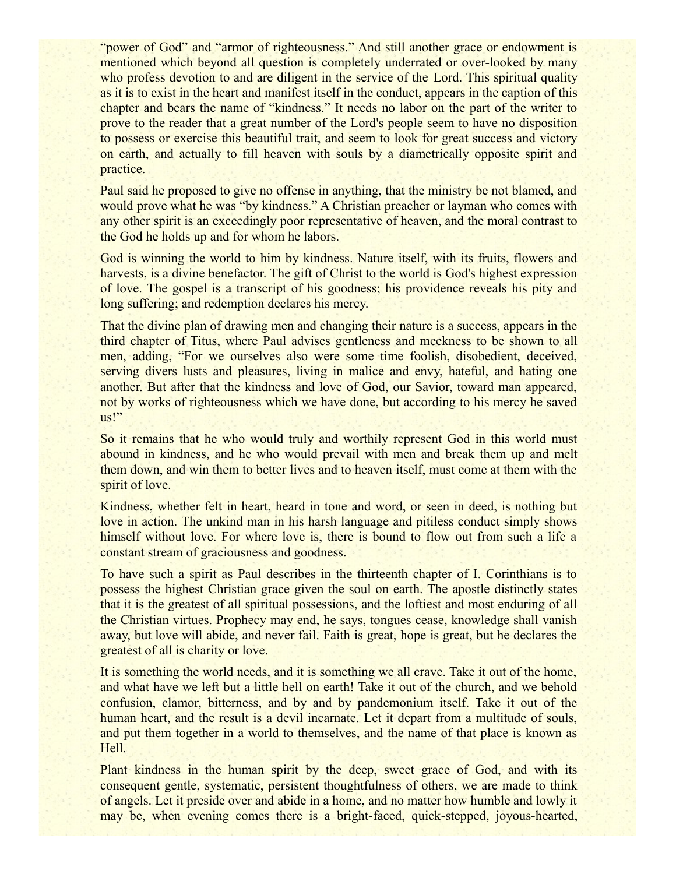"power of God" and "armor of righteousness." And still another grace or endowment is mentioned which beyond all question is completely underrated or over-looked by many who profess devotion to and are diligent in the service of the Lord. This spiritual quality as it is to exist in the heart and manifest itself in the conduct, appears in the caption of this chapter and bears the name of "kindness." It needs no labor on the part of the writer to prove to the reader that a great number of the Lord's people seem to have no disposition to possess or exercise this beautiful trait, and seem to look for great success and victory on earth, and actually to fill heaven with souls by a diametrically opposite spirit and practice.

Paul said he proposed to give no offense in anything, that the ministry be not blamed, and would prove what he was "by kindness." A Christian preacher or layman who comes with any other spirit is an exceedingly poor representative of heaven, and the moral contrast to the God he holds up and for whom he labors.

God is winning the world to him by kindness. Nature itself, with its fruits, flowers and harvests, is a divine benefactor. The gift of Christ to the world is God's highest expression of love. The gospel is a transcript of his goodness; his providence reveals his pity and long suffering; and redemption declares his mercy.

That the divine plan of drawing men and changing their nature is a success, appears in the third chapter of Titus, where Paul advises gentleness and meekness to be shown to all men, adding, "For we ourselves also were some time foolish, disobedient, deceived, serving divers lusts and pleasures, living in malice and envy, hateful, and hating one another. But after that the kindness and love of God, our Savior, toward man appeared, not by works of righteousness which we have done, but according to his mercy he saved us!"

So it remains that he who would truly and worthily represent God in this world must abound in kindness, and he who would prevail with men and break them up and melt them down, and win them to better lives and to heaven itself, must come at them with the spirit of love.

Kindness, whether felt in heart, heard in tone and word, or seen in deed, is nothing but love in action. The unkind man in his harsh language and pitiless conduct simply shows himself without love. For where love is, there is bound to flow out from such a life a constant stream of graciousness and goodness.

To have such a spirit as Paul describes in the thirteenth chapter of I. Corinthians is to possess the highest Christian grace given the soul on earth. The apostle distinctly states that it is the greatest of all spiritual possessions, and the loftiest and most enduring of all the Christian virtues. Prophecy may end, he says, tongues cease, knowledge shall vanish away, but love will abide, and never fail. Faith is great, hope is great, but he declares the greatest of all is charity or love.

It is something the world needs, and it is something we all crave. Take it out of the home, and what have we left but a little hell on earth! Take it out of the church, and we behold confusion, clamor, bitterness, and by and by pandemonium itself. Take it out of the human heart, and the result is a devil incarnate. Let it depart from a multitude of souls, and put them together in a world to themselves, and the name of that place is known as Hell.

Plant kindness in the human spirit by the deep, sweet grace of God, and with its consequent gentle, systematic, persistent thoughtfulness of others, we are made to think of angels. Let it preside over and abide in a home, and no matter how humble and lowly it may be, when evening comes there is a bright-faced, quick-stepped, joyous-hearted,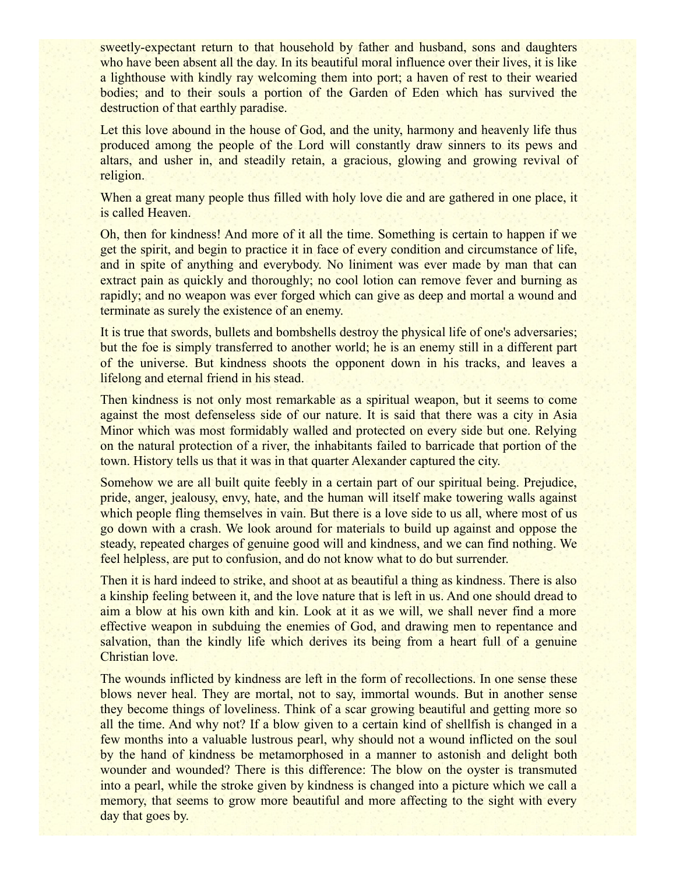sweetly-expectant return to that household by father and husband, sons and daughters who have been absent all the day. In its beautiful moral influence over their lives, it is like a lighthouse with kindly ray welcoming them into port; a haven of rest to their wearied bodies; and to their souls a portion of the Garden of Eden which has survived the destruction of that earthly paradise.

Let this love abound in the house of God, and the unity, harmony and heavenly life thus produced among the people of the Lord will constantly draw sinners to its pews and altars, and usher in, and steadily retain, a gracious, glowing and growing revival of religion.

When a great many people thus filled with holy love die and are gathered in one place, it is called Heaven.

Oh, then for kindness! And more of it all the time. Something is certain to happen if we get the spirit, and begin to practice it in face of every condition and circumstance of life, and in spite of anything and everybody. No liniment was ever made by man that can extract pain as quickly and thoroughly; no cool lotion can remove fever and burning as rapidly; and no weapon was ever forged which can give as deep and mortal a wound and terminate as surely the existence of an enemy.

It is true that swords, bullets and bombshells destroy the physical life of one's adversaries; but the foe is simply transferred to another world; he is an enemy still in a different part of the universe. But kindness shoots the opponent down in his tracks, and leaves a lifelong and eternal friend in his stead.

Then kindness is not only most remarkable as a spiritual weapon, but it seems to come against the most defenseless side of our nature. It is said that there was a city in Asia Minor which was most formidably walled and protected on every side but one. Relying on the natural protection of a river, the inhabitants failed to barricade that portion of the town. History tells us that it was in that quarter Alexander captured the city.

Somehow we are all built quite feebly in a certain part of our spiritual being. Prejudice, pride, anger, jealousy, envy, hate, and the human will itself make towering walls against which people fling themselves in vain. But there is a love side to us all, where most of us go down with a crash. We look around for materials to build up against and oppose the steady, repeated charges of genuine good will and kindness, and we can find nothing. We feel helpless, are put to confusion, and do not know what to do but surrender.

Then it is hard indeed to strike, and shoot at as beautiful a thing as kindness. There is also a kinship feeling between it, and the love nature that is left in us. And one should dread to aim a blow at his own kith and kin. Look at it as we will, we shall never find a more effective weapon in subduing the enemies of God, and drawing men to repentance and salvation, than the kindly life which derives its being from a heart full of a genuine Christian love.

The wounds inflicted by kindness are left in the form of recollections. In one sense these blows never heal. They are mortal, not to say, immortal wounds. But in another sense they become things of loveliness. Think of a scar growing beautiful and getting more so all the time. And why not? If a blow given to a certain kind of shellfish is changed in a few months into a valuable lustrous pearl, why should not a wound inflicted on the soul by the hand of kindness be metamorphosed in a manner to astonish and delight both wounder and wounded? There is this difference: The blow on the oyster is transmuted into a pearl, while the stroke given by kindness is changed into a picture which we call a memory, that seems to grow more beautiful and more affecting to the sight with every day that goes by.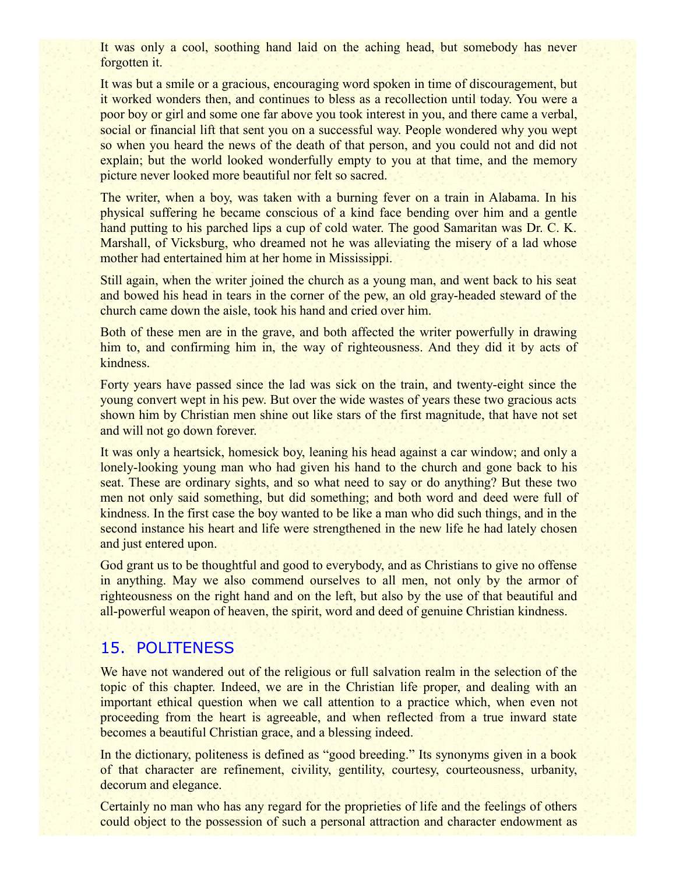It was only a cool, soothing hand laid on the aching head, but somebody has never forgotten it.

It was but a smile or a gracious, encouraging word spoken in time of discouragement, but it worked wonders then, and continues to bless as a recollection until today. You were a poor boy or girl and some one far above you took interest in you, and there came a verbal, social or financial lift that sent you on a successful way. People wondered why you wept so when you heard the news of the death of that person, and you could not and did not explain; but the world looked wonderfully empty to you at that time, and the memory picture never looked more beautiful nor felt so sacred.

The writer, when a boy, was taken with a burning fever on a train in Alabama. In his physical suffering he became conscious of a kind face bending over him and a gentle hand putting to his parched lips a cup of cold water. The good Samaritan was Dr. C. K. Marshall, of Vicksburg, who dreamed not he was alleviating the misery of a lad whose mother had entertained him at her home in Mississippi.

Still again, when the writer joined the church as a young man, and went back to his seat and bowed his head in tears in the corner of the pew, an old gray-headed steward of the church came down the aisle, took his hand and cried over him.

Both of these men are in the grave, and both affected the writer powerfully in drawing him to, and confirming him in, the way of righteousness. And they did it by acts of kindness.

Forty years have passed since the lad was sick on the train, and twenty-eight since the young convert wept in his pew. But over the wide wastes of years these two gracious acts shown him by Christian men shine out like stars of the first magnitude, that have not set and will not go down forever.

It was only a heartsick, homesick boy, leaning his head against a car window; and only a lonely-looking young man who had given his hand to the church and gone back to his seat. These are ordinary sights, and so what need to say or do anything? But these two men not only said something, but did something; and both word and deed were full of kindness. In the first case the boy wanted to be like a man who did such things, and in the second instance his heart and life were strengthened in the new life he had lately chosen and just entered upon.

God grant us to be thoughtful and good to everybody, and as Christians to give no offense in anything. May we also commend ourselves to all men, not only by the armor of righteousness on the right hand and on the left, but also by the use of that beautiful and all-powerful weapon of heaven, the spirit, word and deed of genuine Christian kindness.

# 15. POLITENESS

We have not wandered out of the religious or full salvation realm in the selection of the topic of this chapter. Indeed, we are in the Christian life proper, and dealing with an important ethical question when we call attention to a practice which, when even not proceeding from the heart is agreeable, and when reflected from a true inward state becomes a beautiful Christian grace, and a blessing indeed.

In the dictionary, politeness is defined as "good breeding." Its synonyms given in a book of that character are refinement, civility, gentility, courtesy, courteousness, urbanity, decorum and elegance.

Certainly no man who has any regard for the proprieties of life and the feelings of others could object to the possession of such a personal attraction and character endowment as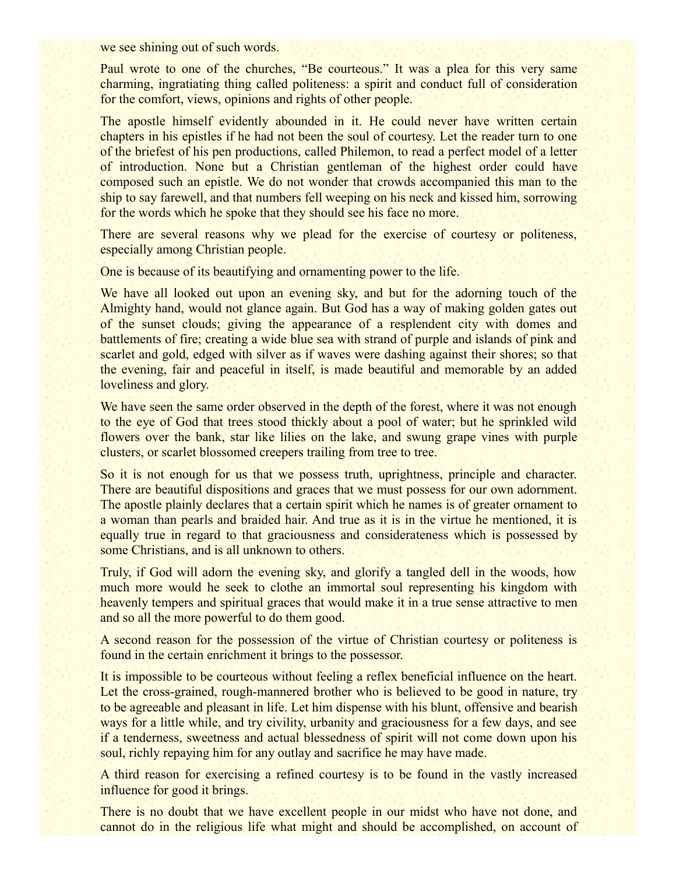we see shining out of such words.

Paul wrote to one of the churches, "Be courteous." It was a plea for this very same charming, ingratiating thing called politeness: a spirit and conduct full of consideration for the comfort, views, opinions and rights of other people.

The apostle himself evidently abounded in it. He could never have written certain chapters in his epistles if he had not been the soul of courtesy. Let the reader turn to one of the briefest of his pen productions, called Philemon, to read a perfect model of a letter of introduction. None but a Christian gentleman of the highest order could have composed such an epistle. We do not wonder that crowds accompanied this man to the ship to say farewell, and that numbers fell weeping on his neck and kissed him, sorrowing for the words which he spoke that they should see his face no more.

There are several reasons why we plead for the exercise of courtesy or politeness, especially among Christian people.

One is because of its beautifying and ornamenting power to the life.

We have all looked out upon an evening sky, and but for the adorning touch of the Almighty hand, would not glance again. But God has a way of making golden gates out of the sunset clouds; giving the appearance of a resplendent city with domes and battlements of fire; creating a wide blue sea with strand of purple and islands of pink and scarlet and gold, edged with silver as if waves were dashing against their shores; so that the evening, fair and peaceful in itself, is made beautiful and memorable by an added loveliness and glory.

We have seen the same order observed in the depth of the forest, where it was not enough to the eye of God that trees stood thickly about a pool of water; but he sprinkled wild flowers over the bank, star like lilies on the lake, and swung grape vines with purple clusters, or scarlet blossomed creepers trailing from tree to tree.

So it is not enough for us that we possess truth, uprightness, principle and character. There are beautiful dispositions and graces that we must possess for our own adornment. The apostle plainly declares that a certain spirit which he names is of greater ornament to a woman than pearls and braided hair. And true as it is in the virtue he mentioned, it is equally true in regard to that graciousness and considerateness which is possessed by some Christians, and is all unknown to others.

Truly, if God will adorn the evening sky, and glorify a tangled dell in the woods, how much more would he seek to clothe an immortal soul representing his kingdom with heavenly tempers and spiritual graces that would make it in a true sense attractive to men and so all the more powerful to do them good.

A second reason for the possession of the virtue of Christian courtesy or politeness is found in the certain enrichment it brings to the possessor.

It is impossible to be courteous without feeling a reflex beneficial influence on the heart. Let the cross-grained, rough-mannered brother who is believed to be good in nature, try to be agreeable and pleasant in life. Let him dispense with his blunt, offensive and bearish ways for a little while, and try civility, urbanity and graciousness for a few days, and see if a tenderness, sweetness and actual blessedness of spirit will not come down upon his soul, richly repaying him for any outlay and sacrifice he may have made.

A third reason for exercising a refined courtesy is to be found in the vastly increased influence for good it brings.

There is no doubt that we have excellent people in our midst who have not done, and cannot do in the religious life what might and should be accomplished, on account of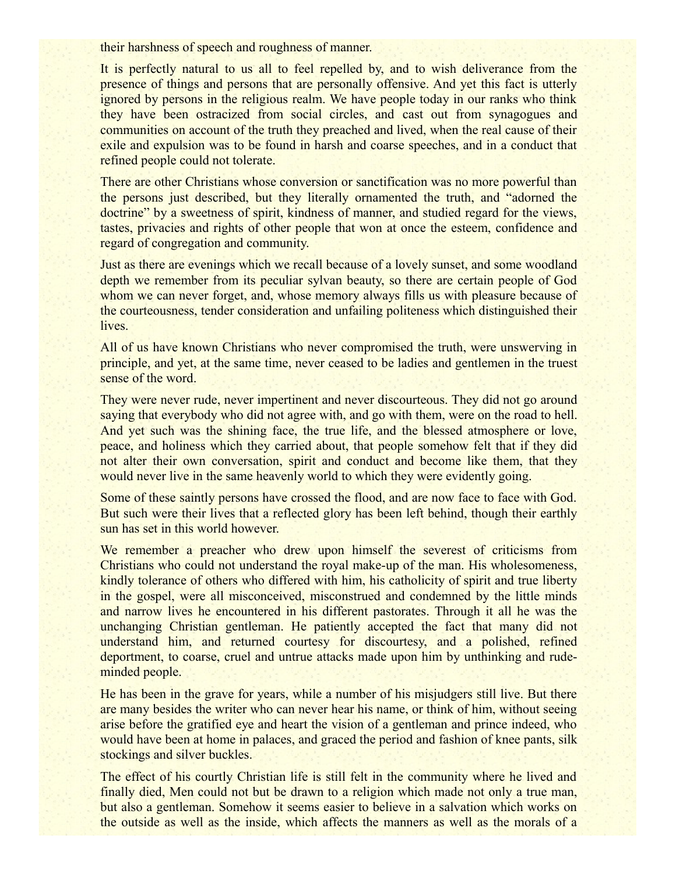their harshness of speech and roughness of manner.

It is perfectly natural to us all to feel repelled by, and to wish deliverance from the presence of things and persons that are personally offensive. And yet this fact is utterly ignored by persons in the religious realm. We have people today in our ranks who think they have been ostracized from social circles, and cast out from synagogues and communities on account of the truth they preached and lived, when the real cause of their exile and expulsion was to be found in harsh and coarse speeches, and in a conduct that refined people could not tolerate.

There are other Christians whose conversion or sanctification was no more powerful than the persons just described, but they literally ornamented the truth, and "adorned the doctrine" by a sweetness of spirit, kindness of manner, and studied regard for the views, tastes, privacies and rights of other people that won at once the esteem, confidence and regard of congregation and community.

Just as there are evenings which we recall because of a lovely sunset, and some woodland depth we remember from its peculiar sylvan beauty, so there are certain people of God whom we can never forget, and, whose memory always fills us with pleasure because of the courteousness, tender consideration and unfailing politeness which distinguished their lives.

All of us have known Christians who never compromised the truth, were unswerving in principle, and yet, at the same time, never ceased to be ladies and gentlemen in the truest sense of the word.

They were never rude, never impertinent and never discourteous. They did not go around saying that everybody who did not agree with, and go with them, were on the road to hell. And yet such was the shining face, the true life, and the blessed atmosphere or love, peace, and holiness which they carried about, that people somehow felt that if they did not alter their own conversation, spirit and conduct and become like them, that they would never live in the same heavenly world to which they were evidently going.

Some of these saintly persons have crossed the flood, and are now face to face with God. But such were their lives that a reflected glory has been left behind, though their earthly sun has set in this world however.

We remember a preacher who drew upon himself the severest of criticisms from Christians who could not understand the royal make-up of the man. His wholesomeness, kindly tolerance of others who differed with him, his catholicity of spirit and true liberty in the gospel, were all misconceived, misconstrued and condemned by the little minds and narrow lives he encountered in his different pastorates. Through it all he was the unchanging Christian gentleman. He patiently accepted the fact that many did not understand him, and returned courtesy for discourtesy, and a polished, refined deportment, to coarse, cruel and untrue attacks made upon him by unthinking and rudeminded people.

He has been in the grave for years, while a number of his misjudgers still live. But there are many besides the writer who can never hear his name, or think of him, without seeing arise before the gratified eye and heart the vision of a gentleman and prince indeed, who would have been at home in palaces, and graced the period and fashion of knee pants, silk stockings and silver buckles.

The effect of his courtly Christian life is still felt in the community where he lived and finally died, Men could not but be drawn to a religion which made not only a true man, but also a gentleman. Somehow it seems easier to believe in a salvation which works on the outside as well as the inside, which affects the manners as well as the morals of a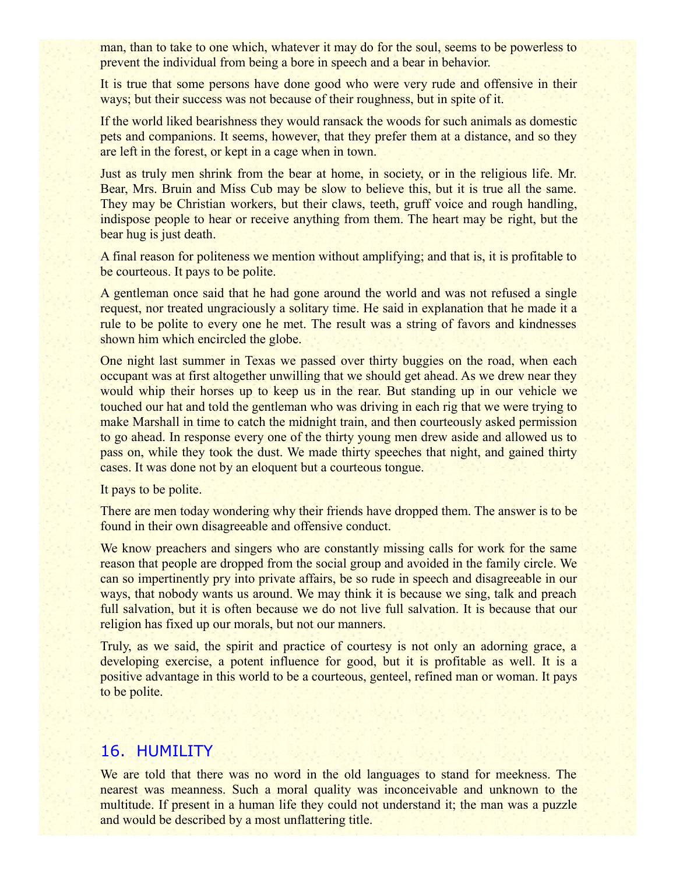man, than to take to one which, whatever it may do for the soul, seems to be powerless to prevent the individual from being a bore in speech and a bear in behavior.

It is true that some persons have done good who were very rude and offensive in their ways; but their success was not because of their roughness, but in spite of it.

If the world liked bearishness they would ransack the woods for such animals as domestic pets and companions. It seems, however, that they prefer them at a distance, and so they are left in the forest, or kept in a cage when in town.

Just as truly men shrink from the bear at home, in society, or in the religious life. Mr. Bear, Mrs. Bruin and Miss Cub may be slow to believe this, but it is true all the same. They may be Christian workers, but their claws, teeth, gruff voice and rough handling, indispose people to hear or receive anything from them. The heart may be right, but the bear hug is just death.

A final reason for politeness we mention without amplifying; and that is, it is profitable to be courteous. It pays to be polite.

A gentleman once said that he had gone around the world and was not refused a single request, nor treated ungraciously a solitary time. He said in explanation that he made it a rule to be polite to every one he met. The result was a string of favors and kindnesses shown him which encircled the globe.

One night last summer in Texas we passed over thirty buggies on the road, when each occupant was at first altogether unwilling that we should get ahead. As we drew near they would whip their horses up to keep us in the rear. But standing up in our vehicle we touched our hat and told the gentleman who was driving in each rig that we were trying to make Marshall in time to catch the midnight train, and then courteously asked permission to go ahead. In response every one of the thirty young men drew aside and allowed us to pass on, while they took the dust. We made thirty speeches that night, and gained thirty cases. It was done not by an eloquent but a courteous tongue.

It pays to be polite.

There are men today wondering why their friends have dropped them. The answer is to be found in their own disagreeable and offensive conduct.

We know preachers and singers who are constantly missing calls for work for the same reason that people are dropped from the social group and avoided in the family circle. We can so impertinently pry into private affairs, be so rude in speech and disagreeable in our ways, that nobody wants us around. We may think it is because we sing, talk and preach full salvation, but it is often because we do not live full salvation. It is because that our religion has fixed up our morals, but not our manners.

Truly, as we said, the spirit and practice of courtesy is not only an adorning grace, a developing exercise, a potent influence for good, but it is profitable as well. It is a positive advantage in this world to be a courteous, genteel, refined man or woman. It pays to be polite.

#### 16. HUMILITY

We are told that there was no word in the old languages to stand for meekness. The nearest was meanness. Such a moral quality was inconceivable and unknown to the multitude. If present in a human life they could not understand it; the man was a puzzle and would be described by a most unflattering title.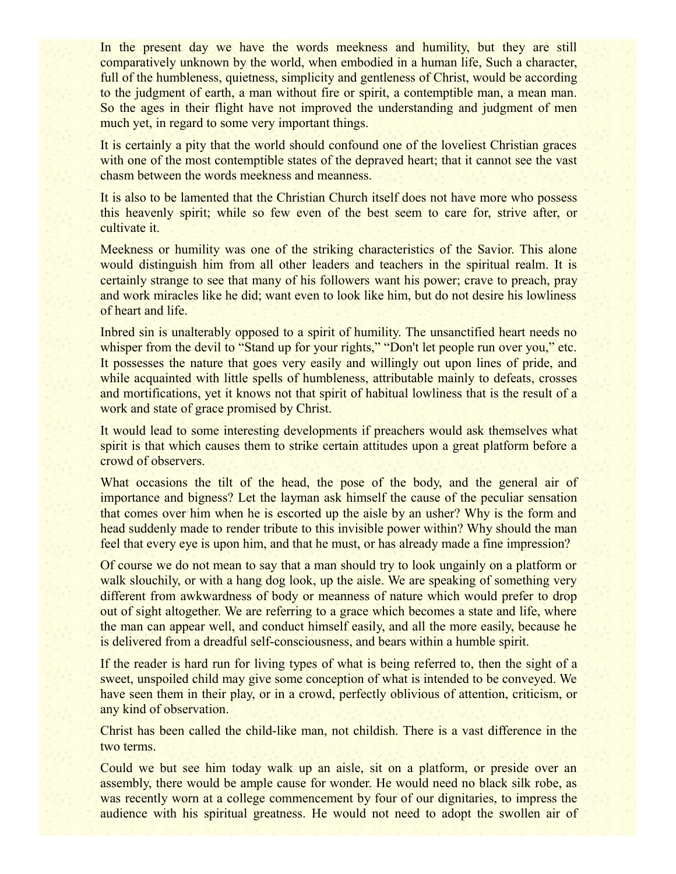In the present day we have the words meekness and humility, but they are still comparatively unknown by the world, when embodied in a human life, Such a character, full of the humbleness, quietness, simplicity and gentleness of Christ, would be according to the judgment of earth, a man without fire or spirit, a contemptible man, a mean man. So the ages in their flight have not improved the understanding and judgment of men much yet, in regard to some very important things.

It is certainly a pity that the world should confound one of the loveliest Christian graces with one of the most contemptible states of the depraved heart; that it cannot see the vast chasm between the words meekness and meanness.

It is also to be lamented that the Christian Church itself does not have more who possess this heavenly spirit; while so few even of the best seem to care for, strive after, or cultivate it.

Meekness or humility was one of the striking characteristics of the Savior. This alone would distinguish him from all other leaders and teachers in the spiritual realm. It is certainly strange to see that many of his followers want his power; crave to preach, pray and work miracles like he did; want even to look like him, but do not desire his lowliness of heart and life.

Inbred sin is unalterably opposed to a spirit of humility. The unsanctified heart needs no whisper from the devil to "Stand up for your rights," "Don't let people run over you," etc. It possesses the nature that goes very easily and willingly out upon lines of pride, and while acquainted with little spells of humbleness, attributable mainly to defeats, crosses and mortifications, yet it knows not that spirit of habitual lowliness that is the result of a work and state of grace promised by Christ.

It would lead to some interesting developments if preachers would ask themselves what spirit is that which causes them to strike certain attitudes upon a great platform before a crowd of observers.

What occasions the tilt of the head, the pose of the body, and the general air of importance and bigness? Let the layman ask himself the cause of the peculiar sensation that comes over him when he is escorted up the aisle by an usher? Why is the form and head suddenly made to render tribute to this invisible power within? Why should the man feel that every eye is upon him, and that he must, or has already made a fine impression?

Of course we do not mean to say that a man should try to look ungainly on a platform or walk slouchily, or with a hang dog look, up the aisle. We are speaking of something very different from awkwardness of body or meanness of nature which would prefer to drop out of sight altogether. We are referring to a grace which becomes a state and life, where the man can appear well, and conduct himself easily, and all the more easily, because he is delivered from a dreadful self-consciousness, and bears within a humble spirit.

If the reader is hard run for living types of what is being referred to, then the sight of a sweet, unspoiled child may give some conception of what is intended to be conveyed. We have seen them in their play, or in a crowd, perfectly oblivious of attention, criticism, or any kind of observation.

Christ has been called the child-like man, not childish. There is a vast difference in the two terms.

Could we but see him today walk up an aisle, sit on a platform, or preside over an assembly, there would be ample cause for wonder. He would need no black silk robe, as was recently worn at a college commencement by four of our dignitaries, to impress the audience with his spiritual greatness. He would not need to adopt the swollen air of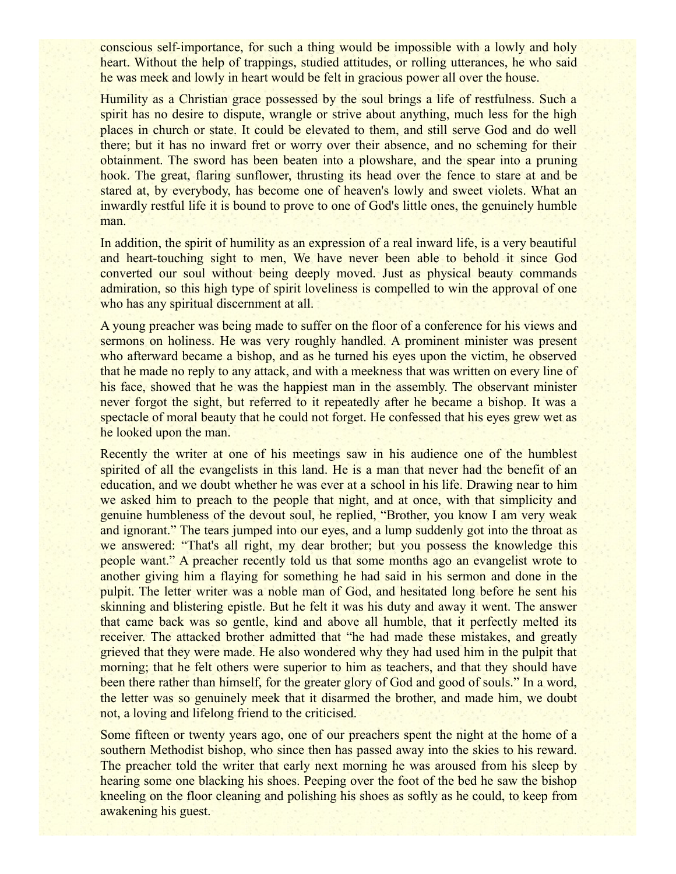conscious self-importance, for such a thing would be impossible with a lowly and holy heart. Without the help of trappings, studied attitudes, or rolling utterances, he who said he was meek and lowly in heart would be felt in gracious power all over the house.

Humility as a Christian grace possessed by the soul brings a life of restfulness. Such a spirit has no desire to dispute, wrangle or strive about anything, much less for the high places in church or state. It could be elevated to them, and still serve God and do well there; but it has no inward fret or worry over their absence, and no scheming for their obtainment. The sword has been beaten into a plowshare, and the spear into a pruning hook. The great, flaring sunflower, thrusting its head over the fence to stare at and be stared at, by everybody, has become one of heaven's lowly and sweet violets. What an inwardly restful life it is bound to prove to one of God's little ones, the genuinely humble man.

In addition, the spirit of humility as an expression of a real inward life, is a very beautiful and heart-touching sight to men, We have never been able to behold it since God converted our soul without being deeply moved. Just as physical beauty commands admiration, so this high type of spirit loveliness is compelled to win the approval of one who has any spiritual discernment at all.

A young preacher was being made to suffer on the floor of a conference for his views and sermons on holiness. He was very roughly handled. A prominent minister was present who afterward became a bishop, and as he turned his eyes upon the victim, he observed that he made no reply to any attack, and with a meekness that was written on every line of his face, showed that he was the happiest man in the assembly. The observant minister never forgot the sight, but referred to it repeatedly after he became a bishop. It was a spectacle of moral beauty that he could not forget. He confessed that his eyes grew wet as he looked upon the man.

Recently the writer at one of his meetings saw in his audience one of the humblest spirited of all the evangelists in this land. He is a man that never had the benefit of an education, and we doubt whether he was ever at a school in his life. Drawing near to him we asked him to preach to the people that night, and at once, with that simplicity and genuine humbleness of the devout soul, he replied, "Brother, you know I am very weak and ignorant." The tears jumped into our eyes, and a lump suddenly got into the throat as we answered: "That's all right, my dear brother; but you possess the knowledge this people want." A preacher recently told us that some months ago an evangelist wrote to another giving him a flaying for something he had said in his sermon and done in the pulpit. The letter writer was a noble man of God, and hesitated long before he sent his skinning and blistering epistle. But he felt it was his duty and away it went. The answer that came back was so gentle, kind and above all humble, that it perfectly melted its receiver. The attacked brother admitted that "he had made these mistakes, and greatly grieved that they were made. He also wondered why they had used him in the pulpit that morning; that he felt others were superior to him as teachers, and that they should have been there rather than himself, for the greater glory of God and good of souls." In a word, the letter was so genuinely meek that it disarmed the brother, and made him, we doubt not, a loving and lifelong friend to the criticised.

Some fifteen or twenty years ago, one of our preachers spent the night at the home of a southern Methodist bishop, who since then has passed away into the skies to his reward. The preacher told the writer that early next morning he was aroused from his sleep by hearing some one blacking his shoes. Peeping over the foot of the bed he saw the bishop kneeling on the floor cleaning and polishing his shoes as softly as he could, to keep from awakening his guest.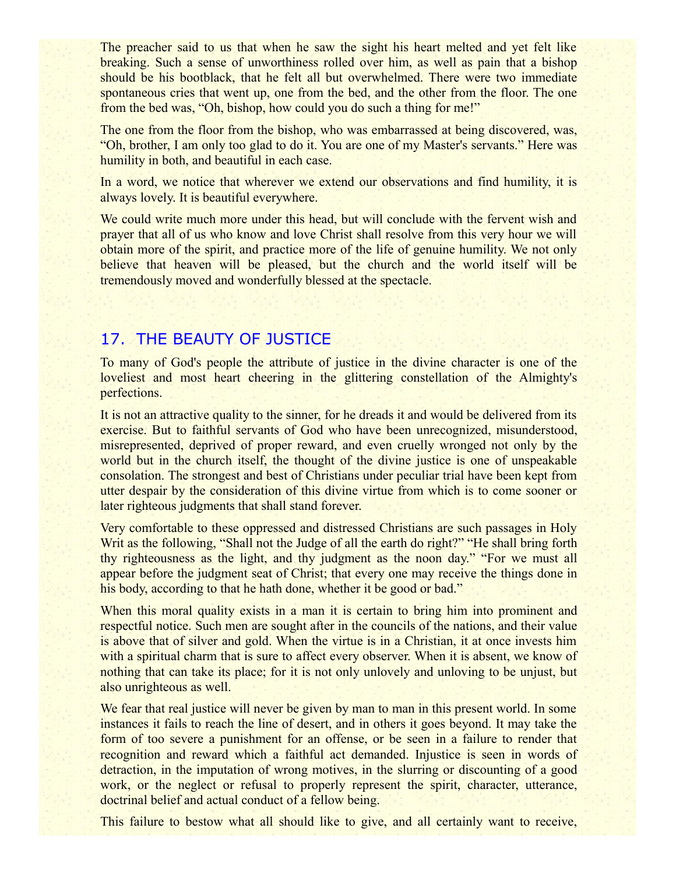The preacher said to us that when he saw the sight his heart melted and yet felt like breaking. Such a sense of unworthiness rolled over him, as well as pain that a bishop should be his bootblack, that he felt all but overwhelmed. There were two immediate spontaneous cries that went up, one from the bed, and the other from the floor. The one from the bed was, "Oh, bishop, how could you do such a thing for me!"

The one from the floor from the bishop, who was embarrassed at being discovered, was, "Oh, brother, I am only too glad to do it. You are one of my Master's servants." Here was humility in both, and beautiful in each case.

In a word, we notice that wherever we extend our observations and find humility, it is always lovely. It is beautiful everywhere.

We could write much more under this head, but will conclude with the fervent wish and prayer that all of us who know and love Christ shall resolve from this very hour we will obtain more of the spirit, and practice more of the life of genuine humility. We not only believe that heaven will be pleased, but the church and the world itself will be tremendously moved and wonderfully blessed at the spectacle.

# 17. THE BEAUTY OF JUSTICE

To many of God's people the attribute of justice in the divine character is one of the loveliest and most heart cheering in the glittering constellation of the Almighty's perfections.

It is not an attractive quality to the sinner, for he dreads it and would be delivered from its exercise. But to faithful servants of God who have been unrecognized, misunderstood, misrepresented, deprived of proper reward, and even cruelly wronged not only by the world but in the church itself, the thought of the divine justice is one of unspeakable consolation. The strongest and best of Christians under peculiar trial have been kept from utter despair by the consideration of this divine virtue from which is to come sooner or later righteous judgments that shall stand forever.

Very comfortable to these oppressed and distressed Christians are such passages in Holy Writ as the following, "Shall not the Judge of all the earth do right?" "He shall bring forth thy righteousness as the light, and thy judgment as the noon day." "For we must all appear before the judgment seat of Christ; that every one may receive the things done in his body, according to that he hath done, whether it be good or bad."

When this moral quality exists in a man it is certain to bring him into prominent and respectful notice. Such men are sought after in the councils of the nations, and their value is above that of silver and gold. When the virtue is in a Christian, it at once invests him with a spiritual charm that is sure to affect every observer. When it is absent, we know of nothing that can take its place; for it is not only unlovely and unloving to be unjust, but also unrighteous as well.

We fear that real justice will never be given by man to man in this present world. In some instances it fails to reach the line of desert, and in others it goes beyond. It may take the form of too severe a punishment for an offense, or be seen in a failure to render that recognition and reward which a faithful act demanded. Injustice is seen in words of detraction, in the imputation of wrong motives, in the slurring or discounting of a good work, or the neglect or refusal to properly represent the spirit, character, utterance, doctrinal belief and actual conduct of a fellow being.

This failure to bestow what all should like to give, and all certainly want to receive,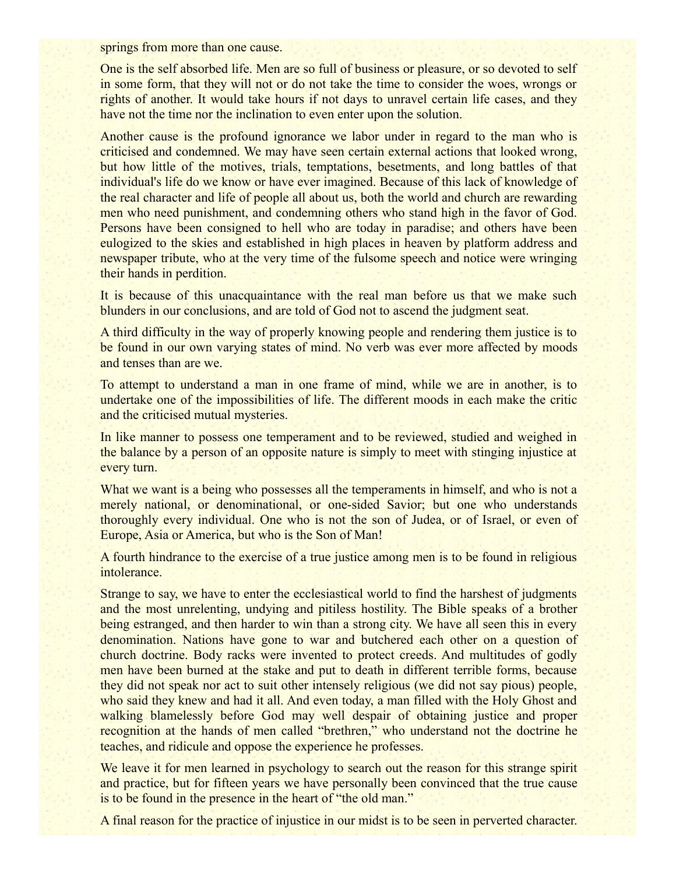springs from more than one cause.

One is the self absorbed life. Men are so full of business or pleasure, or so devoted to self in some form, that they will not or do not take the time to consider the woes, wrongs or rights of another. It would take hours if not days to unravel certain life cases, and they have not the time nor the inclination to even enter upon the solution.

Another cause is the profound ignorance we labor under in regard to the man who is criticised and condemned. We may have seen certain external actions that looked wrong, but how little of the motives, trials, temptations, besetments, and long battles of that individual's life do we know or have ever imagined. Because of this lack of knowledge of the real character and life of people all about us, both the world and church are rewarding men who need punishment, and condemning others who stand high in the favor of God. Persons have been consigned to hell who are today in paradise; and others have been eulogized to the skies and established in high places in heaven by platform address and newspaper tribute, who at the very time of the fulsome speech and notice were wringing their hands in perdition.

It is because of this unacquaintance with the real man before us that we make such blunders in our conclusions, and are told of God not to ascend the judgment seat.

A third difficulty in the way of properly knowing people and rendering them justice is to be found in our own varying states of mind. No verb was ever more affected by moods and tenses than are we.

To attempt to understand a man in one frame of mind, while we are in another, is to undertake one of the impossibilities of life. The different moods in each make the critic and the criticised mutual mysteries.

In like manner to possess one temperament and to be reviewed, studied and weighed in the balance by a person of an opposite nature is simply to meet with stinging injustice at every turn.

What we want is a being who possesses all the temperaments in himself, and who is not a merely national, or denominational, or one-sided Savior; but one who understands thoroughly every individual. One who is not the son of Judea, or of Israel, or even of Europe, Asia or America, but who is the Son of Man!

A fourth hindrance to the exercise of a true justice among men is to be found in religious intolerance.

Strange to say, we have to enter the ecclesiastical world to find the harshest of judgments and the most unrelenting, undying and pitiless hostility. The Bible speaks of a brother being estranged, and then harder to win than a strong city. We have all seen this in every denomination. Nations have gone to war and butchered each other on a question of church doctrine. Body racks were invented to protect creeds. And multitudes of godly men have been burned at the stake and put to death in different terrible forms, because they did not speak nor act to suit other intensely religious (we did not say pious) people, who said they knew and had it all. And even today, a man filled with the Holy Ghost and walking blamelessly before God may well despair of obtaining justice and proper recognition at the hands of men called "brethren," who understand not the doctrine he teaches, and ridicule and oppose the experience he professes.

We leave it for men learned in psychology to search out the reason for this strange spirit and practice, but for fifteen years we have personally been convinced that the true cause is to be found in the presence in the heart of "the old man."

A final reason for the practice of injustice in our midst is to be seen in perverted character.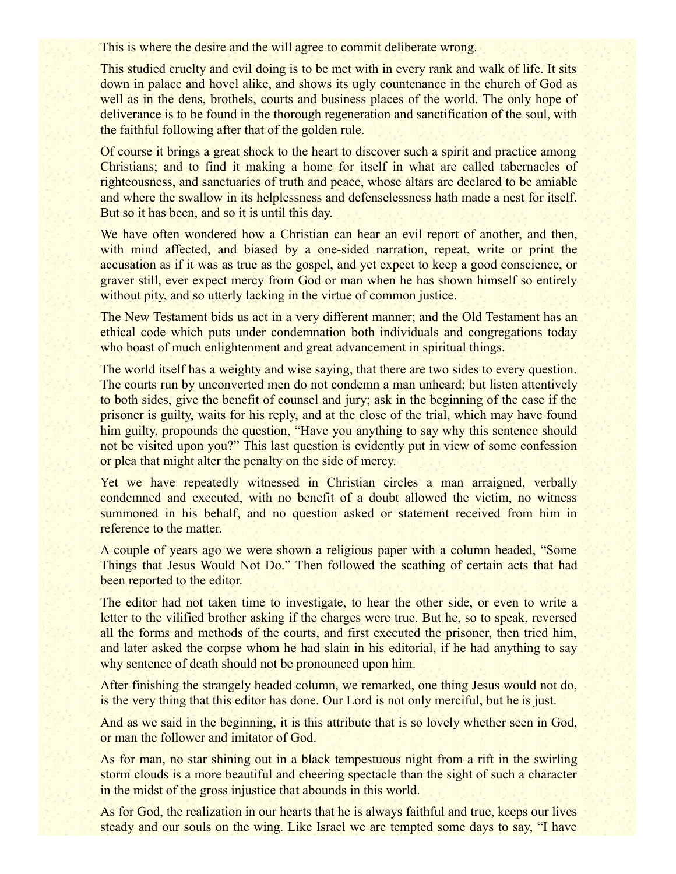This is where the desire and the will agree to commit deliberate wrong.

This studied cruelty and evil doing is to be met with in every rank and walk of life. It sits down in palace and hovel alike, and shows its ugly countenance in the church of God as well as in the dens, brothels, courts and business places of the world. The only hope of deliverance is to be found in the thorough regeneration and sanctification of the soul, with the faithful following after that of the golden rule.

Of course it brings a great shock to the heart to discover such a spirit and practice among Christians; and to find it making a home for itself in what are called tabernacles of righteousness, and sanctuaries of truth and peace, whose altars are declared to be amiable and where the swallow in its helplessness and defenselessness hath made a nest for itself. But so it has been, and so it is until this day.

We have often wondered how a Christian can hear an evil report of another, and then, with mind affected, and biased by a one-sided narration, repeat, write or print the accusation as if it was as true as the gospel, and yet expect to keep a good conscience, or graver still, ever expect mercy from God or man when he has shown himself so entirely without pity, and so utterly lacking in the virtue of common justice.

The New Testament bids us act in a very different manner; and the Old Testament has an ethical code which puts under condemnation both individuals and congregations today who boast of much enlightenment and great advancement in spiritual things.

The world itself has a weighty and wise saying, that there are two sides to every question. The courts run by unconverted men do not condemn a man unheard; but listen attentively to both sides, give the benefit of counsel and jury; ask in the beginning of the case if the prisoner is guilty, waits for his reply, and at the close of the trial, which may have found him guilty, propounds the question, "Have you anything to say why this sentence should not be visited upon you?" This last question is evidently put in view of some confession or plea that might alter the penalty on the side of mercy.

Yet we have repeatedly witnessed in Christian circles a man arraigned, verbally condemned and executed, with no benefit of a doubt allowed the victim, no witness summoned in his behalf, and no question asked or statement received from him in reference to the matter.

A couple of years ago we were shown a religious paper with a column headed, "Some Things that Jesus Would Not Do." Then followed the scathing of certain acts that had been reported to the editor.

The editor had not taken time to investigate, to hear the other side, or even to write a letter to the vilified brother asking if the charges were true. But he, so to speak, reversed all the forms and methods of the courts, and first executed the prisoner, then tried him, and later asked the corpse whom he had slain in his editorial, if he had anything to say why sentence of death should not be pronounced upon him.

After finishing the strangely headed column, we remarked, one thing Jesus would not do, is the very thing that this editor has done. Our Lord is not only merciful, but he is just.

And as we said in the beginning, it is this attribute that is so lovely whether seen in God, or man the follower and imitator of God.

As for man, no star shining out in a black tempestuous night from a rift in the swirling storm clouds is a more beautiful and cheering spectacle than the sight of such a character in the midst of the gross injustice that abounds in this world.

As for God, the realization in our hearts that he is always faithful and true, keeps our lives steady and our souls on the wing. Like Israel we are tempted some days to say, "I have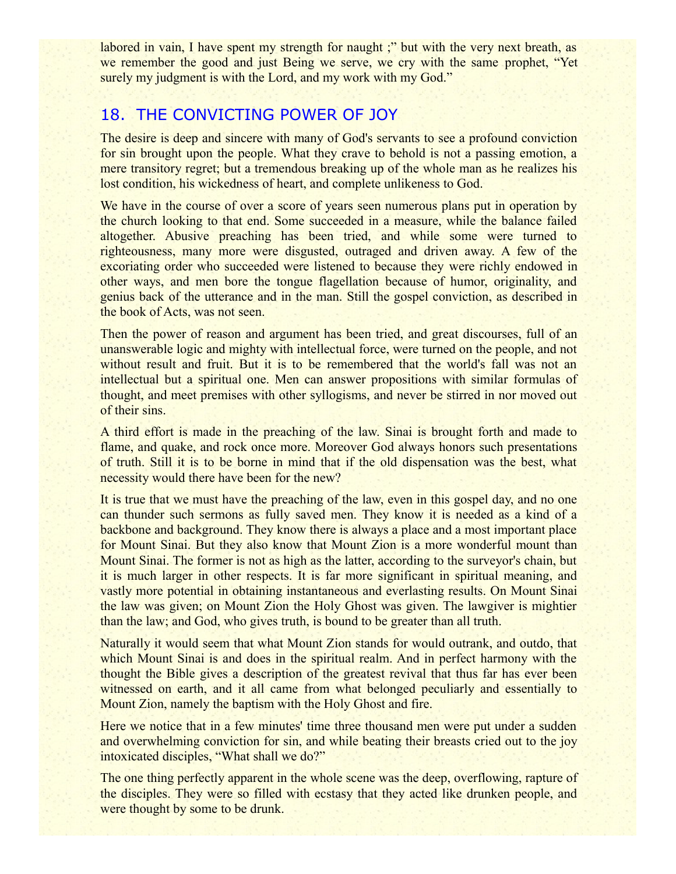labored in vain, I have spent my strength for naught;" but with the very next breath, as we remember the good and just Being we serve, we cry with the same prophet, "Yet surely my judgment is with the Lord, and my work with my God."

# 18. THE CONVICTING POWER OF JOY

The desire is deep and sincere with many of God's servants to see a profound conviction for sin brought upon the people. What they crave to behold is not a passing emotion, a mere transitory regret; but a tremendous breaking up of the whole man as he realizes his lost condition, his wickedness of heart, and complete unlikeness to God.

We have in the course of over a score of years seen numerous plans put in operation by the church looking to that end. Some succeeded in a measure, while the balance failed altogether. Abusive preaching has been tried, and while some were turned to righteousness, many more were disgusted, outraged and driven away. A few of the excoriating order who succeeded were listened to because they were richly endowed in other ways, and men bore the tongue flagellation because of humor, originality, and genius back of the utterance and in the man. Still the gospel conviction, as described in the book of Acts, was not seen.

Then the power of reason and argument has been tried, and great discourses, full of an unanswerable logic and mighty with intellectual force, were turned on the people, and not without result and fruit. But it is to be remembered that the world's fall was not an intellectual but a spiritual one. Men can answer propositions with similar formulas of thought, and meet premises with other syllogisms, and never be stirred in nor moved out of their sins.

A third effort is made in the preaching of the law. Sinai is brought forth and made to flame, and quake, and rock once more. Moreover God always honors such presentations of truth. Still it is to be borne in mind that if the old dispensation was the best, what necessity would there have been for the new?

It is true that we must have the preaching of the law, even in this gospel day, and no one can thunder such sermons as fully saved men. They know it is needed as a kind of a backbone and background. They know there is always a place and a most important place for Mount Sinai. But they also know that Mount Zion is a more wonderful mount than Mount Sinai. The former is not as high as the latter, according to the surveyor's chain, but it is much larger in other respects. It is far more significant in spiritual meaning, and vastly more potential in obtaining instantaneous and everlasting results. On Mount Sinai the law was given; on Mount Zion the Holy Ghost was given. The lawgiver is mightier than the law; and God, who gives truth, is bound to be greater than all truth.

Naturally it would seem that what Mount Zion stands for would outrank, and outdo, that which Mount Sinai is and does in the spiritual realm. And in perfect harmony with the thought the Bible gives a description of the greatest revival that thus far has ever been witnessed on earth, and it all came from what belonged peculiarly and essentially to Mount Zion, namely the baptism with the Holy Ghost and fire.

Here we notice that in a few minutes' time three thousand men were put under a sudden and overwhelming conviction for sin, and while beating their breasts cried out to the joy intoxicated disciples, "What shall we do?"

The one thing perfectly apparent in the whole scene was the deep, overflowing, rapture of the disciples. They were so filled with ecstasy that they acted like drunken people, and were thought by some to be drunk.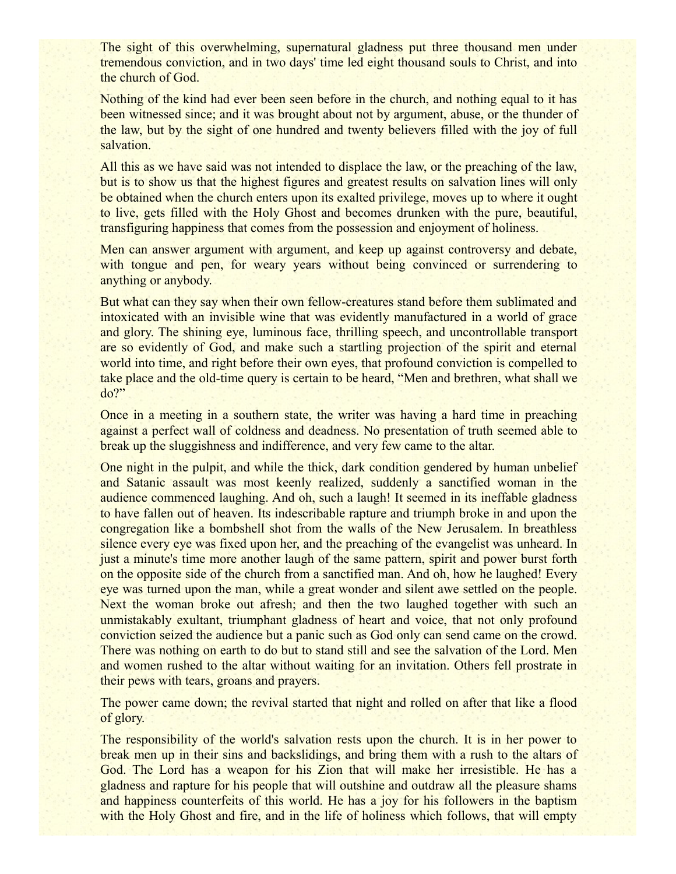The sight of this overwhelming, supernatural gladness put three thousand men under tremendous conviction, and in two days' time led eight thousand souls to Christ, and into the church of God.

Nothing of the kind had ever been seen before in the church, and nothing equal to it has been witnessed since; and it was brought about not by argument, abuse, or the thunder of the law, but by the sight of one hundred and twenty believers filled with the joy of full salvation.

All this as we have said was not intended to displace the law, or the preaching of the law, but is to show us that the highest figures and greatest results on salvation lines will only be obtained when the church enters upon its exalted privilege, moves up to where it ought to live, gets filled with the Holy Ghost and becomes drunken with the pure, beautiful, transfiguring happiness that comes from the possession and enjoyment of holiness.

Men can answer argument with argument, and keep up against controversy and debate, with tongue and pen, for weary years without being convinced or surrendering to anything or anybody.

But what can they say when their own fellow-creatures stand before them sublimated and intoxicated with an invisible wine that was evidently manufactured in a world of grace and glory. The shining eye, luminous face, thrilling speech, and uncontrollable transport are so evidently of God, and make such a startling projection of the spirit and eternal world into time, and right before their own eyes, that profound conviction is compelled to take place and the old-time query is certain to be heard, "Men and brethren, what shall we do?"

Once in a meeting in a southern state, the writer was having a hard time in preaching against a perfect wall of coldness and deadness. No presentation of truth seemed able to break up the sluggishness and indifference, and very few came to the altar.

One night in the pulpit, and while the thick, dark condition gendered by human unbelief and Satanic assault was most keenly realized, suddenly a sanctified woman in the audience commenced laughing. And oh, such a laugh! It seemed in its ineffable gladness to have fallen out of heaven. Its indescribable rapture and triumph broke in and upon the congregation like a bombshell shot from the walls of the New Jerusalem. In breathless silence every eye was fixed upon her, and the preaching of the evangelist was unheard. In just a minute's time more another laugh of the same pattern, spirit and power burst forth on the opposite side of the church from a sanctified man. And oh, how he laughed! Every eye was turned upon the man, while a great wonder and silent awe settled on the people. Next the woman broke out afresh; and then the two laughed together with such an unmistakably exultant, triumphant gladness of heart and voice, that not only profound conviction seized the audience but a panic such as God only can send came on the crowd. There was nothing on earth to do but to stand still and see the salvation of the Lord. Men and women rushed to the altar without waiting for an invitation. Others fell prostrate in their pews with tears, groans and prayers.

The power came down; the revival started that night and rolled on after that like a flood of glory.

The responsibility of the world's salvation rests upon the church. It is in her power to break men up in their sins and backslidings, and bring them with a rush to the altars of God. The Lord has a weapon for his Zion that will make her irresistible. He has a gladness and rapture for his people that will outshine and outdraw all the pleasure shams and happiness counterfeits of this world. He has a joy for his followers in the baptism with the Holy Ghost and fire, and in the life of holiness which follows, that will empty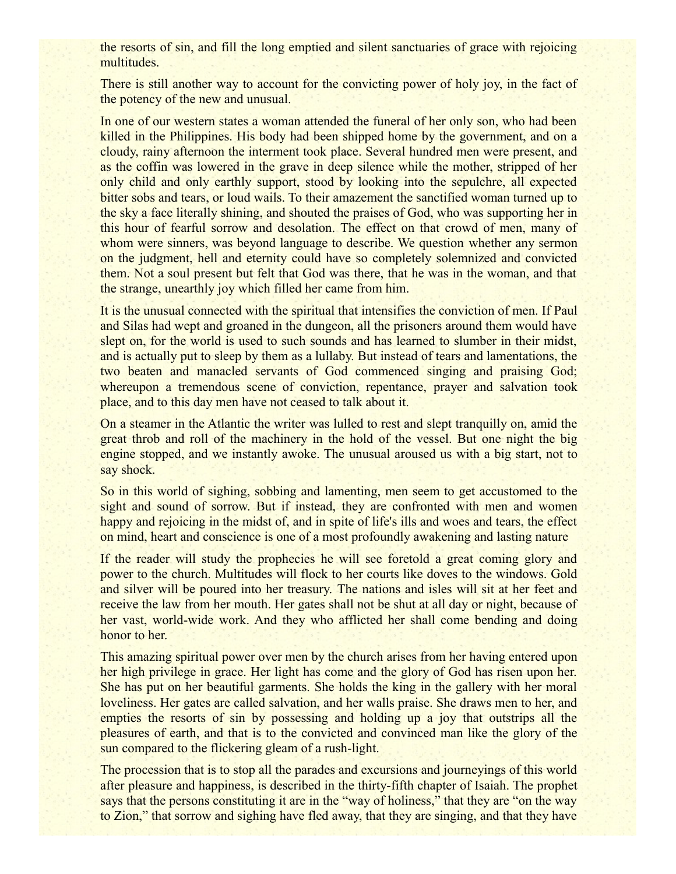the resorts of sin, and fill the long emptied and silent sanctuaries of grace with rejoicing multitudes.

There is still another way to account for the convicting power of holy joy, in the fact of the potency of the new and unusual.

In one of our western states a woman attended the funeral of her only son, who had been killed in the Philippines. His body had been shipped home by the government, and on a cloudy, rainy afternoon the interment took place. Several hundred men were present, and as the coffin was lowered in the grave in deep silence while the mother, stripped of her only child and only earthly support, stood by looking into the sepulchre, all expected bitter sobs and tears, or loud wails. To their amazement the sanctified woman turned up to the sky a face literally shining, and shouted the praises of God, who was supporting her in this hour of fearful sorrow and desolation. The effect on that crowd of men, many of whom were sinners, was beyond language to describe. We question whether any sermon on the judgment, hell and eternity could have so completely solemnized and convicted them. Not a soul present but felt that God was there, that he was in the woman, and that the strange, unearthly joy which filled her came from him.

It is the unusual connected with the spiritual that intensifies the conviction of men. If Paul and Silas had wept and groaned in the dungeon, all the prisoners around them would have slept on, for the world is used to such sounds and has learned to slumber in their midst, and is actually put to sleep by them as a lullaby. But instead of tears and lamentations, the two beaten and manacled servants of God commenced singing and praising God; whereupon a tremendous scene of conviction, repentance, prayer and salvation took place, and to this day men have not ceased to talk about it.

On a steamer in the Atlantic the writer was lulled to rest and slept tranquilly on, amid the great throb and roll of the machinery in the hold of the vessel. But one night the big engine stopped, and we instantly awoke. The unusual aroused us with a big start, not to say shock.

So in this world of sighing, sobbing and lamenting, men seem to get accustomed to the sight and sound of sorrow. But if instead, they are confronted with men and women happy and rejoicing in the midst of, and in spite of life's ills and woes and tears, the effect on mind, heart and conscience is one of a most profoundly awakening and lasting nature

If the reader will study the prophecies he will see foretold a great coming glory and power to the church. Multitudes will flock to her courts like doves to the windows. Gold and silver will be poured into her treasury. The nations and isles will sit at her feet and receive the law from her mouth. Her gates shall not be shut at all day or night, because of her vast, world-wide work. And they who afflicted her shall come bending and doing honor to her.

This amazing spiritual power over men by the church arises from her having entered upon her high privilege in grace. Her light has come and the glory of God has risen upon her. She has put on her beautiful garments. She holds the king in the gallery with her moral loveliness. Her gates are called salvation, and her walls praise. She draws men to her, and empties the resorts of sin by possessing and holding up a joy that outstrips all the pleasures of earth, and that is to the convicted and convinced man like the glory of the sun compared to the flickering gleam of a rush-light.

The procession that is to stop all the parades and excursions and journeyings of this world after pleasure and happiness, is described in the thirty-fifth chapter of Isaiah. The prophet says that the persons constituting it are in the "way of holiness," that they are "on the way to Zion," that sorrow and sighing have fled away, that they are singing, and that they have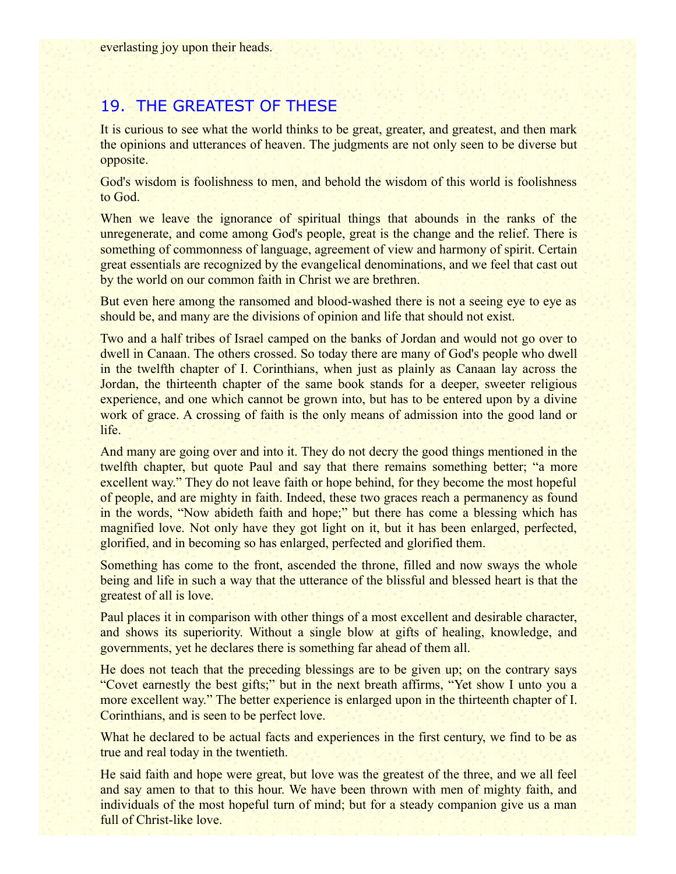# 19. THE GREATEST OF THESE

It is curious to see what the world thinks to be great, greater, and greatest, and then mark the opinions and utterances of heaven. The judgments are not only seen to be diverse but opposite.

God's wisdom is foolishness to men, and behold the wisdom of this world is foolishness to God.

When we leave the ignorance of spiritual things that abounds in the ranks of the unregenerate, and come among God's people, great is the change and the relief. There is something of commonness of language, agreement of view and harmony of spirit. Certain great essentials are recognized by the evangelical denominations, and we feel that cast out by the world on our common faith in Christ we are brethren.

But even here among the ransomed and blood-washed there is not a seeing eye to eye as should be, and many are the divisions of opinion and life that should not exist.

Two and a half tribes of Israel camped on the banks of Jordan and would not go over to dwell in Canaan. The others crossed. So today there are many of God's people who dwell in the twelfth chapter of I. Corinthians, when just as plainly as Canaan lay across the Jordan, the thirteenth chapter of the same book stands for a deeper, sweeter religious experience, and one which cannot be grown into, but has to be entered upon by a divine work of grace. A crossing of faith is the only means of admission into the good land or life.

And many are going over and into it. They do not decry the good things mentioned in the twelfth chapter, but quote Paul and say that there remains something better; "a more excellent way." They do not leave faith or hope behind, for they become the most hopeful of people, and are mighty in faith. Indeed, these two graces reach a permanency as found in the words, "Now abideth faith and hope;" but there has come a blessing which has magnified love. Not only have they got light on it, but it has been enlarged, perfected, glorified, and in becoming so has enlarged, perfected and glorified them.

Something has come to the front, ascended the throne, filled and now sways the whole being and life in such a way that the utterance of the blissful and blessed heart is that the greatest of all is love.

Paul places it in comparison with other things of a most excellent and desirable character, and shows its superiority. Without a single blow at gifts of healing, knowledge, and governments, yet he declares there is something far ahead of them all.

He does not teach that the preceding blessings are to be given up; on the contrary says "Covet earnestly the best gifts;" but in the next breath affirms, "Yet show I unto you a more excellent way." The better experience is enlarged upon in the thirteenth chapter of I. Corinthians, and is seen to be perfect love.

What he declared to be actual facts and experiences in the first century, we find to be as true and real today in the twentieth.

He said faith and hope were great, but love was the greatest of the three, and we all feel and say amen to that to this hour. We have been thrown with men of mighty faith, and individuals of the most hopeful turn of mind; but for a steady companion give us a man full of Christ-like love.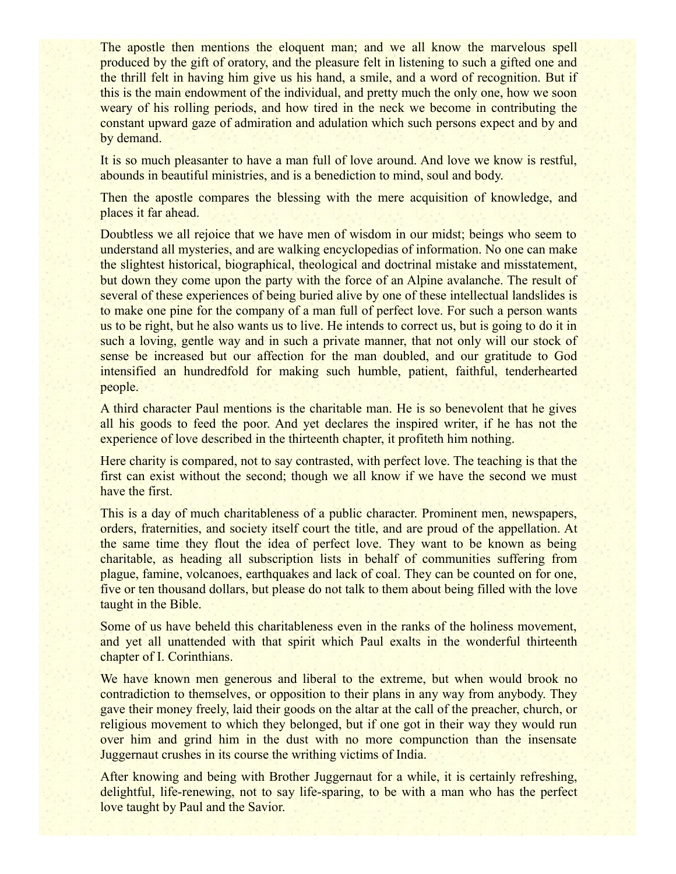The apostle then mentions the eloquent man; and we all know the marvelous spell produced by the gift of oratory, and the pleasure felt in listening to such a gifted one and the thrill felt in having him give us his hand, a smile, and a word of recognition. But if this is the main endowment of the individual, and pretty much the only one, how we soon weary of his rolling periods, and how tired in the neck we become in contributing the constant upward gaze of admiration and adulation which such persons expect and by and by demand.

It is so much pleasanter to have a man full of love around. And love we know is restful, abounds in beautiful ministries, and is a benediction to mind, soul and body.

Then the apostle compares the blessing with the mere acquisition of knowledge, and places it far ahead.

Doubtless we all rejoice that we have men of wisdom in our midst; beings who seem to understand all mysteries, and are walking encyclopedias of information. No one can make the slightest historical, biographical, theological and doctrinal mistake and misstatement, but down they come upon the party with the force of an Alpine avalanche. The result of several of these experiences of being buried alive by one of these intellectual landslides is to make one pine for the company of a man full of perfect love. For such a person wants us to be right, but he also wants us to live. He intends to correct us, but is going to do it in such a loving, gentle way and in such a private manner, that not only will our stock of sense be increased but our affection for the man doubled, and our gratitude to God intensified an hundredfold for making such humble, patient, faithful, tenderhearted people.

A third character Paul mentions is the charitable man. He is so benevolent that he gives all his goods to feed the poor. And yet declares the inspired writer, if he has not the experience of love described in the thirteenth chapter, it profiteth him nothing.

Here charity is compared, not to say contrasted, with perfect love. The teaching is that the first can exist without the second; though we all know if we have the second we must have the first.

This is a day of much charitableness of a public character. Prominent men, newspapers, orders, fraternities, and society itself court the title, and are proud of the appellation. At the same time they flout the idea of perfect love. They want to be known as being charitable, as heading all subscription lists in behalf of communities suffering from plague, famine, volcanoes, earthquakes and lack of coal. They can be counted on for one, five or ten thousand dollars, but please do not talk to them about being filled with the love taught in the Bible.

Some of us have beheld this charitableness even in the ranks of the holiness movement, and yet all unattended with that spirit which Paul exalts in the wonderful thirteenth chapter of I. Corinthians.

We have known men generous and liberal to the extreme, but when would brook no contradiction to themselves, or opposition to their plans in any way from anybody. They gave their money freely, laid their goods on the altar at the call of the preacher, church, or religious movement to which they belonged, but if one got in their way they would run over him and grind him in the dust with no more compunction than the insensate Juggernaut crushes in its course the writhing victims of India.

After knowing and being with Brother Juggernaut for a while, it is certainly refreshing, delightful, life-renewing, not to say life-sparing, to be with a man who has the perfect love taught by Paul and the Savior.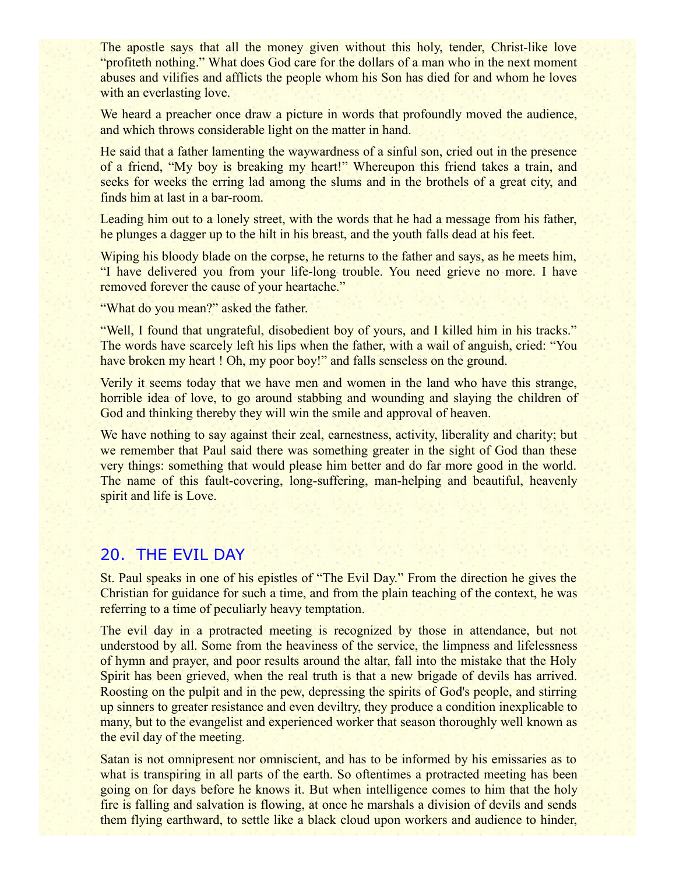The apostle says that all the money given without this holy, tender, Christ-like love "profiteth nothing." What does God care for the dollars of a man who in the next moment abuses and vilifies and afflicts the people whom his Son has died for and whom he loves with an everlasting love.

We heard a preacher once draw a picture in words that profoundly moved the audience, and which throws considerable light on the matter in hand.

He said that a father lamenting the waywardness of a sinful son, cried out in the presence of a friend, "My boy is breaking my heart!" Whereupon this friend takes a train, and seeks for weeks the erring lad among the slums and in the brothels of a great city, and finds him at last in a bar-room.

Leading him out to a lonely street, with the words that he had a message from his father, he plunges a dagger up to the hilt in his breast, and the youth falls dead at his feet.

Wiping his bloody blade on the corpse, he returns to the father and says, as he meets him, "I have delivered you from your life-long trouble. You need grieve no more. I have removed forever the cause of your heartache."

"What do you mean?" asked the father.

"Well, I found that ungrateful, disobedient boy of yours, and I killed him in his tracks." The words have scarcely left his lips when the father, with a wail of anguish, cried: "You have broken my heart ! Oh, my poor boy!" and falls senseless on the ground.

Verily it seems today that we have men and women in the land who have this strange, horrible idea of love, to go around stabbing and wounding and slaying the children of God and thinking thereby they will win the smile and approval of heaven.

We have nothing to say against their zeal, earnestness, activity, liberality and charity; but we remember that Paul said there was something greater in the sight of God than these very things: something that would please him better and do far more good in the world. The name of this fault-covering, long-suffering, man-helping and beautiful, heavenly spirit and life is Love.

#### 20. THE EVIL DAY

St. Paul speaks in one of his epistles of "The Evil Day." From the direction he gives the Christian for guidance for such a time, and from the plain teaching of the context, he was referring to a time of peculiarly heavy temptation.

The evil day in a protracted meeting is recognized by those in attendance, but not understood by all. Some from the heaviness of the service, the limpness and lifelessness of hymn and prayer, and poor results around the altar, fall into the mistake that the Holy Spirit has been grieved, when the real truth is that a new brigade of devils has arrived. Roosting on the pulpit and in the pew, depressing the spirits of God's people, and stirring up sinners to greater resistance and even deviltry, they produce a condition inexplicable to many, but to the evangelist and experienced worker that season thoroughly well known as the evil day of the meeting.

Satan is not omnipresent nor omniscient, and has to be informed by his emissaries as to what is transpiring in all parts of the earth. So oftentimes a protracted meeting has been going on for days before he knows it. But when intelligence comes to him that the holy fire is falling and salvation is flowing, at once he marshals a division of devils and sends them flying earthward, to settle like a black cloud upon workers and audience to hinder,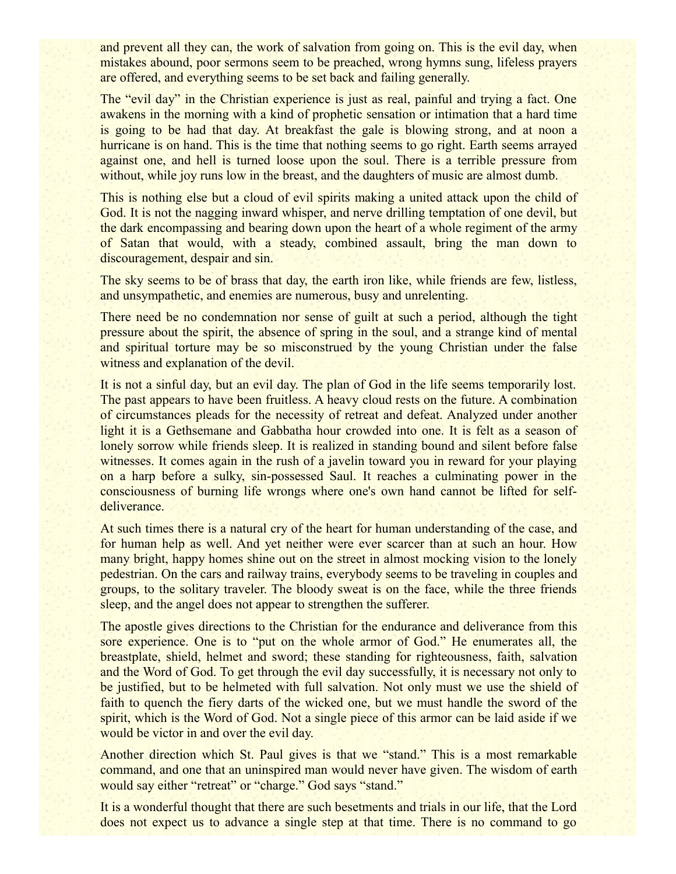and prevent all they can, the work of salvation from going on. This is the evil day, when mistakes abound, poor sermons seem to be preached, wrong hymns sung, lifeless prayers are offered, and everything seems to be set back and failing generally.

The "evil day" in the Christian experience is just as real, painful and trying a fact. One awakens in the morning with a kind of prophetic sensation or intimation that a hard time is going to be had that day. At breakfast the gale is blowing strong, and at noon a hurricane is on hand. This is the time that nothing seems to go right. Earth seems arrayed against one, and hell is turned loose upon the soul. There is a terrible pressure from without, while joy runs low in the breast, and the daughters of music are almost dumb.

This is nothing else but a cloud of evil spirits making a united attack upon the child of God. It is not the nagging inward whisper, and nerve drilling temptation of one devil, but the dark encompassing and bearing down upon the heart of a whole regiment of the army of Satan that would, with a steady, combined assault, bring the man down to discouragement, despair and sin.

The sky seems to be of brass that day, the earth iron like, while friends are few, listless, and unsympathetic, and enemies are numerous, busy and unrelenting.

There need be no condemnation nor sense of guilt at such a period, although the tight pressure about the spirit, the absence of spring in the soul, and a strange kind of mental and spiritual torture may be so misconstrued by the young Christian under the false witness and explanation of the devil.

It is not a sinful day, but an evil day. The plan of God in the life seems temporarily lost. The past appears to have been fruitless. A heavy cloud rests on the future. A combination of circumstances pleads for the necessity of retreat and defeat. Analyzed under another light it is a Gethsemane and Gabbatha hour crowded into one. It is felt as a season of lonely sorrow while friends sleep. It is realized in standing bound and silent before false witnesses. It comes again in the rush of a javelin toward you in reward for your playing on a harp before a sulky, sin-possessed Saul. It reaches a culminating power in the consciousness of burning life wrongs where one's own hand cannot be lifted for selfdeliverance.

At such times there is a natural cry of the heart for human understanding of the case, and for human help as well. And yet neither were ever scarcer than at such an hour. How many bright, happy homes shine out on the street in almost mocking vision to the lonely pedestrian. On the cars and railway trains, everybody seems to be traveling in couples and groups, to the solitary traveler. The bloody sweat is on the face, while the three friends sleep, and the angel does not appear to strengthen the sufferer.

The apostle gives directions to the Christian for the endurance and deliverance from this sore experience. One is to "put on the whole armor of God." He enumerates all, the breastplate, shield, helmet and sword; these standing for righteousness, faith, salvation and the Word of God. To get through the evil day successfully, it is necessary not only to be justified, but to be helmeted with full salvation. Not only must we use the shield of faith to quench the fiery darts of the wicked one, but we must handle the sword of the spirit, which is the Word of God. Not a single piece of this armor can be laid aside if we would be victor in and over the evil day.

Another direction which St. Paul gives is that we "stand." This is a most remarkable command, and one that an uninspired man would never have given. The wisdom of earth would say either "retreat" or "charge." God says "stand."

It is a wonderful thought that there are such besetments and trials in our life, that the Lord does not expect us to advance a single step at that time. There is no command to go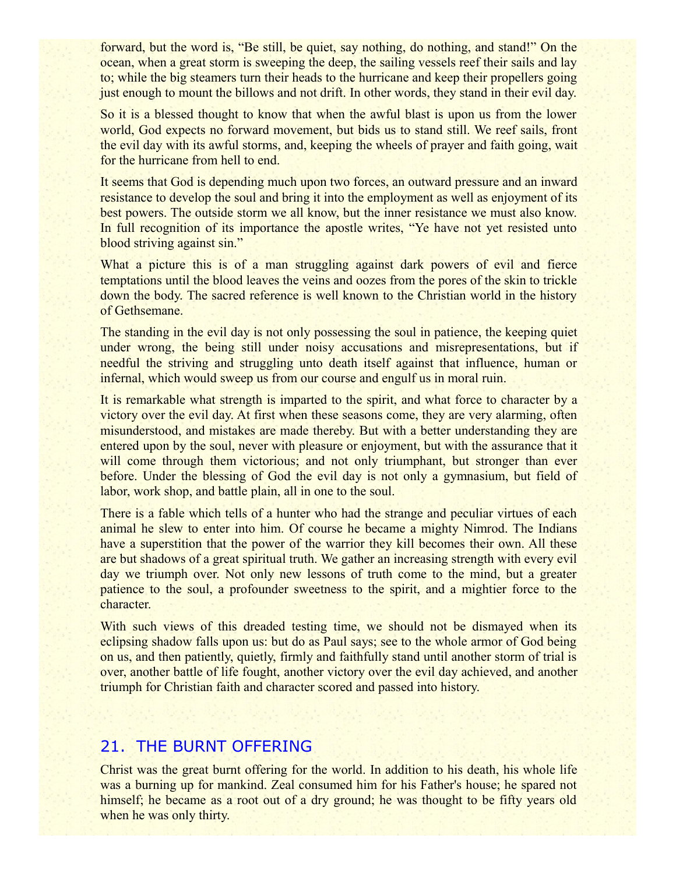forward, but the word is, "Be still, be quiet, say nothing, do nothing, and stand!" On the ocean, when a great storm is sweeping the deep, the sailing vessels reef their sails and lay to; while the big steamers turn their heads to the hurricane and keep their propellers going just enough to mount the billows and not drift. In other words, they stand in their evil day.

So it is a blessed thought to know that when the awful blast is upon us from the lower world, God expects no forward movement, but bids us to stand still. We reef sails, front the evil day with its awful storms, and, keeping the wheels of prayer and faith going, wait for the hurricane from hell to end.

It seems that God is depending much upon two forces, an outward pressure and an inward resistance to develop the soul and bring it into the employment as well as enjoyment of its best powers. The outside storm we all know, but the inner resistance we must also know. In full recognition of its importance the apostle writes, "Ye have not yet resisted unto blood striving against sin."

What a picture this is of a man struggling against dark powers of evil and fierce temptations until the blood leaves the veins and oozes from the pores of the skin to trickle down the body. The sacred reference is well known to the Christian world in the history of Gethsemane.

The standing in the evil day is not only possessing the soul in patience, the keeping quiet under wrong, the being still under noisy accusations and misrepresentations, but if needful the striving and struggling unto death itself against that influence, human or infernal, which would sweep us from our course and engulf us in moral ruin.

It is remarkable what strength is imparted to the spirit, and what force to character by a victory over the evil day. At first when these seasons come, they are very alarming, often misunderstood, and mistakes are made thereby. But with a better understanding they are entered upon by the soul, never with pleasure or enjoyment, but with the assurance that it will come through them victorious; and not only triumphant, but stronger than ever before. Under the blessing of God the evil day is not only a gymnasium, but field of labor, work shop, and battle plain, all in one to the soul.

There is a fable which tells of a hunter who had the strange and peculiar virtues of each animal he slew to enter into him. Of course he became a mighty Nimrod. The Indians have a superstition that the power of the warrior they kill becomes their own. All these are but shadows of a great spiritual truth. We gather an increasing strength with every evil day we triumph over. Not only new lessons of truth come to the mind, but a greater patience to the soul, a profounder sweetness to the spirit, and a mightier force to the character.

With such views of this dreaded testing time, we should not be dismayed when its eclipsing shadow falls upon us: but do as Paul says; see to the whole armor of God being on us, and then patiently, quietly, firmly and faithfully stand until another storm of trial is over, another battle of life fought, another victory over the evil day achieved, and another triumph for Christian faith and character scored and passed into history.

# 21. THE BURNT OFFERING

Christ was the great burnt offering for the world. In addition to his death, his whole life was a burning up for mankind. Zeal consumed him for his Father's house; he spared not himself; he became as a root out of a dry ground; he was thought to be fifty years old when he was only thirty.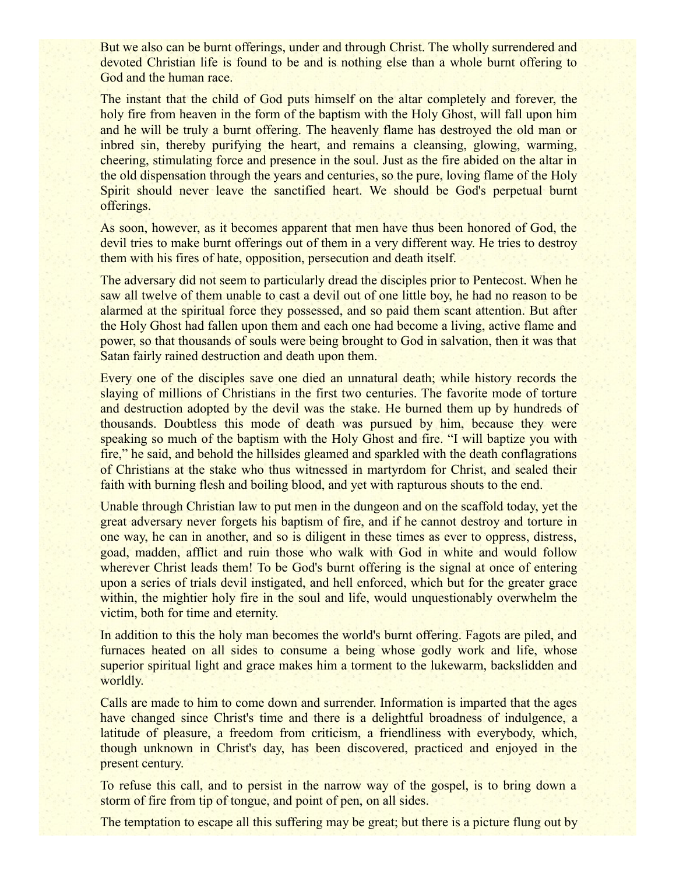But we also can be burnt offerings, under and through Christ. The wholly surrendered and devoted Christian life is found to be and is nothing else than a whole burnt offering to God and the human race.

The instant that the child of God puts himself on the altar completely and forever, the holy fire from heaven in the form of the baptism with the Holy Ghost, will fall upon him and he will be truly a burnt offering. The heavenly flame has destroyed the old man or inbred sin, thereby purifying the heart, and remains a cleansing, glowing, warming, cheering, stimulating force and presence in the soul. Just as the fire abided on the altar in the old dispensation through the years and centuries, so the pure, loving flame of the Holy Spirit should never leave the sanctified heart. We should be God's perpetual burnt offerings.

As soon, however, as it becomes apparent that men have thus been honored of God, the devil tries to make burnt offerings out of them in a very different way. He tries to destroy them with his fires of hate, opposition, persecution and death itself.

The adversary did not seem to particularly dread the disciples prior to Pentecost. When he saw all twelve of them unable to cast a devil out of one little boy, he had no reason to be alarmed at the spiritual force they possessed, and so paid them scant attention. But after the Holy Ghost had fallen upon them and each one had become a living, active flame and power, so that thousands of souls were being brought to God in salvation, then it was that Satan fairly rained destruction and death upon them.

Every one of the disciples save one died an unnatural death; while history records the slaying of millions of Christians in the first two centuries. The favorite mode of torture and destruction adopted by the devil was the stake. He burned them up by hundreds of thousands. Doubtless this mode of death was pursued by him, because they were speaking so much of the baptism with the Holy Ghost and fire. "I will baptize you with fire," he said, and behold the hillsides gleamed and sparkled with the death conflagrations of Christians at the stake who thus witnessed in martyrdom for Christ, and sealed their faith with burning flesh and boiling blood, and yet with rapturous shouts to the end.

Unable through Christian law to put men in the dungeon and on the scaffold today, yet the great adversary never forgets his baptism of fire, and if he cannot destroy and torture in one way, he can in another, and so is diligent in these times as ever to oppress, distress, goad, madden, afflict and ruin those who walk with God in white and would follow wherever Christ leads them! To be God's burnt offering is the signal at once of entering upon a series of trials devil instigated, and hell enforced, which but for the greater grace within, the mightier holy fire in the soul and life, would unquestionably overwhelm the victim, both for time and eternity.

In addition to this the holy man becomes the world's burnt offering. Fagots are piled, and furnaces heated on all sides to consume a being whose godly work and life, whose superior spiritual light and grace makes him a torment to the lukewarm, backslidden and worldly.

Calls are made to him to come down and surrender. Information is imparted that the ages have changed since Christ's time and there is a delightful broadness of indulgence, a latitude of pleasure, a freedom from criticism, a friendliness with everybody, which, though unknown in Christ's day, has been discovered, practiced and enjoyed in the present century.

To refuse this call, and to persist in the narrow way of the gospel, is to bring down a storm of fire from tip of tongue, and point of pen, on all sides.

The temptation to escape all this suffering may be great; but there is a picture flung out by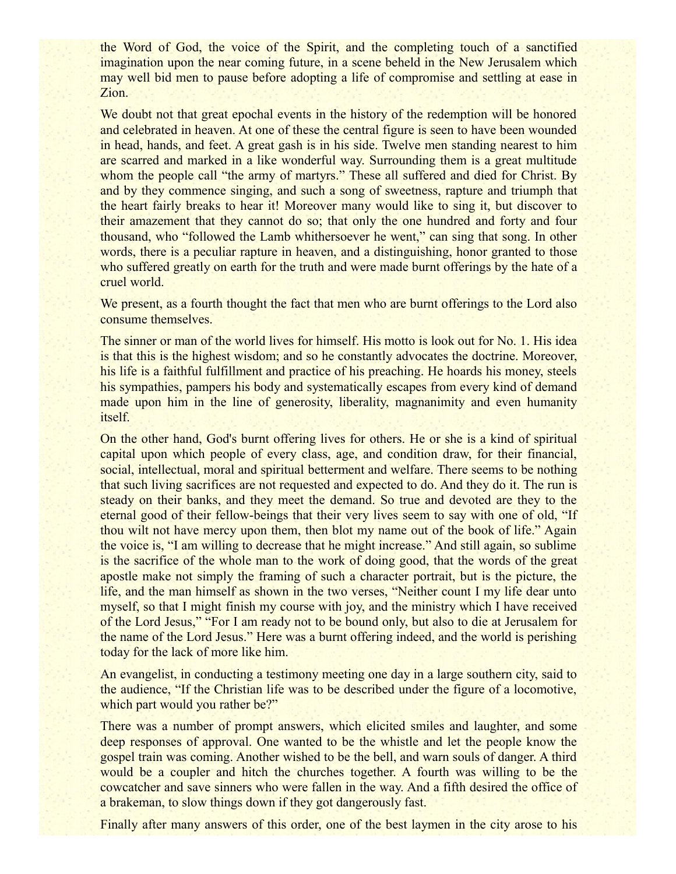the Word of God, the voice of the Spirit, and the completing touch of a sanctified imagination upon the near coming future, in a scene beheld in the New Jerusalem which may well bid men to pause before adopting a life of compromise and settling at ease in Zion.

We doubt not that great epochal events in the history of the redemption will be honored and celebrated in heaven. At one of these the central figure is seen to have been wounded in head, hands, and feet. A great gash is in his side. Twelve men standing nearest to him are scarred and marked in a like wonderful way. Surrounding them is a great multitude whom the people call "the army of martyrs." These all suffered and died for Christ. By and by they commence singing, and such a song of sweetness, rapture and triumph that the heart fairly breaks to hear it! Moreover many would like to sing it, but discover to their amazement that they cannot do so; that only the one hundred and forty and four thousand, who "followed the Lamb whithersoever he went," can sing that song. In other words, there is a peculiar rapture in heaven, and a distinguishing, honor granted to those who suffered greatly on earth for the truth and were made burnt offerings by the hate of a cruel world.

We present, as a fourth thought the fact that men who are burnt offerings to the Lord also consume themselves.

The sinner or man of the world lives for himself. His motto is look out for No. 1. His idea is that this is the highest wisdom; and so he constantly advocates the doctrine. Moreover, his life is a faithful fulfillment and practice of his preaching. He hoards his money, steels his sympathies, pampers his body and systematically escapes from every kind of demand made upon him in the line of generosity, liberality, magnanimity and even humanity itself.

On the other hand, God's burnt offering lives for others. He or she is a kind of spiritual capital upon which people of every class, age, and condition draw, for their financial, social, intellectual, moral and spiritual betterment and welfare. There seems to be nothing that such living sacrifices are not requested and expected to do. And they do it. The run is steady on their banks, and they meet the demand. So true and devoted are they to the eternal good of their fellow-beings that their very lives seem to say with one of old, "If thou wilt not have mercy upon them, then blot my name out of the book of life." Again the voice is, "I am willing to decrease that he might increase." And still again, so sublime is the sacrifice of the whole man to the work of doing good, that the words of the great apostle make not simply the framing of such a character portrait, but is the picture, the life, and the man himself as shown in the two verses, "Neither count I my life dear unto myself, so that I might finish my course with joy, and the ministry which I have received of the Lord Jesus," "For I am ready not to be bound only, but also to die at Jerusalem for the name of the Lord Jesus." Here was a burnt offering indeed, and the world is perishing today for the lack of more like him.

An evangelist, in conducting a testimony meeting one day in a large southern city, said to the audience, "If the Christian life was to be described under the figure of a locomotive, which part would you rather be?"

There was a number of prompt answers, which elicited smiles and laughter, and some deep responses of approval. One wanted to be the whistle and let the people know the gospel train was coming. Another wished to be the bell, and warn souls of danger. A third would be a coupler and hitch the churches together. A fourth was willing to be the cowcatcher and save sinners who were fallen in the way. And a fifth desired the office of a brakeman, to slow things down if they got dangerously fast.

Finally after many answers of this order, one of the best laymen in the city arose to his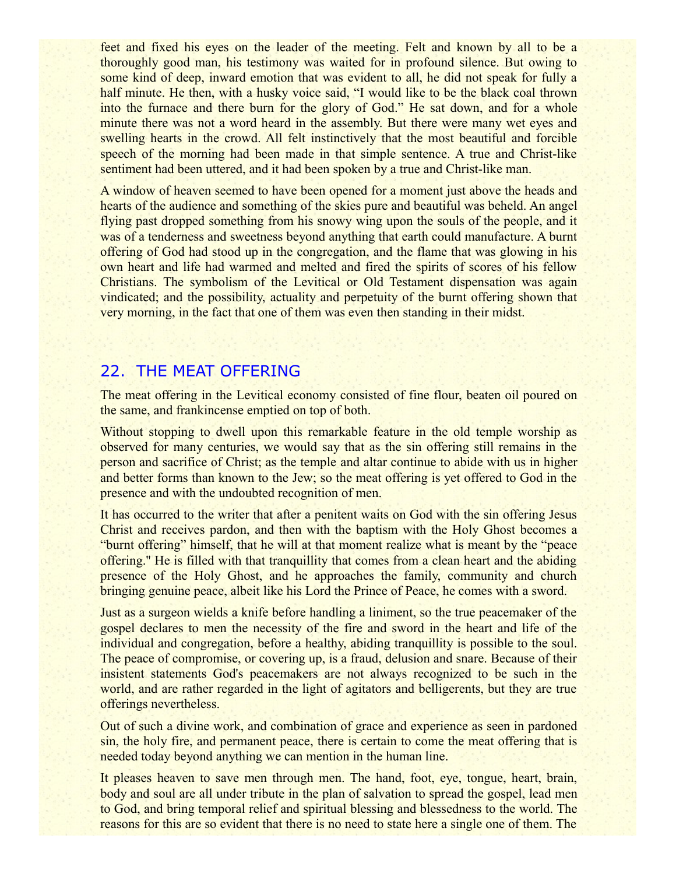feet and fixed his eyes on the leader of the meeting. Felt and known by all to be a thoroughly good man, his testimony was waited for in profound silence. But owing to some kind of deep, inward emotion that was evident to all, he did not speak for fully a half minute. He then, with a husky voice said, "I would like to be the black coal thrown into the furnace and there burn for the glory of God." He sat down, and for a whole minute there was not a word heard in the assembly. But there were many wet eyes and swelling hearts in the crowd. All felt instinctively that the most beautiful and forcible speech of the morning had been made in that simple sentence. A true and Christ-like sentiment had been uttered, and it had been spoken by a true and Christ-like man.

A window of heaven seemed to have been opened for a moment just above the heads and hearts of the audience and something of the skies pure and beautiful was beheld. An angel flying past dropped something from his snowy wing upon the souls of the people, and it was of a tenderness and sweetness beyond anything that earth could manufacture. A burnt offering of God had stood up in the congregation, and the flame that was glowing in his own heart and life had warmed and melted and fired the spirits of scores of his fellow Christians. The symbolism of the Levitical or Old Testament dispensation was again vindicated; and the possibility, actuality and perpetuity of the burnt offering shown that very morning, in the fact that one of them was even then standing in their midst.

### 22. THE MEAT OFFERING

The meat offering in the Levitical economy consisted of fine flour, beaten oil poured on the same, and frankincense emptied on top of both.

Without stopping to dwell upon this remarkable feature in the old temple worship as observed for many centuries, we would say that as the sin offering still remains in the person and sacrifice of Christ; as the temple and altar continue to abide with us in higher and better forms than known to the Jew; so the meat offering is yet offered to God in the presence and with the undoubted recognition of men.

It has occurred to the writer that after a penitent waits on God with the sin offering Jesus Christ and receives pardon, and then with the baptism with the Holy Ghost becomes a "burnt offering" himself, that he will at that moment realize what is meant by the "peace offering.'' He is filled with that tranquillity that comes from a clean heart and the abiding presence of the Holy Ghost, and he approaches the family, community and church bringing genuine peace, albeit like his Lord the Prince of Peace, he comes with a sword.

Just as a surgeon wields a knife before handling a liniment, so the true peacemaker of the gospel declares to men the necessity of the fire and sword in the heart and life of the individual and congregation, before a healthy, abiding tranquillity is possible to the soul. The peace of compromise, or covering up, is a fraud, delusion and snare. Because of their insistent statements God's peacemakers are not always recognized to be such in the world, and are rather regarded in the light of agitators and belligerents, but they are true offerings nevertheless.

Out of such a divine work, and combination of grace and experience as seen in pardoned sin, the holy fire, and permanent peace, there is certain to come the meat offering that is needed today beyond anything we can mention in the human line.

It pleases heaven to save men through men. The hand, foot, eye, tongue, heart, brain, body and soul are all under tribute in the plan of salvation to spread the gospel, lead men to God, and bring temporal relief and spiritual blessing and blessedness to the world. The reasons for this are so evident that there is no need to state here a single one of them. The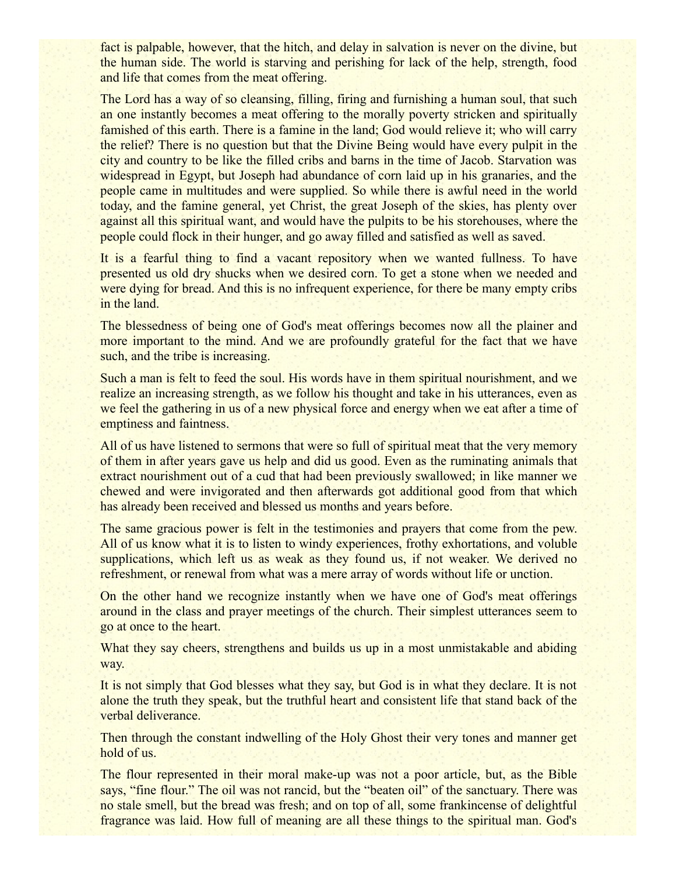fact is palpable, however, that the hitch, and delay in salvation is never on the divine, but the human side. The world is starving and perishing for lack of the help, strength, food and life that comes from the meat offering.

The Lord has a way of so cleansing, filling, firing and furnishing a human soul, that such an one instantly becomes a meat offering to the morally poverty stricken and spiritually famished of this earth. There is a famine in the land; God would relieve it; who will carry the relief? There is no question but that the Divine Being would have every pulpit in the city and country to be like the filled cribs and barns in the time of Jacob. Starvation was widespread in Egypt, but Joseph had abundance of corn laid up in his granaries, and the people came in multitudes and were supplied. So while there is awful need in the world today, and the famine general, yet Christ, the great Joseph of the skies, has plenty over against all this spiritual want, and would have the pulpits to be his storehouses, where the people could flock in their hunger, and go away filled and satisfied as well as saved.

It is a fearful thing to find a vacant repository when we wanted fullness. To have presented us old dry shucks when we desired corn. To get a stone when we needed and were dying for bread. And this is no infrequent experience, for there be many empty cribs in the land.

The blessedness of being one of God's meat offerings becomes now all the plainer and more important to the mind. And we are profoundly grateful for the fact that we have such, and the tribe is increasing.

Such a man is felt to feed the soul. His words have in them spiritual nourishment, and we realize an increasing strength, as we follow his thought and take in his utterances, even as we feel the gathering in us of a new physical force and energy when we eat after a time of emptiness and faintness.

All of us have listened to sermons that were so full of spiritual meat that the very memory of them in after years gave us help and did us good. Even as the ruminating animals that extract nourishment out of a cud that had been previously swallowed; in like manner we chewed and were invigorated and then afterwards got additional good from that which has already been received and blessed us months and years before.

The same gracious power is felt in the testimonies and prayers that come from the pew. All of us know what it is to listen to windy experiences, frothy exhortations, and voluble supplications, which left us as weak as they found us, if not weaker. We derived no refreshment, or renewal from what was a mere array of words without life or unction.

On the other hand we recognize instantly when we have one of God's meat offerings around in the class and prayer meetings of the church. Their simplest utterances seem to go at once to the heart.

What they say cheers, strengthens and builds us up in a most unmistakable and abiding way.

It is not simply that God blesses what they say, but God is in what they declare. It is not alone the truth they speak, but the truthful heart and consistent life that stand back of the verbal deliverance.

Then through the constant indwelling of the Holy Ghost their very tones and manner get hold of us.

The flour represented in their moral make-up was not a poor article, but, as the Bible says, "fine flour." The oil was not rancid, but the "beaten oil" of the sanctuary. There was no stale smell, but the bread was fresh; and on top of all, some frankincense of delightful fragrance was laid. How full of meaning are all these things to the spiritual man. God's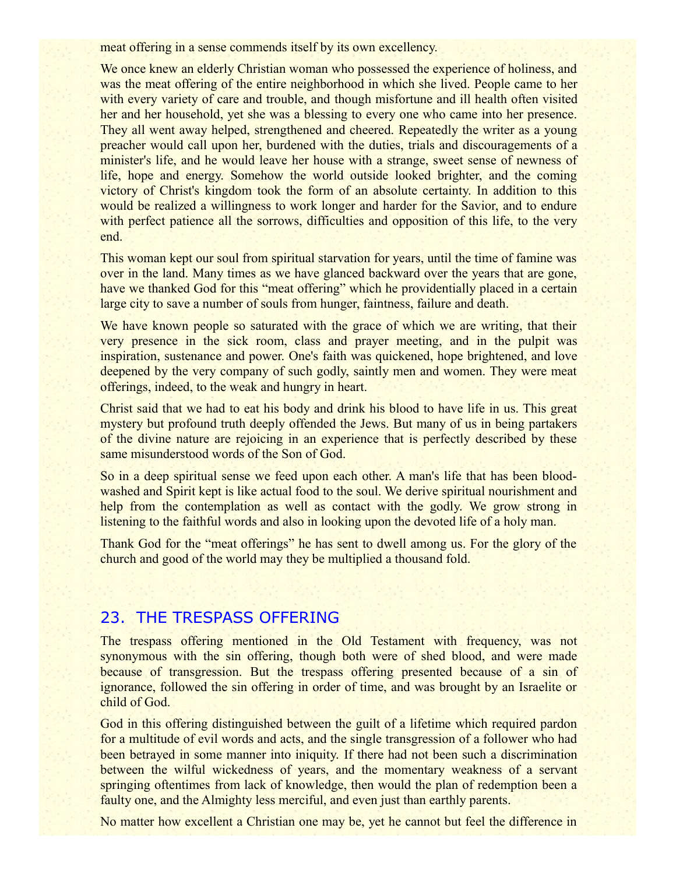meat offering in a sense commends itself by its own excellency.

We once knew an elderly Christian woman who possessed the experience of holiness, and was the meat offering of the entire neighborhood in which she lived. People came to her with every variety of care and trouble, and though misfortune and ill health often visited her and her household, yet she was a blessing to every one who came into her presence. They all went away helped, strengthened and cheered. Repeatedly the writer as a young preacher would call upon her, burdened with the duties, trials and discouragements of a minister's life, and he would leave her house with a strange, sweet sense of newness of life, hope and energy. Somehow the world outside looked brighter, and the coming victory of Christ's kingdom took the form of an absolute certainty. In addition to this would be realized a willingness to work longer and harder for the Savior, and to endure with perfect patience all the sorrows, difficulties and opposition of this life, to the very end.

This woman kept our soul from spiritual starvation for years, until the time of famine was over in the land. Many times as we have glanced backward over the years that are gone, have we thanked God for this "meat offering" which he providentially placed in a certain large city to save a number of souls from hunger, faintness, failure and death.

We have known people so saturated with the grace of which we are writing, that their very presence in the sick room, class and prayer meeting, and in the pulpit was inspiration, sustenance and power. One's faith was quickened, hope brightened, and love deepened by the very company of such godly, saintly men and women. They were meat offerings, indeed, to the weak and hungry in heart.

Christ said that we had to eat his body and drink his blood to have life in us. This great mystery but profound truth deeply offended the Jews. But many of us in being partakers of the divine nature are rejoicing in an experience that is perfectly described by these same misunderstood words of the Son of God.

So in a deep spiritual sense we feed upon each other. A man's life that has been bloodwashed and Spirit kept is like actual food to the soul. We derive spiritual nourishment and help from the contemplation as well as contact with the godly. We grow strong in listening to the faithful words and also in looking upon the devoted life of a holy man.

Thank God for the "meat offerings" he has sent to dwell among us. For the glory of the church and good of the world may they be multiplied a thousand fold.

# 23. THE TRESPASS OFFERING

The trespass offering mentioned in the Old Testament with frequency, was not synonymous with the sin offering, though both were of shed blood, and were made because of transgression. But the trespass offering presented because of a sin of ignorance, followed the sin offering in order of time, and was brought by an Israelite or child of God.

God in this offering distinguished between the guilt of a lifetime which required pardon for a multitude of evil words and acts, and the single transgression of a follower who had been betrayed in some manner into iniquity. If there had not been such a discrimination between the wilful wickedness of years, and the momentary weakness of a servant springing oftentimes from lack of knowledge, then would the plan of redemption been a faulty one, and the Almighty less merciful, and even just than earthly parents.

No matter how excellent a Christian one may be, yet he cannot but feel the difference in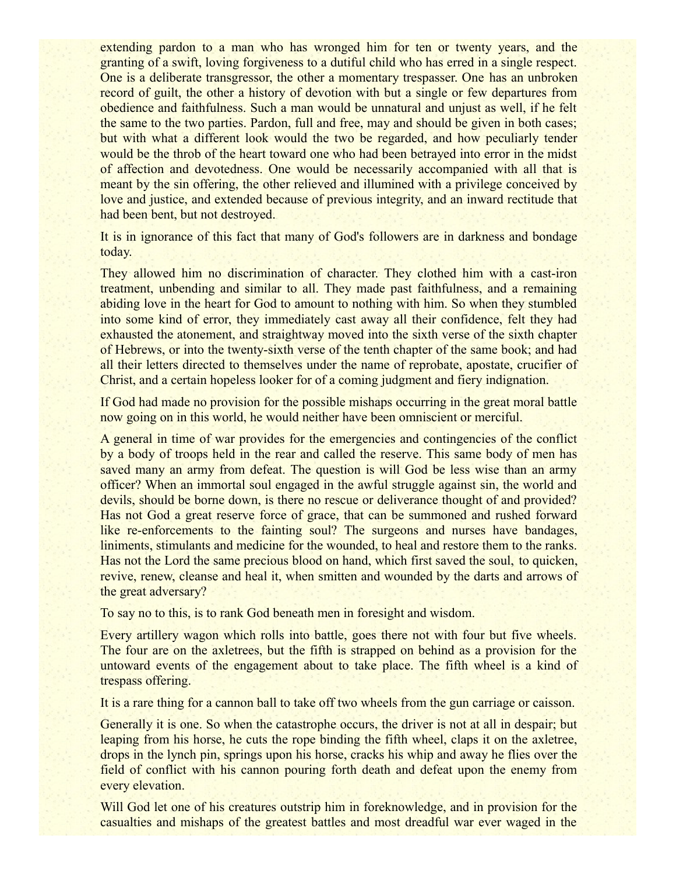extending pardon to a man who has wronged him for ten or twenty years, and the granting of a swift, loving forgiveness to a dutiful child who has erred in a single respect. One is a deliberate transgressor, the other a momentary trespasser. One has an unbroken record of guilt, the other a history of devotion with but a single or few departures from obedience and faithfulness. Such a man would be unnatural and unjust as well, if he felt the same to the two parties. Pardon, full and free, may and should be given in both cases; but with what a different look would the two be regarded, and how peculiarly tender would be the throb of the heart toward one who had been betrayed into error in the midst of affection and devotedness. One would be necessarily accompanied with all that is meant by the sin offering, the other relieved and illumined with a privilege conceived by love and justice, and extended because of previous integrity, and an inward rectitude that had been bent, but not destroyed.

It is in ignorance of this fact that many of God's followers are in darkness and bondage today.

They allowed him no discrimination of character. They clothed him with a cast-iron treatment, unbending and similar to all. They made past faithfulness, and a remaining abiding love in the heart for God to amount to nothing with him. So when they stumbled into some kind of error, they immediately cast away all their confidence, felt they had exhausted the atonement, and straightway moved into the sixth verse of the sixth chapter of Hebrews, or into the twenty-sixth verse of the tenth chapter of the same book; and had all their letters directed to themselves under the name of reprobate, apostate, crucifier of Christ, and a certain hopeless looker for of a coming judgment and fiery indignation.

If God had made no provision for the possible mishaps occurring in the great moral battle now going on in this world, he would neither have been omniscient or merciful.

A general in time of war provides for the emergencies and contingencies of the conflict by a body of troops held in the rear and called the reserve. This same body of men has saved many an army from defeat. The question is will God be less wise than an army officer? When an immortal soul engaged in the awful struggle against sin, the world and devils, should be borne down, is there no rescue or deliverance thought of and provided? Has not God a great reserve force of grace, that can be summoned and rushed forward like re-enforcements to the fainting soul? The surgeons and nurses have bandages, liniments, stimulants and medicine for the wounded, to heal and restore them to the ranks. Has not the Lord the same precious blood on hand, which first saved the soul, to quicken, revive, renew, cleanse and heal it, when smitten and wounded by the darts and arrows of the great adversary?

To say no to this, is to rank God beneath men in foresight and wisdom.

Every artillery wagon which rolls into battle, goes there not with four but five wheels. The four are on the axletrees, but the fifth is strapped on behind as a provision for the untoward events of the engagement about to take place. The fifth wheel is a kind of trespass offering.

It is a rare thing for a cannon ball to take off two wheels from the gun carriage or caisson.

Generally it is one. So when the catastrophe occurs, the driver is not at all in despair; but leaping from his horse, he cuts the rope binding the fifth wheel, claps it on the axletree, drops in the lynch pin, springs upon his horse, cracks his whip and away he flies over the field of conflict with his cannon pouring forth death and defeat upon the enemy from every elevation.

Will God let one of his creatures outstrip him in foreknowledge, and in provision for the casualties and mishaps of the greatest battles and most dreadful war ever waged in the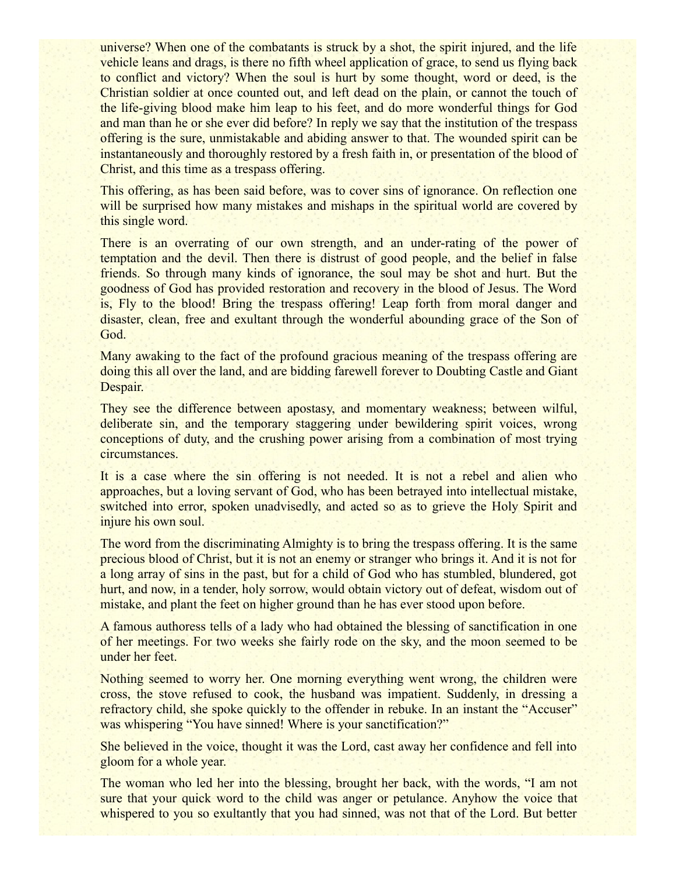universe? When one of the combatants is struck by a shot, the spirit injured, and the life vehicle leans and drags, is there no fifth wheel application of grace, to send us flying back to conflict and victory? When the soul is hurt by some thought, word or deed, is the Christian soldier at once counted out, and left dead on the plain, or cannot the touch of the life-giving blood make him leap to his feet, and do more wonderful things for God and man than he or she ever did before? In reply we say that the institution of the trespass offering is the sure, unmistakable and abiding answer to that. The wounded spirit can be instantaneously and thoroughly restored by a fresh faith in, or presentation of the blood of Christ, and this time as a trespass offering.

This offering, as has been said before, was to cover sins of ignorance. On reflection one will be surprised how many mistakes and mishaps in the spiritual world are covered by this single word.

There is an overrating of our own strength, and an under-rating of the power of temptation and the devil. Then there is distrust of good people, and the belief in false friends. So through many kinds of ignorance, the soul may be shot and hurt. But the goodness of God has provided restoration and recovery in the blood of Jesus. The Word is, Fly to the blood! Bring the trespass offering! Leap forth from moral danger and disaster, clean, free and exultant through the wonderful abounding grace of the Son of God.

Many awaking to the fact of the profound gracious meaning of the trespass offering are doing this all over the land, and are bidding farewell forever to Doubting Castle and Giant Despair.

They see the difference between apostasy, and momentary weakness; between wilful, deliberate sin, and the temporary staggering under bewildering spirit voices, wrong conceptions of duty, and the crushing power arising from a combination of most trying circumstances.

It is a case where the sin offering is not needed. It is not a rebel and alien who approaches, but a loving servant of God, who has been betrayed into intellectual mistake, switched into error, spoken unadvisedly, and acted so as to grieve the Holy Spirit and injure his own soul.

The word from the discriminating Almighty is to bring the trespass offering. It is the same precious blood of Christ, but it is not an enemy or stranger who brings it. And it is not for a long array of sins in the past, but for a child of God who has stumbled, blundered, got hurt, and now, in a tender, holy sorrow, would obtain victory out of defeat, wisdom out of mistake, and plant the feet on higher ground than he has ever stood upon before.

A famous authoress tells of a lady who had obtained the blessing of sanctification in one of her meetings. For two weeks she fairly rode on the sky, and the moon seemed to be under her feet.

Nothing seemed to worry her. One morning everything went wrong, the children were cross, the stove refused to cook, the husband was impatient. Suddenly, in dressing a refractory child, she spoke quickly to the offender in rebuke. In an instant the "Accuser" was whispering "You have sinned! Where is your sanctification?"

She believed in the voice, thought it was the Lord, cast away her confidence and fell into gloom for a whole year.

The woman who led her into the blessing, brought her back, with the words, "I am not sure that your quick word to the child was anger or petulance. Anyhow the voice that whispered to you so exultantly that you had sinned, was not that of the Lord. But better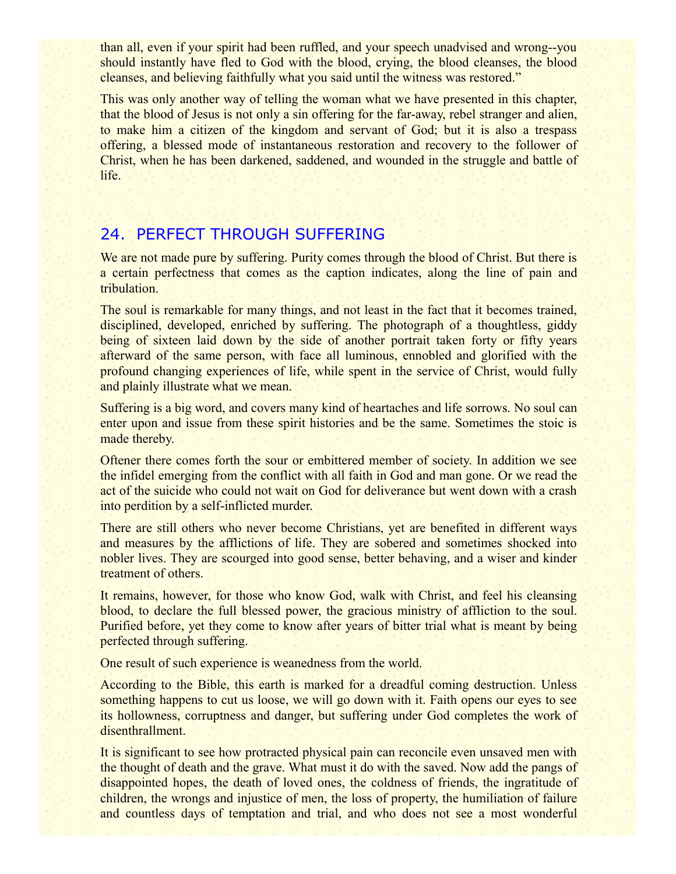than all, even if your spirit had been ruffled, and your speech unadvised and wrong--you should instantly have fled to God with the blood, crying, the blood cleanses, the blood cleanses, and believing faithfully what you said until the witness was restored."

This was only another way of telling the woman what we have presented in this chapter, that the blood of Jesus is not only a sin offering for the far-away, rebel stranger and alien, to make him a citizen of the kingdom and servant of God; but it is also a trespass offering, a blessed mode of instantaneous restoration and recovery to the follower of Christ, when he has been darkened, saddened, and wounded in the struggle and battle of life.

# 24. PERFECT THROUGH SUFFERING

We are not made pure by suffering. Purity comes through the blood of Christ. But there is a certain perfectness that comes as the caption indicates, along the line of pain and tribulation.

The soul is remarkable for many things, and not least in the fact that it becomes trained, disciplined, developed, enriched by suffering. The photograph of a thoughtless, giddy being of sixteen laid down by the side of another portrait taken forty or fifty years afterward of the same person, with face all luminous, ennobled and glorified with the profound changing experiences of life, while spent in the service of Christ, would fully and plainly illustrate what we mean.

Suffering is a big word, and covers many kind of heartaches and life sorrows. No soul can enter upon and issue from these spirit histories and be the same. Sometimes the stoic is made thereby.

Oftener there comes forth the sour or embittered member of society. In addition we see the infidel emerging from the conflict with all faith in God and man gone. Or we read the act of the suicide who could not wait on God for deliverance but went down with a crash into perdition by a self-inflicted murder.

There are still others who never become Christians, yet are benefited in different ways and measures by the afflictions of life. They are sobered and sometimes shocked into nobler lives. They are scourged into good sense, better behaving, and a wiser and kinder treatment of others.

It remains, however, for those who know God, walk with Christ, and feel his cleansing blood, to declare the full blessed power, the gracious ministry of affliction to the soul. Purified before, yet they come to know after years of bitter trial what is meant by being perfected through suffering.

One result of such experience is weanedness from the world.

According to the Bible, this earth is marked for a dreadful coming destruction. Unless something happens to cut us loose, we will go down with it. Faith opens our eyes to see its hollowness, corruptness and danger, but suffering under God completes the work of disenthrallment.

It is significant to see how protracted physical pain can reconcile even unsaved men with the thought of death and the grave. What must it do with the saved. Now add the pangs of disappointed hopes, the death of loved ones, the coldness of friends, the ingratitude of children, the wrongs and injustice of men, the loss of property, the humiliation of failure and countless days of temptation and trial, and who does not see a most wonderful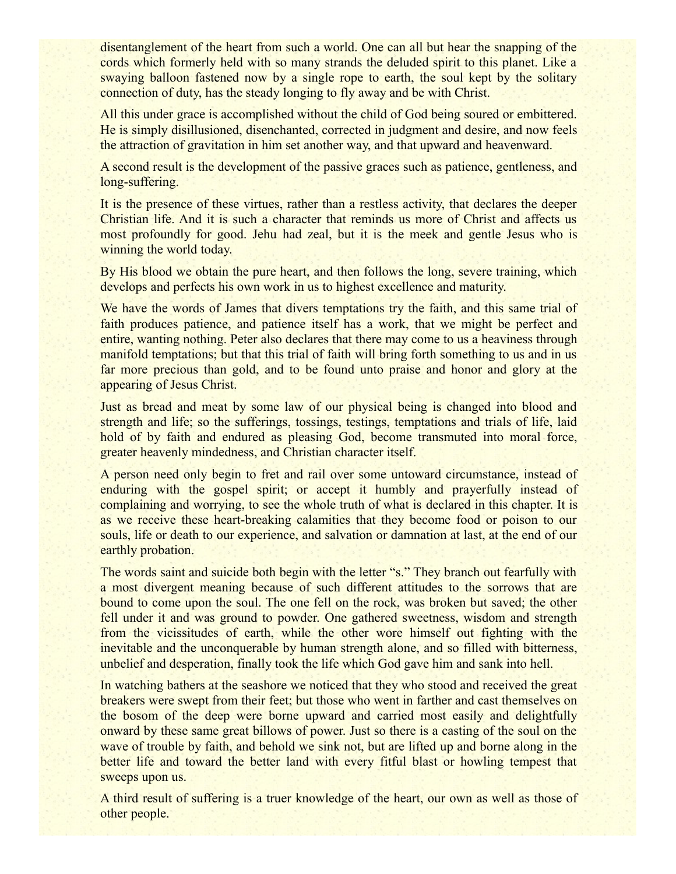disentanglement of the heart from such a world. One can all but hear the snapping of the cords which formerly held with so many strands the deluded spirit to this planet. Like a swaying balloon fastened now by a single rope to earth, the soul kept by the solitary connection of duty, has the steady longing to fly away and be with Christ.

All this under grace is accomplished without the child of God being soured or embittered. He is simply disillusioned, disenchanted, corrected in judgment and desire, and now feels the attraction of gravitation in him set another way, and that upward and heavenward.

A second result is the development of the passive graces such as patience, gentleness, and long-suffering.

It is the presence of these virtues, rather than a restless activity, that declares the deeper Christian life. And it is such a character that reminds us more of Christ and affects us most profoundly for good. Jehu had zeal, but it is the meek and gentle Jesus who is winning the world today.

By His blood we obtain the pure heart, and then follows the long, severe training, which develops and perfects his own work in us to highest excellence and maturity.

We have the words of James that divers temptations try the faith, and this same trial of faith produces patience, and patience itself has a work, that we might be perfect and entire, wanting nothing. Peter also declares that there may come to us a heaviness through manifold temptations; but that this trial of faith will bring forth something to us and in us far more precious than gold, and to be found unto praise and honor and glory at the appearing of Jesus Christ.

Just as bread and meat by some law of our physical being is changed into blood and strength and life; so the sufferings, tossings, testings, temptations and trials of life, laid hold of by faith and endured as pleasing God, become transmuted into moral force, greater heavenly mindedness, and Christian character itself.

A person need only begin to fret and rail over some untoward circumstance, instead of enduring with the gospel spirit; or accept it humbly and prayerfully instead of complaining and worrying, to see the whole truth of what is declared in this chapter. It is as we receive these heart-breaking calamities that they become food or poison to our souls, life or death to our experience, and salvation or damnation at last, at the end of our earthly probation.

The words saint and suicide both begin with the letter "s." They branch out fearfully with a most divergent meaning because of such different attitudes to the sorrows that are bound to come upon the soul. The one fell on the rock, was broken but saved; the other fell under it and was ground to powder. One gathered sweetness, wisdom and strength from the vicissitudes of earth, while the other wore himself out fighting with the inevitable and the unconquerable by human strength alone, and so filled with bitterness, unbelief and desperation, finally took the life which God gave him and sank into hell.

In watching bathers at the seashore we noticed that they who stood and received the great breakers were swept from their feet; but those who went in farther and cast themselves on the bosom of the deep were borne upward and carried most easily and delightfully onward by these same great billows of power. Just so there is a casting of the soul on the wave of trouble by faith, and behold we sink not, but are lifted up and borne along in the better life and toward the better land with every fitful blast or howling tempest that sweeps upon us.

A third result of suffering is a truer knowledge of the heart, our own as well as those of other people.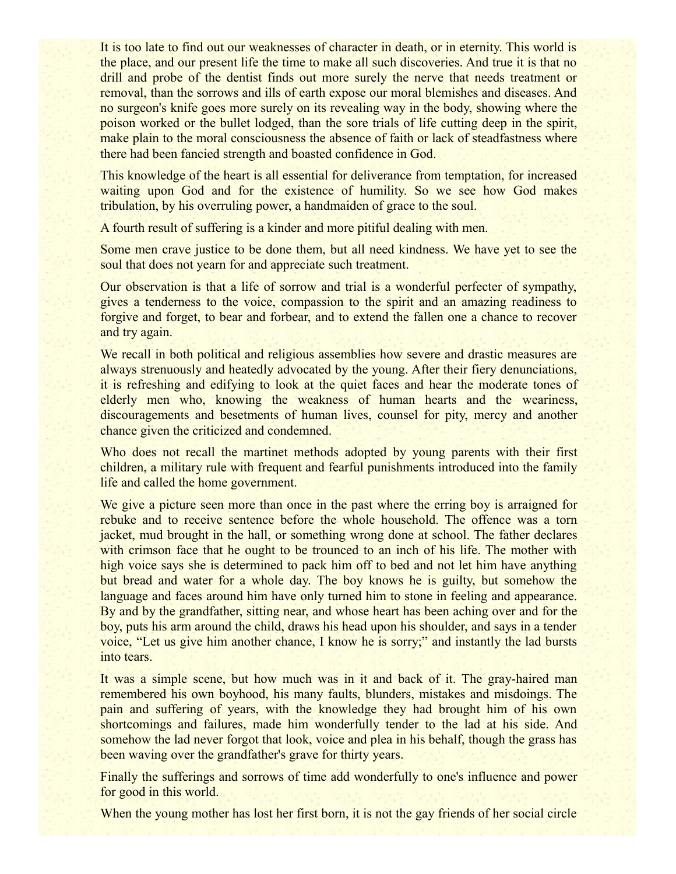It is too late to find out our weaknesses of character in death, or in eternity. This world is the place, and our present life the time to make all such discoveries. And true it is that no drill and probe of the dentist finds out more surely the nerve that needs treatment or removal, than the sorrows and ills of earth expose our moral blemishes and diseases. And no surgeon's knife goes more surely on its revealing way in the body, showing where the poison worked or the bullet lodged, than the sore trials of life cutting deep in the spirit, make plain to the moral consciousness the absence of faith or lack of steadfastness where there had been fancied strength and boasted confidence in God.

This knowledge of the heart is all essential for deliverance from temptation, for increased waiting upon God and for the existence of humility. So we see how God makes tribulation, by his overruling power, a handmaiden of grace to the soul.

A fourth result of suffering is a kinder and more pitiful dealing with men.

Some men crave justice to be done them, but all need kindness. We have yet to see the soul that does not yearn for and appreciate such treatment.

Our observation is that a life of sorrow and trial is a wonderful perfecter of sympathy, gives a tenderness to the voice, compassion to the spirit and an amazing readiness to forgive and forget, to bear and forbear, and to extend the fallen one a chance to recover and try again.

We recall in both political and religious assemblies how severe and drastic measures are always strenuously and heatedly advocated by the young. After their fiery denunciations, it is refreshing and edifying to look at the quiet faces and hear the moderate tones of elderly men who, knowing the weakness of human hearts and the weariness, discouragements and besetments of human lives, counsel for pity, mercy and another chance given the criticized and condemned.

Who does not recall the martinet methods adopted by young parents with their first children, a military rule with frequent and fearful punishments introduced into the family life and called the home government.

We give a picture seen more than once in the past where the erring boy is arraigned for rebuke and to receive sentence before the whole household. The offence was a torn jacket, mud brought in the hall, or something wrong done at school. The father declares with crimson face that he ought to be trounced to an inch of his life. The mother with high voice says she is determined to pack him off to bed and not let him have anything but bread and water for a whole day. The boy knows he is guilty, but somehow the language and faces around him have only turned him to stone in feeling and appearance. By and by the grandfather, sitting near, and whose heart has been aching over and for the boy, puts his arm around the child, draws his head upon his shoulder, and says in a tender voice, "Let us give him another chance, I know he is sorry;" and instantly the lad bursts into tears.

It was a simple scene, but how much was in it and back of it. The gray-haired man remembered his own boyhood, his many faults, blunders, mistakes and misdoings. The pain and suffering of years, with the knowledge they had brought him of his own shortcomings and failures, made him wonderfully tender to the lad at his side. And somehow the lad never forgot that look, voice and plea in his behalf, though the grass has been waving over the grandfather's grave for thirty years.

Finally the sufferings and sorrows of time add wonderfully to one's influence and power for good in this world.

When the young mother has lost her first born, it is not the gay friends of her social circle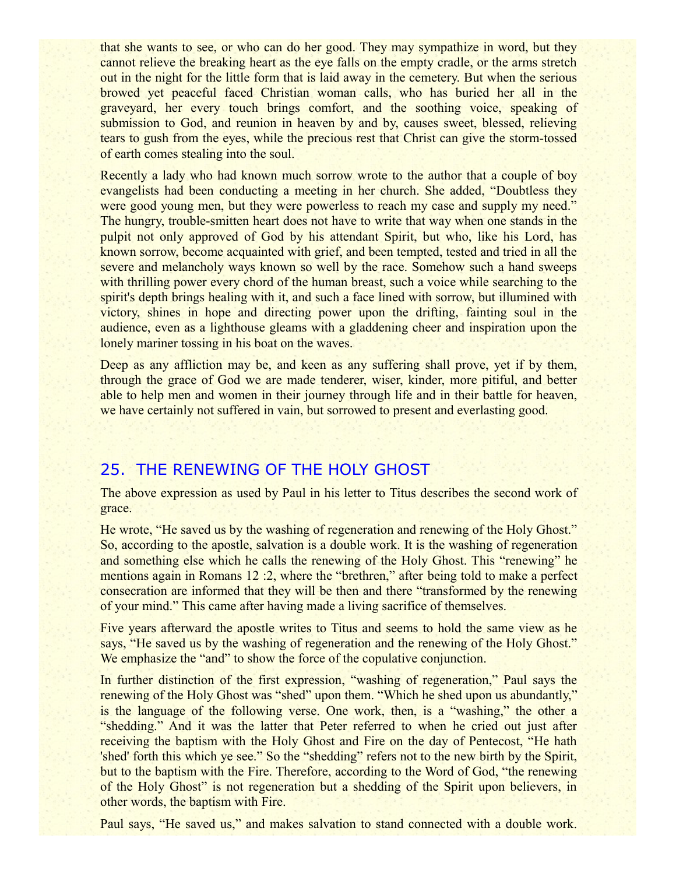that she wants to see, or who can do her good. They may sympathize in word, but they cannot relieve the breaking heart as the eye falls on the empty cradle, or the arms stretch out in the night for the little form that is laid away in the cemetery. But when the serious browed yet peaceful faced Christian woman calls, who has buried her all in the graveyard, her every touch brings comfort, and the soothing voice, speaking of submission to God, and reunion in heaven by and by, causes sweet, blessed, relieving tears to gush from the eyes, while the precious rest that Christ can give the storm-tossed of earth comes stealing into the soul.

Recently a lady who had known much sorrow wrote to the author that a couple of boy evangelists had been conducting a meeting in her church. She added, "Doubtless they were good young men, but they were powerless to reach my case and supply my need." The hungry, trouble-smitten heart does not have to write that way when one stands in the pulpit not only approved of God by his attendant Spirit, but who, like his Lord, has known sorrow, become acquainted with grief, and been tempted, tested and tried in all the severe and melancholy ways known so well by the race. Somehow such a hand sweeps with thrilling power every chord of the human breast, such a voice while searching to the spirit's depth brings healing with it, and such a face lined with sorrow, but illumined with victory, shines in hope and directing power upon the drifting, fainting soul in the audience, even as a lighthouse gleams with a gladdening cheer and inspiration upon the lonely mariner tossing in his boat on the waves.

Deep as any affliction may be, and keen as any suffering shall prove, yet if by them, through the grace of God we are made tenderer, wiser, kinder, more pitiful, and better able to help men and women in their journey through life and in their battle for heaven, we have certainly not suffered in vain, but sorrowed to present and everlasting good.

# 25. THE RENEWING OF THE HOLY GHOST

The above expression as used by Paul in his letter to Titus describes the second work of grace.

He wrote, "He saved us by the washing of regeneration and renewing of the Holy Ghost." So, according to the apostle, salvation is a double work. It is the washing of regeneration and something else which he calls the renewing of the Holy Ghost. This "renewing" he mentions again in Romans 12 :2, where the "brethren," after being told to make a perfect consecration are informed that they will be then and there "transformed by the renewing of your mind." This came after having made a living sacrifice of themselves.

Five years afterward the apostle writes to Titus and seems to hold the same view as he says, "He saved us by the washing of regeneration and the renewing of the Holy Ghost." We emphasize the "and" to show the force of the copulative conjunction.

In further distinction of the first expression, "washing of regeneration," Paul says the renewing of the Holy Ghost was "shed" upon them. "Which he shed upon us abundantly," is the language of the following verse. One work, then, is a "washing," the other a "shedding." And it was the latter that Peter referred to when he cried out just after receiving the baptism with the Holy Ghost and Fire on the day of Pentecost, "He hath 'shed' forth this which ye see." So the "shedding" refers not to the new birth by the Spirit, but to the baptism with the Fire. Therefore, according to the Word of God, "the renewing of the Holy Ghost" is not regeneration but a shedding of the Spirit upon believers, in other words, the baptism with Fire.

Paul says, "He saved us," and makes salvation to stand connected with a double work.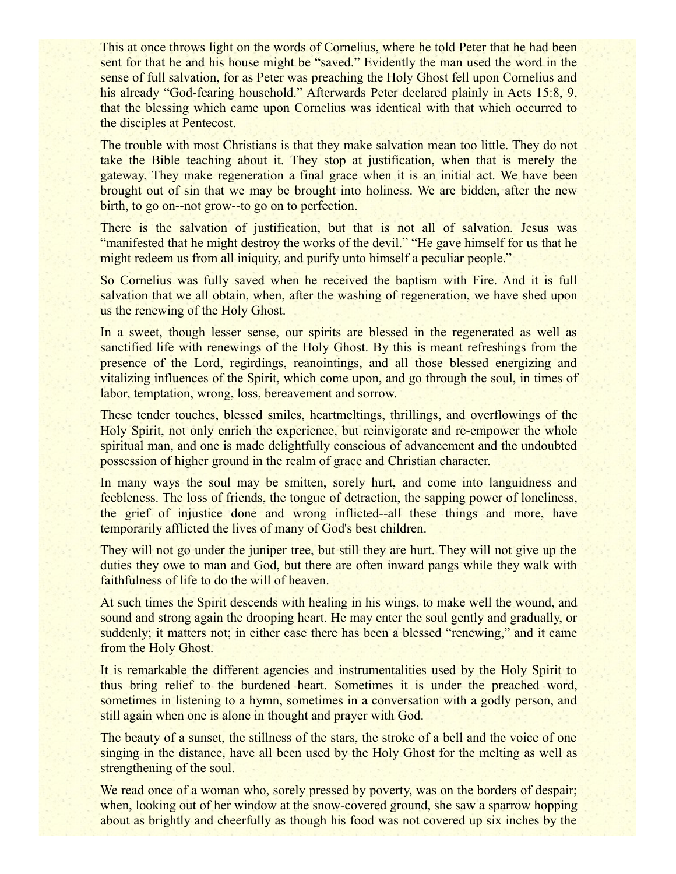This at once throws light on the words of Cornelius, where he told Peter that he had been sent for that he and his house might be "saved." Evidently the man used the word in the sense of full salvation, for as Peter was preaching the Holy Ghost fell upon Cornelius and his already "God-fearing household." Afterwards Peter declared plainly in Acts 15:8, 9, that the blessing which came upon Cornelius was identical with that which occurred to the disciples at Pentecost.

The trouble with most Christians is that they make salvation mean too little. They do not take the Bible teaching about it. They stop at justification, when that is merely the gateway. They make regeneration a final grace when it is an initial act. We have been brought out of sin that we may be brought into holiness. We are bidden, after the new birth, to go on--not grow--to go on to perfection.

There is the salvation of justification, but that is not all of salvation. Jesus was "manifested that he might destroy the works of the devil." "He gave himself for us that he might redeem us from all iniquity, and purify unto himself a peculiar people."

So Cornelius was fully saved when he received the baptism with Fire. And it is full salvation that we all obtain, when, after the washing of regeneration, we have shed upon us the renewing of the Holy Ghost.

In a sweet, though lesser sense, our spirits are blessed in the regenerated as well as sanctified life with renewings of the Holy Ghost. By this is meant refreshings from the presence of the Lord, regirdings, reanointings, and all those blessed energizing and vitalizing influences of the Spirit, which come upon, and go through the soul, in times of labor, temptation, wrong, loss, bereavement and sorrow.

These tender touches, blessed smiles, heartmeltings, thrillings, and overflowings of the Holy Spirit, not only enrich the experience, but reinvigorate and re-empower the whole spiritual man, and one is made delightfully conscious of advancement and the undoubted possession of higher ground in the realm of grace and Christian character.

In many ways the soul may be smitten, sorely hurt, and come into languidness and feebleness. The loss of friends, the tongue of detraction, the sapping power of loneliness, the grief of injustice done and wrong inflicted--all these things and more, have temporarily afflicted the lives of many of God's best children.

They will not go under the juniper tree, but still they are hurt. They will not give up the duties they owe to man and God, but there are often inward pangs while they walk with faithfulness of life to do the will of heaven.

At such times the Spirit descends with healing in his wings, to make well the wound, and sound and strong again the drooping heart. He may enter the soul gently and gradually, or suddenly; it matters not; in either case there has been a blessed "renewing," and it came from the Holy Ghost.

It is remarkable the different agencies and instrumentalities used by the Holy Spirit to thus bring relief to the burdened heart. Sometimes it is under the preached word, sometimes in listening to a hymn, sometimes in a conversation with a godly person, and still again when one is alone in thought and prayer with God.

The beauty of a sunset, the stillness of the stars, the stroke of a bell and the voice of one singing in the distance, have all been used by the Holy Ghost for the melting as well as strengthening of the soul.

We read once of a woman who, sorely pressed by poverty, was on the borders of despair; when, looking out of her window at the snow-covered ground, she saw a sparrow hopping about as brightly and cheerfully as though his food was not covered up six inches by the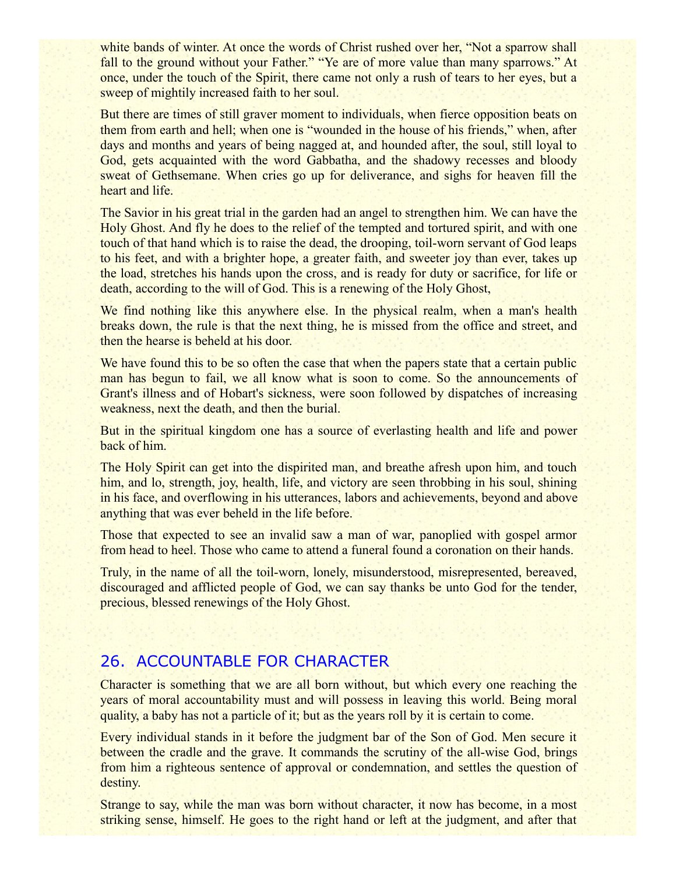white bands of winter. At once the words of Christ rushed over her, "Not a sparrow shall fall to the ground without your Father." "Ye are of more value than many sparrows." At once, under the touch of the Spirit, there came not only a rush of tears to her eyes, but a sweep of mightily increased faith to her soul.

But there are times of still graver moment to individuals, when fierce opposition beats on them from earth and hell; when one is "wounded in the house of his friends," when, after days and months and years of being nagged at, and hounded after, the soul, still loyal to God, gets acquainted with the word Gabbatha, and the shadowy recesses and bloody sweat of Gethsemane. When cries go up for deliverance, and sighs for heaven fill the heart and life.

The Savior in his great trial in the garden had an angel to strengthen him. We can have the Holy Ghost. And fly he does to the relief of the tempted and tortured spirit, and with one touch of that hand which is to raise the dead, the drooping, toil-worn servant of God leaps to his feet, and with a brighter hope, a greater faith, and sweeter joy than ever, takes up the load, stretches his hands upon the cross, and is ready for duty or sacrifice, for life or death, according to the will of God. This is a renewing of the Holy Ghost,

We find nothing like this anywhere else. In the physical realm, when a man's health breaks down, the rule is that the next thing, he is missed from the office and street, and then the hearse is beheld at his door.

We have found this to be so often the case that when the papers state that a certain public man has begun to fail, we all know what is soon to come. So the announcements of Grant's illness and of Hobart's sickness, were soon followed by dispatches of increasing weakness, next the death, and then the burial.

But in the spiritual kingdom one has a source of everlasting health and life and power back of him.

The Holy Spirit can get into the dispirited man, and breathe afresh upon him, and touch him, and lo, strength, joy, health, life, and victory are seen throbbing in his soul, shining in his face, and overflowing in his utterances, labors and achievements, beyond and above anything that was ever beheld in the life before.

Those that expected to see an invalid saw a man of war, panoplied with gospel armor from head to heel. Those who came to attend a funeral found a coronation on their hands.

Truly, in the name of all the toil-worn, lonely, misunderstood, misrepresented, bereaved, discouraged and afflicted people of God, we can say thanks be unto God for the tender, precious, blessed renewings of the Holy Ghost.

# 26. ACCOUNTABLE FOR CHARACTER

Character is something that we are all born without, but which every one reaching the years of moral accountability must and will possess in leaving this world. Being moral quality, a baby has not a particle of it; but as the years roll by it is certain to come.

Every individual stands in it before the judgment bar of the Son of God. Men secure it between the cradle and the grave. It commands the scrutiny of the all-wise God, brings from him a righteous sentence of approval or condemnation, and settles the question of destiny.

Strange to say, while the man was born without character, it now has become, in a most striking sense, himself. He goes to the right hand or left at the judgment, and after that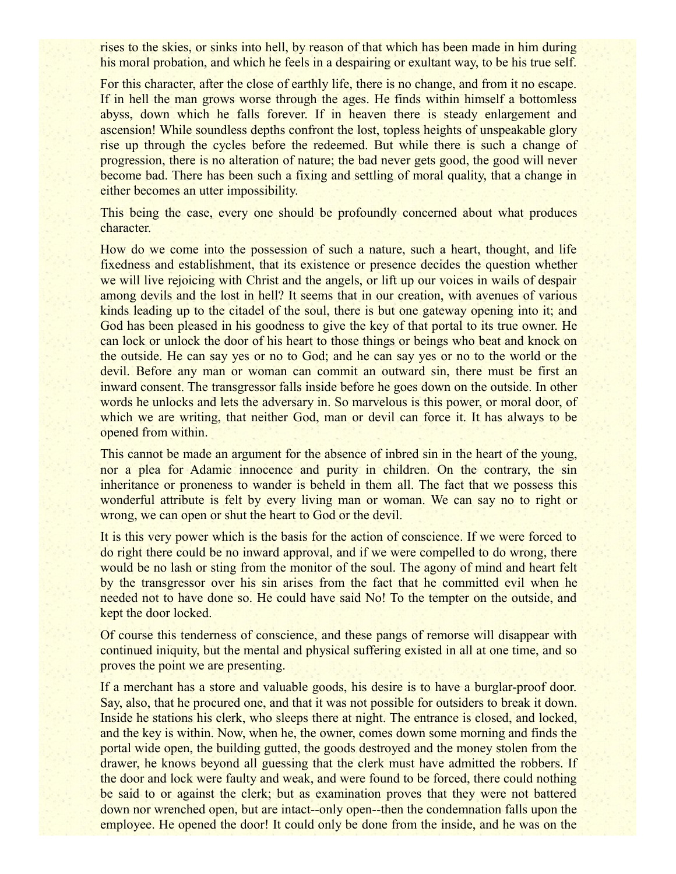rises to the skies, or sinks into hell, by reason of that which has been made in him during his moral probation, and which he feels in a despairing or exultant way, to be his true self.

For this character, after the close of earthly life, there is no change, and from it no escape. If in hell the man grows worse through the ages. He finds within himself a bottomless abyss, down which he falls forever. If in heaven there is steady enlargement and ascension! While soundless depths confront the lost, topless heights of unspeakable glory rise up through the cycles before the redeemed. But while there is such a change of progression, there is no alteration of nature; the bad never gets good, the good will never become bad. There has been such a fixing and settling of moral quality, that a change in either becomes an utter impossibility.

This being the case, every one should be profoundly concerned about what produces character.

How do we come into the possession of such a nature, such a heart, thought, and life fixedness and establishment, that its existence or presence decides the question whether we will live rejoicing with Christ and the angels, or lift up our voices in wails of despair among devils and the lost in hell? It seems that in our creation, with avenues of various kinds leading up to the citadel of the soul, there is but one gateway opening into it; and God has been pleased in his goodness to give the key of that portal to its true owner. He can lock or unlock the door of his heart to those things or beings who beat and knock on the outside. He can say yes or no to God; and he can say yes or no to the world or the devil. Before any man or woman can commit an outward sin, there must be first an inward consent. The transgressor falls inside before he goes down on the outside. In other words he unlocks and lets the adversary in. So marvelous is this power, or moral door, of which we are writing, that neither God, man or devil can force it. It has always to be opened from within.

This cannot be made an argument for the absence of inbred sin in the heart of the young, nor a plea for Adamic innocence and purity in children. On the contrary, the sin inheritance or proneness to wander is beheld in them all. The fact that we possess this wonderful attribute is felt by every living man or woman. We can say no to right or wrong, we can open or shut the heart to God or the devil.

It is this very power which is the basis for the action of conscience. If we were forced to do right there could be no inward approval, and if we were compelled to do wrong, there would be no lash or sting from the monitor of the soul. The agony of mind and heart felt by the transgressor over his sin arises from the fact that he committed evil when he needed not to have done so. He could have said No! To the tempter on the outside, and kept the door locked.

Of course this tenderness of conscience, and these pangs of remorse will disappear with continued iniquity, but the mental and physical suffering existed in all at one time, and so proves the point we are presenting.

If a merchant has a store and valuable goods, his desire is to have a burglar-proof door. Say, also, that he procured one, and that it was not possible for outsiders to break it down. Inside he stations his clerk, who sleeps there at night. The entrance is closed, and locked, and the key is within. Now, when he, the owner, comes down some morning and finds the portal wide open, the building gutted, the goods destroyed and the money stolen from the drawer, he knows beyond all guessing that the clerk must have admitted the robbers. If the door and lock were faulty and weak, and were found to be forced, there could nothing be said to or against the clerk; but as examination proves that they were not battered down nor wrenched open, but are intact--only open--then the condemnation falls upon the employee. He opened the door! It could only be done from the inside, and he was on the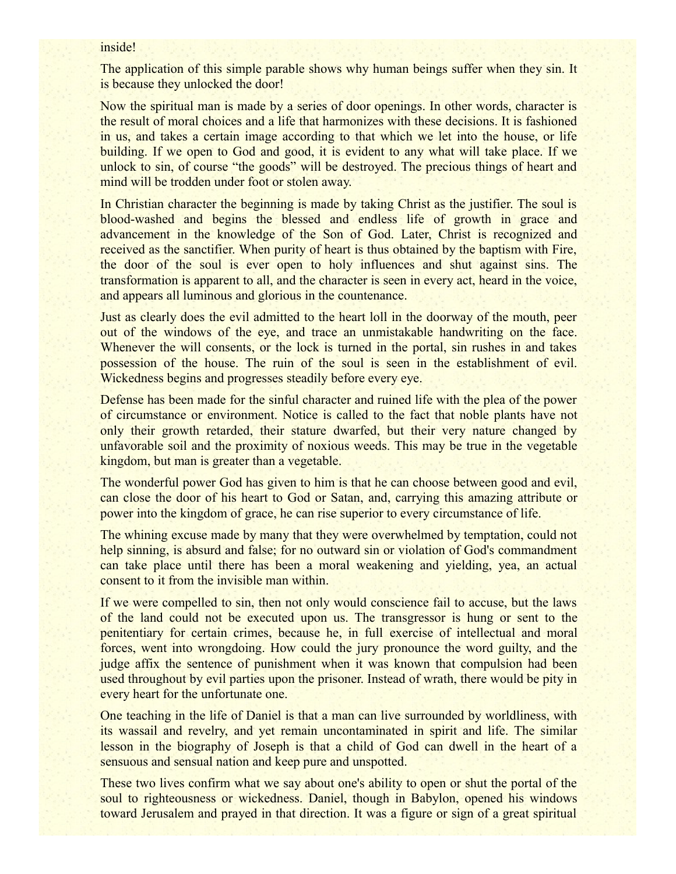#### inside!

The application of this simple parable shows why human beings suffer when they sin. It is because they unlocked the door!

Now the spiritual man is made by a series of door openings. In other words, character is the result of moral choices and a life that harmonizes with these decisions. It is fashioned in us, and takes a certain image according to that which we let into the house, or life building. If we open to God and good, it is evident to any what will take place. If we unlock to sin, of course "the goods" will be destroyed. The precious things of heart and mind will be trodden under foot or stolen away.

In Christian character the beginning is made by taking Christ as the justifier. The soul is blood-washed and begins the blessed and endless life of growth in grace and advancement in the knowledge of the Son of God. Later, Christ is recognized and received as the sanctifier. When purity of heart is thus obtained by the baptism with Fire, the door of the soul is ever open to holy influences and shut against sins. The transformation is apparent to all, and the character is seen in every act, heard in the voice, and appears all luminous and glorious in the countenance.

Just as clearly does the evil admitted to the heart loll in the doorway of the mouth, peer out of the windows of the eye, and trace an unmistakable handwriting on the face. Whenever the will consents, or the lock is turned in the portal, sin rushes in and takes possession of the house. The ruin of the soul is seen in the establishment of evil. Wickedness begins and progresses steadily before every eye.

Defense has been made for the sinful character and ruined life with the plea of the power of circumstance or environment. Notice is called to the fact that noble plants have not only their growth retarded, their stature dwarfed, but their very nature changed by unfavorable soil and the proximity of noxious weeds. This may be true in the vegetable kingdom, but man is greater than a vegetable.

The wonderful power God has given to him is that he can choose between good and evil, can close the door of his heart to God or Satan, and, carrying this amazing attribute or power into the kingdom of grace, he can rise superior to every circumstance of life.

The whining excuse made by many that they were overwhelmed by temptation, could not help sinning, is absurd and false; for no outward sin or violation of God's commandment can take place until there has been a moral weakening and yielding, yea, an actual consent to it from the invisible man within.

If we were compelled to sin, then not only would conscience fail to accuse, but the laws of the land could not be executed upon us. The transgressor is hung or sent to the penitentiary for certain crimes, because he, in full exercise of intellectual and moral forces, went into wrongdoing. How could the jury pronounce the word guilty, and the judge affix the sentence of punishment when it was known that compulsion had been used throughout by evil parties upon the prisoner. Instead of wrath, there would be pity in every heart for the unfortunate one.

One teaching in the life of Daniel is that a man can live surrounded by worldliness, with its wassail and revelry, and yet remain uncontaminated in spirit and life. The similar lesson in the biography of Joseph is that a child of God can dwell in the heart of a sensuous and sensual nation and keep pure and unspotted.

These two lives confirm what we say about one's ability to open or shut the portal of the soul to righteousness or wickedness. Daniel, though in Babylon, opened his windows toward Jerusalem and prayed in that direction. It was a figure or sign of a great spiritual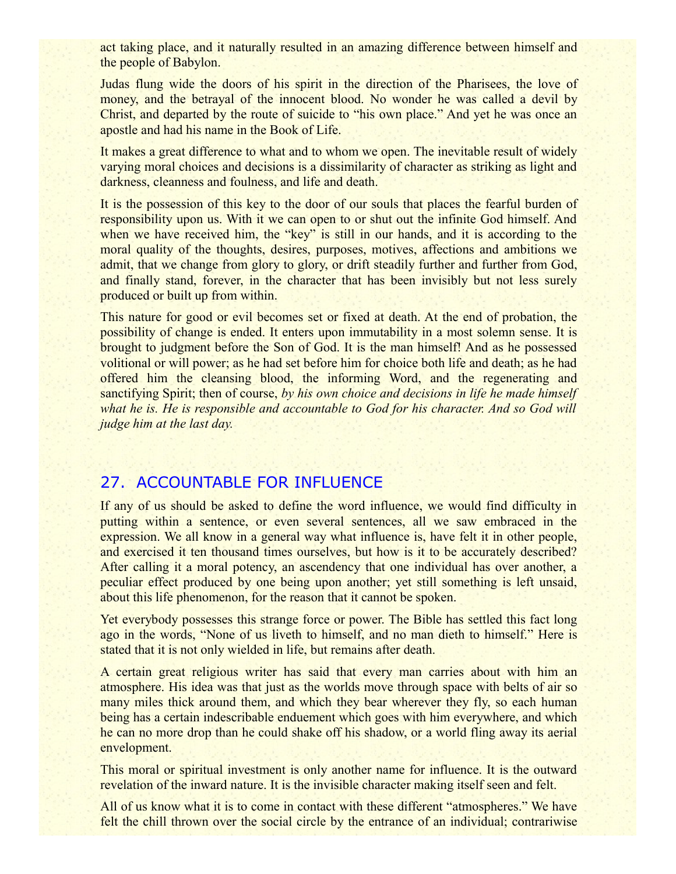act taking place, and it naturally resulted in an amazing difference between himself and the people of Babylon.

Judas flung wide the doors of his spirit in the direction of the Pharisees, the love of money, and the betrayal of the innocent blood. No wonder he was called a devil by Christ, and departed by the route of suicide to "his own place." And yet he was once an apostle and had his name in the Book of Life.

It makes a great difference to what and to whom we open. The inevitable result of widely varying moral choices and decisions is a dissimilarity of character as striking as light and darkness, cleanness and foulness, and life and death.

It is the possession of this key to the door of our souls that places the fearful burden of responsibility upon us. With it we can open to or shut out the infinite God himself. And when we have received him, the "key" is still in our hands, and it is according to the moral quality of the thoughts, desires, purposes, motives, affections and ambitions we admit, that we change from glory to glory, or drift steadily further and further from God, and finally stand, forever, in the character that has been invisibly but not less surely produced or built up from within.

This nature for good or evil becomes set or fixed at death. At the end of probation, the possibility of change is ended. It enters upon immutability in a most solemn sense. It is brought to judgment before the Son of God. It is the man himself! And as he possessed volitional or will power; as he had set before him for choice both life and death; as he had offered him the cleansing blood, the informing Word, and the regenerating and sanctifying Spirit; then of course, *by his own choice and decisions in life he made himself* what he is. He is responsible and accountable to God for his character. And so God will *judge him at the last day.*

# 27. ACCOUNTABLE FOR INFLUENCE

If any of us should be asked to define the word influence, we would find difficulty in putting within a sentence, or even several sentences, all we saw embraced in the expression. We all know in a general way what influence is, have felt it in other people, and exercised it ten thousand times ourselves, but how is it to be accurately described? After calling it a moral potency, an ascendency that one individual has over another, a peculiar effect produced by one being upon another; yet still something is left unsaid, about this life phenomenon, for the reason that it cannot be spoken.

Yet everybody possesses this strange force or power. The Bible has settled this fact long ago in the words, "None of us liveth to himself, and no man dieth to himself." Here is stated that it is not only wielded in life, but remains after death.

A certain great religious writer has said that every man carries about with him an atmosphere. His idea was that just as the worlds move through space with belts of air so many miles thick around them, and which they bear wherever they fly, so each human being has a certain indescribable enduement which goes with him everywhere, and which he can no more drop than he could shake off his shadow, or a world fling away its aerial envelopment.

This moral or spiritual investment is only another name for influence. It is the outward revelation of the inward nature. It is the invisible character making itself seen and felt.

All of us know what it is to come in contact with these different "atmospheres." We have felt the chill thrown over the social circle by the entrance of an individual; contrariwise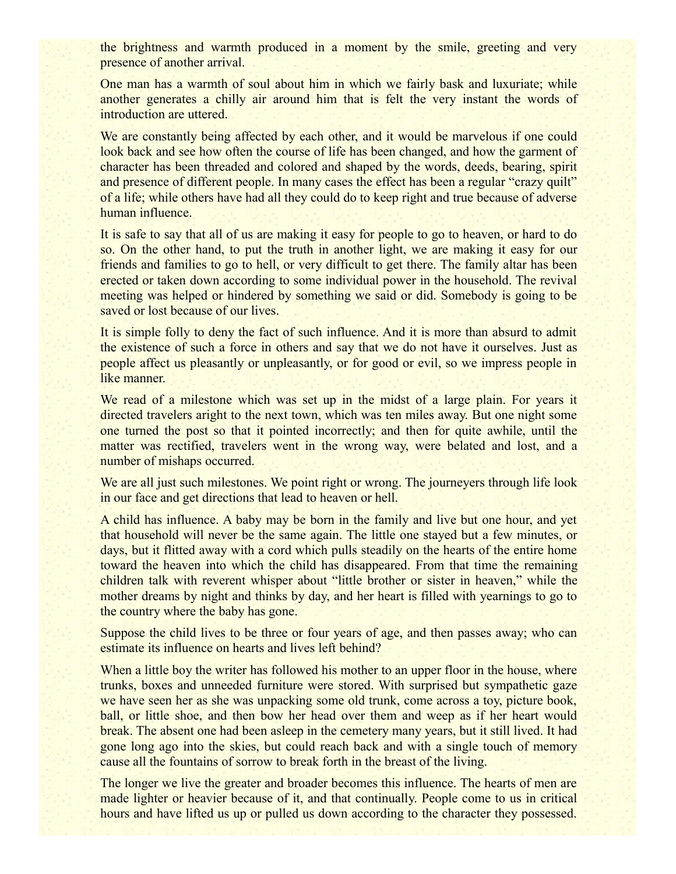the brightness and warmth produced in a moment by the smile, greeting and very presence of another arrival.

One man has a warmth of soul about him in which we fairly bask and luxuriate; while another generates a chilly air around him that is felt the very instant the words of introduction are uttered.

We are constantly being affected by each other, and it would be marvelous if one could look back and see how often the course of life has been changed, and how the garment of character has been threaded and colored and shaped by the words, deeds, bearing, spirit and presence of different people. In many cases the effect has been a regular "crazy quilt" of a life; while others have had all they could do to keep right and true because of adverse human influence.

It is safe to say that all of us are making it easy for people to go to heaven, or hard to do so. On the other hand, to put the truth in another light, we are making it easy for our friends and families to go to hell, or very difficult to get there. The family altar has been erected or taken down according to some individual power in the household. The revival meeting was helped or hindered by something we said or did. Somebody is going to be saved or lost because of our lives.

It is simple folly to deny the fact of such influence. And it is more than absurd to admit the existence of such a force in others and say that we do not have it ourselves. Just as people affect us pleasantly or unpleasantly, or for good or evil, so we impress people in like manner.

We read of a milestone which was set up in the midst of a large plain. For years it directed travelers aright to the next town, which was ten miles away. But one night some one turned the post so that it pointed incorrectly; and then for quite awhile, until the matter was rectified, travelers went in the wrong way, were belated and lost, and a number of mishaps occurred.

We are all just such milestones. We point right or wrong. The journeyers through life look in our face and get directions that lead to heaven or hell.

A child has influence. A baby may be born in the family and live but one hour, and yet that household will never be the same again. The little one stayed but a few minutes, or days, but it flitted away with a cord which pulls steadily on the hearts of the entire home toward the heaven into which the child has disappeared. From that time the remaining children talk with reverent whisper about "little brother or sister in heaven," while the mother dreams by night and thinks by day, and her heart is filled with yearnings to go to the country where the baby has gone.

Suppose the child lives to be three or four years of age, and then passes away; who can estimate its influence on hearts and lives left behind?

When a little boy the writer has followed his mother to an upper floor in the house, where trunks, boxes and unneeded furniture were stored. With surprised but sympathetic gaze we have seen her as she was unpacking some old trunk, come across a toy, picture book, ball, or little shoe, and then bow her head over them and weep as if her heart would break. The absent one had been asleep in the cemetery many years, but it still lived. It had gone long ago into the skies, but could reach back and with a single touch of memory cause all the fountains of sorrow to break forth in the breast of the living.

The longer we live the greater and broader becomes this influence. The hearts of men are made lighter or heavier because of it, and that continually. People come to us in critical hours and have lifted us up or pulled us down according to the character they possessed.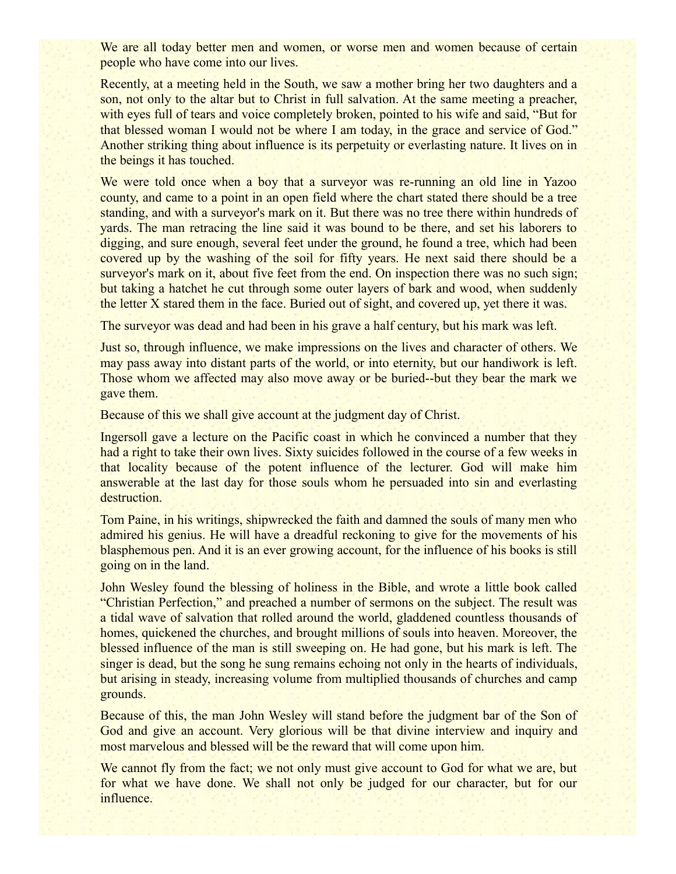We are all today better men and women, or worse men and women because of certain people who have come into our lives.

Recently, at a meeting held in the South, we saw a mother bring her two daughters and a son, not only to the altar but to Christ in full salvation. At the same meeting a preacher, with eyes full of tears and voice completely broken, pointed to his wife and said, "But for that blessed woman I would not be where I am today, in the grace and service of God." Another striking thing about influence is its perpetuity or everlasting nature. It lives on in the beings it has touched.

We were told once when a boy that a surveyor was re-running an old line in Yazoo county, and came to a point in an open field where the chart stated there should be a tree standing, and with a surveyor's mark on it. But there was no tree there within hundreds of yards. The man retracing the line said it was bound to be there, and set his laborers to digging, and sure enough, several feet under the ground, he found a tree, which had been covered up by the washing of the soil for fifty years. He next said there should be a surveyor's mark on it, about five feet from the end. On inspection there was no such sign; but taking a hatchet he cut through some outer layers of bark and wood, when suddenly the letter X stared them in the face. Buried out of sight, and covered up, yet there it was.

The surveyor was dead and had been in his grave a half century, but his mark was left.

Just so, through influence, we make impressions on the lives and character of others. We may pass away into distant parts of the world, or into eternity, but our handiwork is left. Those whom we affected may also move away or be buried--but they bear the mark we gave them.

Because of this we shall give account at the judgment day of Christ.

Ingersoll gave a lecture on the Pacific coast in which he convinced a number that they had a right to take their own lives. Sixty suicides followed in the course of a few weeks in that locality because of the potent influence of the lecturer. God will make him answerable at the last day for those souls whom he persuaded into sin and everlasting destruction.

Tom Paine, in his writings, shipwrecked the faith and damned the souls of many men who admired his genius. He will have a dreadful reckoning to give for the movements of his blasphemous pen. And it is an ever growing account, for the influence of his books is still going on in the land.

John Wesley found the blessing of holiness in the Bible, and wrote a little book called "Christian Perfection," and preached a number of sermons on the subject. The result was a tidal wave of salvation that rolled around the world, gladdened countless thousands of homes, quickened the churches, and brought millions of souls into heaven. Moreover, the blessed influence of the man is still sweeping on. He had gone, but his mark is left. The singer is dead, but the song he sung remains echoing not only in the hearts of individuals, but arising in steady, increasing volume from multiplied thousands of churches and camp grounds.

Because of this, the man John Wesley will stand before the judgment bar of the Son of God and give an account. Very glorious will be that divine interview and inquiry and most marvelous and blessed will be the reward that will come upon him.

We cannot fly from the fact; we not only must give account to God for what we are, but for what we have done. We shall not only be judged for our character, but for our influence.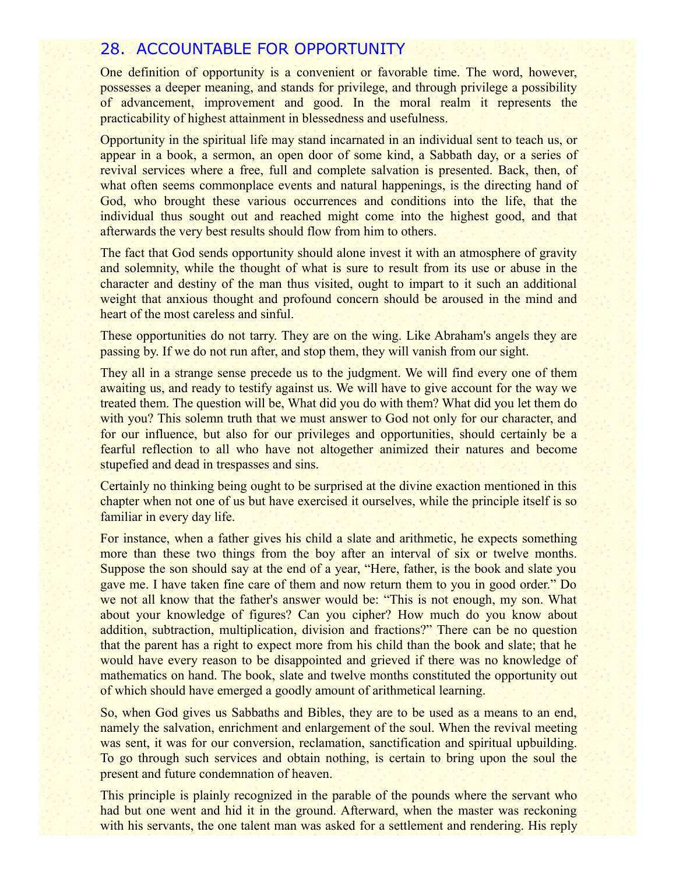## 28. ACCOUNTABLE FOR OPPORTUNITY

One definition of opportunity is a convenient or favorable time. The word, however, possesses a deeper meaning, and stands for privilege, and through privilege a possibility of advancement, improvement and good. In the moral realm it represents the practicability of highest attainment in blessedness and usefulness.

Opportunity in the spiritual life may stand incarnated in an individual sent to teach us, or appear in a book, a sermon, an open door of some kind, a Sabbath day, or a series of revival services where a free, full and complete salvation is presented. Back, then, of what often seems commonplace events and natural happenings, is the directing hand of God, who brought these various occurrences and conditions into the life, that the individual thus sought out and reached might come into the highest good, and that afterwards the very best results should flow from him to others.

The fact that God sends opportunity should alone invest it with an atmosphere of gravity and solemnity, while the thought of what is sure to result from its use or abuse in the character and destiny of the man thus visited, ought to impart to it such an additional weight that anxious thought and profound concern should be aroused in the mind and heart of the most careless and sinful.

These opportunities do not tarry. They are on the wing. Like Abraham's angels they are passing by. If we do not run after, and stop them, they will vanish from our sight.

They all in a strange sense precede us to the judgment. We will find every one of them awaiting us, and ready to testify against us. We will have to give account for the way we treated them. The question will be, What did you do with them? What did you let them do with you? This solemn truth that we must answer to God not only for our character, and for our influence, but also for our privileges and opportunities, should certainly be a fearful reflection to all who have not altogether animized their natures and become stupefied and dead in trespasses and sins.

Certainly no thinking being ought to be surprised at the divine exaction mentioned in this chapter when not one of us but have exercised it ourselves, while the principle itself is so familiar in every day life.

For instance, when a father gives his child a slate and arithmetic, he expects something more than these two things from the boy after an interval of six or twelve months. Suppose the son should say at the end of a year, "Here, father, is the book and slate you gave me. I have taken fine care of them and now return them to you in good order." Do we not all know that the father's answer would be: "This is not enough, my son. What about your knowledge of figures? Can you cipher? How much do you know about addition, subtraction, multiplication, division and fractions?" There can be no question that the parent has a right to expect more from his child than the book and slate; that he would have every reason to be disappointed and grieved if there was no knowledge of mathematics on hand. The book, slate and twelve months constituted the opportunity out of which should have emerged a goodly amount of arithmetical learning.

So, when God gives us Sabbaths and Bibles, they are to be used as a means to an end, namely the salvation, enrichment and enlargement of the soul. When the revival meeting was sent, it was for our conversion, reclamation, sanctification and spiritual upbuilding. To go through such services and obtain nothing, is certain to bring upon the soul the present and future condemnation of heaven.

This principle is plainly recognized in the parable of the pounds where the servant who had but one went and hid it in the ground. Afterward, when the master was reckoning with his servants, the one talent man was asked for a settlement and rendering. His reply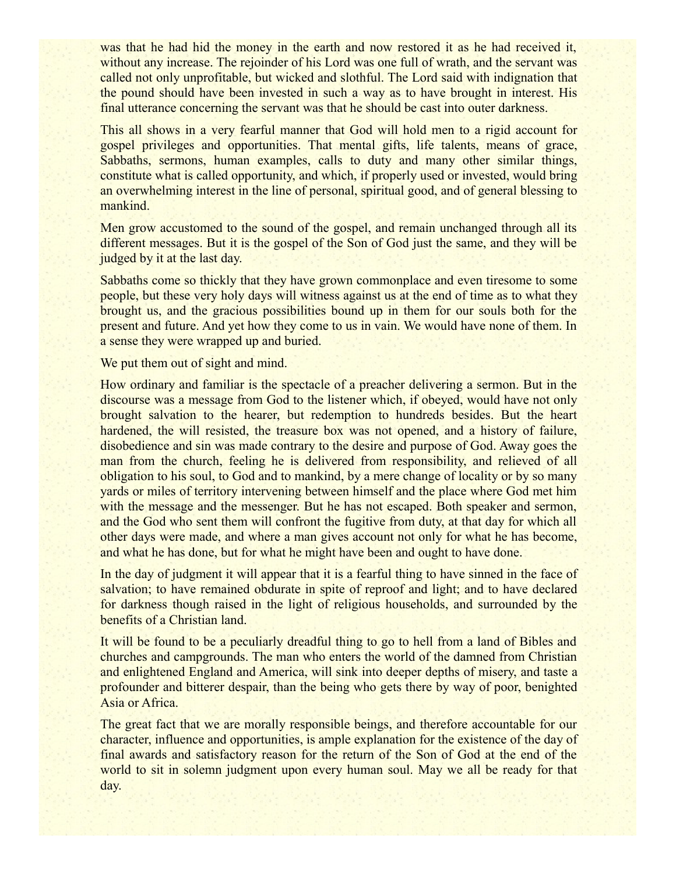was that he had hid the money in the earth and now restored it as he had received it, without any increase. The rejoinder of his Lord was one full of wrath, and the servant was called not only unprofitable, but wicked and slothful. The Lord said with indignation that the pound should have been invested in such a way as to have brought in interest. His final utterance concerning the servant was that he should be cast into outer darkness.

This all shows in a very fearful manner that God will hold men to a rigid account for gospel privileges and opportunities. That mental gifts, life talents, means of grace, Sabbaths, sermons, human examples, calls to duty and many other similar things, constitute what is called opportunity, and which, if properly used or invested, would bring an overwhelming interest in the line of personal, spiritual good, and of general blessing to mankind.

Men grow accustomed to the sound of the gospel, and remain unchanged through all its different messages. But it is the gospel of the Son of God just the same, and they will be judged by it at the last day.

Sabbaths come so thickly that they have grown commonplace and even tiresome to some people, but these very holy days will witness against us at the end of time as to what they brought us, and the gracious possibilities bound up in them for our souls both for the present and future. And yet how they come to us in vain. We would have none of them. In a sense they were wrapped up and buried.

We put them out of sight and mind.

How ordinary and familiar is the spectacle of a preacher delivering a sermon. But in the discourse was a message from God to the listener which, if obeyed, would have not only brought salvation to the hearer, but redemption to hundreds besides. But the heart hardened, the will resisted, the treasure box was not opened, and a history of failure, disobedience and sin was made contrary to the desire and purpose of God. Away goes the man from the church, feeling he is delivered from responsibility, and relieved of all obligation to his soul, to God and to mankind, by a mere change of locality or by so many yards or miles of territory intervening between himself and the place where God met him with the message and the messenger. But he has not escaped. Both speaker and sermon, and the God who sent them will confront the fugitive from duty, at that day for which all other days were made, and where a man gives account not only for what he has become, and what he has done, but for what he might have been and ought to have done.

In the day of judgment it will appear that it is a fearful thing to have sinned in the face of salvation; to have remained obdurate in spite of reproof and light; and to have declared for darkness though raised in the light of religious households, and surrounded by the benefits of a Christian land.

It will be found to be a peculiarly dreadful thing to go to hell from a land of Bibles and churches and campgrounds. The man who enters the world of the damned from Christian and enlightened England and America, will sink into deeper depths of misery, and taste a profounder and bitterer despair, than the being who gets there by way of poor, benighted Asia or Africa.

The great fact that we are morally responsible beings, and therefore accountable for our character, influence and opportunities, is ample explanation for the existence of the day of final awards and satisfactory reason for the return of the Son of God at the end of the world to sit in solemn judgment upon every human soul. May we all be ready for that day.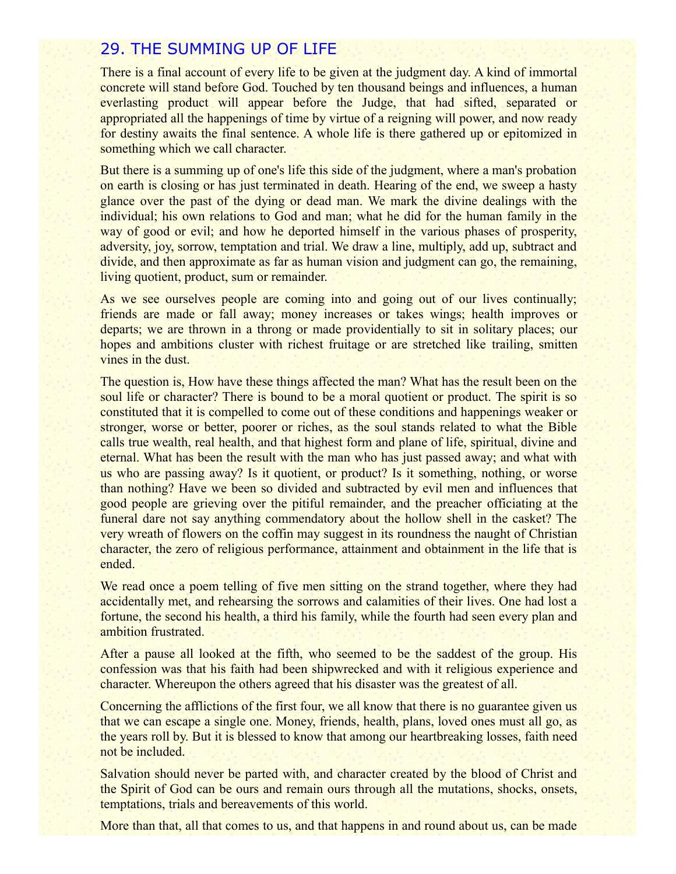## 29. THE SUMMING UP OF LIFE

There is a final account of every life to be given at the judgment day. A kind of immortal concrete will stand before God. Touched by ten thousand beings and influences, a human everlasting product will appear before the Judge, that had sifted, separated or appropriated all the happenings of time by virtue of a reigning will power, and now ready for destiny awaits the final sentence. A whole life is there gathered up or epitomized in something which we call character.

But there is a summing up of one's life this side of the judgment, where a man's probation on earth is closing or has just terminated in death. Hearing of the end, we sweep a hasty glance over the past of the dying or dead man. We mark the divine dealings with the individual; his own relations to God and man; what he did for the human family in the way of good or evil; and how he deported himself in the various phases of prosperity, adversity, joy, sorrow, temptation and trial. We draw a line, multiply, add up, subtract and divide, and then approximate as far as human vision and judgment can go, the remaining, living quotient, product, sum or remainder.

As we see ourselves people are coming into and going out of our lives continually; friends are made or fall away; money increases or takes wings; health improves or departs; we are thrown in a throng or made providentially to sit in solitary places; our hopes and ambitions cluster with richest fruitage or are stretched like trailing, smitten vines in the dust.

The question is, How have these things affected the man? What has the result been on the soul life or character? There is bound to be a moral quotient or product. The spirit is so constituted that it is compelled to come out of these conditions and happenings weaker or stronger, worse or better, poorer or riches, as the soul stands related to what the Bible calls true wealth, real health, and that highest form and plane of life, spiritual, divine and eternal. What has been the result with the man who has just passed away; and what with us who are passing away? Is it quotient, or product? Is it something, nothing, or worse than nothing? Have we been so divided and subtracted by evil men and influences that good people are grieving over the pitiful remainder, and the preacher officiating at the funeral dare not say anything commendatory about the hollow shell in the casket? The very wreath of flowers on the coffin may suggest in its roundness the naught of Christian character, the zero of religious performance, attainment and obtainment in the life that is ended.

We read once a poem telling of five men sitting on the strand together, where they had accidentally met, and rehearsing the sorrows and calamities of their lives. One had lost a fortune, the second his health, a third his family, while the fourth had seen every plan and ambition frustrated.

After a pause all looked at the fifth, who seemed to be the saddest of the group. His confession was that his faith had been shipwrecked and with it religious experience and character. Whereupon the others agreed that his disaster was the greatest of all.

Concerning the afflictions of the first four, we all know that there is no guarantee given us that we can escape a single one. Money, friends, health, plans, loved ones must all go, as the years roll by. But it is blessed to know that among our heartbreaking losses, faith need not be included.

Salvation should never be parted with, and character created by the blood of Christ and the Spirit of God can be ours and remain ours through all the mutations, shocks, onsets, temptations, trials and bereavements of this world.

More than that, all that comes to us, and that happens in and round about us, can be made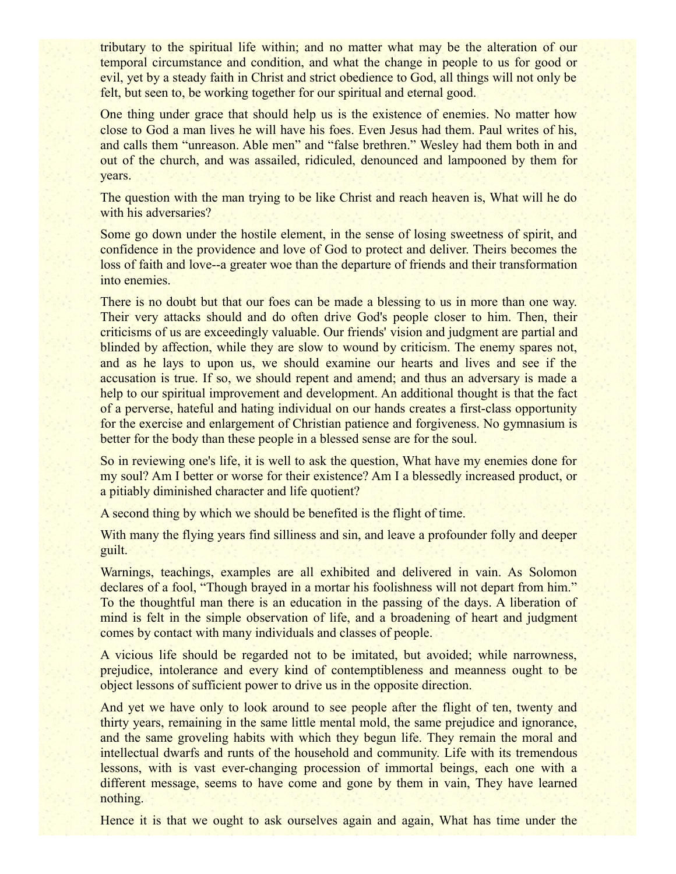tributary to the spiritual life within; and no matter what may be the alteration of our temporal circumstance and condition, and what the change in people to us for good or evil, yet by a steady faith in Christ and strict obedience to God, all things will not only be felt, but seen to, be working together for our spiritual and eternal good.

One thing under grace that should help us is the existence of enemies. No matter how close to God a man lives he will have his foes. Even Jesus had them. Paul writes of his, and calls them "unreason. Able men" and "false brethren." Wesley had them both in and out of the church, and was assailed, ridiculed, denounced and lampooned by them for years.

The question with the man trying to be like Christ and reach heaven is, What will he do with his adversaries?

Some go down under the hostile element, in the sense of losing sweetness of spirit, and confidence in the providence and love of God to protect and deliver. Theirs becomes the loss of faith and love--a greater woe than the departure of friends and their transformation into enemies.

There is no doubt but that our foes can be made a blessing to us in more than one way. Their very attacks should and do often drive God's people closer to him. Then, their criticisms of us are exceedingly valuable. Our friends' vision and judgment are partial and blinded by affection, while they are slow to wound by criticism. The enemy spares not, and as he lays to upon us, we should examine our hearts and lives and see if the accusation is true. If so, we should repent and amend; and thus an adversary is made a help to our spiritual improvement and development. An additional thought is that the fact of a perverse, hateful and hating individual on our hands creates a first-class opportunity for the exercise and enlargement of Christian patience and forgiveness. No gymnasium is better for the body than these people in a blessed sense are for the soul.

So in reviewing one's life, it is well to ask the question, What have my enemies done for my soul? Am I better or worse for their existence? Am I a blessedly increased product, or a pitiably diminished character and life quotient?

A second thing by which we should be benefited is the flight of time.

With many the flying years find silliness and sin, and leave a profounder folly and deeper guilt.

Warnings, teachings, examples are all exhibited and delivered in vain. As Solomon declares of a fool, "Though brayed in a mortar his foolishness will not depart from him." To the thoughtful man there is an education in the passing of the days. A liberation of mind is felt in the simple observation of life, and a broadening of heart and judgment comes by contact with many individuals and classes of people.

A vicious life should be regarded not to be imitated, but avoided; while narrowness, prejudice, intolerance and every kind of contemptibleness and meanness ought to be object lessons of sufficient power to drive us in the opposite direction.

And yet we have only to look around to see people after the flight of ten, twenty and thirty years, remaining in the same little mental mold, the same prejudice and ignorance, and the same groveling habits with which they begun life. They remain the moral and intellectual dwarfs and runts of the household and community. Life with its tremendous lessons, with is vast ever-changing procession of immortal beings, each one with a different message, seems to have come and gone by them in vain, They have learned nothing.

Hence it is that we ought to ask ourselves again and again, What has time under the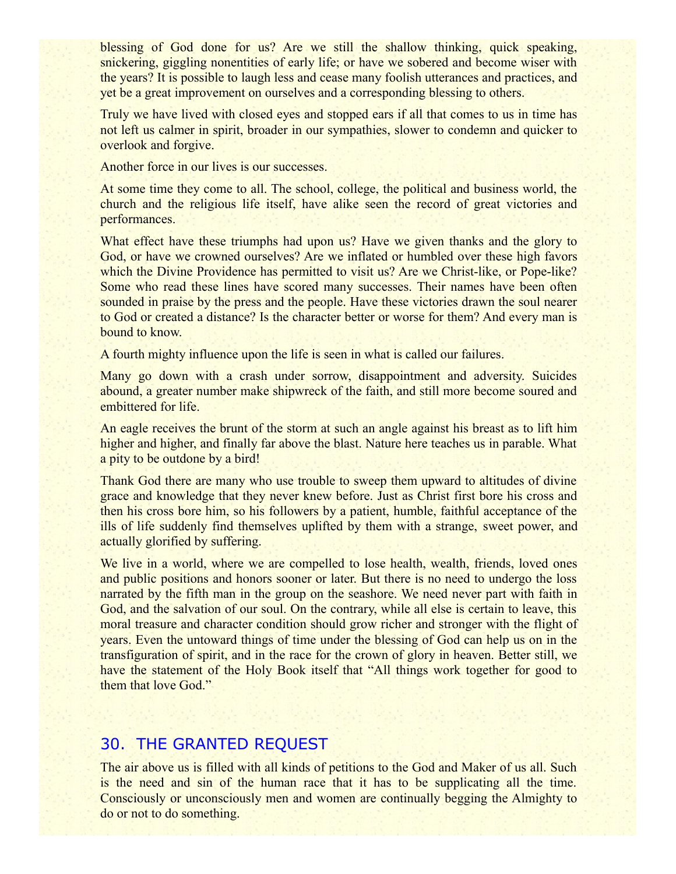blessing of God done for us? Are we still the shallow thinking, quick speaking, snickering, giggling nonentities of early life; or have we sobered and become wiser with the years? It is possible to laugh less and cease many foolish utterances and practices, and yet be a great improvement on ourselves and a corresponding blessing to others.

Truly we have lived with closed eyes and stopped ears if all that comes to us in time has not left us calmer in spirit, broader in our sympathies, slower to condemn and quicker to overlook and forgive.

Another force in our lives is our successes.

At some time they come to all. The school, college, the political and business world, the church and the religious life itself, have alike seen the record of great victories and performances.

What effect have these triumphs had upon us? Have we given thanks and the glory to God, or have we crowned ourselves? Are we inflated or humbled over these high favors which the Divine Providence has permitted to visit us? Are we Christ-like, or Pope-like? Some who read these lines have scored many successes. Their names have been often sounded in praise by the press and the people. Have these victories drawn the soul nearer to God or created a distance? Is the character better or worse for them? And every man is bound to know.

A fourth mighty influence upon the life is seen in what is called our failures.

Many go down with a crash under sorrow, disappointment and adversity. Suicides abound, a greater number make shipwreck of the faith, and still more become soured and embittered for life.

An eagle receives the brunt of the storm at such an angle against his breast as to lift him higher and higher, and finally far above the blast. Nature here teaches us in parable. What a pity to be outdone by a bird!

Thank God there are many who use trouble to sweep them upward to altitudes of divine grace and knowledge that they never knew before. Just as Christ first bore his cross and then his cross bore him, so his followers by a patient, humble, faithful acceptance of the ills of life suddenly find themselves uplifted by them with a strange, sweet power, and actually glorified by suffering.

We live in a world, where we are compelled to lose health, wealth, friends, loved ones and public positions and honors sooner or later. But there is no need to undergo the loss narrated by the fifth man in the group on the seashore. We need never part with faith in God, and the salvation of our soul. On the contrary, while all else is certain to leave, this moral treasure and character condition should grow richer and stronger with the flight of years. Even the untoward things of time under the blessing of God can help us on in the transfiguration of spirit, and in the race for the crown of glory in heaven. Better still, we have the statement of the Holy Book itself that "All things work together for good to them that love God."

## 30. THE GRANTED REQUEST

The air above us is filled with all kinds of petitions to the God and Maker of us all. Such is the need and sin of the human race that it has to be supplicating all the time. Consciously or unconsciously men and women are continually begging the Almighty to do or not to do something.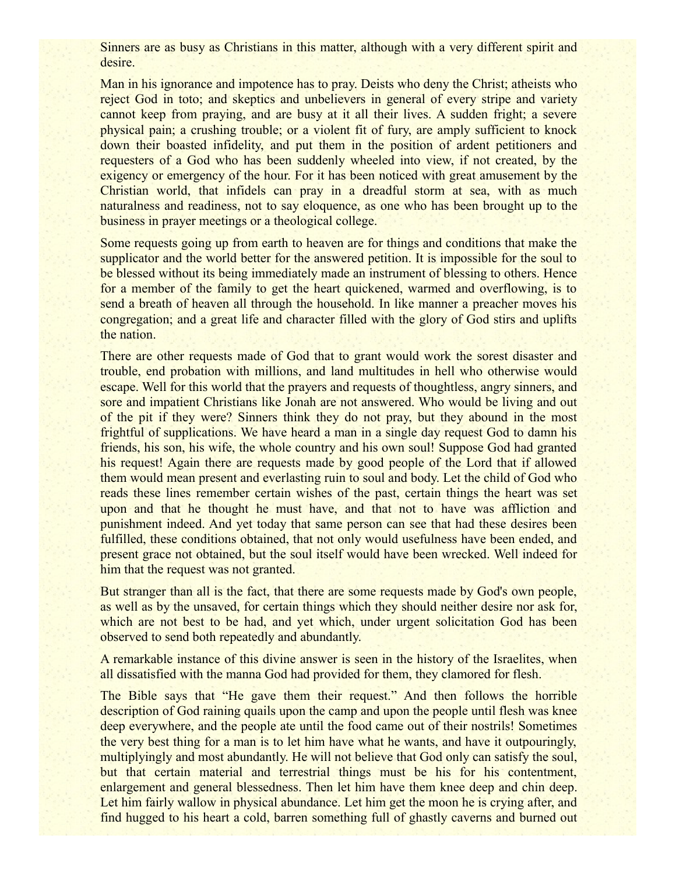Sinners are as busy as Christians in this matter, although with a very different spirit and desire.

Man in his ignorance and impotence has to pray. Deists who deny the Christ; atheists who reject God in toto; and skeptics and unbelievers in general of every stripe and variety cannot keep from praying, and are busy at it all their lives. A sudden fright; a severe physical pain; a crushing trouble; or a violent fit of fury, are amply sufficient to knock down their boasted infidelity, and put them in the position of ardent petitioners and requesters of a God who has been suddenly wheeled into view, if not created, by the exigency or emergency of the hour. For it has been noticed with great amusement by the Christian world, that infidels can pray in a dreadful storm at sea, with as much naturalness and readiness, not to say eloquence, as one who has been brought up to the business in prayer meetings or a theological college.

Some requests going up from earth to heaven are for things and conditions that make the supplicator and the world better for the answered petition. It is impossible for the soul to be blessed without its being immediately made an instrument of blessing to others. Hence for a member of the family to get the heart quickened, warmed and overflowing, is to send a breath of heaven all through the household. In like manner a preacher moves his congregation; and a great life and character filled with the glory of God stirs and uplifts the nation.

There are other requests made of God that to grant would work the sorest disaster and trouble, end probation with millions, and land multitudes in hell who otherwise would escape. Well for this world that the prayers and requests of thoughtless, angry sinners, and sore and impatient Christians like Jonah are not answered. Who would be living and out of the pit if they were? Sinners think they do not pray, but they abound in the most frightful of supplications. We have heard a man in a single day request God to damn his friends, his son, his wife, the whole country and his own soul! Suppose God had granted his request! Again there are requests made by good people of the Lord that if allowed them would mean present and everlasting ruin to soul and body. Let the child of God who reads these lines remember certain wishes of the past, certain things the heart was set upon and that he thought he must have, and that not to have was affliction and punishment indeed. And yet today that same person can see that had these desires been fulfilled, these conditions obtained, that not only would usefulness have been ended, and present grace not obtained, but the soul itself would have been wrecked. Well indeed for him that the request was not granted.

But stranger than all is the fact, that there are some requests made by God's own people, as well as by the unsaved, for certain things which they should neither desire nor ask for, which are not best to be had, and yet which, under urgent solicitation God has been observed to send both repeatedly and abundantly.

A remarkable instance of this divine answer is seen in the history of the Israelites, when all dissatisfied with the manna God had provided for them, they clamored for flesh.

The Bible says that "He gave them their request." And then follows the horrible description of God raining quails upon the camp and upon the people until flesh was knee deep everywhere, and the people ate until the food came out of their nostrils! Sometimes the very best thing for a man is to let him have what he wants, and have it outpouringly, multiplyingly and most abundantly. He will not believe that God only can satisfy the soul, but that certain material and terrestrial things must be his for his contentment, enlargement and general blessedness. Then let him have them knee deep and chin deep. Let him fairly wallow in physical abundance. Let him get the moon he is crying after, and find hugged to his heart a cold, barren something full of ghastly caverns and burned out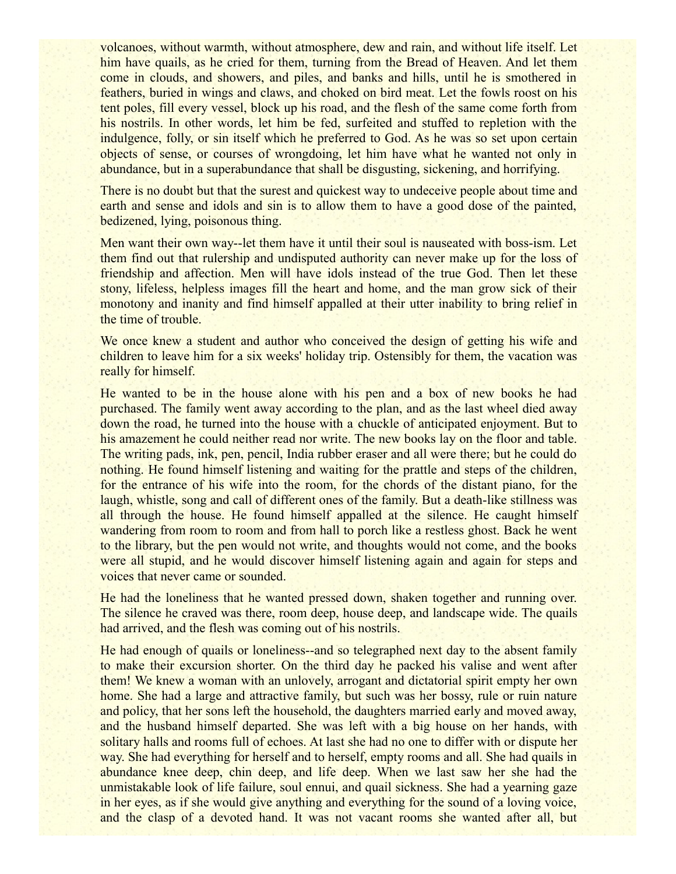volcanoes, without warmth, without atmosphere, dew and rain, and without life itself. Let him have quails, as he cried for them, turning from the Bread of Heaven. And let them come in clouds, and showers, and piles, and banks and hills, until he is smothered in feathers, buried in wings and claws, and choked on bird meat. Let the fowls roost on his tent poles, fill every vessel, block up his road, and the flesh of the same come forth from his nostrils. In other words, let him be fed, surfeited and stuffed to repletion with the indulgence, folly, or sin itself which he preferred to God. As he was so set upon certain objects of sense, or courses of wrongdoing, let him have what he wanted not only in abundance, but in a superabundance that shall be disgusting, sickening, and horrifying.

There is no doubt but that the surest and quickest way to undeceive people about time and earth and sense and idols and sin is to allow them to have a good dose of the painted, bedizened, lying, poisonous thing.

Men want their own way--let them have it until their soul is nauseated with boss-ism. Let them find out that rulership and undisputed authority can never make up for the loss of friendship and affection. Men will have idols instead of the true God. Then let these stony, lifeless, helpless images fill the heart and home, and the man grow sick of their monotony and inanity and find himself appalled at their utter inability to bring relief in the time of trouble.

We once knew a student and author who conceived the design of getting his wife and children to leave him for a six weeks' holiday trip. Ostensibly for them, the vacation was really for himself.

He wanted to be in the house alone with his pen and a box of new books he had purchased. The family went away according to the plan, and as the last wheel died away down the road, he turned into the house with a chuckle of anticipated enjoyment. But to his amazement he could neither read nor write. The new books lay on the floor and table. The writing pads, ink, pen, pencil, India rubber eraser and all were there; but he could do nothing. He found himself listening and waiting for the prattle and steps of the children, for the entrance of his wife into the room, for the chords of the distant piano, for the laugh, whistle, song and call of different ones of the family. But a death-like stillness was all through the house. He found himself appalled at the silence. He caught himself wandering from room to room and from hall to porch like a restless ghost. Back he went to the library, but the pen would not write, and thoughts would not come, and the books were all stupid, and he would discover himself listening again and again for steps and voices that never came or sounded.

He had the loneliness that he wanted pressed down, shaken together and running over. The silence he craved was there, room deep, house deep, and landscape wide. The quails had arrived, and the flesh was coming out of his nostrils.

He had enough of quails or loneliness--and so telegraphed next day to the absent family to make their excursion shorter. On the third day he packed his valise and went after them! We knew a woman with an unlovely, arrogant and dictatorial spirit empty her own home. She had a large and attractive family, but such was her bossy, rule or ruin nature and policy, that her sons left the household, the daughters married early and moved away, and the husband himself departed. She was left with a big house on her hands, with solitary halls and rooms full of echoes. At last she had no one to differ with or dispute her way. She had everything for herself and to herself, empty rooms and all. She had quails in abundance knee deep, chin deep, and life deep. When we last saw her she had the unmistakable look of life failure, soul ennui, and quail sickness. She had a yearning gaze in her eyes, as if she would give anything and everything for the sound of a loving voice, and the clasp of a devoted hand. It was not vacant rooms she wanted after all, but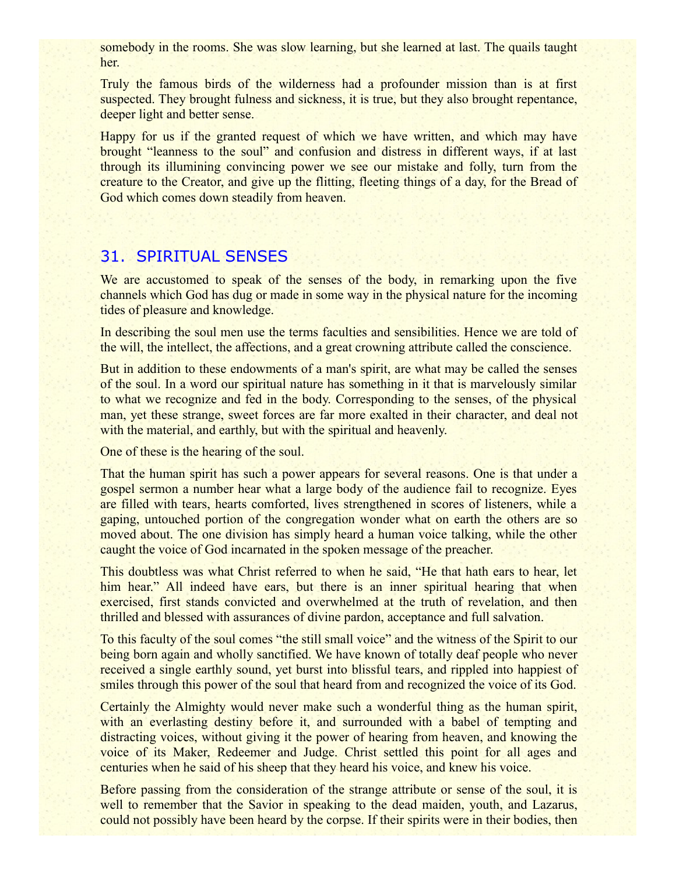somebody in the rooms. She was slow learning, but she learned at last. The quails taught her.

Truly the famous birds of the wilderness had a profounder mission than is at first suspected. They brought fulness and sickness, it is true, but they also brought repentance, deeper light and better sense.

Happy for us if the granted request of which we have written, and which may have brought "leanness to the soul" and confusion and distress in different ways, if at last through its illumining convincing power we see our mistake and folly, turn from the creature to the Creator, and give up the flitting, fleeting things of a day, for the Bread of God which comes down steadily from heaven.

## 31. SPIRITUAL SENSES

We are accustomed to speak of the senses of the body, in remarking upon the five channels which God has dug or made in some way in the physical nature for the incoming tides of pleasure and knowledge.

In describing the soul men use the terms faculties and sensibilities. Hence we are told of the will, the intellect, the affections, and a great crowning attribute called the conscience.

But in addition to these endowments of a man's spirit, are what may be called the senses of the soul. In a word our spiritual nature has something in it that is marvelously similar to what we recognize and fed in the body. Corresponding to the senses, of the physical man, yet these strange, sweet forces are far more exalted in their character, and deal not with the material, and earthly, but with the spiritual and heavenly.

One of these is the hearing of the soul.

That the human spirit has such a power appears for several reasons. One is that under a gospel sermon a number hear what a large body of the audience fail to recognize. Eyes are filled with tears, hearts comforted, lives strengthened in scores of listeners, while a gaping, untouched portion of the congregation wonder what on earth the others are so moved about. The one division has simply heard a human voice talking, while the other caught the voice of God incarnated in the spoken message of the preacher.

This doubtless was what Christ referred to when he said, "He that hath ears to hear, let him hear." All indeed have ears, but there is an inner spiritual hearing that when exercised, first stands convicted and overwhelmed at the truth of revelation, and then thrilled and blessed with assurances of divine pardon, acceptance and full salvation.

To this faculty of the soul comes "the still small voice" and the witness of the Spirit to our being born again and wholly sanctified. We have known of totally deaf people who never received a single earthly sound, yet burst into blissful tears, and rippled into happiest of smiles through this power of the soul that heard from and recognized the voice of its God.

Certainly the Almighty would never make such a wonderful thing as the human spirit, with an everlasting destiny before it, and surrounded with a babel of tempting and distracting voices, without giving it the power of hearing from heaven, and knowing the voice of its Maker, Redeemer and Judge. Christ settled this point for all ages and centuries when he said of his sheep that they heard his voice, and knew his voice.

Before passing from the consideration of the strange attribute or sense of the soul, it is well to remember that the Savior in speaking to the dead maiden, youth, and Lazarus, could not possibly have been heard by the corpse. If their spirits were in their bodies, then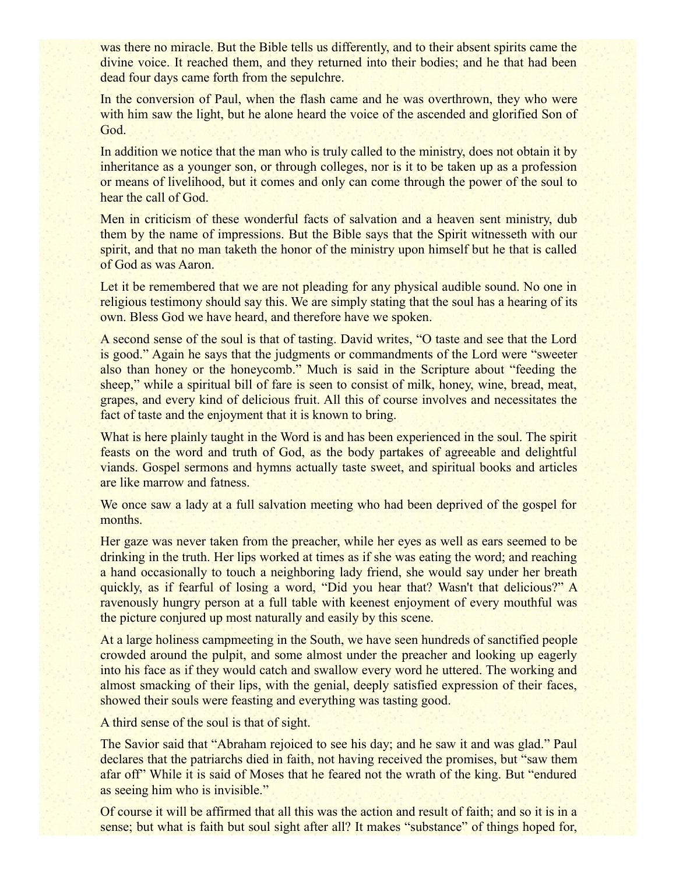was there no miracle. But the Bible tells us differently, and to their absent spirits came the divine voice. It reached them, and they returned into their bodies; and he that had been dead four days came forth from the sepulchre.

In the conversion of Paul, when the flash came and he was overthrown, they who were with him saw the light, but he alone heard the voice of the ascended and glorified Son of God.

In addition we notice that the man who is truly called to the ministry, does not obtain it by inheritance as a younger son, or through colleges, nor is it to be taken up as a profession or means of livelihood, but it comes and only can come through the power of the soul to hear the call of God.

Men in criticism of these wonderful facts of salvation and a heaven sent ministry, dub them by the name of impressions. But the Bible says that the Spirit witnesseth with our spirit, and that no man taketh the honor of the ministry upon himself but he that is called of God as was Aaron.

Let it be remembered that we are not pleading for any physical audible sound. No one in religious testimony should say this. We are simply stating that the soul has a hearing of its own. Bless God we have heard, and therefore have we spoken.

A second sense of the soul is that of tasting. David writes, "O taste and see that the Lord is good." Again he says that the judgments or commandments of the Lord were "sweeter also than honey or the honeycomb." Much is said in the Scripture about "feeding the sheep," while a spiritual bill of fare is seen to consist of milk, honey, wine, bread, meat, grapes, and every kind of delicious fruit. All this of course involves and necessitates the fact of taste and the enjoyment that it is known to bring.

What is here plainly taught in the Word is and has been experienced in the soul. The spirit feasts on the word and truth of God, as the body partakes of agreeable and delightful viands. Gospel sermons and hymns actually taste sweet, and spiritual books and articles are like marrow and fatness.

We once saw a lady at a full salvation meeting who had been deprived of the gospel for months.

Her gaze was never taken from the preacher, while her eyes as well as ears seemed to be drinking in the truth. Her lips worked at times as if she was eating the word; and reaching a hand occasionally to touch a neighboring lady friend, she would say under her breath quickly, as if fearful of losing a word, "Did you hear that? Wasn't that delicious?" A ravenously hungry person at a full table with keenest enjoyment of every mouthful was the picture conjured up most naturally and easily by this scene.

At a large holiness campmeeting in the South, we have seen hundreds of sanctified people crowded around the pulpit, and some almost under the preacher and looking up eagerly into his face as if they would catch and swallow every word he uttered. The working and almost smacking of their lips, with the genial, deeply satisfied expression of their faces, showed their souls were feasting and everything was tasting good.

A third sense of the soul is that of sight.

The Savior said that "Abraham rejoiced to see his day; and he saw it and was glad." Paul declares that the patriarchs died in faith, not having received the promises, but "saw them afar off" While it is said of Moses that he feared not the wrath of the king. But "endured as seeing him who is invisible."

Of course it will be affirmed that all this was the action and result of faith; and so it is in a sense; but what is faith but soul sight after all? It makes "substance" of things hoped for,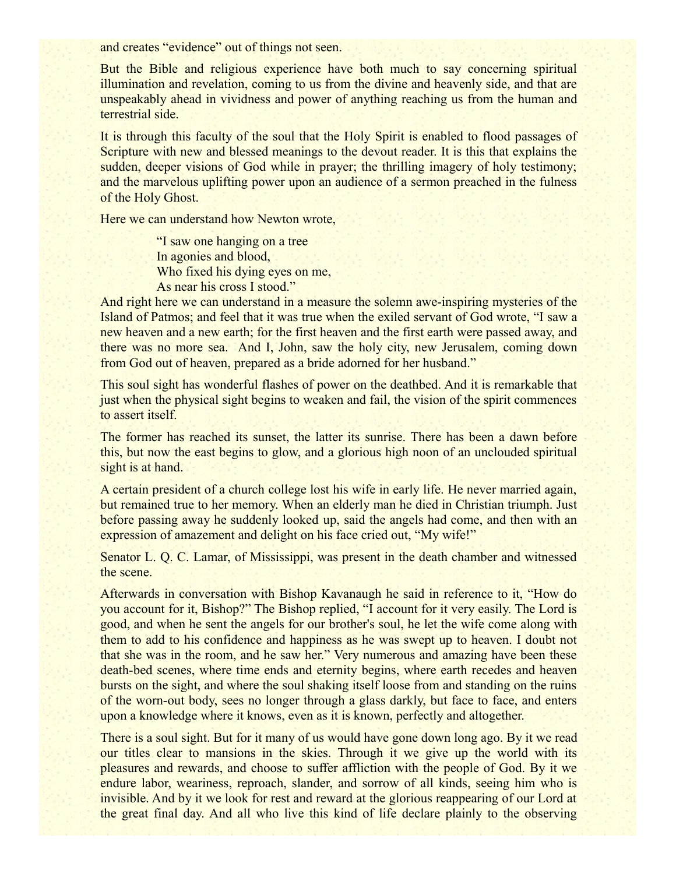and creates "evidence" out of things not seen.

But the Bible and religious experience have both much to say concerning spiritual illumination and revelation, coming to us from the divine and heavenly side, and that are unspeakably ahead in vividness and power of anything reaching us from the human and terrestrial side.

It is through this faculty of the soul that the Holy Spirit is enabled to flood passages of Scripture with new and blessed meanings to the devout reader. It is this that explains the sudden, deeper visions of God while in prayer; the thrilling imagery of holy testimony; and the marvelous uplifting power upon an audience of a sermon preached in the fulness of the Holy Ghost.

Here we can understand how Newton wrote,

"I saw one hanging on a tree In agonies and blood, Who fixed his dying eyes on me, As near his cross I stood."

And right here we can understand in a measure the solemn awe-inspiring mysteries of the Island of Patmos; and feel that it was true when the exiled servant of God wrote, "I saw a new heaven and a new earth; for the first heaven and the first earth were passed away, and there was no more sea. And I, John, saw the holy city, new Jerusalem, coming down from God out of heaven, prepared as a bride adorned for her husband."

This soul sight has wonderful flashes of power on the deathbed. And it is remarkable that just when the physical sight begins to weaken and fail, the vision of the spirit commences to assert itself.

The former has reached its sunset, the latter its sunrise. There has been a dawn before this, but now the east begins to glow, and a glorious high noon of an unclouded spiritual sight is at hand.

A certain president of a church college lost his wife in early life. He never married again, but remained true to her memory. When an elderly man he died in Christian triumph. Just before passing away he suddenly looked up, said the angels had come, and then with an expression of amazement and delight on his face cried out, "My wife!"

Senator L. Q. C. Lamar, of Mississippi, was present in the death chamber and witnessed the scene.

Afterwards in conversation with Bishop Kavanaugh he said in reference to it, "How do you account for it, Bishop?" The Bishop replied, "I account for it very easily. The Lord is good, and when he sent the angels for our brother's soul, he let the wife come along with them to add to his confidence and happiness as he was swept up to heaven. I doubt not that she was in the room, and he saw her." Very numerous and amazing have been these death-bed scenes, where time ends and eternity begins, where earth recedes and heaven bursts on the sight, and where the soul shaking itself loose from and standing on the ruins of the worn-out body, sees no longer through a glass darkly, but face to face, and enters upon a knowledge where it knows, even as it is known, perfectly and altogether.

There is a soul sight. But for it many of us would have gone down long ago. By it we read our titles clear to mansions in the skies. Through it we give up the world with its pleasures and rewards, and choose to suffer affliction with the people of God. By it we endure labor, weariness, reproach, slander, and sorrow of all kinds, seeing him who is invisible. And by it we look for rest and reward at the glorious reappearing of our Lord at the great final day. And all who live this kind of life declare plainly to the observing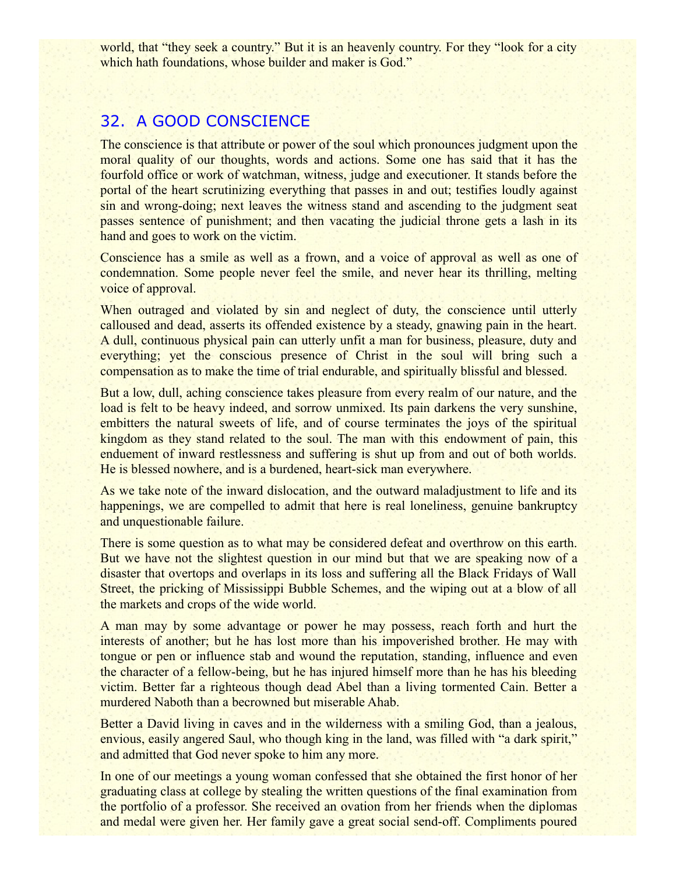world, that "they seek a country." But it is an heavenly country. For they "look for a city which hath foundations, whose builder and maker is God."

## 32. A GOOD CONSCIENCE

The conscience is that attribute or power of the soul which pronounces judgment upon the moral quality of our thoughts, words and actions. Some one has said that it has the fourfold office or work of watchman, witness, judge and executioner. It stands before the portal of the heart scrutinizing everything that passes in and out; testifies loudly against sin and wrong-doing; next leaves the witness stand and ascending to the judgment seat passes sentence of punishment; and then vacating the judicial throne gets a lash in its hand and goes to work on the victim.

Conscience has a smile as well as a frown, and a voice of approval as well as one of condemnation. Some people never feel the smile, and never hear its thrilling, melting voice of approval.

When outraged and violated by sin and neglect of duty, the conscience until utterly calloused and dead, asserts its offended existence by a steady, gnawing pain in the heart. A dull, continuous physical pain can utterly unfit a man for business, pleasure, duty and everything; yet the conscious presence of Christ in the soul will bring such a compensation as to make the time of trial endurable, and spiritually blissful and blessed.

But a low, dull, aching conscience takes pleasure from every realm of our nature, and the load is felt to be heavy indeed, and sorrow unmixed. Its pain darkens the very sunshine, embitters the natural sweets of life, and of course terminates the joys of the spiritual kingdom as they stand related to the soul. The man with this endowment of pain, this enduement of inward restlessness and suffering is shut up from and out of both worlds. He is blessed nowhere, and is a burdened, heart-sick man everywhere.

As we take note of the inward dislocation, and the outward maladjustment to life and its happenings, we are compelled to admit that here is real loneliness, genuine bankruptcy and unquestionable failure.

There is some question as to what may be considered defeat and overthrow on this earth. But we have not the slightest question in our mind but that we are speaking now of a disaster that overtops and overlaps in its loss and suffering all the Black Fridays of Wall Street, the pricking of Mississippi Bubble Schemes, and the wiping out at a blow of all the markets and crops of the wide world.

A man may by some advantage or power he may possess, reach forth and hurt the interests of another; but he has lost more than his impoverished brother. He may with tongue or pen or influence stab and wound the reputation, standing, influence and even the character of a fellow-being, but he has injured himself more than he has his bleeding victim. Better far a righteous though dead Abel than a living tormented Cain. Better a murdered Naboth than a becrowned but miserable Ahab.

Better a David living in caves and in the wilderness with a smiling God, than a jealous, envious, easily angered Saul, who though king in the land, was filled with "a dark spirit," and admitted that God never spoke to him any more.

In one of our meetings a young woman confessed that she obtained the first honor of her graduating class at college by stealing the written questions of the final examination from the portfolio of a professor. She received an ovation from her friends when the diplomas and medal were given her. Her family gave a great social send-off. Compliments poured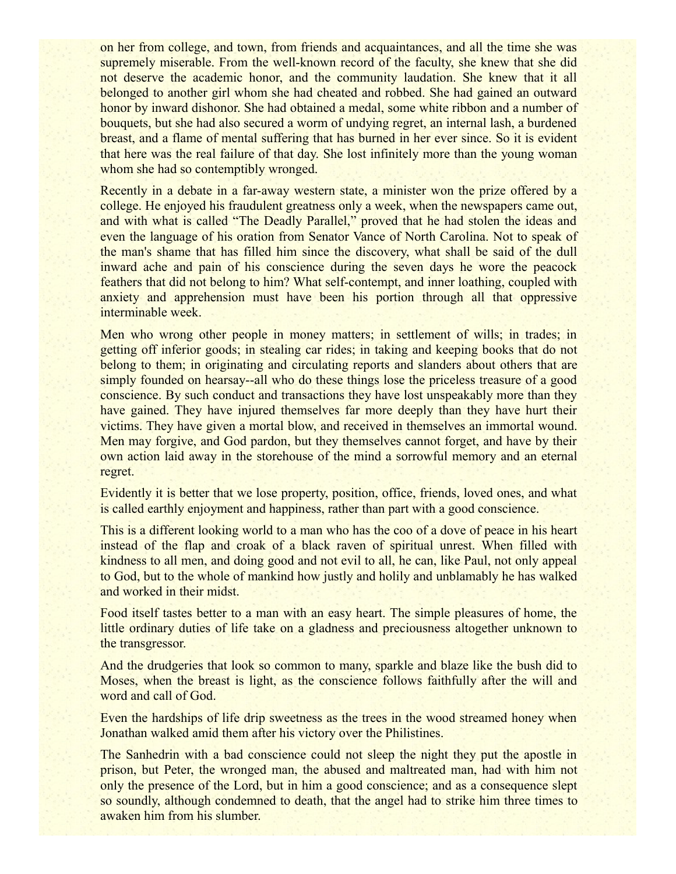on her from college, and town, from friends and acquaintances, and all the time she was supremely miserable. From the well-known record of the faculty, she knew that she did not deserve the academic honor, and the community laudation. She knew that it all belonged to another girl whom she had cheated and robbed. She had gained an outward honor by inward dishonor. She had obtained a medal, some white ribbon and a number of bouquets, but she had also secured a worm of undying regret, an internal lash, a burdened breast, and a flame of mental suffering that has burned in her ever since. So it is evident that here was the real failure of that day. She lost infinitely more than the young woman whom she had so contemptibly wronged.

Recently in a debate in a far-away western state, a minister won the prize offered by a college. He enjoyed his fraudulent greatness only a week, when the newspapers came out, and with what is called "The Deadly Parallel," proved that he had stolen the ideas and even the language of his oration from Senator Vance of North Carolina. Not to speak of the man's shame that has filled him since the discovery, what shall be said of the dull inward ache and pain of his conscience during the seven days he wore the peacock feathers that did not belong to him? What self-contempt, and inner loathing, coupled with anxiety and apprehension must have been his portion through all that oppressive interminable week.

Men who wrong other people in money matters; in settlement of wills; in trades; in getting off inferior goods; in stealing car rides; in taking and keeping books that do not belong to them; in originating and circulating reports and slanders about others that are simply founded on hearsay--all who do these things lose the priceless treasure of a good conscience. By such conduct and transactions they have lost unspeakably more than they have gained. They have injured themselves far more deeply than they have hurt their victims. They have given a mortal blow, and received in themselves an immortal wound. Men may forgive, and God pardon, but they themselves cannot forget, and have by their own action laid away in the storehouse of the mind a sorrowful memory and an eternal regret.

Evidently it is better that we lose property, position, office, friends, loved ones, and what is called earthly enjoyment and happiness, rather than part with a good conscience.

This is a different looking world to a man who has the coo of a dove of peace in his heart instead of the flap and croak of a black raven of spiritual unrest. When filled with kindness to all men, and doing good and not evil to all, he can, like Paul, not only appeal to God, but to the whole of mankind how justly and holily and unblamably he has walked and worked in their midst.

Food itself tastes better to a man with an easy heart. The simple pleasures of home, the little ordinary duties of life take on a gladness and preciousness altogether unknown to the transgressor.

And the drudgeries that look so common to many, sparkle and blaze like the bush did to Moses, when the breast is light, as the conscience follows faithfully after the will and word and call of God.

Even the hardships of life drip sweetness as the trees in the wood streamed honey when Jonathan walked amid them after his victory over the Philistines.

The Sanhedrin with a bad conscience could not sleep the night they put the apostle in prison, but Peter, the wronged man, the abused and maltreated man, had with him not only the presence of the Lord, but in him a good conscience; and as a consequence slept so soundly, although condemned to death, that the angel had to strike him three times to awaken him from his slumber.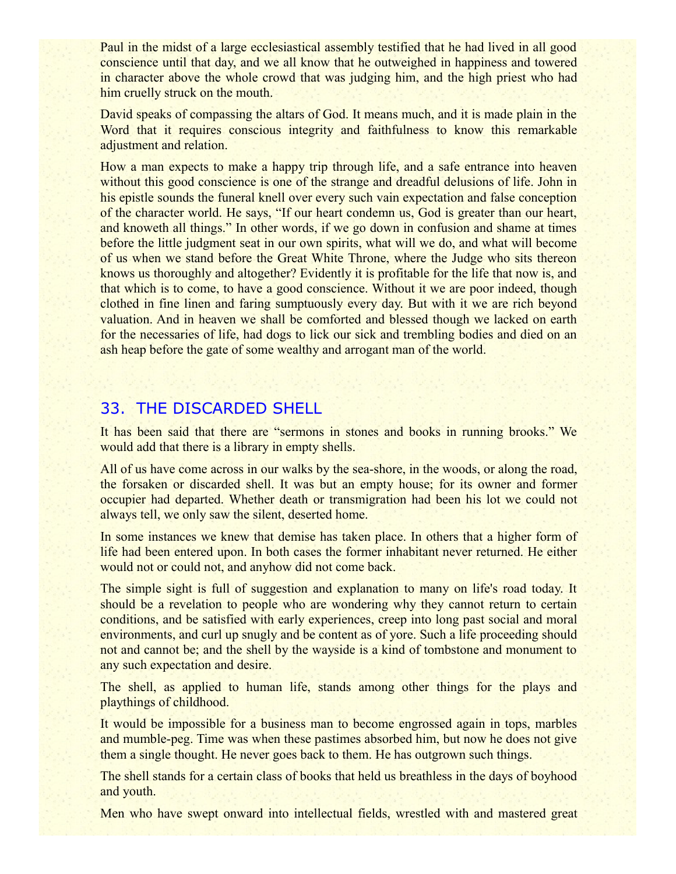Paul in the midst of a large ecclesiastical assembly testified that he had lived in all good conscience until that day, and we all know that he outweighed in happiness and towered in character above the whole crowd that was judging him, and the high priest who had him cruelly struck on the mouth.

David speaks of compassing the altars of God. It means much, and it is made plain in the Word that it requires conscious integrity and faithfulness to know this remarkable adjustment and relation.

How a man expects to make a happy trip through life, and a safe entrance into heaven without this good conscience is one of the strange and dreadful delusions of life. John in his epistle sounds the funeral knell over every such vain expectation and false conception of the character world. He says, "If our heart condemn us, God is greater than our heart, and knoweth all things." In other words, if we go down in confusion and shame at times before the little judgment seat in our own spirits, what will we do, and what will become of us when we stand before the Great White Throne, where the Judge who sits thereon knows us thoroughly and altogether? Evidently it is profitable for the life that now is, and that which is to come, to have a good conscience. Without it we are poor indeed, though clothed in fine linen and faring sumptuously every day. But with it we are rich beyond valuation. And in heaven we shall be comforted and blessed though we lacked on earth for the necessaries of life, had dogs to lick our sick and trembling bodies and died on an ash heap before the gate of some wealthy and arrogant man of the world.

# 33. THE DISCARDED SHELL

It has been said that there are "sermons in stones and books in running brooks." We would add that there is a library in empty shells.

All of us have come across in our walks by the sea-shore, in the woods, or along the road, the forsaken or discarded shell. It was but an empty house; for its owner and former occupier had departed. Whether death or transmigration had been his lot we could not always tell, we only saw the silent, deserted home.

In some instances we knew that demise has taken place. In others that a higher form of life had been entered upon. In both cases the former inhabitant never returned. He either would not or could not, and anyhow did not come back.

The simple sight is full of suggestion and explanation to many on life's road today. It should be a revelation to people who are wondering why they cannot return to certain conditions, and be satisfied with early experiences, creep into long past social and moral environments, and curl up snugly and be content as of yore. Such a life proceeding should not and cannot be; and the shell by the wayside is a kind of tombstone and monument to any such expectation and desire.

The shell, as applied to human life, stands among other things for the plays and playthings of childhood.

It would be impossible for a business man to become engrossed again in tops, marbles and mumble-peg. Time was when these pastimes absorbed him, but now he does not give them a single thought. He never goes back to them. He has outgrown such things.

The shell stands for a certain class of books that held us breathless in the days of boyhood and youth.

Men who have swept onward into intellectual fields, wrestled with and mastered great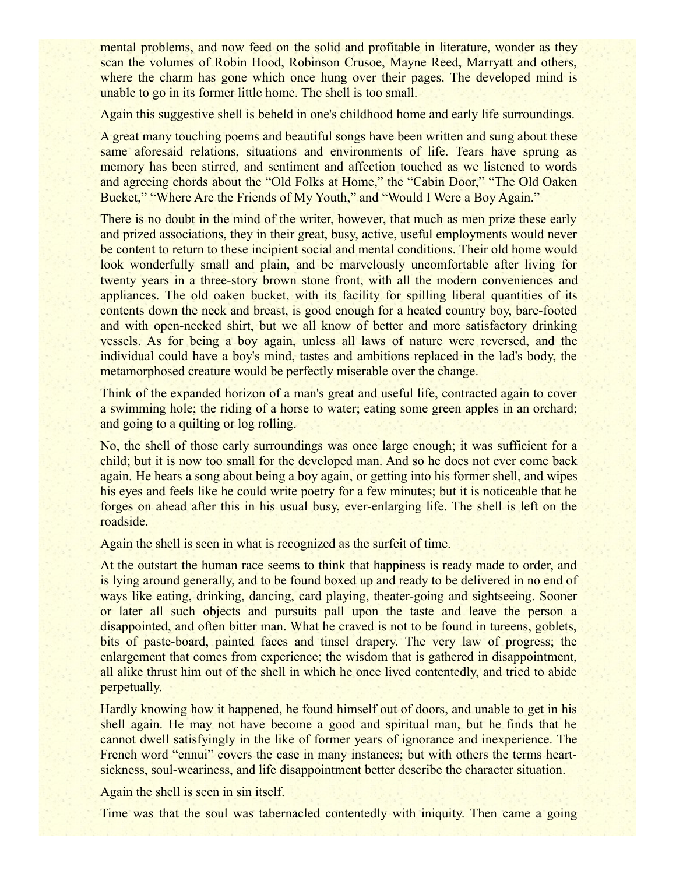mental problems, and now feed on the solid and profitable in literature, wonder as they scan the volumes of Robin Hood, Robinson Crusoe, Mayne Reed, Marryatt and others, where the charm has gone which once hung over their pages. The developed mind is unable to go in its former little home. The shell is too small.

Again this suggestive shell is beheld in one's childhood home and early life surroundings.

A great many touching poems and beautiful songs have been written and sung about these same aforesaid relations, situations and environments of life. Tears have sprung as memory has been stirred, and sentiment and affection touched as we listened to words and agreeing chords about the "Old Folks at Home," the "Cabin Door," "The Old Oaken Bucket," "Where Are the Friends of My Youth," and "Would I Were a Boy Again."

There is no doubt in the mind of the writer, however, that much as men prize these early and prized associations, they in their great, busy, active, useful employments would never be content to return to these incipient social and mental conditions. Their old home would look wonderfully small and plain, and be marvelously uncomfortable after living for twenty years in a three-story brown stone front, with all the modern conveniences and appliances. The old oaken bucket, with its facility for spilling liberal quantities of its contents down the neck and breast, is good enough for a heated country boy, bare-footed and with open-necked shirt, but we all know of better and more satisfactory drinking vessels. As for being a boy again, unless all laws of nature were reversed, and the individual could have a boy's mind, tastes and ambitions replaced in the lad's body, the metamorphosed creature would be perfectly miserable over the change.

Think of the expanded horizon of a man's great and useful life, contracted again to cover a swimming hole; the riding of a horse to water; eating some green apples in an orchard; and going to a quilting or log rolling.

No, the shell of those early surroundings was once large enough; it was sufficient for a child; but it is now too small for the developed man. And so he does not ever come back again. He hears a song about being a boy again, or getting into his former shell, and wipes his eyes and feels like he could write poetry for a few minutes; but it is noticeable that he forges on ahead after this in his usual busy, ever-enlarging life. The shell is left on the roadside.

Again the shell is seen in what is recognized as the surfeit of time.

At the outstart the human race seems to think that happiness is ready made to order, and is lying around generally, and to be found boxed up and ready to be delivered in no end of ways like eating, drinking, dancing, card playing, theater-going and sightseeing. Sooner or later all such objects and pursuits pall upon the taste and leave the person a disappointed, and often bitter man. What he craved is not to be found in tureens, goblets, bits of paste-board, painted faces and tinsel drapery. The very law of progress; the enlargement that comes from experience; the wisdom that is gathered in disappointment, all alike thrust him out of the shell in which he once lived contentedly, and tried to abide perpetually.

Hardly knowing how it happened, he found himself out of doors, and unable to get in his shell again. He may not have become a good and spiritual man, but he finds that he cannot dwell satisfyingly in the like of former years of ignorance and inexperience. The French word "ennui" covers the case in many instances; but with others the terms heartsickness, soul-weariness, and life disappointment better describe the character situation.

Again the shell is seen in sin itself.

Time was that the soul was tabernacled contentedly with iniquity. Then came a going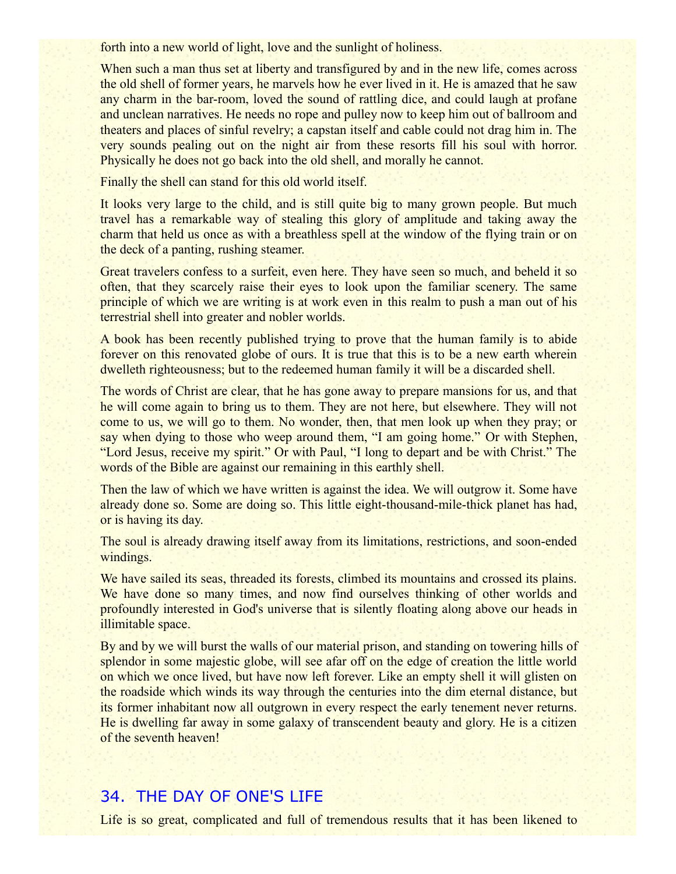forth into a new world of light, love and the sunlight of holiness.

When such a man thus set at liberty and transfigured by and in the new life, comes across the old shell of former years, he marvels how he ever lived in it. He is amazed that he saw any charm in the bar-room, loved the sound of rattling dice, and could laugh at profane and unclean narratives. He needs no rope and pulley now to keep him out of ballroom and theaters and places of sinful revelry; a capstan itself and cable could not drag him in. The very sounds pealing out on the night air from these resorts fill his soul with horror. Physically he does not go back into the old shell, and morally he cannot.

Finally the shell can stand for this old world itself.

It looks very large to the child, and is still quite big to many grown people. But much travel has a remarkable way of stealing this glory of amplitude and taking away the charm that held us once as with a breathless spell at the window of the flying train or on the deck of a panting, rushing steamer.

Great travelers confess to a surfeit, even here. They have seen so much, and beheld it so often, that they scarcely raise their eyes to look upon the familiar scenery. The same principle of which we are writing is at work even in this realm to push a man out of his terrestrial shell into greater and nobler worlds.

A book has been recently published trying to prove that the human family is to abide forever on this renovated globe of ours. It is true that this is to be a new earth wherein dwelleth righteousness; but to the redeemed human family it will be a discarded shell.

The words of Christ are clear, that he has gone away to prepare mansions for us, and that he will come again to bring us to them. They are not here, but elsewhere. They will not come to us, we will go to them. No wonder, then, that men look up when they pray; or say when dying to those who weep around them, "I am going home." Or with Stephen, "Lord Jesus, receive my spirit." Or with Paul, "I long to depart and be with Christ." The words of the Bible are against our remaining in this earthly shell.

Then the law of which we have written is against the idea. We will outgrow it. Some have already done so. Some are doing so. This little eight-thousand-mile-thick planet has had, or is having its day.

The soul is already drawing itself away from its limitations, restrictions, and soon-ended windings.

We have sailed its seas, threaded its forests, climbed its mountains and crossed its plains. We have done so many times, and now find ourselves thinking of other worlds and profoundly interested in God's universe that is silently floating along above our heads in illimitable space.

By and by we will burst the walls of our material prison, and standing on towering hills of splendor in some majestic globe, will see afar off on the edge of creation the little world on which we once lived, but have now left forever. Like an empty shell it will glisten on the roadside which winds its way through the centuries into the dim eternal distance, but its former inhabitant now all outgrown in every respect the early tenement never returns. He is dwelling far away in some galaxy of transcendent beauty and glory. He is a citizen of the seventh heaven!

## 34. THE DAY OF ONE'S LIFE

Life is so great, complicated and full of tremendous results that it has been likened to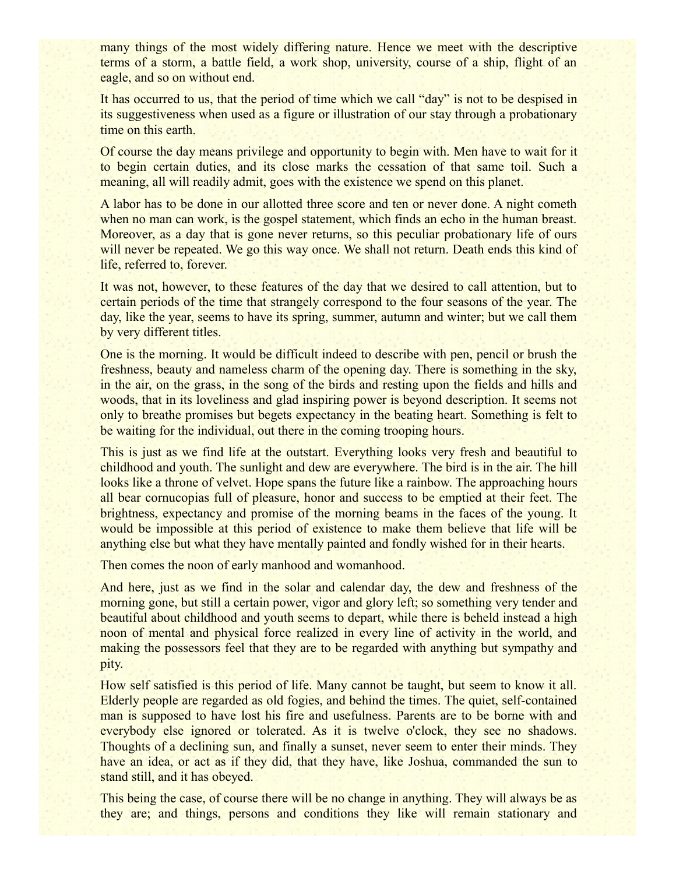many things of the most widely differing nature. Hence we meet with the descriptive terms of a storm, a battle field, a work shop, university, course of a ship, flight of an eagle, and so on without end.

It has occurred to us, that the period of time which we call "day" is not to be despised in its suggestiveness when used as a figure or illustration of our stay through a probationary time on this earth.

Of course the day means privilege and opportunity to begin with. Men have to wait for it to begin certain duties, and its close marks the cessation of that same toil. Such a meaning, all will readily admit, goes with the existence we spend on this planet.

A labor has to be done in our allotted three score and ten or never done. A night cometh when no man can work, is the gospel statement, which finds an echo in the human breast. Moreover, as a day that is gone never returns, so this peculiar probationary life of ours will never be repeated. We go this way once. We shall not return. Death ends this kind of life, referred to, forever.

It was not, however, to these features of the day that we desired to call attention, but to certain periods of the time that strangely correspond to the four seasons of the year. The day, like the year, seems to have its spring, summer, autumn and winter; but we call them by very different titles.

One is the morning. It would be difficult indeed to describe with pen, pencil or brush the freshness, beauty and nameless charm of the opening day. There is something in the sky, in the air, on the grass, in the song of the birds and resting upon the fields and hills and woods, that in its loveliness and glad inspiring power is beyond description. It seems not only to breathe promises but begets expectancy in the beating heart. Something is felt to be waiting for the individual, out there in the coming trooping hours.

This is just as we find life at the outstart. Everything looks very fresh and beautiful to childhood and youth. The sunlight and dew are everywhere. The bird is in the air. The hill looks like a throne of velvet. Hope spans the future like a rainbow. The approaching hours all bear cornucopias full of pleasure, honor and success to be emptied at their feet. The brightness, expectancy and promise of the morning beams in the faces of the young. It would be impossible at this period of existence to make them believe that life will be anything else but what they have mentally painted and fondly wished for in their hearts.

Then comes the noon of early manhood and womanhood.

And here, just as we find in the solar and calendar day, the dew and freshness of the morning gone, but still a certain power, vigor and glory left; so something very tender and beautiful about childhood and youth seems to depart, while there is beheld instead a high noon of mental and physical force realized in every line of activity in the world, and making the possessors feel that they are to be regarded with anything but sympathy and pity.

How self satisfied is this period of life. Many cannot be taught, but seem to know it all. Elderly people are regarded as old fogies, and behind the times. The quiet, self-contained man is supposed to have lost his fire and usefulness. Parents are to be borne with and everybody else ignored or tolerated. As it is twelve o'clock, they see no shadows. Thoughts of a declining sun, and finally a sunset, never seem to enter their minds. They have an idea, or act as if they did, that they have, like Joshua, commanded the sun to stand still, and it has obeyed.

This being the case, of course there will be no change in anything. They will always be as they are; and things, persons and conditions they like will remain stationary and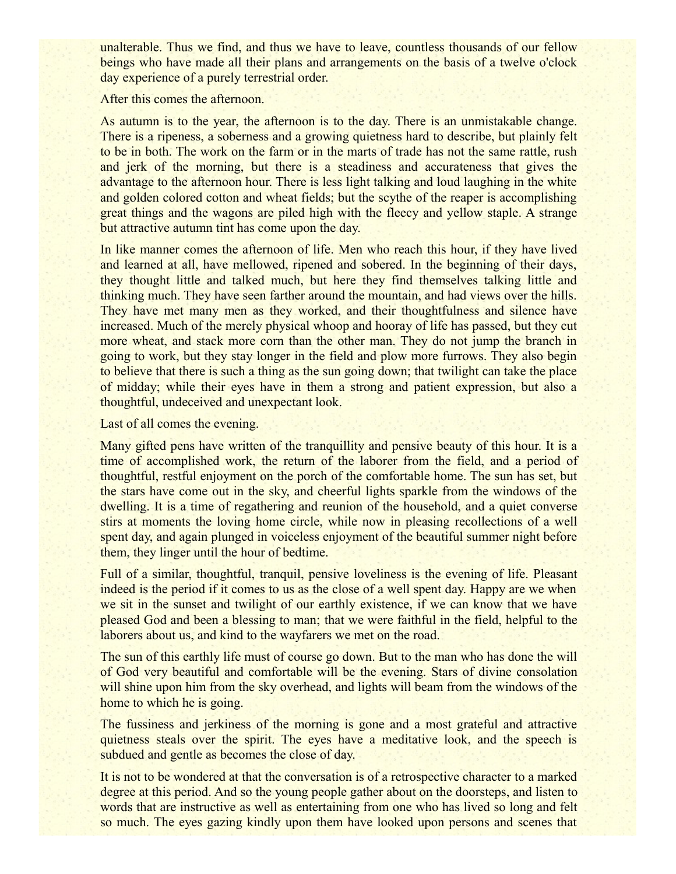unalterable. Thus we find, and thus we have to leave, countless thousands of our fellow beings who have made all their plans and arrangements on the basis of a twelve o'clock day experience of a purely terrestrial order.

After this comes the afternoon.

As autumn is to the year, the afternoon is to the day. There is an unmistakable change. There is a ripeness, a soberness and a growing quietness hard to describe, but plainly felt to be in both. The work on the farm or in the marts of trade has not the same rattle, rush and jerk of the morning, but there is a steadiness and accurateness that gives the advantage to the afternoon hour. There is less light talking and loud laughing in the white and golden colored cotton and wheat fields; but the scythe of the reaper is accomplishing great things and the wagons are piled high with the fleecy and yellow staple. A strange but attractive autumn tint has come upon the day.

In like manner comes the afternoon of life. Men who reach this hour, if they have lived and learned at all, have mellowed, ripened and sobered. In the beginning of their days, they thought little and talked much, but here they find themselves talking little and thinking much. They have seen farther around the mountain, and had views over the hills. They have met many men as they worked, and their thoughtfulness and silence have increased. Much of the merely physical whoop and hooray of life has passed, but they cut more wheat, and stack more corn than the other man. They do not jump the branch in going to work, but they stay longer in the field and plow more furrows. They also begin to believe that there is such a thing as the sun going down; that twilight can take the place of midday; while their eyes have in them a strong and patient expression, but also a thoughtful, undeceived and unexpectant look.

Last of all comes the evening.

Many gifted pens have written of the tranquillity and pensive beauty of this hour. It is a time of accomplished work, the return of the laborer from the field, and a period of thoughtful, restful enjoyment on the porch of the comfortable home. The sun has set, but the stars have come out in the sky, and cheerful lights sparkle from the windows of the dwelling. It is a time of regathering and reunion of the household, and a quiet converse stirs at moments the loving home circle, while now in pleasing recollections of a well spent day, and again plunged in voiceless enjoyment of the beautiful summer night before them, they linger until the hour of bedtime.

Full of a similar, thoughtful, tranquil, pensive loveliness is the evening of life. Pleasant indeed is the period if it comes to us as the close of a well spent day. Happy are we when we sit in the sunset and twilight of our earthly existence, if we can know that we have pleased God and been a blessing to man; that we were faithful in the field, helpful to the laborers about us, and kind to the wayfarers we met on the road.

The sun of this earthly life must of course go down. But to the man who has done the will of God very beautiful and comfortable will be the evening. Stars of divine consolation will shine upon him from the sky overhead, and lights will beam from the windows of the home to which he is going.

The fussiness and jerkiness of the morning is gone and a most grateful and attractive quietness steals over the spirit. The eyes have a meditative look, and the speech is subdued and gentle as becomes the close of day.

It is not to be wondered at that the conversation is of a retrospective character to a marked degree at this period. And so the young people gather about on the doorsteps, and listen to words that are instructive as well as entertaining from one who has lived so long and felt so much. The eyes gazing kindly upon them have looked upon persons and scenes that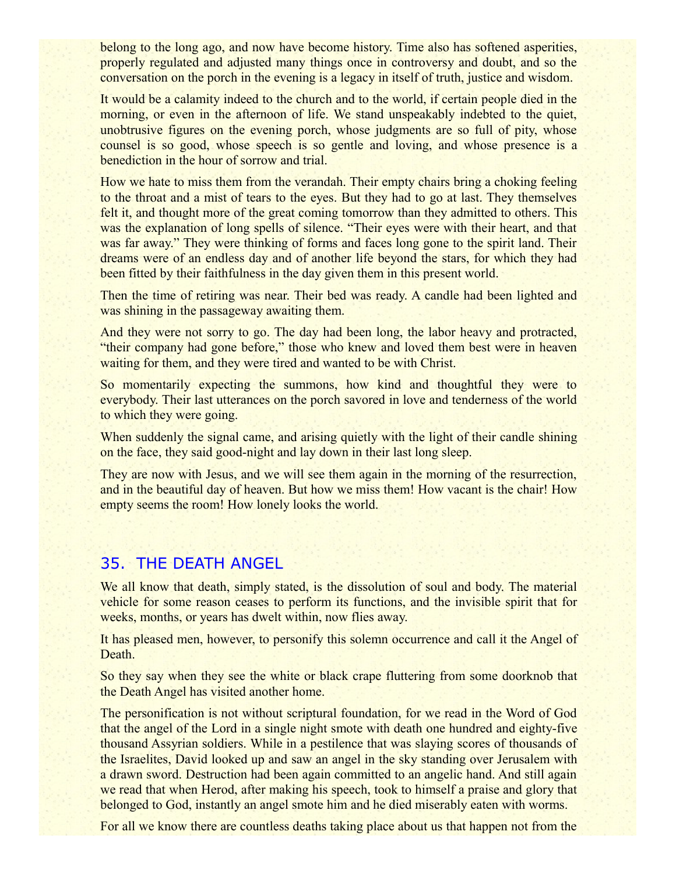belong to the long ago, and now have become history. Time also has softened asperities, properly regulated and adjusted many things once in controversy and doubt, and so the conversation on the porch in the evening is a legacy in itself of truth, justice and wisdom.

It would be a calamity indeed to the church and to the world, if certain people died in the morning, or even in the afternoon of life. We stand unspeakably indebted to the quiet, unobtrusive figures on the evening porch, whose judgments are so full of pity, whose counsel is so good, whose speech is so gentle and loving, and whose presence is a benediction in the hour of sorrow and trial.

How we hate to miss them from the verandah. Their empty chairs bring a choking feeling to the throat and a mist of tears to the eyes. But they had to go at last. They themselves felt it, and thought more of the great coming tomorrow than they admitted to others. This was the explanation of long spells of silence. "Their eyes were with their heart, and that was far away." They were thinking of forms and faces long gone to the spirit land. Their dreams were of an endless day and of another life beyond the stars, for which they had been fitted by their faithfulness in the day given them in this present world.

Then the time of retiring was near. Their bed was ready. A candle had been lighted and was shining in the passageway awaiting them.

And they were not sorry to go. The day had been long, the labor heavy and protracted, "their company had gone before," those who knew and loved them best were in heaven waiting for them, and they were tired and wanted to be with Christ.

So momentarily expecting the summons, how kind and thoughtful they were to everybody. Their last utterances on the porch savored in love and tenderness of the world to which they were going.

When suddenly the signal came, and arising quietly with the light of their candle shining on the face, they said good-night and lay down in their last long sleep.

They are now with Jesus, and we will see them again in the morning of the resurrection, and in the beautiful day of heaven. But how we miss them! How vacant is the chair! How empty seems the room! How lonely looks the world.

# 35. THE DEATH ANGEL

We all know that death, simply stated, is the dissolution of soul and body. The material vehicle for some reason ceases to perform its functions, and the invisible spirit that for weeks, months, or years has dwelt within, now flies away.

It has pleased men, however, to personify this solemn occurrence and call it the Angel of Death.

So they say when they see the white or black crape fluttering from some doorknob that the Death Angel has visited another home.

The personification is not without scriptural foundation, for we read in the Word of God that the angel of the Lord in a single night smote with death one hundred and eighty-five thousand Assyrian soldiers. While in a pestilence that was slaying scores of thousands of the Israelites, David looked up and saw an angel in the sky standing over Jerusalem with a drawn sword. Destruction had been again committed to an angelic hand. And still again we read that when Herod, after making his speech, took to himself a praise and glory that belonged to God, instantly an angel smote him and he died miserably eaten with worms.

For all we know there are countless deaths taking place about us that happen not from the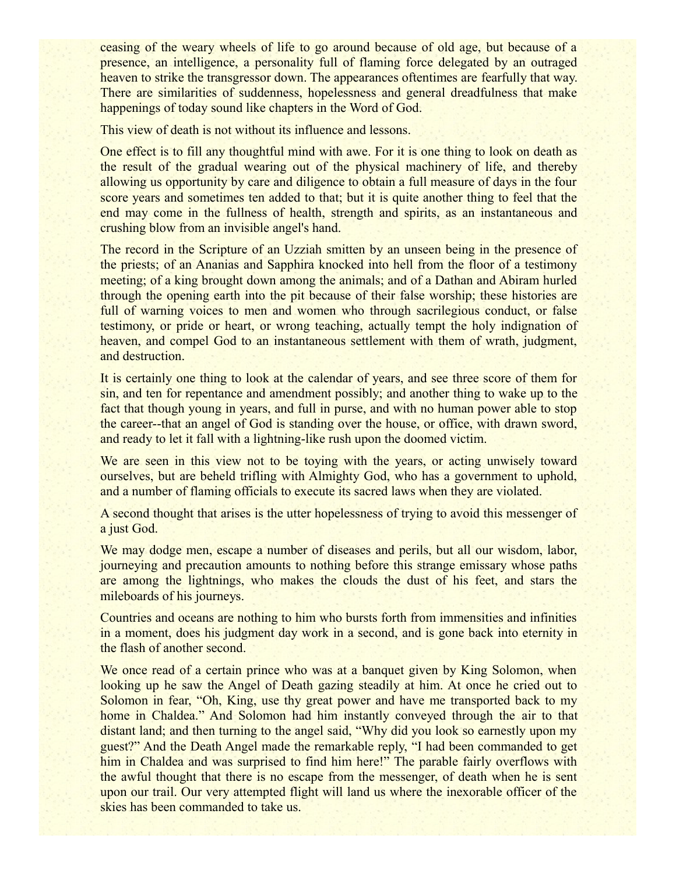ceasing of the weary wheels of life to go around because of old age, but because of a presence, an intelligence, a personality full of flaming force delegated by an outraged heaven to strike the transgressor down. The appearances oftentimes are fearfully that way. There are similarities of suddenness, hopelessness and general dreadfulness that make happenings of today sound like chapters in the Word of God.

This view of death is not without its influence and lessons.

One effect is to fill any thoughtful mind with awe. For it is one thing to look on death as the result of the gradual wearing out of the physical machinery of life, and thereby allowing us opportunity by care and diligence to obtain a full measure of days in the four score years and sometimes ten added to that; but it is quite another thing to feel that the end may come in the fullness of health, strength and spirits, as an instantaneous and crushing blow from an invisible angel's hand.

The record in the Scripture of an Uzziah smitten by an unseen being in the presence of the priests; of an Ananias and Sapphira knocked into hell from the floor of a testimony meeting; of a king brought down among the animals; and of a Dathan and Abiram hurled through the opening earth into the pit because of their false worship; these histories are full of warning voices to men and women who through sacrilegious conduct, or false testimony, or pride or heart, or wrong teaching, actually tempt the holy indignation of heaven, and compel God to an instantaneous settlement with them of wrath, judgment, and destruction.

It is certainly one thing to look at the calendar of years, and see three score of them for sin, and ten for repentance and amendment possibly; and another thing to wake up to the fact that though young in years, and full in purse, and with no human power able to stop the career--that an angel of God is standing over the house, or office, with drawn sword, and ready to let it fall with a lightning-like rush upon the doomed victim.

We are seen in this view not to be toying with the years, or acting unwisely toward ourselves, but are beheld trifling with Almighty God, who has a government to uphold, and a number of flaming officials to execute its sacred laws when they are violated.

A second thought that arises is the utter hopelessness of trying to avoid this messenger of a just God.

We may dodge men, escape a number of diseases and perils, but all our wisdom, labor, journeying and precaution amounts to nothing before this strange emissary whose paths are among the lightnings, who makes the clouds the dust of his feet, and stars the mileboards of his journeys.

Countries and oceans are nothing to him who bursts forth from immensities and infinities in a moment, does his judgment day work in a second, and is gone back into eternity in the flash of another second.

We once read of a certain prince who was at a banquet given by King Solomon, when looking up he saw the Angel of Death gazing steadily at him. At once he cried out to Solomon in fear, "Oh, King, use thy great power and have me transported back to my home in Chaldea." And Solomon had him instantly conveyed through the air to that distant land; and then turning to the angel said, "Why did you look so earnestly upon my guest?" And the Death Angel made the remarkable reply, "I had been commanded to get him in Chaldea and was surprised to find him here!" The parable fairly overflows with the awful thought that there is no escape from the messenger, of death when he is sent upon our trail. Our very attempted flight will land us where the inexorable officer of the skies has been commanded to take us.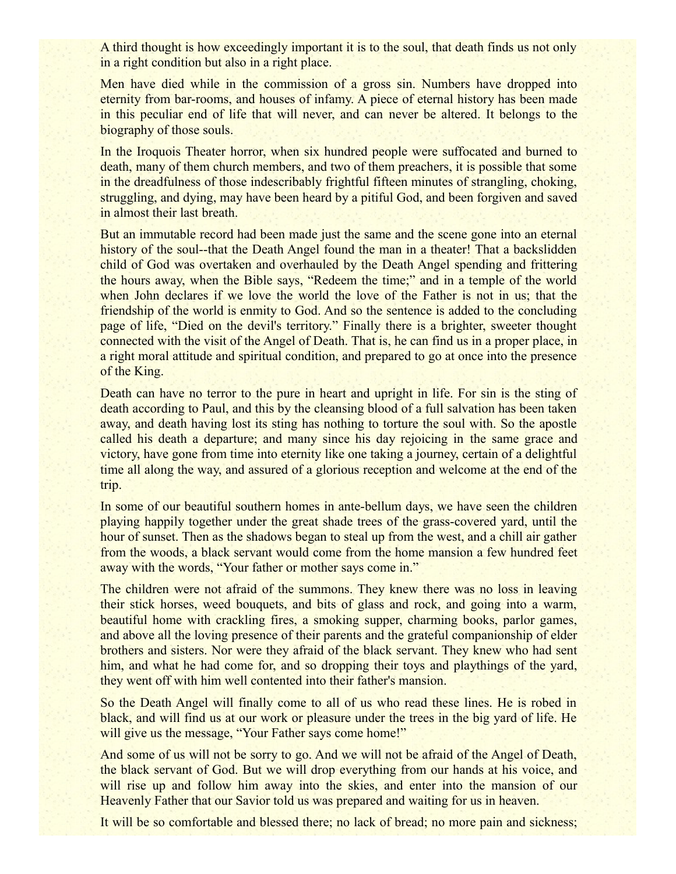A third thought is how exceedingly important it is to the soul, that death finds us not only in a right condition but also in a right place.

Men have died while in the commission of a gross sin. Numbers have dropped into eternity from bar-rooms, and houses of infamy. A piece of eternal history has been made in this peculiar end of life that will never, and can never be altered. It belongs to the biography of those souls.

In the Iroquois Theater horror, when six hundred people were suffocated and burned to death, many of them church members, and two of them preachers, it is possible that some in the dreadfulness of those indescribably frightful fifteen minutes of strangling, choking, struggling, and dying, may have been heard by a pitiful God, and been forgiven and saved in almost their last breath.

But an immutable record had been made just the same and the scene gone into an eternal history of the soul--that the Death Angel found the man in a theater! That a backslidden child of God was overtaken and overhauled by the Death Angel spending and frittering the hours away, when the Bible says, "Redeem the time;" and in a temple of the world when John declares if we love the world the love of the Father is not in us; that the friendship of the world is enmity to God. And so the sentence is added to the concluding page of life, "Died on the devil's territory." Finally there is a brighter, sweeter thought connected with the visit of the Angel of Death. That is, he can find us in a proper place, in a right moral attitude and spiritual condition, and prepared to go at once into the presence of the King.

Death can have no terror to the pure in heart and upright in life. For sin is the sting of death according to Paul, and this by the cleansing blood of a full salvation has been taken away, and death having lost its sting has nothing to torture the soul with. So the apostle called his death a departure; and many since his day rejoicing in the same grace and victory, have gone from time into eternity like one taking a journey, certain of a delightful time all along the way, and assured of a glorious reception and welcome at the end of the trip.

In some of our beautiful southern homes in ante-bellum days, we have seen the children playing happily together under the great shade trees of the grass-covered yard, until the hour of sunset. Then as the shadows began to steal up from the west, and a chill air gather from the woods, a black servant would come from the home mansion a few hundred feet away with the words, "Your father or mother says come in."

The children were not afraid of the summons. They knew there was no loss in leaving their stick horses, weed bouquets, and bits of glass and rock, and going into a warm, beautiful home with crackling fires, a smoking supper, charming books, parlor games, and above all the loving presence of their parents and the grateful companionship of elder brothers and sisters. Nor were they afraid of the black servant. They knew who had sent him, and what he had come for, and so dropping their toys and playthings of the yard, they went off with him well contented into their father's mansion.

So the Death Angel will finally come to all of us who read these lines. He is robed in black, and will find us at our work or pleasure under the trees in the big yard of life. He will give us the message, "Your Father says come home!"

And some of us will not be sorry to go. And we will not be afraid of the Angel of Death, the black servant of God. But we will drop everything from our hands at his voice, and will rise up and follow him away into the skies, and enter into the mansion of our Heavenly Father that our Savior told us was prepared and waiting for us in heaven.

It will be so comfortable and blessed there; no lack of bread; no more pain and sickness;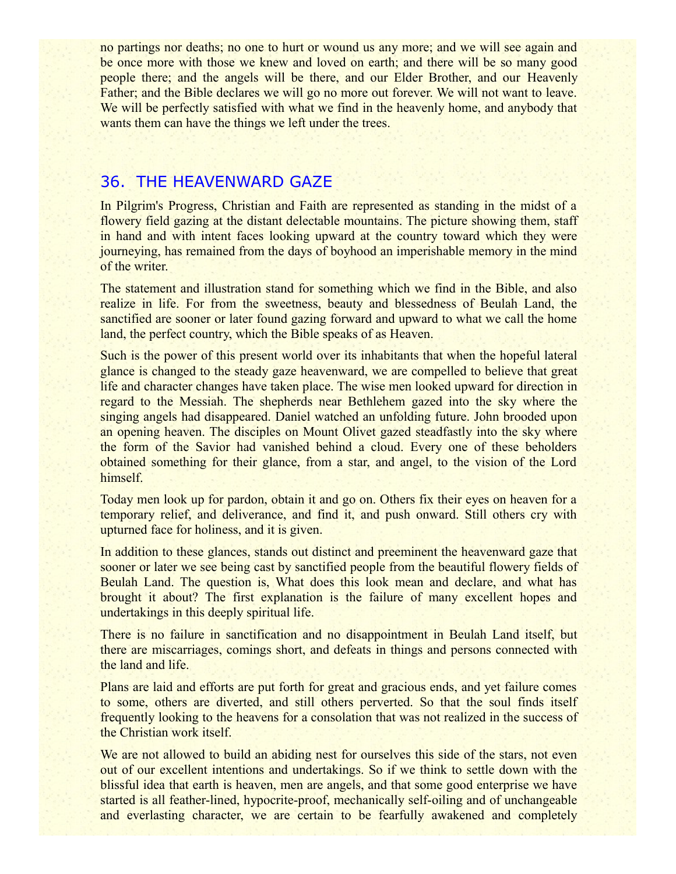no partings nor deaths; no one to hurt or wound us any more; and we will see again and be once more with those we knew and loved on earth; and there will be so many good people there; and the angels will be there, and our Elder Brother, and our Heavenly Father; and the Bible declares we will go no more out forever. We will not want to leave. We will be perfectly satisfied with what we find in the heavenly home, and anybody that wants them can have the things we left under the trees.

#### 36. THE HEAVENWARD GAZE

In Pilgrim's Progress, Christian and Faith are represented as standing in the midst of a flowery field gazing at the distant delectable mountains. The picture showing them, staff in hand and with intent faces looking upward at the country toward which they were journeying, has remained from the days of boyhood an imperishable memory in the mind of the writer.

The statement and illustration stand for something which we find in the Bible, and also realize in life. For from the sweetness, beauty and blessedness of Beulah Land, the sanctified are sooner or later found gazing forward and upward to what we call the home land, the perfect country, which the Bible speaks of as Heaven.

Such is the power of this present world over its inhabitants that when the hopeful lateral glance is changed to the steady gaze heavenward, we are compelled to believe that great life and character changes have taken place. The wise men looked upward for direction in regard to the Messiah. The shepherds near Bethlehem gazed into the sky where the singing angels had disappeared. Daniel watched an unfolding future. John brooded upon an opening heaven. The disciples on Mount Olivet gazed steadfastly into the sky where the form of the Savior had vanished behind a cloud. Every one of these beholders obtained something for their glance, from a star, and angel, to the vision of the Lord himself.

Today men look up for pardon, obtain it and go on. Others fix their eyes on heaven for a temporary relief, and deliverance, and find it, and push onward. Still others cry with upturned face for holiness, and it is given.

In addition to these glances, stands out distinct and preeminent the heavenward gaze that sooner or later we see being cast by sanctified people from the beautiful flowery fields of Beulah Land. The question is, What does this look mean and declare, and what has brought it about? The first explanation is the failure of many excellent hopes and undertakings in this deeply spiritual life.

There is no failure in sanctification and no disappointment in Beulah Land itself, but there are miscarriages, comings short, and defeats in things and persons connected with the land and life.

Plans are laid and efforts are put forth for great and gracious ends, and yet failure comes to some, others are diverted, and still others perverted. So that the soul finds itself frequently looking to the heavens for a consolation that was not realized in the success of the Christian work itself.

We are not allowed to build an abiding nest for ourselves this side of the stars, not even out of our excellent intentions and undertakings. So if we think to settle down with the blissful idea that earth is heaven, men are angels, and that some good enterprise we have started is all feather-lined, hypocrite-proof, mechanically self-oiling and of unchangeable and everlasting character, we are certain to be fearfully awakened and completely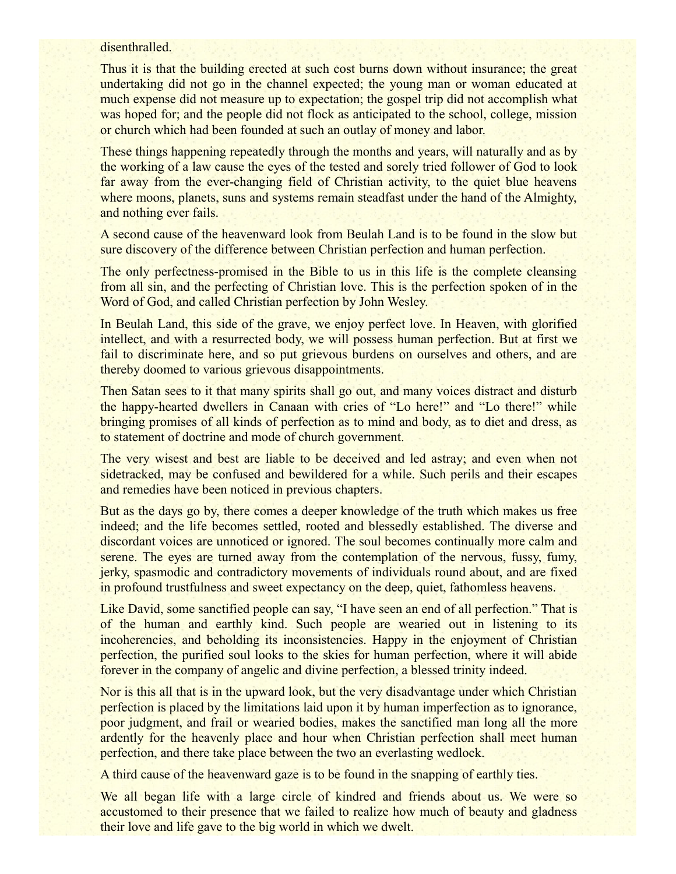#### disenthralled.

Thus it is that the building erected at such cost burns down without insurance; the great undertaking did not go in the channel expected; the young man or woman educated at much expense did not measure up to expectation; the gospel trip did not accomplish what was hoped for; and the people did not flock as anticipated to the school, college, mission or church which had been founded at such an outlay of money and labor.

These things happening repeatedly through the months and years, will naturally and as by the working of a law cause the eyes of the tested and sorely tried follower of God to look far away from the ever-changing field of Christian activity, to the quiet blue heavens where moons, planets, suns and systems remain steadfast under the hand of the Almighty, and nothing ever fails.

A second cause of the heavenward look from Beulah Land is to be found in the slow but sure discovery of the difference between Christian perfection and human perfection.

The only perfectness-promised in the Bible to us in this life is the complete cleansing from all sin, and the perfecting of Christian love. This is the perfection spoken of in the Word of God, and called Christian perfection by John Wesley.

In Beulah Land, this side of the grave, we enjoy perfect love. In Heaven, with glorified intellect, and with a resurrected body, we will possess human perfection. But at first we fail to discriminate here, and so put grievous burdens on ourselves and others, and are thereby doomed to various grievous disappointments.

Then Satan sees to it that many spirits shall go out, and many voices distract and disturb the happy-hearted dwellers in Canaan with cries of "Lo here!" and "Lo there!" while bringing promises of all kinds of perfection as to mind and body, as to diet and dress, as to statement of doctrine and mode of church government.

The very wisest and best are liable to be deceived and led astray; and even when not sidetracked, may be confused and bewildered for a while. Such perils and their escapes and remedies have been noticed in previous chapters.

But as the days go by, there comes a deeper knowledge of the truth which makes us free indeed; and the life becomes settled, rooted and blessedly established. The diverse and discordant voices are unnoticed or ignored. The soul becomes continually more calm and serene. The eyes are turned away from the contemplation of the nervous, fussy, fumy, jerky, spasmodic and contradictory movements of individuals round about, and are fixed in profound trustfulness and sweet expectancy on the deep, quiet, fathomless heavens.

Like David, some sanctified people can say, "I have seen an end of all perfection." That is of the human and earthly kind. Such people are wearied out in listening to its incoherencies, and beholding its inconsistencies. Happy in the enjoyment of Christian perfection, the purified soul looks to the skies for human perfection, where it will abide forever in the company of angelic and divine perfection, a blessed trinity indeed.

Nor is this all that is in the upward look, but the very disadvantage under which Christian perfection is placed by the limitations laid upon it by human imperfection as to ignorance, poor judgment, and frail or wearied bodies, makes the sanctified man long all the more ardently for the heavenly place and hour when Christian perfection shall meet human perfection, and there take place between the two an everlasting wedlock.

A third cause of the heavenward gaze is to be found in the snapping of earthly ties.

We all began life with a large circle of kindred and friends about us. We were so accustomed to their presence that we failed to realize how much of beauty and gladness their love and life gave to the big world in which we dwelt.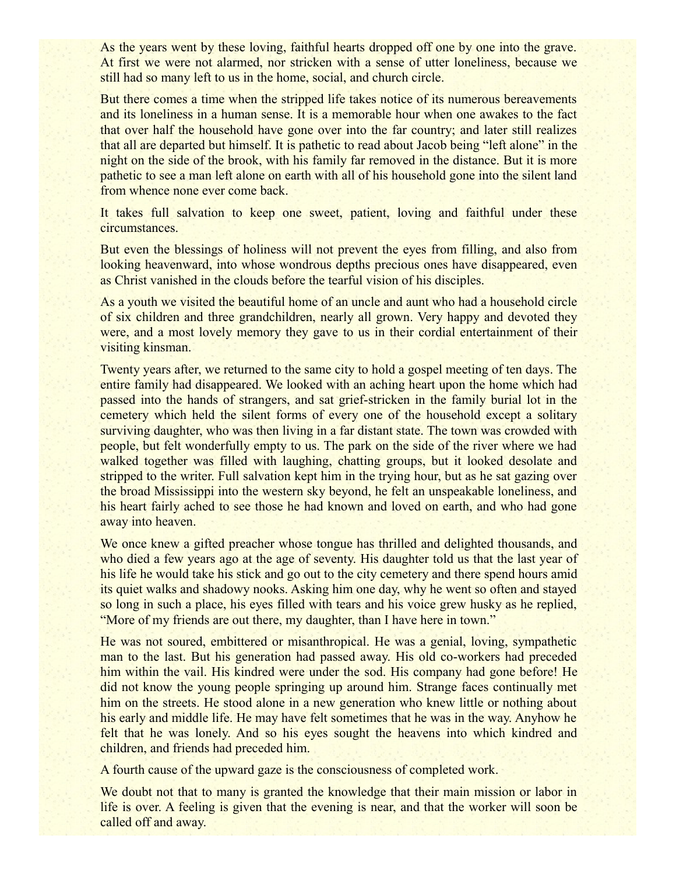As the years went by these loving, faithful hearts dropped off one by one into the grave. At first we were not alarmed, nor stricken with a sense of utter loneliness, because we still had so many left to us in the home, social, and church circle.

But there comes a time when the stripped life takes notice of its numerous bereavements and its loneliness in a human sense. It is a memorable hour when one awakes to the fact that over half the household have gone over into the far country; and later still realizes that all are departed but himself. It is pathetic to read about Jacob being "left alone" in the night on the side of the brook, with his family far removed in the distance. But it is more pathetic to see a man left alone on earth with all of his household gone into the silent land from whence none ever come back.

It takes full salvation to keep one sweet, patient, loving and faithful under these circumstances.

But even the blessings of holiness will not prevent the eyes from filling, and also from looking heavenward, into whose wondrous depths precious ones have disappeared, even as Christ vanished in the clouds before the tearful vision of his disciples.

As a youth we visited the beautiful home of an uncle and aunt who had a household circle of six children and three grandchildren, nearly all grown. Very happy and devoted they were, and a most lovely memory they gave to us in their cordial entertainment of their visiting kinsman.

Twenty years after, we returned to the same city to hold a gospel meeting of ten days. The entire family had disappeared. We looked with an aching heart upon the home which had passed into the hands of strangers, and sat grief-stricken in the family burial lot in the cemetery which held the silent forms of every one of the household except a solitary surviving daughter, who was then living in a far distant state. The town was crowded with people, but felt wonderfully empty to us. The park on the side of the river where we had walked together was filled with laughing, chatting groups, but it looked desolate and stripped to the writer. Full salvation kept him in the trying hour, but as he sat gazing over the broad Mississippi into the western sky beyond, he felt an unspeakable loneliness, and his heart fairly ached to see those he had known and loved on earth, and who had gone away into heaven.

We once knew a gifted preacher whose tongue has thrilled and delighted thousands, and who died a few years ago at the age of seventy. His daughter told us that the last year of his life he would take his stick and go out to the city cemetery and there spend hours amid its quiet walks and shadowy nooks. Asking him one day, why he went so often and stayed so long in such a place, his eyes filled with tears and his voice grew husky as he replied, "More of my friends are out there, my daughter, than I have here in town."

He was not soured, embittered or misanthropical. He was a genial, loving, sympathetic man to the last. But his generation had passed away. His old co-workers had preceded him within the vail. His kindred were under the sod. His company had gone before! He did not know the young people springing up around him. Strange faces continually met him on the streets. He stood alone in a new generation who knew little or nothing about his early and middle life. He may have felt sometimes that he was in the way. Anyhow he felt that he was lonely. And so his eyes sought the heavens into which kindred and children, and friends had preceded him.

A fourth cause of the upward gaze is the consciousness of completed work.

We doubt not that to many is granted the knowledge that their main mission or labor in life is over. A feeling is given that the evening is near, and that the worker will soon be called off and away.